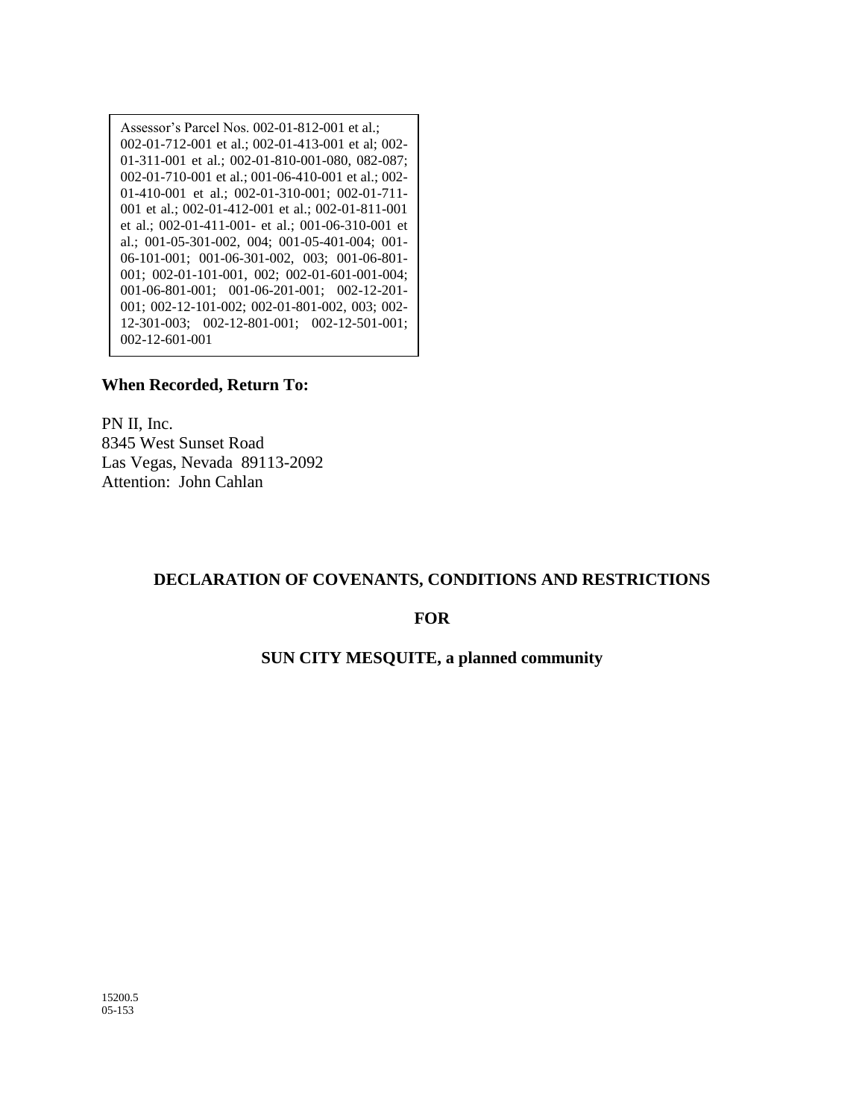Assessor's Parcel Nos. 002-01-812-001 et al.; 002-01-712-001 et al.; 002-01-413-001 et al; 002- 01-311-001 et al.; 002-01-810-001-080, 082-087; 002-01-710-001 et al.; 001-06-410-001 et al.; 002- 01-410-001 et al.; 002-01-310-001; 002-01-711- 001 et al.; 002-01-412-001 et al.; 002-01-811-001 et al.; 002-01-411-001- et al.; 001-06-310-001 et al.; 001-05-301-002, 004; 001-05-401-004; 001- 06-101-001; 001-06-301-002, 003; 001-06-801- 001; 002-01-101-001, 002; 002-01-601-001-004; 001-06-801-001; 001-06-201-001; 002-12-201- 001; 002-12-101-002; 002-01-801-002, 003; 002- 12-301-003; 002-12-801-001; 002-12-501-001; 002-12-601-001

#### **When Recorded, Return To:**

PN II, Inc. 8345 West Sunset Road Las Vegas, Nevada 89113-2092 Attention: John Cahlan

#### **DECLARATION OF COVENANTS, CONDITIONS AND RESTRICTIONS**

#### **FOR**

#### **SUN CITY MESQUITE, a planned community**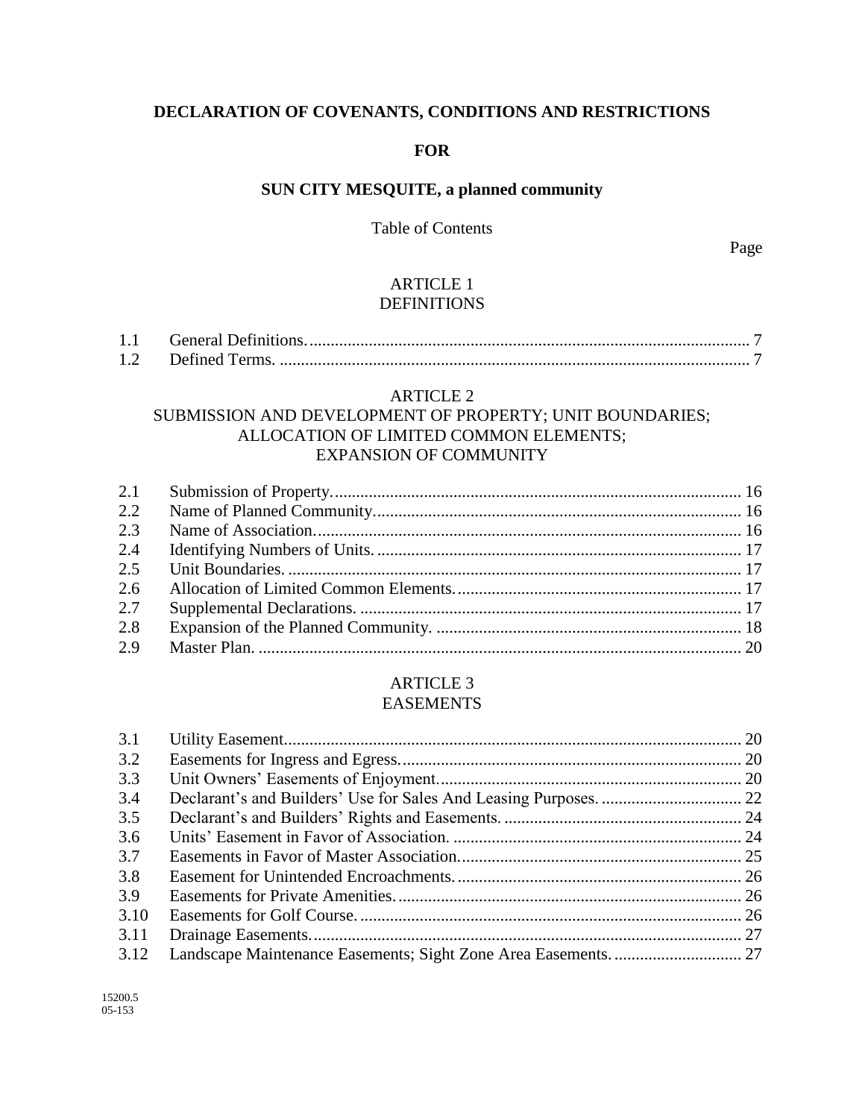# **DECLARATION OF COVENANTS, CONDITIONS AND RESTRICTIONS**

### **FOR**

# **SUN CITY MESQUITE, a planned community**

### Table of Contents

Page

#### ARTICLE 1 DEFINITIONS

# ARTICLE 2

### SUBMISSION AND DEVELOPMENT OF PROPERTY; UNIT BOUNDARIES; ALLOCATION OF LIMITED COMMON ELEMENTS; EXPANSION OF COMMUNITY

| 2.2 |  |
|-----|--|
| 2.3 |  |
| 2.4 |  |
| 2.5 |  |
| 2.6 |  |
| 2.7 |  |
| 2.8 |  |
| 2.9 |  |

### ARTICLE 3 EASEMENTS

| 3.1  |  |
|------|--|
| 3.2  |  |
| 3.3  |  |
| 3.4  |  |
| 3.5  |  |
| 3.6  |  |
| 3.7  |  |
| 3.8  |  |
| 3.9  |  |
| 3.10 |  |
| 3.11 |  |
| 3.12 |  |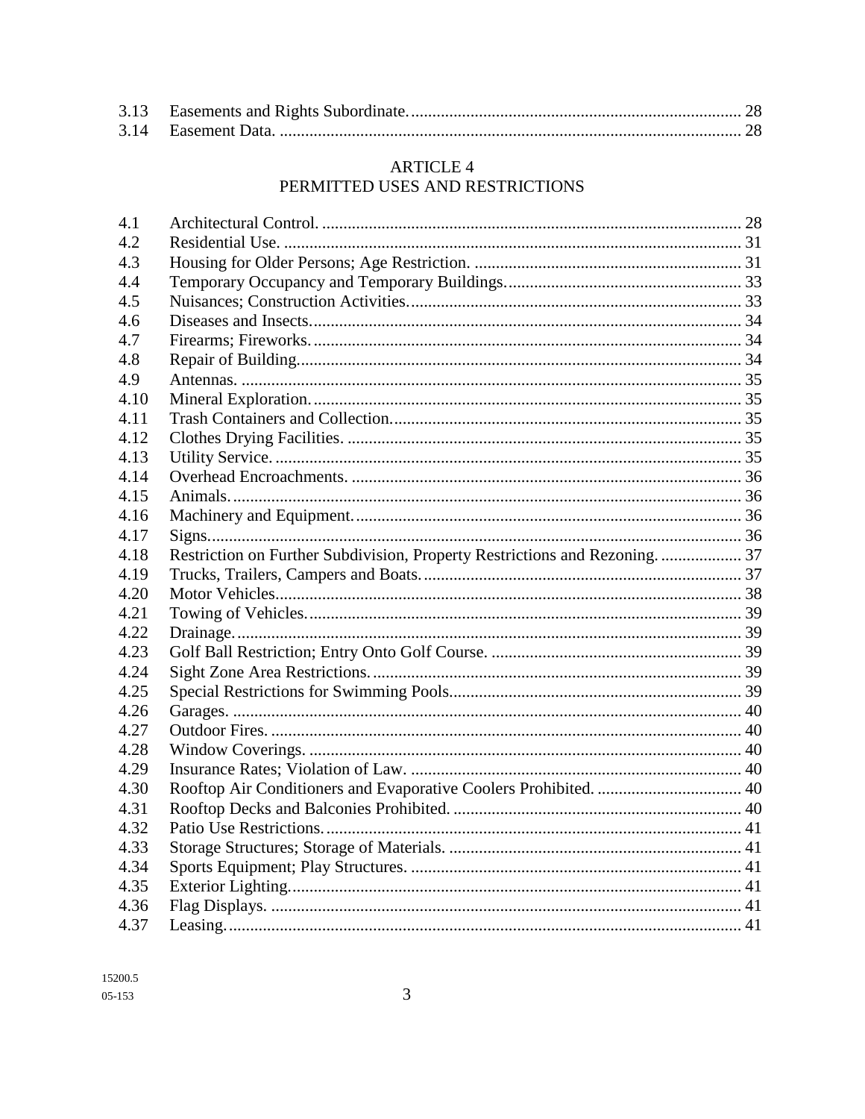### **ARTICLE 4** PERMITTED USES AND RESTRICTIONS

| Restriction on Further Subdivision, Property Restrictions and Rezoning.  37 |
|-----------------------------------------------------------------------------|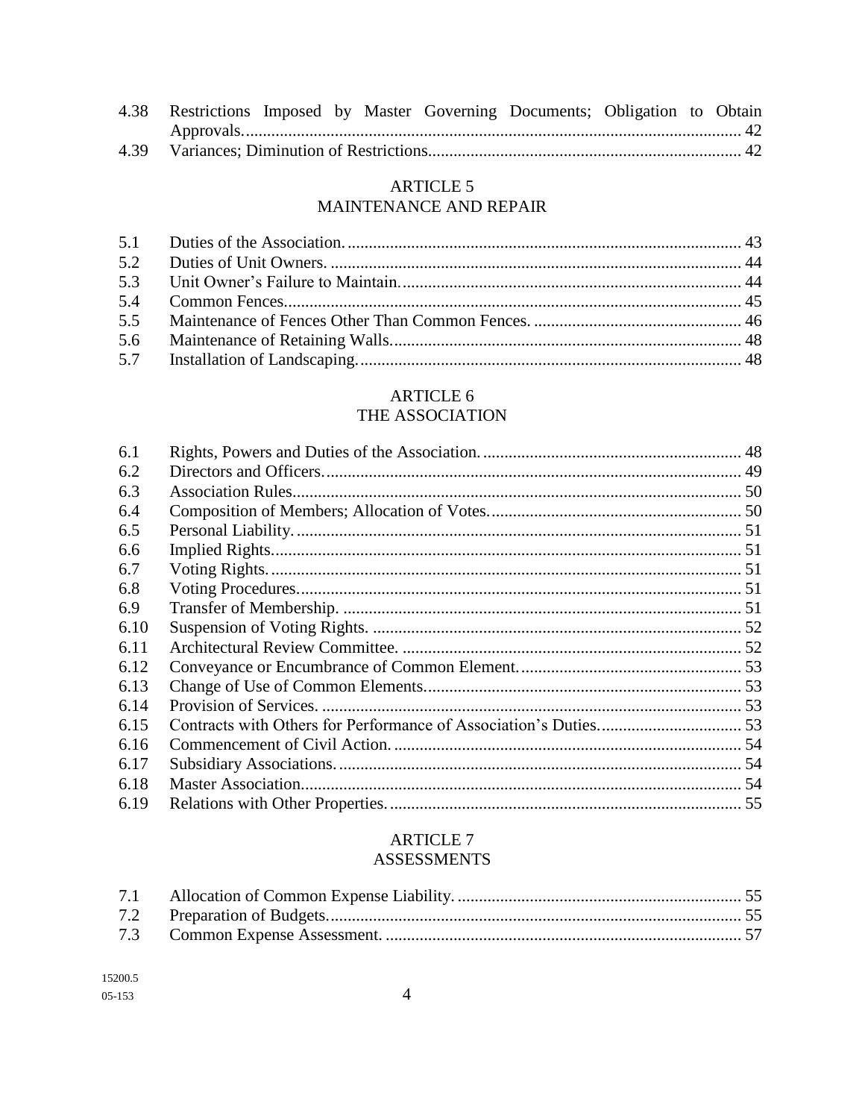| 4.38 Restrictions Imposed by Master Governing Documents; Obligation to Obtain |  |  |  |  |
|-------------------------------------------------------------------------------|--|--|--|--|
|                                                                               |  |  |  |  |
|                                                                               |  |  |  |  |

### **ARTICLE 5** MAINTENANCE AND REPAIR

### **ARTICLE 6** THE ASSOCIATION

| 6.1  |  |
|------|--|
| 6.2  |  |
| 6.3  |  |
| 6.4  |  |
| 6.5  |  |
| 6.6  |  |
| 6.7  |  |
| 6.8  |  |
| 6.9  |  |
| 6.10 |  |
| 6.11 |  |
| 6.12 |  |
| 6.13 |  |
| 6.14 |  |
| 6.15 |  |
| 6.16 |  |
| 6.17 |  |
| 6.18 |  |
| 6.19 |  |

### **ARTICLE 7 ASSESSMENTS**

| 15200.5      |
|--------------|
| $0.5 - 1.53$ |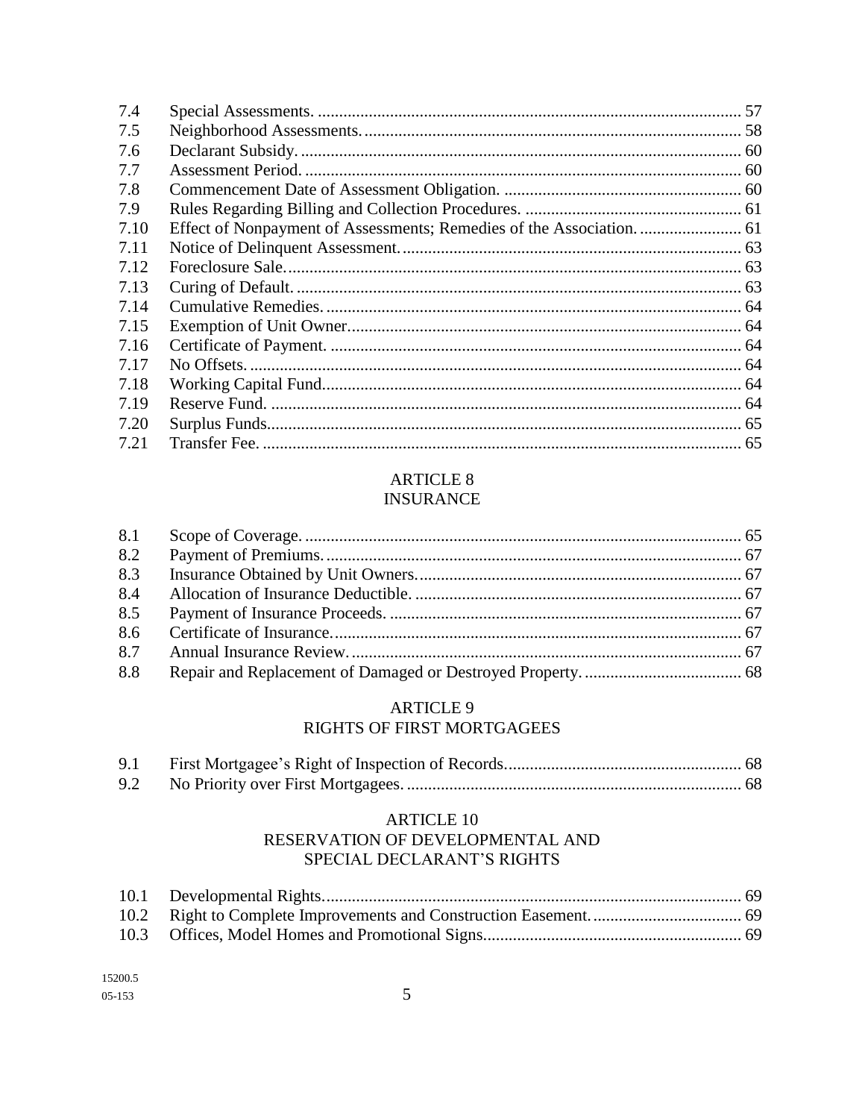| 7.4  |  |
|------|--|
| 7.5  |  |
| 7.6  |  |
| 7.7  |  |
| 7.8  |  |
| 7.9  |  |
| 7.10 |  |
| 7.11 |  |
| 7.12 |  |
| 7.13 |  |
| 7.14 |  |
| 7.15 |  |
| 7.16 |  |
| 7.17 |  |
| 7.18 |  |
| 7.19 |  |
| 7.20 |  |
| 7.21 |  |

# **ARTICLE 8**

# **INSURANCE**

| 8.1 |  |
|-----|--|
| 8.2 |  |
| 8.3 |  |
| 8.4 |  |
| 8.5 |  |
| 8.6 |  |
| 8.7 |  |
| 8.8 |  |

#### **ARTICLE 9** RIGHTS OF FIRST MORTGAGEES

| 9.1 |  |
|-----|--|
|     |  |

### **ARTICLE 10** RESERVATION OF DEVELOPMENTAL AND SPECIAL DECLARANT'S RIGHTS

| 15200.5      |
|--------------|
| $0.5 - 1.53$ |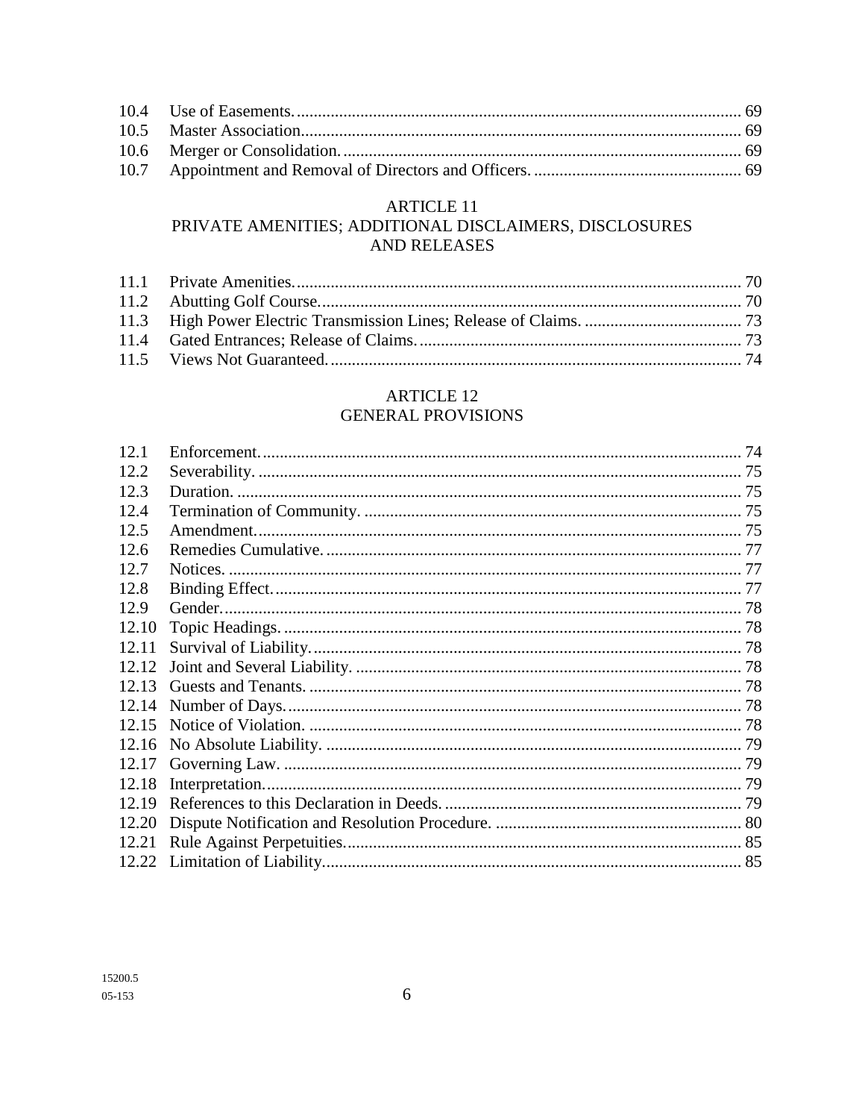### **ARTICLE 11**

# PRIVATE AMENITIES; ADDITIONAL DISCLAIMERS, DISCLOSURES AND RELEASES

### **ARTICLE 12 GENERAL PROVISIONS**

| 12.1  |  |
|-------|--|
| 12.2  |  |
| 12.3  |  |
| 12.4  |  |
| 12.5  |  |
| 12.6  |  |
| 12.7  |  |
| 12.8  |  |
| 12.9  |  |
| 12.10 |  |
| 12.11 |  |
| 12.12 |  |
| 12.13 |  |
| 12.14 |  |
| 12.15 |  |
| 12.16 |  |
| 12.17 |  |
| 12.18 |  |
| 12.19 |  |
| 12.20 |  |
| 12.21 |  |
| 12.22 |  |
|       |  |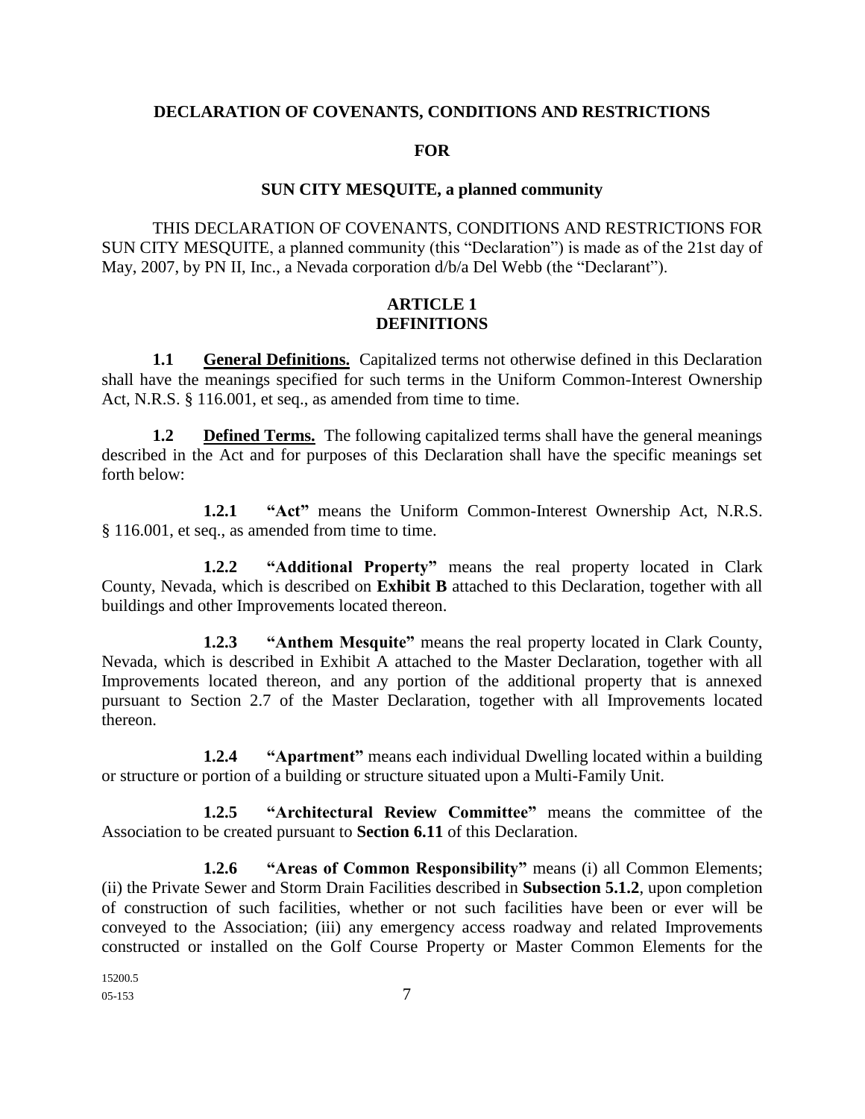#### **DECLARATION OF COVENANTS, CONDITIONS AND RESTRICTIONS**

#### **FOR**

#### **SUN CITY MESQUITE, a planned community**

THIS DECLARATION OF COVENANTS, CONDITIONS AND RESTRICTIONS FOR SUN CITY MESQUITE, a planned community (this "Declaration") is made as of the 21st day of May, 2007, by PN II, Inc., a Nevada corporation d/b/a Del Webb (the "Declarant").

### **ARTICLE 1 DEFINITIONS**

**1.1 General Definitions.** Capitalized terms not otherwise defined in this Declaration shall have the meanings specified for such terms in the Uniform Common-Interest Ownership Act, N.R.S. § 116.001, et seq., as amended from time to time.

**1.2 Defined Terms.** The following capitalized terms shall have the general meanings described in the Act and for purposes of this Declaration shall have the specific meanings set forth below:

**1.2.1 "Act"** means the Uniform Common-Interest Ownership Act, N.R.S. § 116.001, et seq., as amended from time to time.

**1.2.2 "Additional Property"** means the real property located in Clark County, Nevada, which is described on **Exhibit B** attached to this Declaration, together with all buildings and other Improvements located thereon.

**1.2.3 "Anthem Mesquite"** means the real property located in Clark County, Nevada, which is described in Exhibit A attached to the Master Declaration, together with all Improvements located thereon, and any portion of the additional property that is annexed pursuant to Section 2.7 of the Master Declaration, together with all Improvements located thereon.

**1.2.4 "Apartment"** means each individual Dwelling located within a building or structure or portion of a building or structure situated upon a Multi-Family Unit.

**1.2.5 "Architectural Review Committee"** means the committee of the Association to be created pursuant to **Section 6.11** of this Declaration.

**1.2.6 "Areas of Common Responsibility"** means (i) all Common Elements; (ii) the Private Sewer and Storm Drain Facilities described in **Subsection 5.1.2**, upon completion of construction of such facilities, whether or not such facilities have been or ever will be conveyed to the Association; (iii) any emergency access roadway and related Improvements constructed or installed on the Golf Course Property or Master Common Elements for the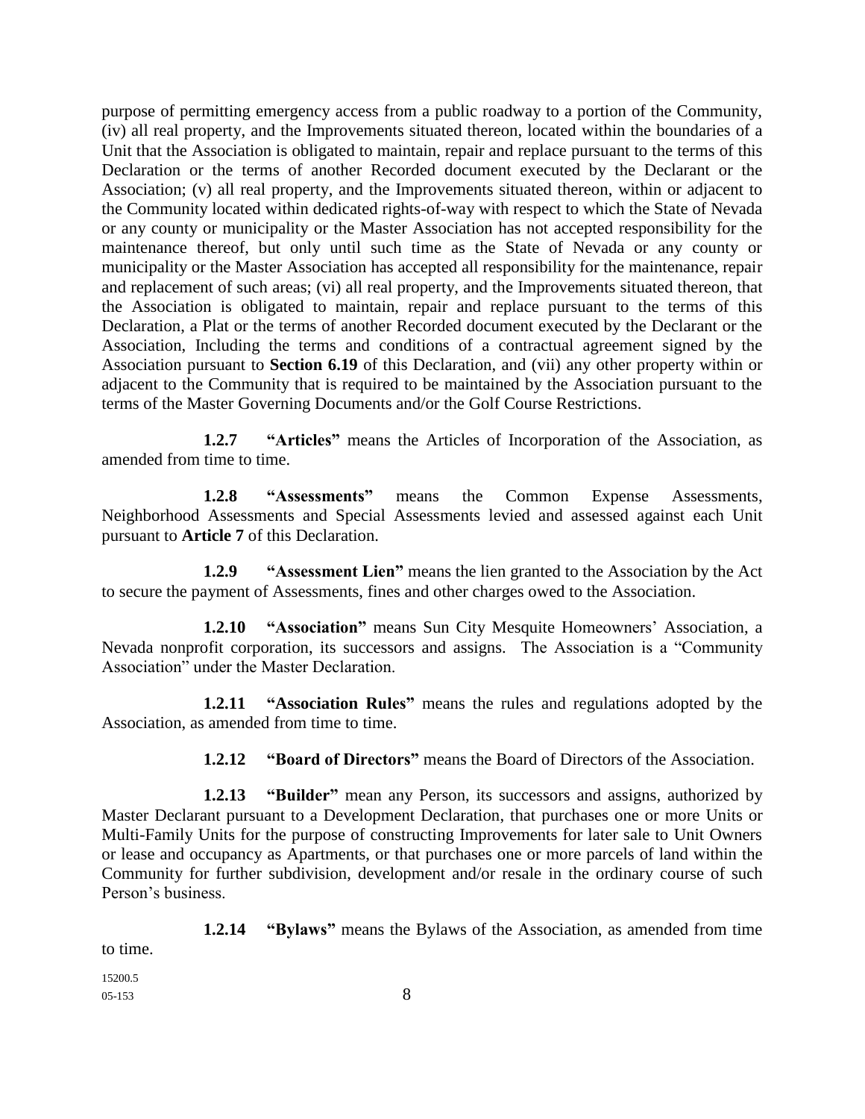purpose of permitting emergency access from a public roadway to a portion of the Community, (iv) all real property, and the Improvements situated thereon, located within the boundaries of a Unit that the Association is obligated to maintain, repair and replace pursuant to the terms of this Declaration or the terms of another Recorded document executed by the Declarant or the Association; (v) all real property, and the Improvements situated thereon, within or adjacent to the Community located within dedicated rights-of-way with respect to which the State of Nevada or any county or municipality or the Master Association has not accepted responsibility for the maintenance thereof, but only until such time as the State of Nevada or any county or municipality or the Master Association has accepted all responsibility for the maintenance, repair and replacement of such areas; (vi) all real property, and the Improvements situated thereon, that the Association is obligated to maintain, repair and replace pursuant to the terms of this Declaration, a Plat or the terms of another Recorded document executed by the Declarant or the Association, Including the terms and conditions of a contractual agreement signed by the Association pursuant to **Section 6.19** of this Declaration, and (vii) any other property within or adjacent to the Community that is required to be maintained by the Association pursuant to the terms of the Master Governing Documents and/or the Golf Course Restrictions.

**1.2.7 "Articles"** means the Articles of Incorporation of the Association, as amended from time to time.

**1.2.8 "Assessments"** means the Common Expense Assessments, Neighborhood Assessments and Special Assessments levied and assessed against each Unit pursuant to **Article 7** of this Declaration.

**1.2.9 "Assessment Lien"** means the lien granted to the Association by the Act to secure the payment of Assessments, fines and other charges owed to the Association.

**1.2.10 "Association"** means Sun City Mesquite Homeowners' Association, a Nevada nonprofit corporation, its successors and assigns. The Association is a "Community Association" under the Master Declaration.

**1.2.11 "Association Rules"** means the rules and regulations adopted by the Association, as amended from time to time.

**1.2.12 "Board of Directors"** means the Board of Directors of the Association.

**1.2.13 "Builder"** mean any Person, its successors and assigns, authorized by Master Declarant pursuant to a Development Declaration, that purchases one or more Units or Multi-Family Units for the purpose of constructing Improvements for later sale to Unit Owners or lease and occupancy as Apartments, or that purchases one or more parcels of land within the Community for further subdivision, development and/or resale in the ordinary course of such Person's business.

**1.2.14 "Bylaws"** means the Bylaws of the Association, as amended from time to time.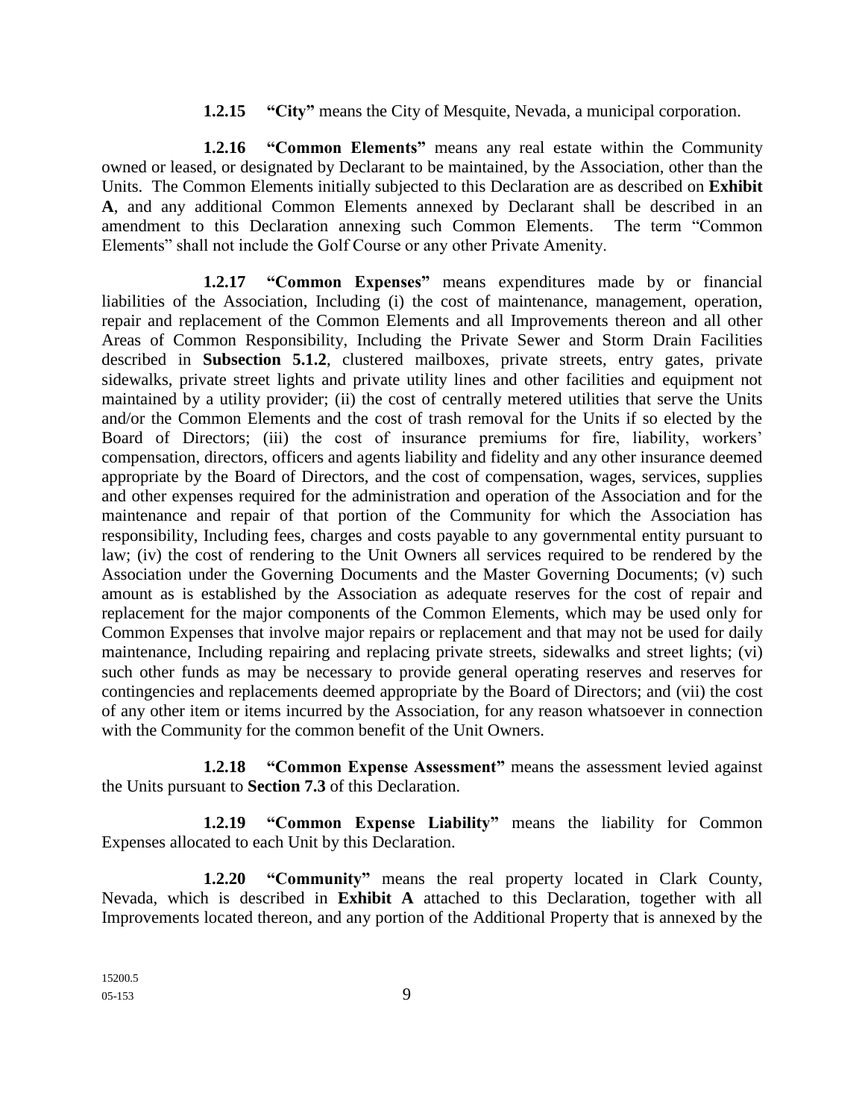#### **1.2.15 "City"** means the City of Mesquite, Nevada, a municipal corporation.

**1.2.16 "Common Elements"** means any real estate within the Community owned or leased, or designated by Declarant to be maintained, by the Association, other than the Units. The Common Elements initially subjected to this Declaration are as described on **Exhibit A**, and any additional Common Elements annexed by Declarant shall be described in an amendment to this Declaration annexing such Common Elements. The term "Common Elements" shall not include the Golf Course or any other Private Amenity.

**1.2.17 "Common Expenses"** means expenditures made by or financial liabilities of the Association, Including (i) the cost of maintenance, management, operation, repair and replacement of the Common Elements and all Improvements thereon and all other Areas of Common Responsibility, Including the Private Sewer and Storm Drain Facilities described in **Subsection 5.1.2**, clustered mailboxes, private streets, entry gates, private sidewalks, private street lights and private utility lines and other facilities and equipment not maintained by a utility provider; (ii) the cost of centrally metered utilities that serve the Units and/or the Common Elements and the cost of trash removal for the Units if so elected by the Board of Directors; (iii) the cost of insurance premiums for fire, liability, workers' compensation, directors, officers and agents liability and fidelity and any other insurance deemed appropriate by the Board of Directors, and the cost of compensation, wages, services, supplies and other expenses required for the administration and operation of the Association and for the maintenance and repair of that portion of the Community for which the Association has responsibility, Including fees, charges and costs payable to any governmental entity pursuant to law; (iv) the cost of rendering to the Unit Owners all services required to be rendered by the Association under the Governing Documents and the Master Governing Documents; (v) such amount as is established by the Association as adequate reserves for the cost of repair and replacement for the major components of the Common Elements, which may be used only for Common Expenses that involve major repairs or replacement and that may not be used for daily maintenance, Including repairing and replacing private streets, sidewalks and street lights; (vi) such other funds as may be necessary to provide general operating reserves and reserves for contingencies and replacements deemed appropriate by the Board of Directors; and (vii) the cost of any other item or items incurred by the Association, for any reason whatsoever in connection with the Community for the common benefit of the Unit Owners.

**1.2.18 "Common Expense Assessment"** means the assessment levied against the Units pursuant to **Section 7.3** of this Declaration.

**1.2.19 "Common Expense Liability"** means the liability for Common Expenses allocated to each Unit by this Declaration.

**1.2.20 "Community"** means the real property located in Clark County, Nevada, which is described in **Exhibit A** attached to this Declaration, together with all Improvements located thereon, and any portion of the Additional Property that is annexed by the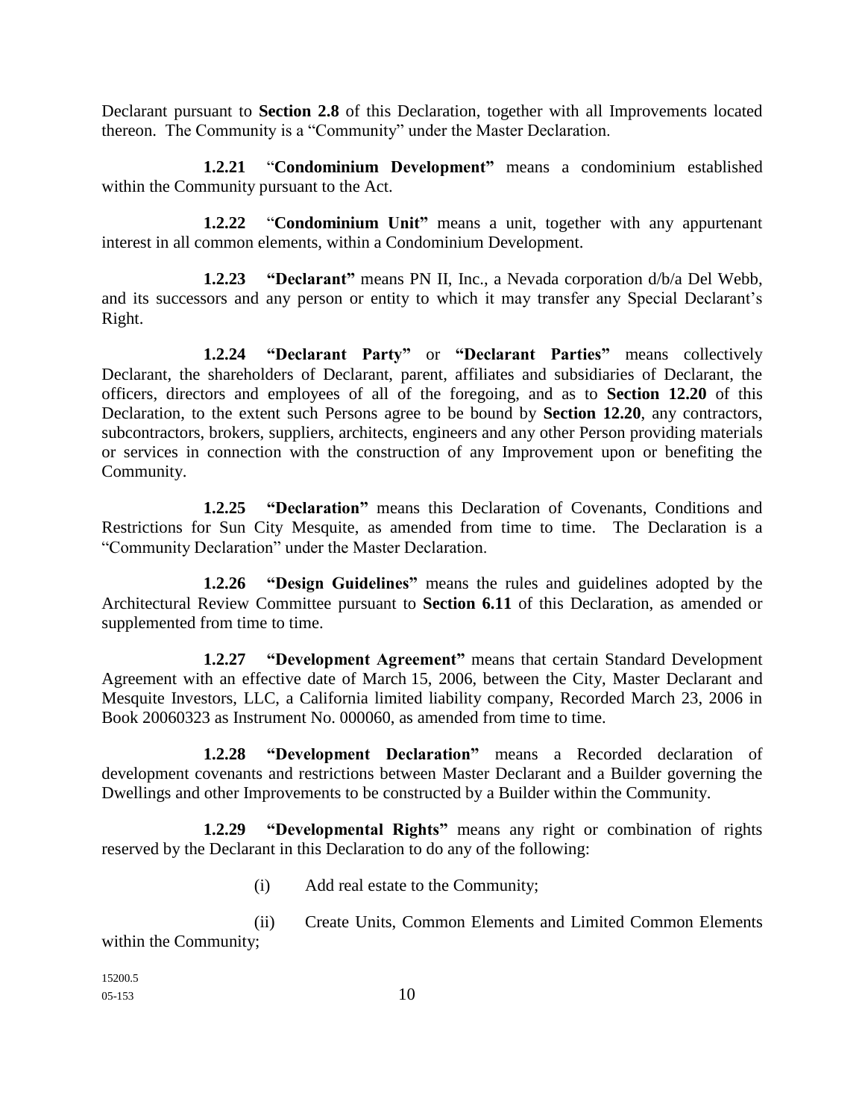Declarant pursuant to **Section 2.8** of this Declaration, together with all Improvements located thereon. The Community is a "Community" under the Master Declaration.

**1.2.21** "**Condominium Development"** means a condominium established within the Community pursuant to the Act.

**1.2.22** "**Condominium Unit"** means a unit, together with any appurtenant interest in all common elements, within a Condominium Development.

**1.2.23 "Declarant"** means PN II, Inc., a Nevada corporation d/b/a Del Webb, and its successors and any person or entity to which it may transfer any Special Declarant's Right.

**1.2.24 "Declarant Party"** or **"Declarant Parties"** means collectively Declarant, the shareholders of Declarant, parent, affiliates and subsidiaries of Declarant, the officers, directors and employees of all of the foregoing, and as to **Section 12.20** of this Declaration, to the extent such Persons agree to be bound by **Section 12.20**, any contractors, subcontractors, brokers, suppliers, architects, engineers and any other Person providing materials or services in connection with the construction of any Improvement upon or benefiting the Community.

**1.2.25 "Declaration"** means this Declaration of Covenants, Conditions and Restrictions for Sun City Mesquite, as amended from time to time. The Declaration is a "Community Declaration" under the Master Declaration.

**1.2.26 "Design Guidelines"** means the rules and guidelines adopted by the Architectural Review Committee pursuant to **Section 6.11** of this Declaration, as amended or supplemented from time to time.

**1.2.27 "Development Agreement"** means that certain Standard Development Agreement with an effective date of March 15, 2006, between the City, Master Declarant and Mesquite Investors, LLC, a California limited liability company, Recorded March 23, 2006 in Book 20060323 as Instrument No. 000060, as amended from time to time.

**1.2.28 "Development Declaration"** means a Recorded declaration of development covenants and restrictions between Master Declarant and a Builder governing the Dwellings and other Improvements to be constructed by a Builder within the Community.

**1.2.29 "Developmental Rights"** means any right or combination of rights reserved by the Declarant in this Declaration to do any of the following:

- (i) Add real estate to the Community;
- (ii) Create Units, Common Elements and Limited Common Elements within the Community;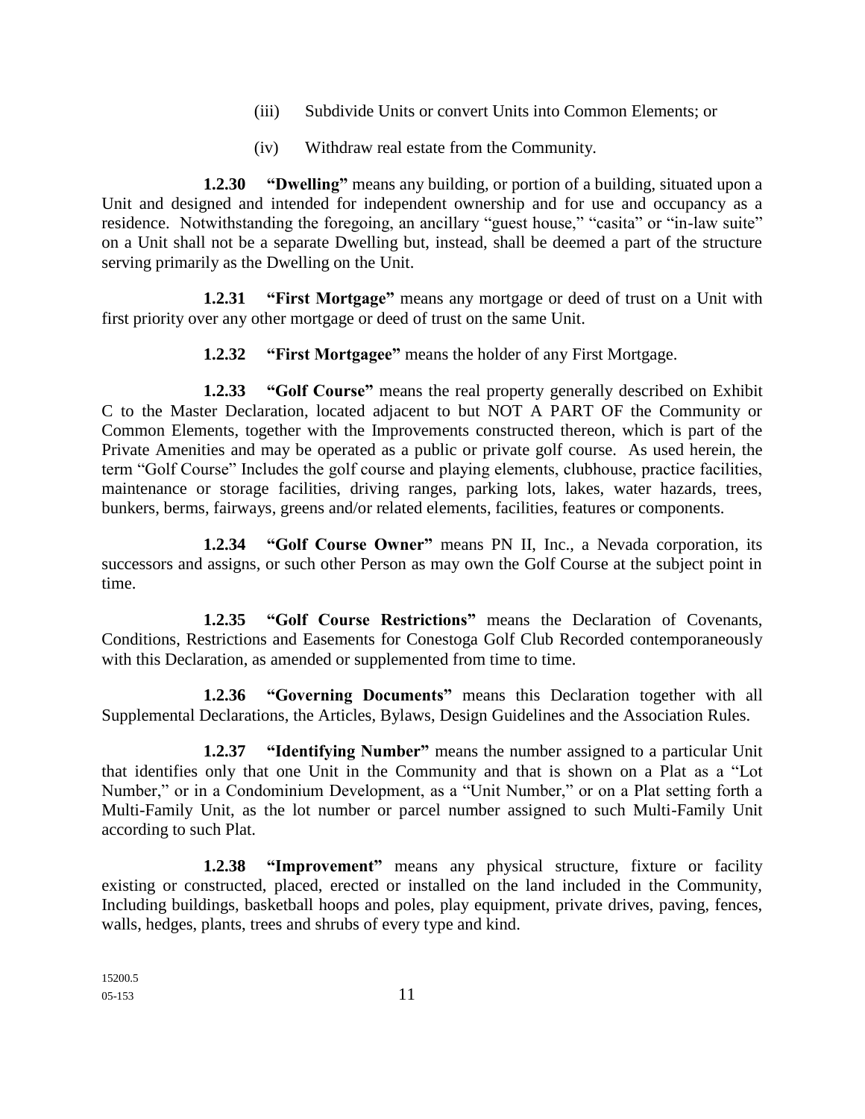- (iii) Subdivide Units or convert Units into Common Elements; or
- (iv) Withdraw real estate from the Community.

**1.2.30 "Dwelling"** means any building, or portion of a building, situated upon a Unit and designed and intended for independent ownership and for use and occupancy as a residence. Notwithstanding the foregoing, an ancillary "guest house," "casita" or "in-law suite" on a Unit shall not be a separate Dwelling but, instead, shall be deemed a part of the structure serving primarily as the Dwelling on the Unit.

**1.2.31 "First Mortgage"** means any mortgage or deed of trust on a Unit with first priority over any other mortgage or deed of trust on the same Unit.

**1.2.32 "First Mortgagee"** means the holder of any First Mortgage.

**1.2.33 "Golf Course"** means the real property generally described on Exhibit C to the Master Declaration, located adjacent to but NOT A PART OF the Community or Common Elements, together with the Improvements constructed thereon, which is part of the Private Amenities and may be operated as a public or private golf course. As used herein, the term "Golf Course" Includes the golf course and playing elements, clubhouse, practice facilities, maintenance or storage facilities, driving ranges, parking lots, lakes, water hazards, trees, bunkers, berms, fairways, greens and/or related elements, facilities, features or components.

**1.2.34 "Golf Course Owner"** means PN II, Inc., a Nevada corporation, its successors and assigns, or such other Person as may own the Golf Course at the subject point in time.

**1.2.35 "Golf Course Restrictions"** means the Declaration of Covenants, Conditions, Restrictions and Easements for Conestoga Golf Club Recorded contemporaneously with this Declaration, as amended or supplemented from time to time.

**1.2.36 "Governing Documents"** means this Declaration together with all Supplemental Declarations, the Articles, Bylaws, Design Guidelines and the Association Rules.

**1.2.37 "Identifying Number"** means the number assigned to a particular Unit that identifies only that one Unit in the Community and that is shown on a Plat as a "Lot Number," or in a Condominium Development, as a "Unit Number," or on a Plat setting forth a Multi-Family Unit, as the lot number or parcel number assigned to such Multi-Family Unit according to such Plat.

**1.2.38 "Improvement"** means any physical structure, fixture or facility existing or constructed, placed, erected or installed on the land included in the Community, Including buildings, basketball hoops and poles, play equipment, private drives, paving, fences, walls, hedges, plants, trees and shrubs of every type and kind.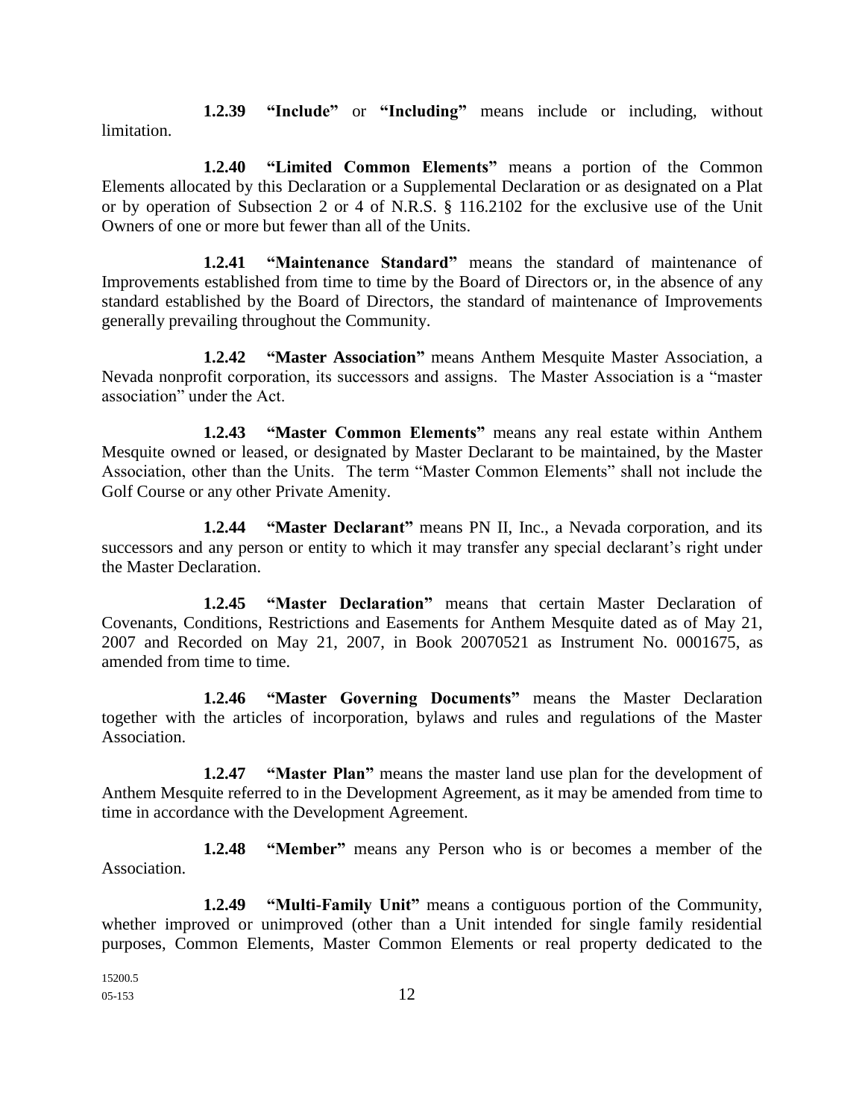**1.2.39 "Include"** or **"Including"** means include or including, without limitation.

**1.2.40 "Limited Common Elements"** means a portion of the Common Elements allocated by this Declaration or a Supplemental Declaration or as designated on a Plat or by operation of Subsection 2 or 4 of N.R.S. § 116.2102 for the exclusive use of the Unit Owners of one or more but fewer than all of the Units.

**1.2.41 "Maintenance Standard"** means the standard of maintenance of Improvements established from time to time by the Board of Directors or, in the absence of any standard established by the Board of Directors, the standard of maintenance of Improvements generally prevailing throughout the Community.

**1.2.42 "Master Association"** means Anthem Mesquite Master Association, a Nevada nonprofit corporation, its successors and assigns. The Master Association is a "master association" under the Act.

**1.2.43 "Master Common Elements"** means any real estate within Anthem Mesquite owned or leased, or designated by Master Declarant to be maintained, by the Master Association, other than the Units. The term "Master Common Elements" shall not include the Golf Course or any other Private Amenity.

**1.2.44 "Master Declarant"** means PN II, Inc., a Nevada corporation, and its successors and any person or entity to which it may transfer any special declarant's right under the Master Declaration.

**1.2.45 "Master Declaration"** means that certain Master Declaration of Covenants, Conditions, Restrictions and Easements for Anthem Mesquite dated as of May 21, 2007 and Recorded on May 21, 2007, in Book 20070521 as Instrument No. 0001675, as amended from time to time.

**1.2.46 "Master Governing Documents"** means the Master Declaration together with the articles of incorporation, bylaws and rules and regulations of the Master Association.

**1.2.47 "Master Plan"** means the master land use plan for the development of Anthem Mesquite referred to in the Development Agreement, as it may be amended from time to time in accordance with the Development Agreement.

**1.2.48 "Member"** means any Person who is or becomes a member of the Association.

**1.2.49 "Multi-Family Unit"** means a contiguous portion of the Community, whether improved or unimproved (other than a Unit intended for single family residential purposes, Common Elements, Master Common Elements or real property dedicated to the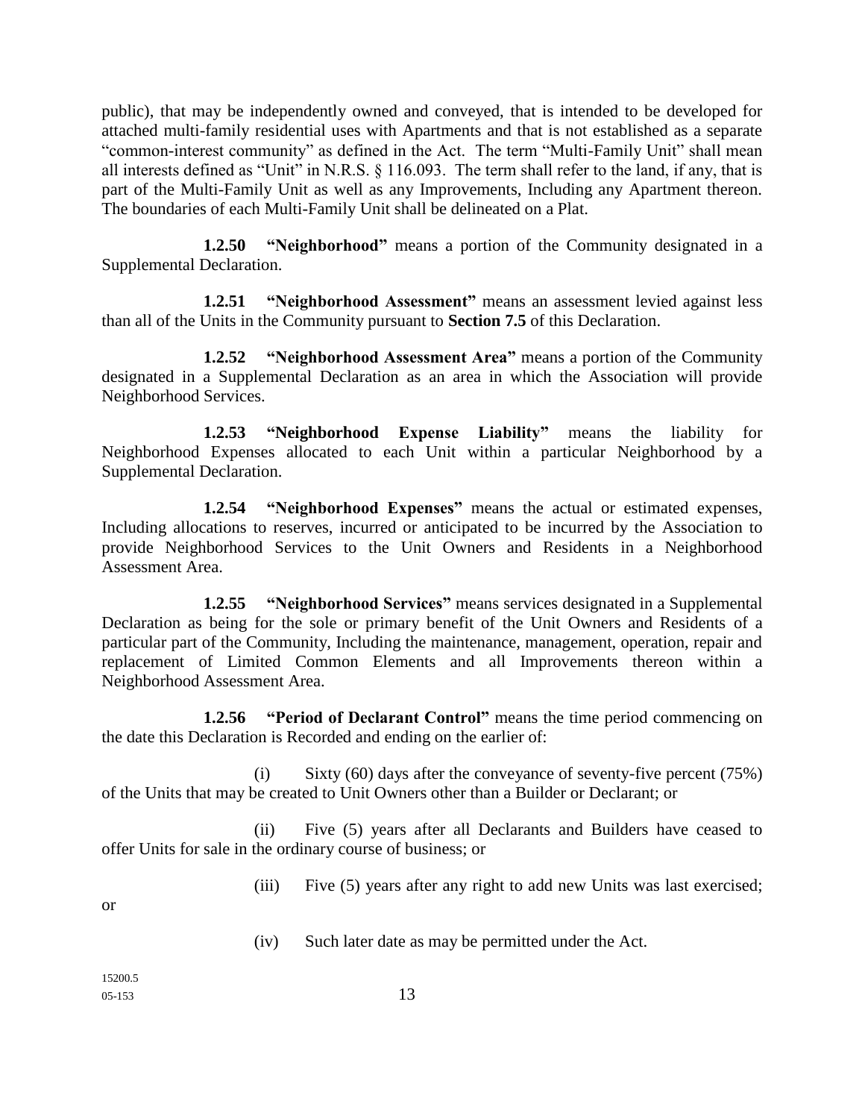public), that may be independently owned and conveyed, that is intended to be developed for attached multi-family residential uses with Apartments and that is not established as a separate "common-interest community" as defined in the Act. The term "Multi-Family Unit" shall mean all interests defined as "Unit" in N.R.S. § 116.093. The term shall refer to the land, if any, that is part of the Multi-Family Unit as well as any Improvements, Including any Apartment thereon. The boundaries of each Multi-Family Unit shall be delineated on a Plat.

**1.2.50 "Neighborhood"** means a portion of the Community designated in a Supplemental Declaration.

**1.2.51 "Neighborhood Assessment"** means an assessment levied against less than all of the Units in the Community pursuant to **Section 7.5** of this Declaration.

**1.2.52 "Neighborhood Assessment Area"** means a portion of the Community designated in a Supplemental Declaration as an area in which the Association will provide Neighborhood Services.

**1.2.53 "Neighborhood Expense Liability"** means the liability for Neighborhood Expenses allocated to each Unit within a particular Neighborhood by a Supplemental Declaration.

**1.2.54 "Neighborhood Expenses"** means the actual or estimated expenses, Including allocations to reserves, incurred or anticipated to be incurred by the Association to provide Neighborhood Services to the Unit Owners and Residents in a Neighborhood Assessment Area.

**1.2.55 "Neighborhood Services"** means services designated in a Supplemental Declaration as being for the sole or primary benefit of the Unit Owners and Residents of a particular part of the Community, Including the maintenance, management, operation, repair and replacement of Limited Common Elements and all Improvements thereon within a Neighborhood Assessment Area.

**1.2.56 "Period of Declarant Control"** means the time period commencing on the date this Declaration is Recorded and ending on the earlier of:

(i) Sixty  $(60)$  days after the conveyance of seventy-five percent  $(75%)$ of the Units that may be created to Unit Owners other than a Builder or Declarant; or

(ii) Five (5) years after all Declarants and Builders have ceased to offer Units for sale in the ordinary course of business; or

(iii) Five (5) years after any right to add new Units was last exercised;

or

(iv) Such later date as may be permitted under the Act.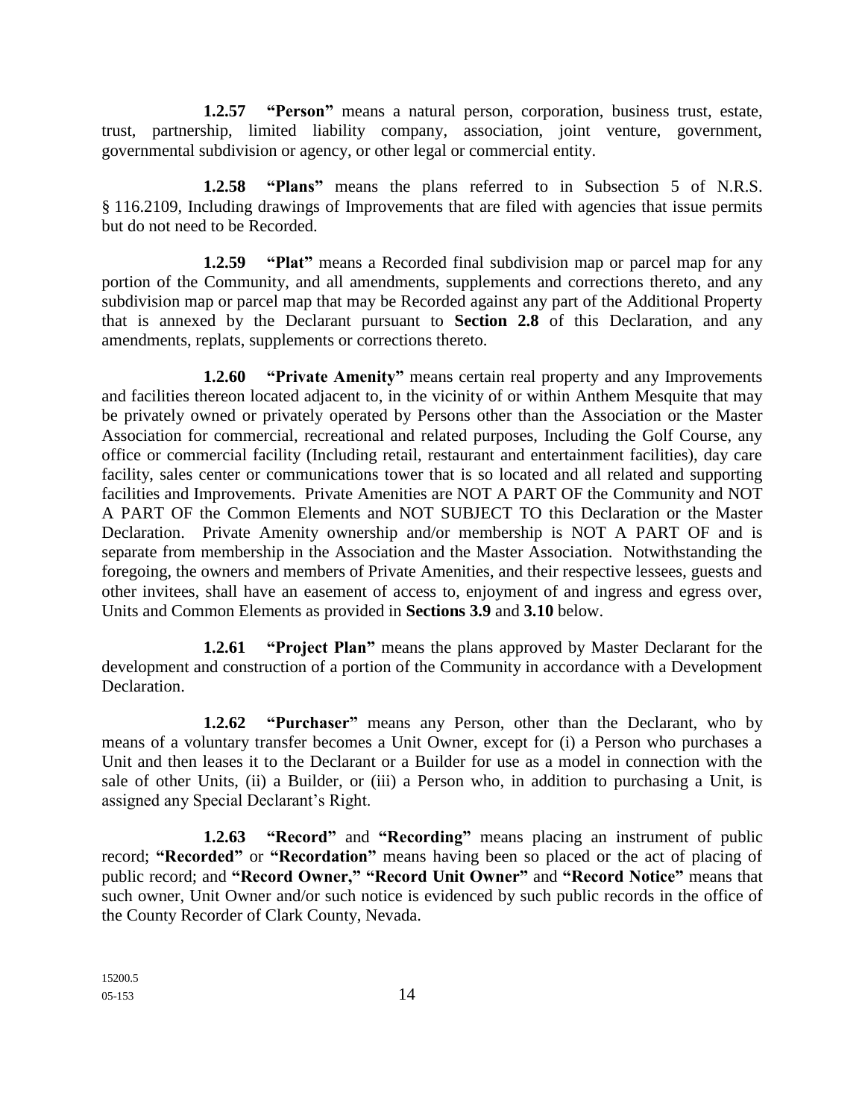**1.2.57 "Person"** means a natural person, corporation, business trust, estate, trust, partnership, limited liability company, association, joint venture, government, governmental subdivision or agency, or other legal or commercial entity.

**1.2.58 "Plans"** means the plans referred to in Subsection 5 of N.R.S. § 116.2109, Including drawings of Improvements that are filed with agencies that issue permits but do not need to be Recorded.

**1.2.59 "Plat"** means a Recorded final subdivision map or parcel map for any portion of the Community, and all amendments, supplements and corrections thereto, and any subdivision map or parcel map that may be Recorded against any part of the Additional Property that is annexed by the Declarant pursuant to **Section 2.8** of this Declaration, and any amendments, replats, supplements or corrections thereto.

**1.2.60 "Private Amenity"** means certain real property and any Improvements and facilities thereon located adjacent to, in the vicinity of or within Anthem Mesquite that may be privately owned or privately operated by Persons other than the Association or the Master Association for commercial, recreational and related purposes, Including the Golf Course, any office or commercial facility (Including retail, restaurant and entertainment facilities), day care facility, sales center or communications tower that is so located and all related and supporting facilities and Improvements. Private Amenities are NOT A PART OF the Community and NOT A PART OF the Common Elements and NOT SUBJECT TO this Declaration or the Master Declaration. Private Amenity ownership and/or membership is NOT A PART OF and is separate from membership in the Association and the Master Association. Notwithstanding the foregoing, the owners and members of Private Amenities, and their respective lessees, guests and other invitees, shall have an easement of access to, enjoyment of and ingress and egress over, Units and Common Elements as provided in **Sections 3.9** and **3.10** below.

**1.2.61 "Project Plan"** means the plans approved by Master Declarant for the development and construction of a portion of the Community in accordance with a Development Declaration.

**1.2.62 "Purchaser"** means any Person, other than the Declarant, who by means of a voluntary transfer becomes a Unit Owner, except for (i) a Person who purchases a Unit and then leases it to the Declarant or a Builder for use as a model in connection with the sale of other Units, (ii) a Builder, or (iii) a Person who, in addition to purchasing a Unit, is assigned any Special Declarant's Right.

**1.2.63 "Record"** and **"Recording"** means placing an instrument of public record; **"Recorded"** or **"Recordation"** means having been so placed or the act of placing of public record; and **"Record Owner," "Record Unit Owner"** and **"Record Notice"** means that such owner, Unit Owner and/or such notice is evidenced by such public records in the office of the County Recorder of Clark County, Nevada.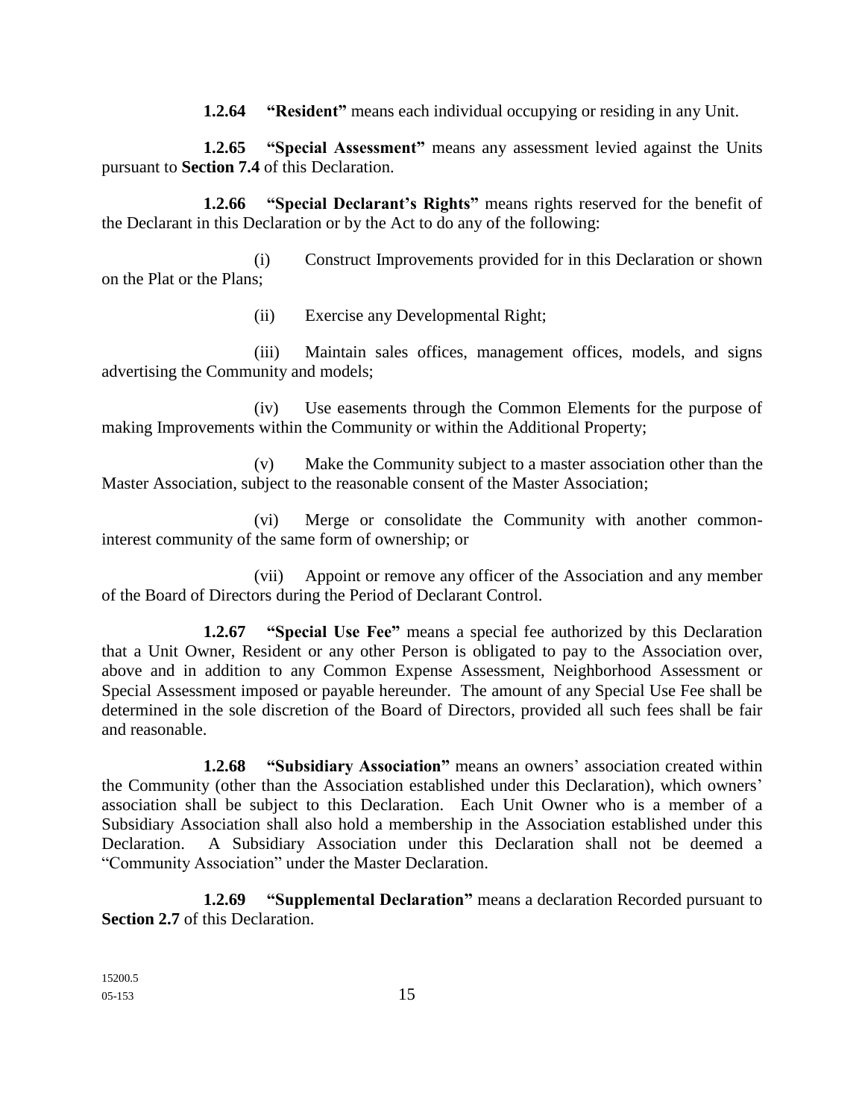**1.2.64 "Resident"** means each individual occupying or residing in any Unit.

**1.2.65 "Special Assessment"** means any assessment levied against the Units pursuant to **Section 7.4** of this Declaration.

**1.2.66 "Special Declarant's Rights"** means rights reserved for the benefit of the Declarant in this Declaration or by the Act to do any of the following:

(i) Construct Improvements provided for in this Declaration or shown on the Plat or the Plans;

(ii) Exercise any Developmental Right;

(iii) Maintain sales offices, management offices, models, and signs advertising the Community and models;

(iv) Use easements through the Common Elements for the purpose of making Improvements within the Community or within the Additional Property;

(v) Make the Community subject to a master association other than the Master Association, subject to the reasonable consent of the Master Association;

(vi) Merge or consolidate the Community with another commoninterest community of the same form of ownership; or

(vii) Appoint or remove any officer of the Association and any member of the Board of Directors during the Period of Declarant Control.

**1.2.67 "Special Use Fee"** means a special fee authorized by this Declaration that a Unit Owner, Resident or any other Person is obligated to pay to the Association over, above and in addition to any Common Expense Assessment, Neighborhood Assessment or Special Assessment imposed or payable hereunder. The amount of any Special Use Fee shall be determined in the sole discretion of the Board of Directors, provided all such fees shall be fair and reasonable.

**1.2.68 "Subsidiary Association"** means an owners' association created within the Community (other than the Association established under this Declaration), which owners' association shall be subject to this Declaration. Each Unit Owner who is a member of a Subsidiary Association shall also hold a membership in the Association established under this Declaration. A Subsidiary Association under this Declaration shall not be deemed a "Community Association" under the Master Declaration.

**1.2.69 "Supplemental Declaration"** means a declaration Recorded pursuant to **Section 2.7** of this Declaration.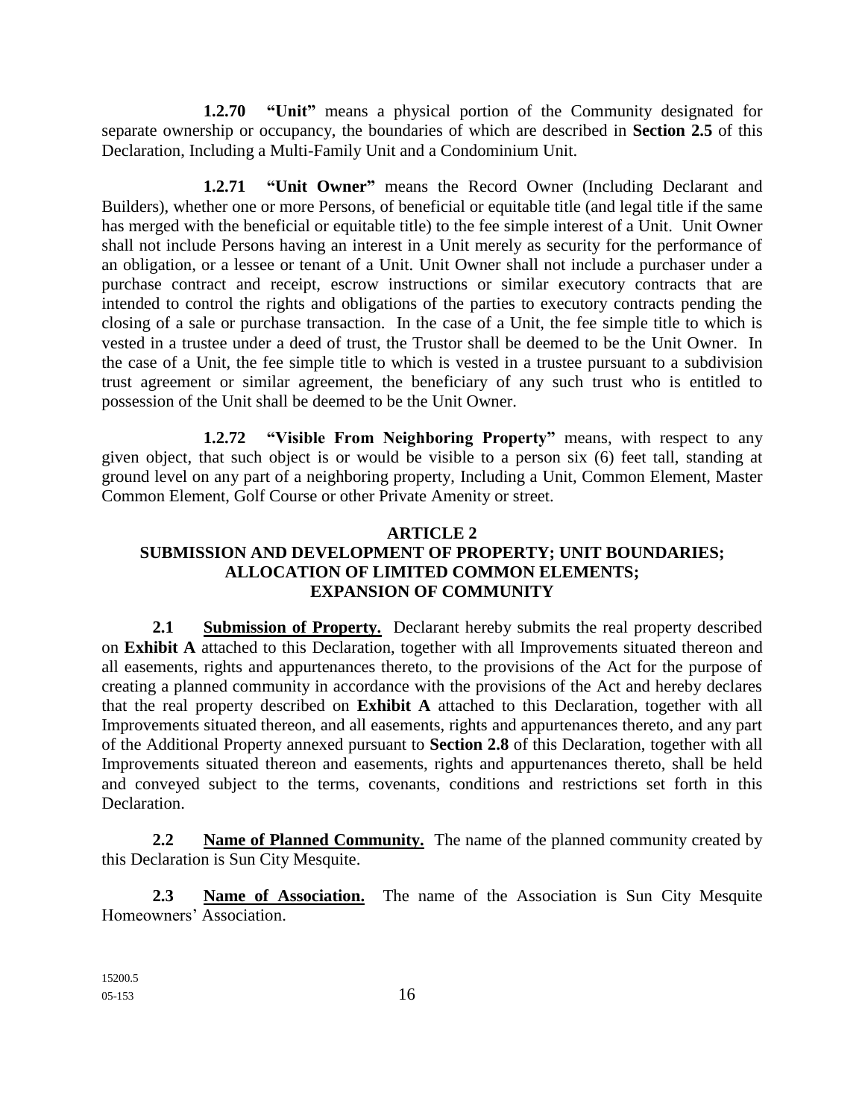**1.2.70 "Unit"** means a physical portion of the Community designated for separate ownership or occupancy, the boundaries of which are described in **Section 2.5** of this Declaration, Including a Multi-Family Unit and a Condominium Unit.

**1.2.71 "Unit Owner"** means the Record Owner (Including Declarant and Builders), whether one or more Persons, of beneficial or equitable title (and legal title if the same has merged with the beneficial or equitable title) to the fee simple interest of a Unit. Unit Owner shall not include Persons having an interest in a Unit merely as security for the performance of an obligation, or a lessee or tenant of a Unit. Unit Owner shall not include a purchaser under a purchase contract and receipt, escrow instructions or similar executory contracts that are intended to control the rights and obligations of the parties to executory contracts pending the closing of a sale or purchase transaction. In the case of a Unit, the fee simple title to which is vested in a trustee under a deed of trust, the Trustor shall be deemed to be the Unit Owner. In the case of a Unit, the fee simple title to which is vested in a trustee pursuant to a subdivision trust agreement or similar agreement, the beneficiary of any such trust who is entitled to possession of the Unit shall be deemed to be the Unit Owner.

**1.2.72 "Visible From Neighboring Property"** means, with respect to any given object, that such object is or would be visible to a person six (6) feet tall, standing at ground level on any part of a neighboring property, Including a Unit, Common Element, Master Common Element, Golf Course or other Private Amenity or street.

### **ARTICLE 2 SUBMISSION AND DEVELOPMENT OF PROPERTY; UNIT BOUNDARIES; ALLOCATION OF LIMITED COMMON ELEMENTS; EXPANSION OF COMMUNITY**

**2.1 Submission of Property.** Declarant hereby submits the real property described on **Exhibit A** attached to this Declaration, together with all Improvements situated thereon and all easements, rights and appurtenances thereto, to the provisions of the Act for the purpose of creating a planned community in accordance with the provisions of the Act and hereby declares that the real property described on **Exhibit A** attached to this Declaration, together with all Improvements situated thereon, and all easements, rights and appurtenances thereto, and any part of the Additional Property annexed pursuant to **Section 2.8** of this Declaration, together with all Improvements situated thereon and easements, rights and appurtenances thereto, shall be held and conveyed subject to the terms, covenants, conditions and restrictions set forth in this Declaration.

**2.2 Name of Planned Community.** The name of the planned community created by this Declaration is Sun City Mesquite.

**2.3 Name of Association.** The name of the Association is Sun City Mesquite Homeowners' Association.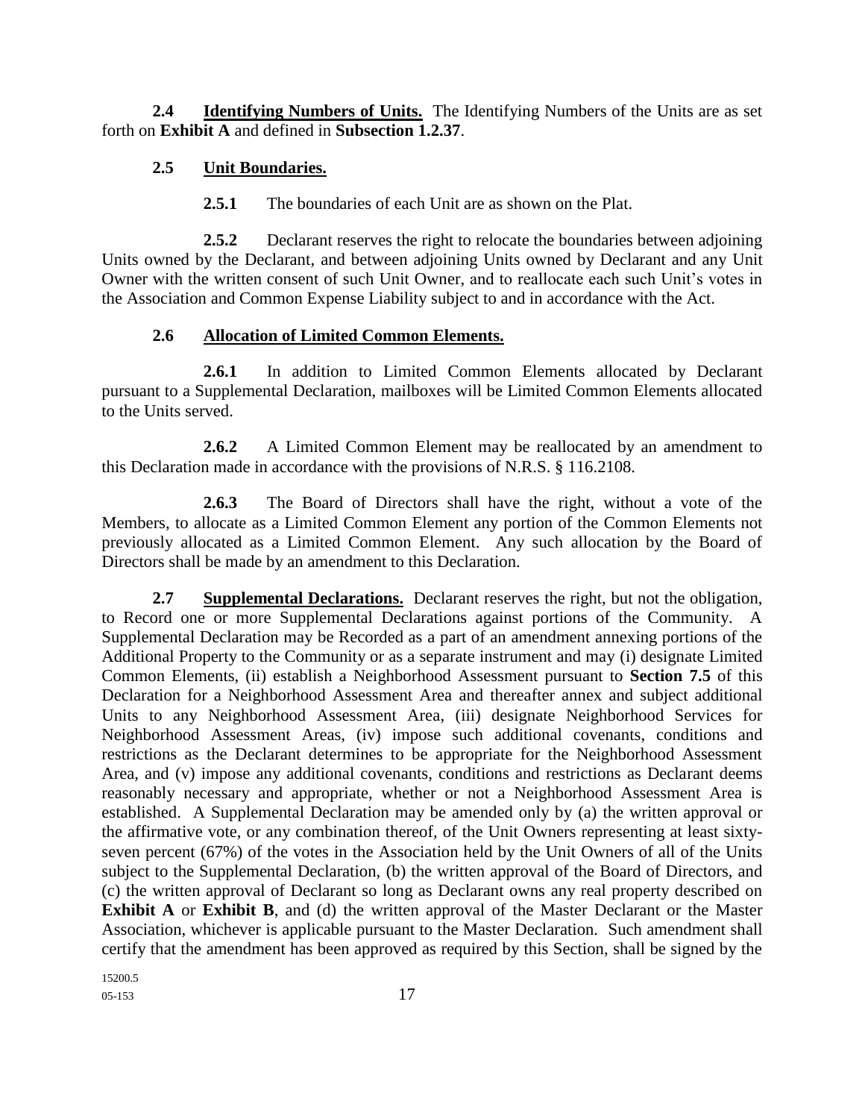**2.4 Identifying Numbers of Units.** The Identifying Numbers of the Units are as set forth on **Exhibit A** and defined in **Subsection 1.2.37**.

### **2.5 Unit Boundaries.**

**2.5.1** The boundaries of each Unit are as shown on the Plat.

**2.5.2** Declarant reserves the right to relocate the boundaries between adjoining Units owned by the Declarant, and between adjoining Units owned by Declarant and any Unit Owner with the written consent of such Unit Owner, and to reallocate each such Unit's votes in the Association and Common Expense Liability subject to and in accordance with the Act.

### **2.6 Allocation of Limited Common Elements.**

**2.6.1** In addition to Limited Common Elements allocated by Declarant pursuant to a Supplemental Declaration, mailboxes will be Limited Common Elements allocated to the Units served.

**2.6.2** A Limited Common Element may be reallocated by an amendment to this Declaration made in accordance with the provisions of N.R.S. § 116.2108.

**2.6.3** The Board of Directors shall have the right, without a vote of the Members, to allocate as a Limited Common Element any portion of the Common Elements not previously allocated as a Limited Common Element. Any such allocation by the Board of Directors shall be made by an amendment to this Declaration.

**2.7 Supplemental Declarations.** Declarant reserves the right, but not the obligation, to Record one or more Supplemental Declarations against portions of the Community. A Supplemental Declaration may be Recorded as a part of an amendment annexing portions of the Additional Property to the Community or as a separate instrument and may (i) designate Limited Common Elements, (ii) establish a Neighborhood Assessment pursuant to **Section 7.5** of this Declaration for a Neighborhood Assessment Area and thereafter annex and subject additional Units to any Neighborhood Assessment Area, (iii) designate Neighborhood Services for Neighborhood Assessment Areas, (iv) impose such additional covenants, conditions and restrictions as the Declarant determines to be appropriate for the Neighborhood Assessment Area, and (v) impose any additional covenants, conditions and restrictions as Declarant deems reasonably necessary and appropriate, whether or not a Neighborhood Assessment Area is established. A Supplemental Declaration may be amended only by (a) the written approval or the affirmative vote, or any combination thereof, of the Unit Owners representing at least sixtyseven percent (67%) of the votes in the Association held by the Unit Owners of all of the Units subject to the Supplemental Declaration, (b) the written approval of the Board of Directors, and (c) the written approval of Declarant so long as Declarant owns any real property described on **Exhibit A** or **Exhibit B**, and (d) the written approval of the Master Declarant or the Master Association, whichever is applicable pursuant to the Master Declaration. Such amendment shall certify that the amendment has been approved as required by this Section, shall be signed by the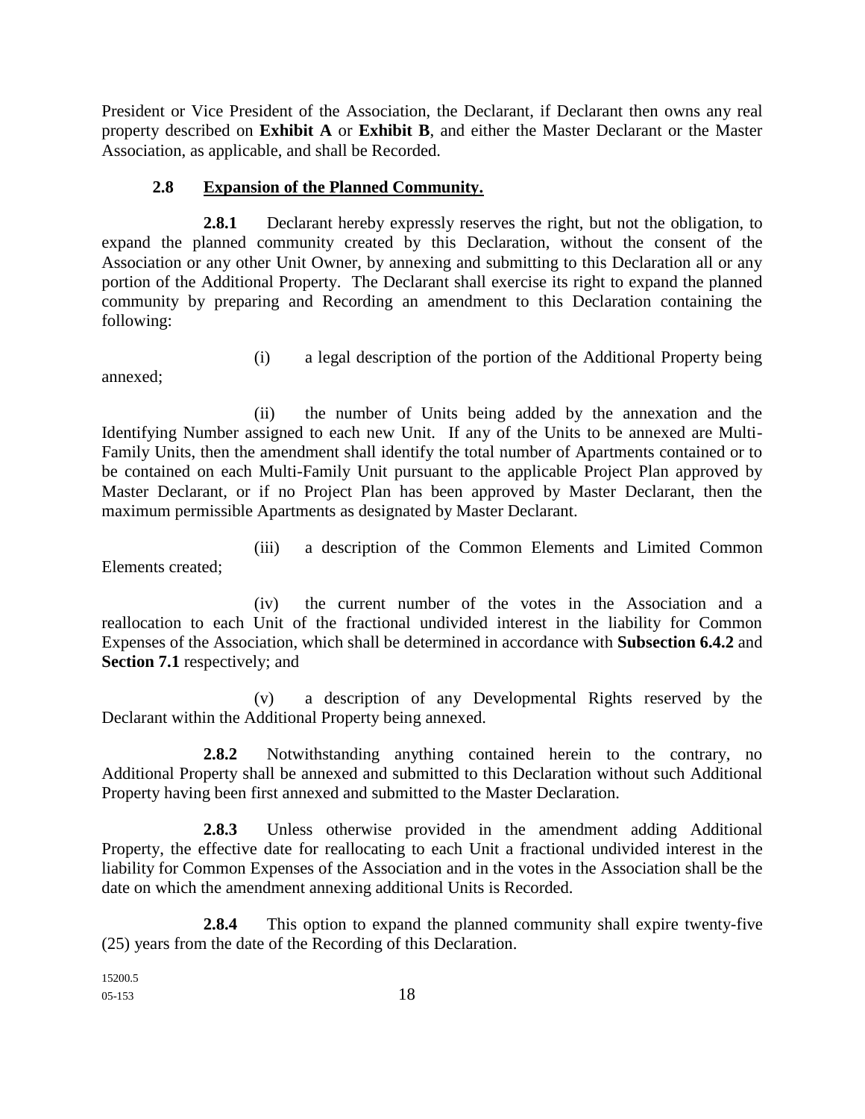President or Vice President of the Association, the Declarant, if Declarant then owns any real property described on **Exhibit A** or **Exhibit B**, and either the Master Declarant or the Master Association, as applicable, and shall be Recorded.

### **2.8 Expansion of the Planned Community.**

**2.8.1** Declarant hereby expressly reserves the right, but not the obligation, to expand the planned community created by this Declaration, without the consent of the Association or any other Unit Owner, by annexing and submitting to this Declaration all or any portion of the Additional Property. The Declarant shall exercise its right to expand the planned community by preparing and Recording an amendment to this Declaration containing the following:

annexed;

(i) a legal description of the portion of the Additional Property being

(ii) the number of Units being added by the annexation and the Identifying Number assigned to each new Unit. If any of the Units to be annexed are Multi-Family Units, then the amendment shall identify the total number of Apartments contained or to be contained on each Multi-Family Unit pursuant to the applicable Project Plan approved by Master Declarant, or if no Project Plan has been approved by Master Declarant, then the maximum permissible Apartments as designated by Master Declarant.

(iii) a description of the Common Elements and Limited Common Elements created;

(iv) the current number of the votes in the Association and a reallocation to each Unit of the fractional undivided interest in the liability for Common Expenses of the Association, which shall be determined in accordance with **Subsection 6.4.2** and **Section 7.1** respectively; and

(v) a description of any Developmental Rights reserved by the Declarant within the Additional Property being annexed.

**2.8.2** Notwithstanding anything contained herein to the contrary, no Additional Property shall be annexed and submitted to this Declaration without such Additional Property having been first annexed and submitted to the Master Declaration.

**2.8.3** Unless otherwise provided in the amendment adding Additional Property, the effective date for reallocating to each Unit a fractional undivided interest in the liability for Common Expenses of the Association and in the votes in the Association shall be the date on which the amendment annexing additional Units is Recorded.

**2.8.4** This option to expand the planned community shall expire twenty-five (25) years from the date of the Recording of this Declaration.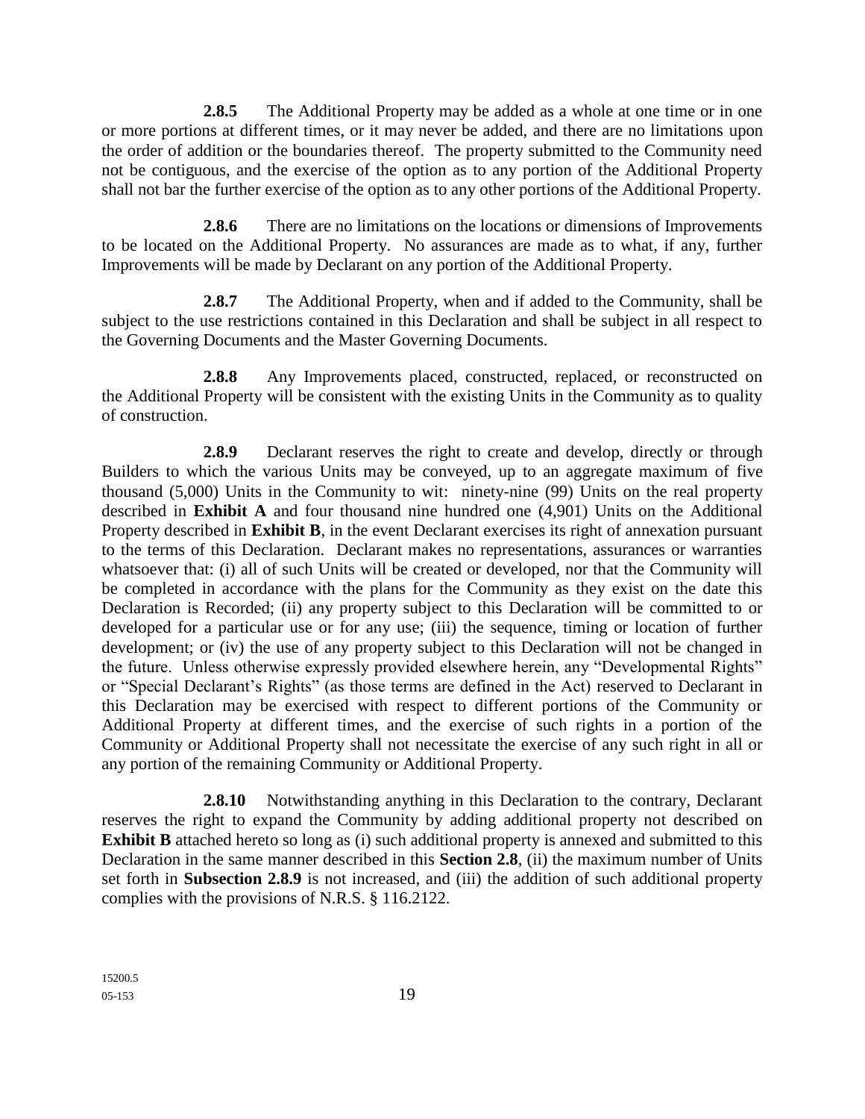**2.8.5** The Additional Property may be added as a whole at one time or in one or more portions at different times, or it may never be added, and there are no limitations upon the order of addition or the boundaries thereof. The property submitted to the Community need not be contiguous, and the exercise of the option as to any portion of the Additional Property shall not bar the further exercise of the option as to any other portions of the Additional Property.

**2.8.6** There are no limitations on the locations or dimensions of Improvements to be located on the Additional Property. No assurances are made as to what, if any, further Improvements will be made by Declarant on any portion of the Additional Property.

**2.8.7** The Additional Property, when and if added to the Community, shall be subject to the use restrictions contained in this Declaration and shall be subject in all respect to the Governing Documents and the Master Governing Documents.

2.8.8 Any Improvements placed, constructed, replaced, or reconstructed on the Additional Property will be consistent with the existing Units in the Community as to quality of construction.

**2.8.9** Declarant reserves the right to create and develop, directly or through Builders to which the various Units may be conveyed, up to an aggregate maximum of five thousand (5,000) Units in the Community to wit: ninety-nine (99) Units on the real property described in **Exhibit A** and four thousand nine hundred one (4,901) Units on the Additional Property described in **Exhibit B**, in the event Declarant exercises its right of annexation pursuant to the terms of this Declaration. Declarant makes no representations, assurances or warranties whatsoever that: (i) all of such Units will be created or developed, nor that the Community will be completed in accordance with the plans for the Community as they exist on the date this Declaration is Recorded; (ii) any property subject to this Declaration will be committed to or developed for a particular use or for any use; (iii) the sequence, timing or location of further development; or (iv) the use of any property subject to this Declaration will not be changed in the future. Unless otherwise expressly provided elsewhere herein, any "Developmental Rights" or "Special Declarant's Rights" (as those terms are defined in the Act) reserved to Declarant in this Declaration may be exercised with respect to different portions of the Community or Additional Property at different times, and the exercise of such rights in a portion of the Community or Additional Property shall not necessitate the exercise of any such right in all or any portion of the remaining Community or Additional Property.

**2.8.10** Notwithstanding anything in this Declaration to the contrary, Declarant reserves the right to expand the Community by adding additional property not described on **Exhibit B** attached hereto so long as (i) such additional property is annexed and submitted to this Declaration in the same manner described in this **Section 2.8**, (ii) the maximum number of Units set forth in **Subsection 2.8.9** is not increased, and (iii) the addition of such additional property complies with the provisions of N.R.S. § 116.2122.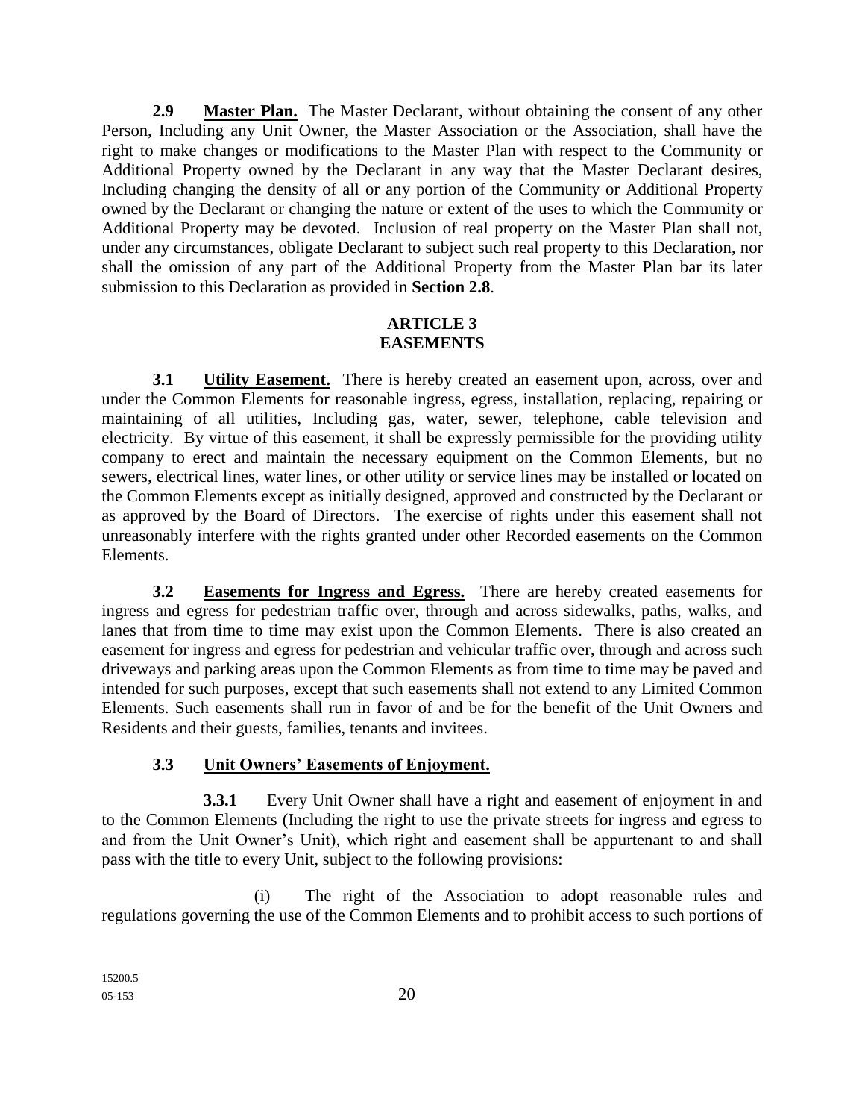**2.9 Master Plan.** The Master Declarant, without obtaining the consent of any other Person, Including any Unit Owner, the Master Association or the Association, shall have the right to make changes or modifications to the Master Plan with respect to the Community or Additional Property owned by the Declarant in any way that the Master Declarant desires, Including changing the density of all or any portion of the Community or Additional Property owned by the Declarant or changing the nature or extent of the uses to which the Community or Additional Property may be devoted. Inclusion of real property on the Master Plan shall not, under any circumstances, obligate Declarant to subject such real property to this Declaration, nor shall the omission of any part of the Additional Property from the Master Plan bar its later submission to this Declaration as provided in **Section 2.8**.

### **ARTICLE 3 EASEMENTS**

**3.1 Utility Easement.** There is hereby created an easement upon, across, over and under the Common Elements for reasonable ingress, egress, installation, replacing, repairing or maintaining of all utilities, Including gas, water, sewer, telephone, cable television and electricity. By virtue of this easement, it shall be expressly permissible for the providing utility company to erect and maintain the necessary equipment on the Common Elements, but no sewers, electrical lines, water lines, or other utility or service lines may be installed or located on the Common Elements except as initially designed, approved and constructed by the Declarant or as approved by the Board of Directors. The exercise of rights under this easement shall not unreasonably interfere with the rights granted under other Recorded easements on the Common Elements.

**3.2 Easements for Ingress and Egress.** There are hereby created easements for ingress and egress for pedestrian traffic over, through and across sidewalks, paths, walks, and lanes that from time to time may exist upon the Common Elements. There is also created an easement for ingress and egress for pedestrian and vehicular traffic over, through and across such driveways and parking areas upon the Common Elements as from time to time may be paved and intended for such purposes, except that such easements shall not extend to any Limited Common Elements. Such easements shall run in favor of and be for the benefit of the Unit Owners and Residents and their guests, families, tenants and invitees.

# **3.3 Unit Owners' Easements of Enjoyment.**

**3.3.1** Every Unit Owner shall have a right and easement of enjoyment in and to the Common Elements (Including the right to use the private streets for ingress and egress to and from the Unit Owner's Unit), which right and easement shall be appurtenant to and shall pass with the title to every Unit, subject to the following provisions:

(i) The right of the Association to adopt reasonable rules and regulations governing the use of the Common Elements and to prohibit access to such portions of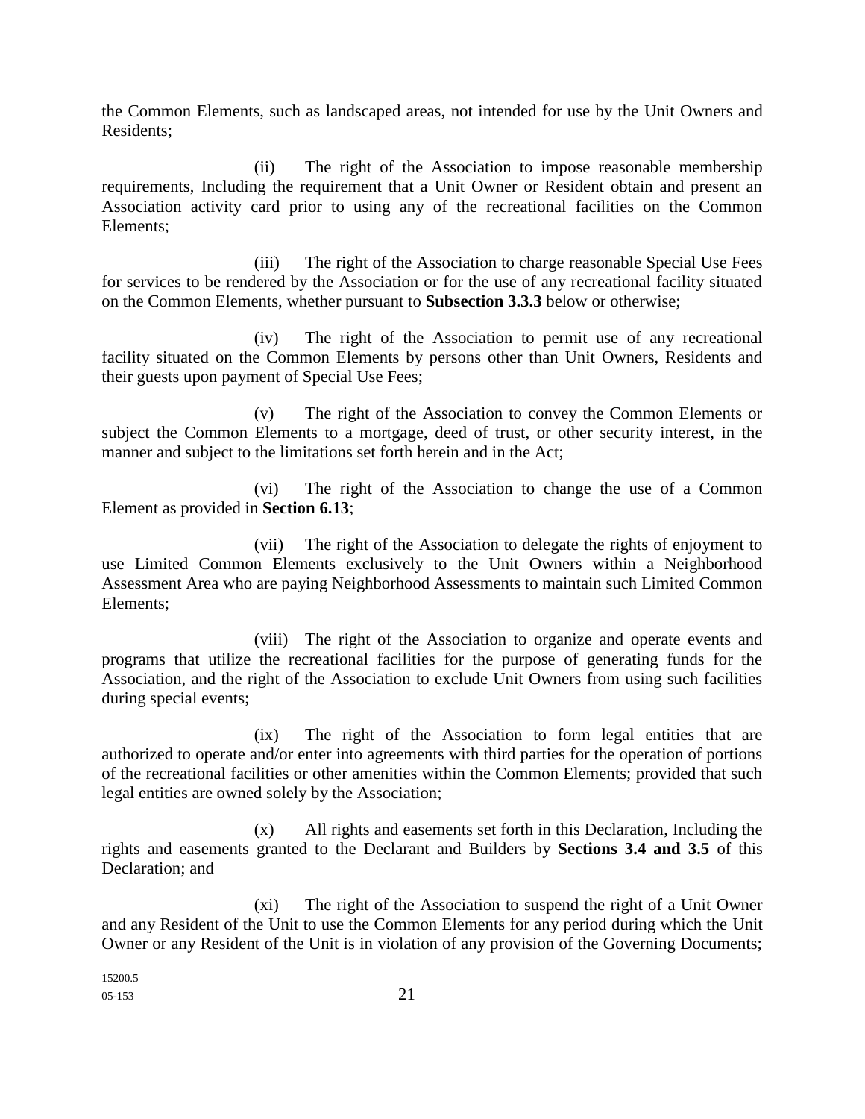the Common Elements, such as landscaped areas, not intended for use by the Unit Owners and Residents;

(ii) The right of the Association to impose reasonable membership requirements, Including the requirement that a Unit Owner or Resident obtain and present an Association activity card prior to using any of the recreational facilities on the Common Elements;

(iii) The right of the Association to charge reasonable Special Use Fees for services to be rendered by the Association or for the use of any recreational facility situated on the Common Elements, whether pursuant to **Subsection 3.3.3** below or otherwise;

(iv) The right of the Association to permit use of any recreational facility situated on the Common Elements by persons other than Unit Owners, Residents and their guests upon payment of Special Use Fees;

(v) The right of the Association to convey the Common Elements or subject the Common Elements to a mortgage, deed of trust, or other security interest, in the manner and subject to the limitations set forth herein and in the Act;

(vi) The right of the Association to change the use of a Common Element as provided in **Section 6.13**;

(vii) The right of the Association to delegate the rights of enjoyment to use Limited Common Elements exclusively to the Unit Owners within a Neighborhood Assessment Area who are paying Neighborhood Assessments to maintain such Limited Common Elements;

(viii) The right of the Association to organize and operate events and programs that utilize the recreational facilities for the purpose of generating funds for the Association, and the right of the Association to exclude Unit Owners from using such facilities during special events;

(ix) The right of the Association to form legal entities that are authorized to operate and/or enter into agreements with third parties for the operation of portions of the recreational facilities or other amenities within the Common Elements; provided that such legal entities are owned solely by the Association;

(x) All rights and easements set forth in this Declaration, Including the rights and easements granted to the Declarant and Builders by **Sections 3.4 and 3.5** of this Declaration; and

(xi) The right of the Association to suspend the right of a Unit Owner and any Resident of the Unit to use the Common Elements for any period during which the Unit Owner or any Resident of the Unit is in violation of any provision of the Governing Documents;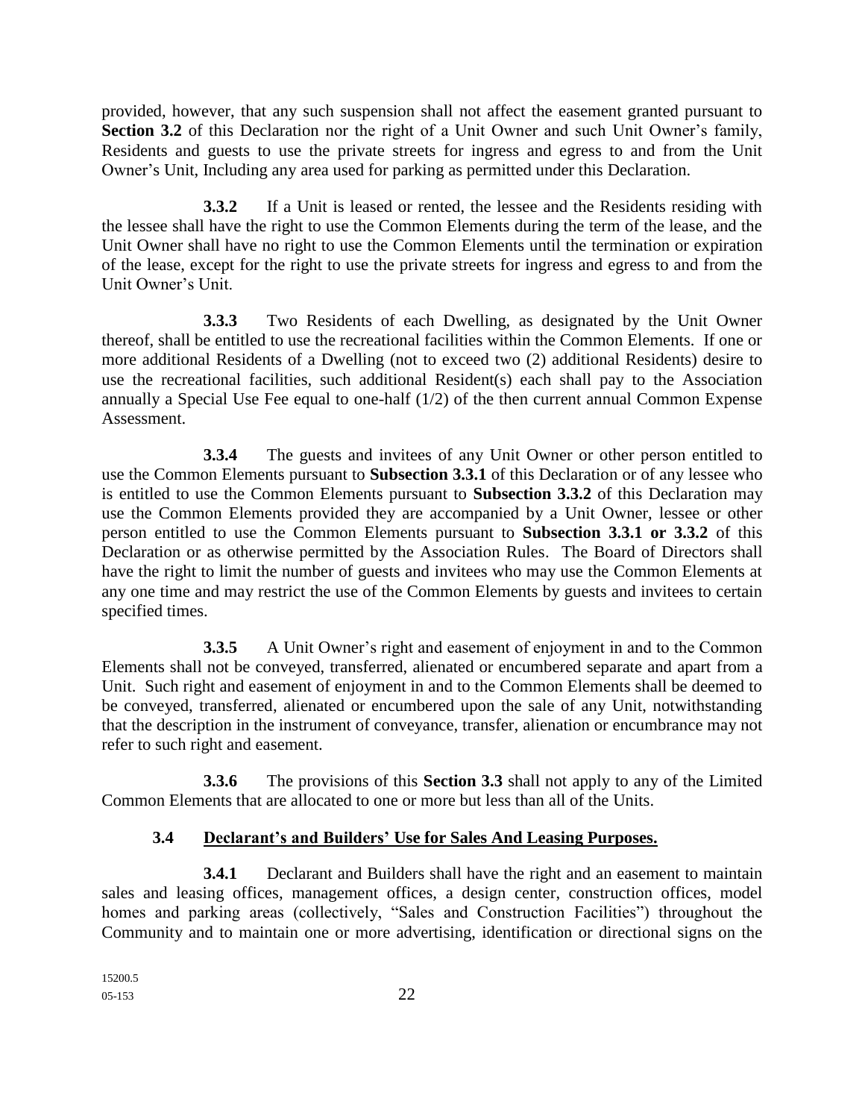provided, however, that any such suspension shall not affect the easement granted pursuant to **Section 3.2** of this Declaration nor the right of a Unit Owner and such Unit Owner's family, Residents and guests to use the private streets for ingress and egress to and from the Unit Owner's Unit, Including any area used for parking as permitted under this Declaration.

**3.3.2** If a Unit is leased or rented, the lessee and the Residents residing with the lessee shall have the right to use the Common Elements during the term of the lease, and the Unit Owner shall have no right to use the Common Elements until the termination or expiration of the lease, except for the right to use the private streets for ingress and egress to and from the Unit Owner's Unit.

**3.3.3** Two Residents of each Dwelling, as designated by the Unit Owner thereof, shall be entitled to use the recreational facilities within the Common Elements. If one or more additional Residents of a Dwelling (not to exceed two (2) additional Residents) desire to use the recreational facilities, such additional Resident(s) each shall pay to the Association annually a Special Use Fee equal to one-half (1/2) of the then current annual Common Expense Assessment.

**3.3.4** The guests and invitees of any Unit Owner or other person entitled to use the Common Elements pursuant to **Subsection 3.3.1** of this Declaration or of any lessee who is entitled to use the Common Elements pursuant to **Subsection 3.3.2** of this Declaration may use the Common Elements provided they are accompanied by a Unit Owner, lessee or other person entitled to use the Common Elements pursuant to **Subsection 3.3.1 or 3.3.2** of this Declaration or as otherwise permitted by the Association Rules. The Board of Directors shall have the right to limit the number of guests and invitees who may use the Common Elements at any one time and may restrict the use of the Common Elements by guests and invitees to certain specified times.

**3.3.5** A Unit Owner's right and easement of enjoyment in and to the Common Elements shall not be conveyed, transferred, alienated or encumbered separate and apart from a Unit. Such right and easement of enjoyment in and to the Common Elements shall be deemed to be conveyed, transferred, alienated or encumbered upon the sale of any Unit, notwithstanding that the description in the instrument of conveyance, transfer, alienation or encumbrance may not refer to such right and easement.

**3.3.6** The provisions of this **Section 3.3** shall not apply to any of the Limited Common Elements that are allocated to one or more but less than all of the Units.

# **3.4 Declarant's and Builders' Use for Sales And Leasing Purposes.**

**3.4.1** Declarant and Builders shall have the right and an easement to maintain sales and leasing offices, management offices, a design center, construction offices, model homes and parking areas (collectively, "Sales and Construction Facilities") throughout the Community and to maintain one or more advertising, identification or directional signs on the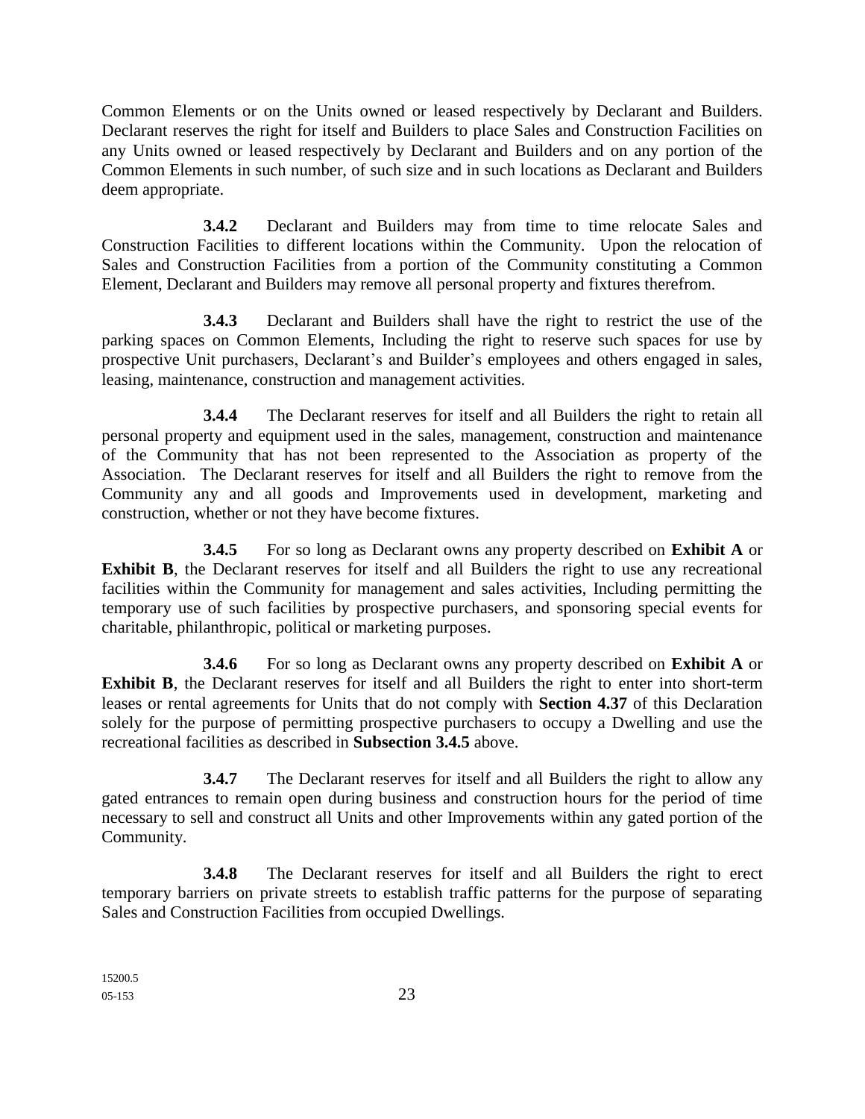Common Elements or on the Units owned or leased respectively by Declarant and Builders. Declarant reserves the right for itself and Builders to place Sales and Construction Facilities on any Units owned or leased respectively by Declarant and Builders and on any portion of the Common Elements in such number, of such size and in such locations as Declarant and Builders deem appropriate.

**3.4.2** Declarant and Builders may from time to time relocate Sales and Construction Facilities to different locations within the Community. Upon the relocation of Sales and Construction Facilities from a portion of the Community constituting a Common Element, Declarant and Builders may remove all personal property and fixtures therefrom.

**3.4.3** Declarant and Builders shall have the right to restrict the use of the parking spaces on Common Elements, Including the right to reserve such spaces for use by prospective Unit purchasers, Declarant's and Builder's employees and others engaged in sales, leasing, maintenance, construction and management activities.

**3.4.4** The Declarant reserves for itself and all Builders the right to retain all personal property and equipment used in the sales, management, construction and maintenance of the Community that has not been represented to the Association as property of the Association. The Declarant reserves for itself and all Builders the right to remove from the Community any and all goods and Improvements used in development, marketing and construction, whether or not they have become fixtures.

**3.4.5** For so long as Declarant owns any property described on **Exhibit A** or **Exhibit B**, the Declarant reserves for itself and all Builders the right to use any recreational facilities within the Community for management and sales activities, Including permitting the temporary use of such facilities by prospective purchasers, and sponsoring special events for charitable, philanthropic, political or marketing purposes.

**3.4.6** For so long as Declarant owns any property described on **Exhibit A** or **Exhibit B**, the Declarant reserves for itself and all Builders the right to enter into short-term leases or rental agreements for Units that do not comply with **Section 4.37** of this Declaration solely for the purpose of permitting prospective purchasers to occupy a Dwelling and use the recreational facilities as described in **Subsection 3.4.5** above.

**3.4.7** The Declarant reserves for itself and all Builders the right to allow any gated entrances to remain open during business and construction hours for the period of time necessary to sell and construct all Units and other Improvements within any gated portion of the Community.

**3.4.8** The Declarant reserves for itself and all Builders the right to erect temporary barriers on private streets to establish traffic patterns for the purpose of separating Sales and Construction Facilities from occupied Dwellings.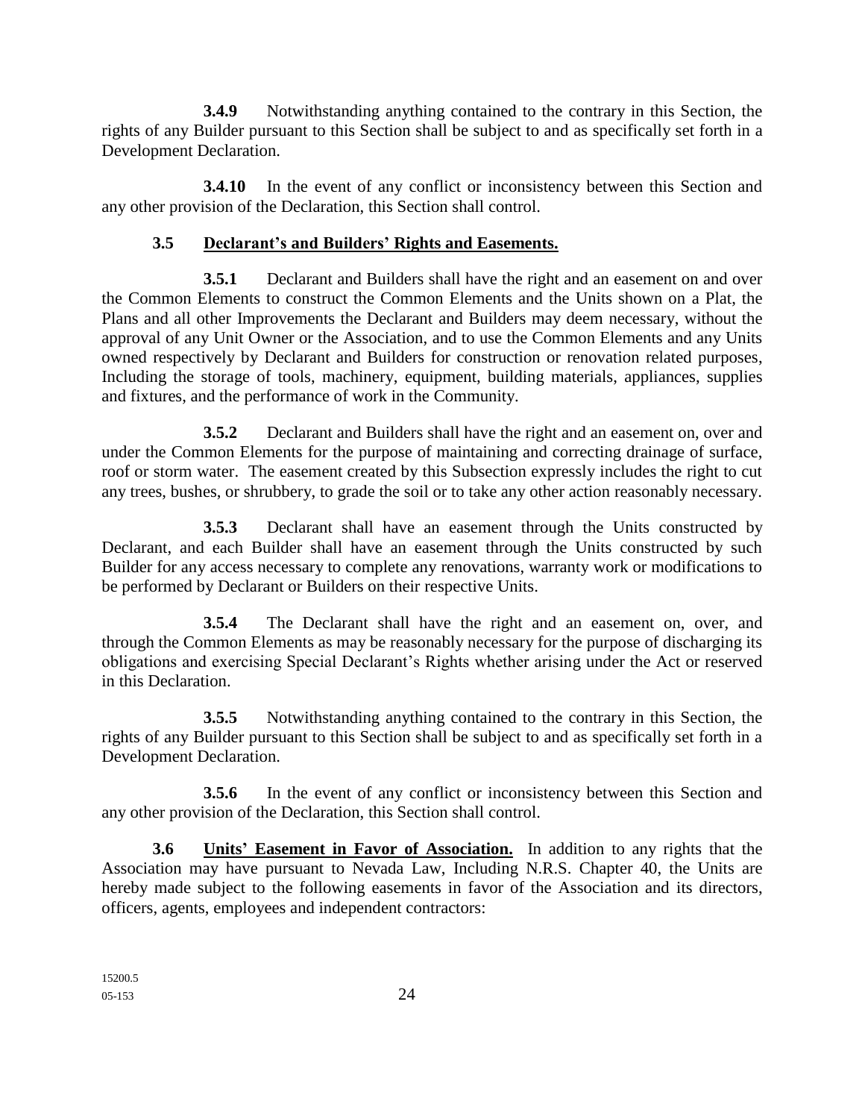**3.4.9** Notwithstanding anything contained to the contrary in this Section, the rights of any Builder pursuant to this Section shall be subject to and as specifically set forth in a Development Declaration.

**3.4.10** In the event of any conflict or inconsistency between this Section and any other provision of the Declaration, this Section shall control.

### **3.5 Declarant's and Builders' Rights and Easements.**

**3.5.1** Declarant and Builders shall have the right and an easement on and over the Common Elements to construct the Common Elements and the Units shown on a Plat, the Plans and all other Improvements the Declarant and Builders may deem necessary, without the approval of any Unit Owner or the Association, and to use the Common Elements and any Units owned respectively by Declarant and Builders for construction or renovation related purposes, Including the storage of tools, machinery, equipment, building materials, appliances, supplies and fixtures, and the performance of work in the Community.

**3.5.2** Declarant and Builders shall have the right and an easement on, over and under the Common Elements for the purpose of maintaining and correcting drainage of surface, roof or storm water. The easement created by this Subsection expressly includes the right to cut any trees, bushes, or shrubbery, to grade the soil or to take any other action reasonably necessary.

**3.5.3** Declarant shall have an easement through the Units constructed by Declarant, and each Builder shall have an easement through the Units constructed by such Builder for any access necessary to complete any renovations, warranty work or modifications to be performed by Declarant or Builders on their respective Units.

**3.5.4** The Declarant shall have the right and an easement on, over, and through the Common Elements as may be reasonably necessary for the purpose of discharging its obligations and exercising Special Declarant's Rights whether arising under the Act or reserved in this Declaration.

**3.5.5** Notwithstanding anything contained to the contrary in this Section, the rights of any Builder pursuant to this Section shall be subject to and as specifically set forth in a Development Declaration.

**3.5.6** In the event of any conflict or inconsistency between this Section and any other provision of the Declaration, this Section shall control.

**3.6 Units' Easement in Favor of Association.** In addition to any rights that the Association may have pursuant to Nevada Law, Including N.R.S. Chapter 40, the Units are hereby made subject to the following easements in favor of the Association and its directors, officers, agents, employees and independent contractors: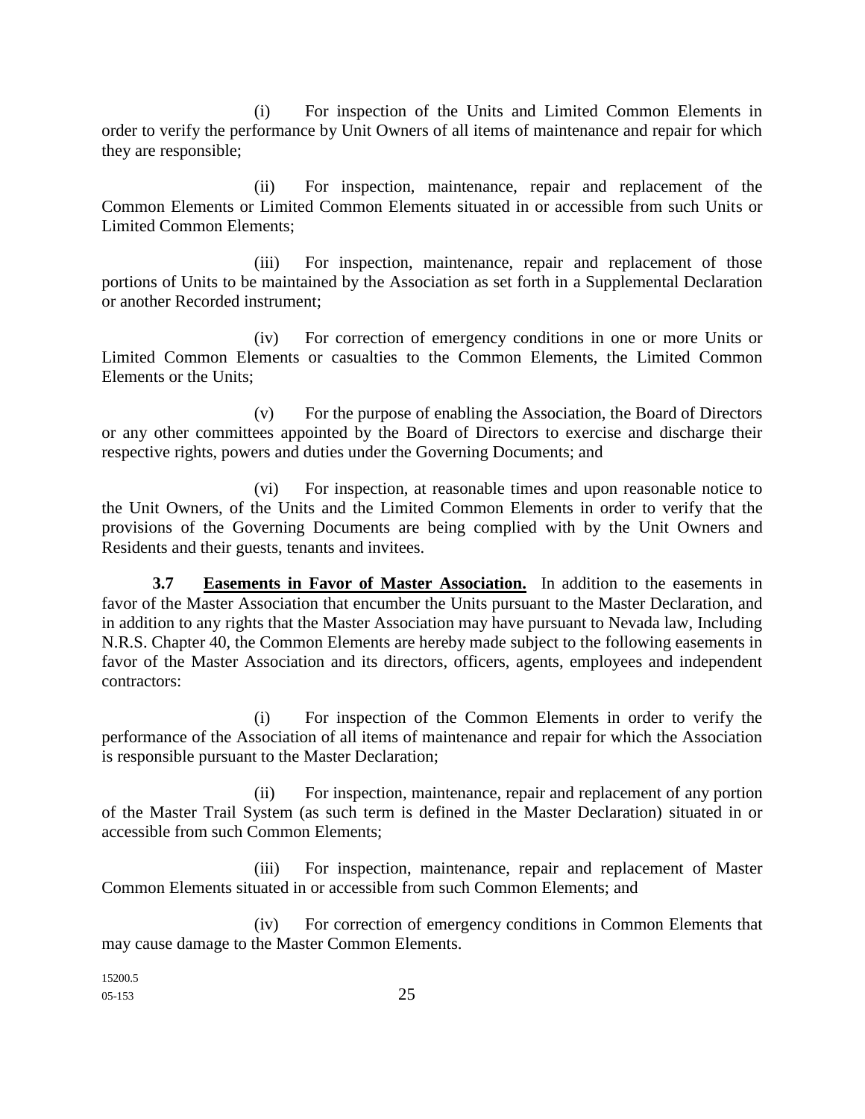(i) For inspection of the Units and Limited Common Elements in order to verify the performance by Unit Owners of all items of maintenance and repair for which they are responsible;

(ii) For inspection, maintenance, repair and replacement of the Common Elements or Limited Common Elements situated in or accessible from such Units or Limited Common Elements;

(iii) For inspection, maintenance, repair and replacement of those portions of Units to be maintained by the Association as set forth in a Supplemental Declaration or another Recorded instrument;

(iv) For correction of emergency conditions in one or more Units or Limited Common Elements or casualties to the Common Elements, the Limited Common Elements or the Units;

(v) For the purpose of enabling the Association, the Board of Directors or any other committees appointed by the Board of Directors to exercise and discharge their respective rights, powers and duties under the Governing Documents; and

(vi) For inspection, at reasonable times and upon reasonable notice to the Unit Owners, of the Units and the Limited Common Elements in order to verify that the provisions of the Governing Documents are being complied with by the Unit Owners and Residents and their guests, tenants and invitees.

**3.7 Easements in Favor of Master Association.** In addition to the easements in favor of the Master Association that encumber the Units pursuant to the Master Declaration, and in addition to any rights that the Master Association may have pursuant to Nevada law, Including N.R.S. Chapter 40, the Common Elements are hereby made subject to the following easements in favor of the Master Association and its directors, officers, agents, employees and independent contractors:

(i) For inspection of the Common Elements in order to verify the performance of the Association of all items of maintenance and repair for which the Association is responsible pursuant to the Master Declaration;

(ii) For inspection, maintenance, repair and replacement of any portion of the Master Trail System (as such term is defined in the Master Declaration) situated in or accessible from such Common Elements;

(iii) For inspection, maintenance, repair and replacement of Master Common Elements situated in or accessible from such Common Elements; and

(iv) For correction of emergency conditions in Common Elements that may cause damage to the Master Common Elements.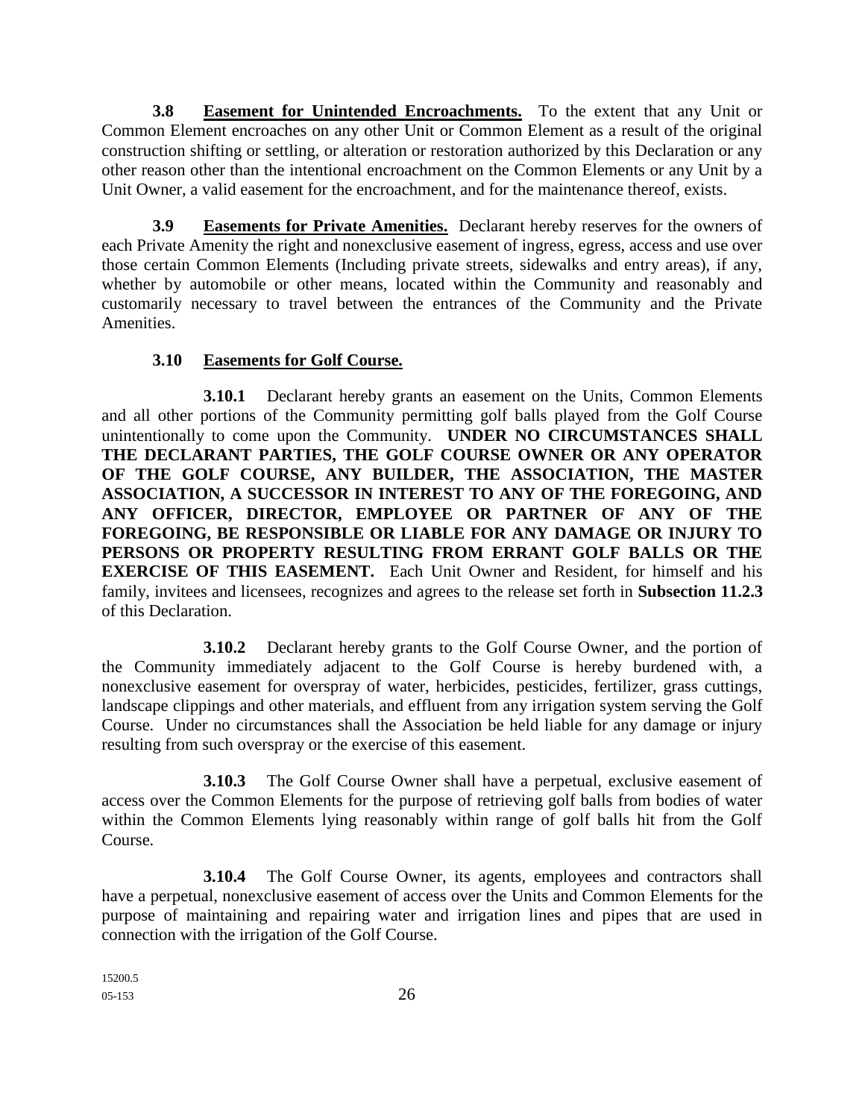**3.8 Easement for Unintended Encroachments.** To the extent that any Unit or Common Element encroaches on any other Unit or Common Element as a result of the original construction shifting or settling, or alteration or restoration authorized by this Declaration or any other reason other than the intentional encroachment on the Common Elements or any Unit by a Unit Owner, a valid easement for the encroachment, and for the maintenance thereof, exists.

**3.9 Easements for Private Amenities.** Declarant hereby reserves for the owners of each Private Amenity the right and nonexclusive easement of ingress, egress, access and use over those certain Common Elements (Including private streets, sidewalks and entry areas), if any, whether by automobile or other means, located within the Community and reasonably and customarily necessary to travel between the entrances of the Community and the Private Amenities.

### **3.10 Easements for Golf Course.**

**3.10.1** Declarant hereby grants an easement on the Units, Common Elements and all other portions of the Community permitting golf balls played from the Golf Course unintentionally to come upon the Community. **UNDER NO CIRCUMSTANCES SHALL THE DECLARANT PARTIES, THE GOLF COURSE OWNER OR ANY OPERATOR OF THE GOLF COURSE, ANY BUILDER, THE ASSOCIATION, THE MASTER ASSOCIATION, A SUCCESSOR IN INTEREST TO ANY OF THE FOREGOING, AND ANY OFFICER, DIRECTOR, EMPLOYEE OR PARTNER OF ANY OF THE FOREGOING, BE RESPONSIBLE OR LIABLE FOR ANY DAMAGE OR INJURY TO PERSONS OR PROPERTY RESULTING FROM ERRANT GOLF BALLS OR THE EXERCISE OF THIS EASEMENT.** Each Unit Owner and Resident, for himself and his family, invitees and licensees, recognizes and agrees to the release set forth in **Subsection 11.2.3** of this Declaration.

**3.10.2** Declarant hereby grants to the Golf Course Owner, and the portion of the Community immediately adjacent to the Golf Course is hereby burdened with, a nonexclusive easement for overspray of water, herbicides, pesticides, fertilizer, grass cuttings, landscape clippings and other materials, and effluent from any irrigation system serving the Golf Course. Under no circumstances shall the Association be held liable for any damage or injury resulting from such overspray or the exercise of this easement.

**3.10.3** The Golf Course Owner shall have a perpetual, exclusive easement of access over the Common Elements for the purpose of retrieving golf balls from bodies of water within the Common Elements lying reasonably within range of golf balls hit from the Golf Course.

**3.10.4** The Golf Course Owner, its agents, employees and contractors shall have a perpetual, nonexclusive easement of access over the Units and Common Elements for the purpose of maintaining and repairing water and irrigation lines and pipes that are used in connection with the irrigation of the Golf Course.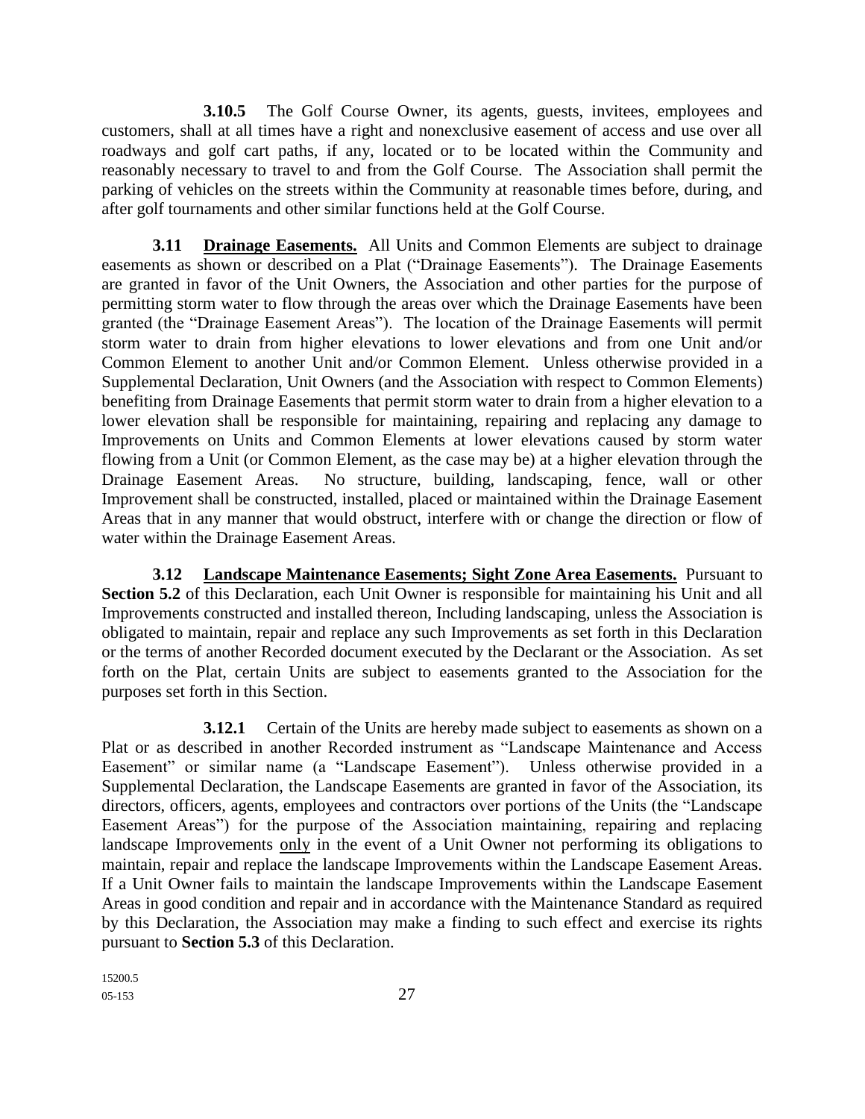**3.10.5** The Golf Course Owner, its agents, guests, invitees, employees and customers, shall at all times have a right and nonexclusive easement of access and use over all roadways and golf cart paths, if any, located or to be located within the Community and reasonably necessary to travel to and from the Golf Course. The Association shall permit the parking of vehicles on the streets within the Community at reasonable times before, during, and after golf tournaments and other similar functions held at the Golf Course.

**3.11 Drainage Easements.** All Units and Common Elements are subject to drainage easements as shown or described on a Plat ("Drainage Easements"). The Drainage Easements are granted in favor of the Unit Owners, the Association and other parties for the purpose of permitting storm water to flow through the areas over which the Drainage Easements have been granted (the "Drainage Easement Areas"). The location of the Drainage Easements will permit storm water to drain from higher elevations to lower elevations and from one Unit and/or Common Element to another Unit and/or Common Element. Unless otherwise provided in a Supplemental Declaration, Unit Owners (and the Association with respect to Common Elements) benefiting from Drainage Easements that permit storm water to drain from a higher elevation to a lower elevation shall be responsible for maintaining, repairing and replacing any damage to Improvements on Units and Common Elements at lower elevations caused by storm water flowing from a Unit (or Common Element, as the case may be) at a higher elevation through the Drainage Easement Areas. No structure, building, landscaping, fence, wall or other Improvement shall be constructed, installed, placed or maintained within the Drainage Easement Areas that in any manner that would obstruct, interfere with or change the direction or flow of water within the Drainage Easement Areas.

**3.12 Landscape Maintenance Easements; Sight Zone Area Easements.** Pursuant to **Section 5.2** of this Declaration, each Unit Owner is responsible for maintaining his Unit and all Improvements constructed and installed thereon, Including landscaping, unless the Association is obligated to maintain, repair and replace any such Improvements as set forth in this Declaration or the terms of another Recorded document executed by the Declarant or the Association. As set forth on the Plat, certain Units are subject to easements granted to the Association for the purposes set forth in this Section.

**3.12.1** Certain of the Units are hereby made subject to easements as shown on a Plat or as described in another Recorded instrument as "Landscape Maintenance and Access Easement" or similar name (a "Landscape Easement"). Unless otherwise provided in a Supplemental Declaration, the Landscape Easements are granted in favor of the Association, its directors, officers, agents, employees and contractors over portions of the Units (the "Landscape Easement Areas") for the purpose of the Association maintaining, repairing and replacing landscape Improvements only in the event of a Unit Owner not performing its obligations to maintain, repair and replace the landscape Improvements within the Landscape Easement Areas. If a Unit Owner fails to maintain the landscape Improvements within the Landscape Easement Areas in good condition and repair and in accordance with the Maintenance Standard as required by this Declaration, the Association may make a finding to such effect and exercise its rights pursuant to **Section 5.3** of this Declaration.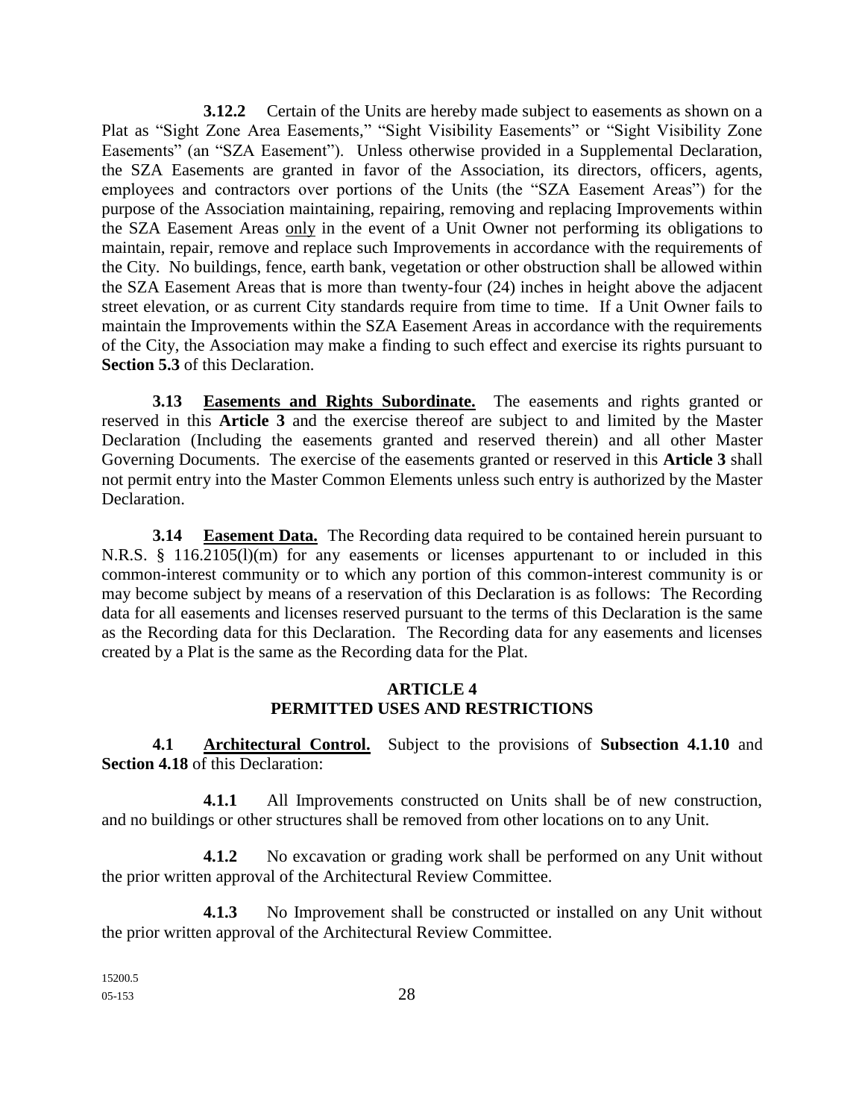**3.12.2** Certain of the Units are hereby made subject to easements as shown on a Plat as "Sight Zone Area Easements," "Sight Visibility Easements" or "Sight Visibility Zone Easements" (an "SZA Easement"). Unless otherwise provided in a Supplemental Declaration, the SZA Easements are granted in favor of the Association, its directors, officers, agents, employees and contractors over portions of the Units (the "SZA Easement Areas") for the purpose of the Association maintaining, repairing, removing and replacing Improvements within the SZA Easement Areas only in the event of a Unit Owner not performing its obligations to maintain, repair, remove and replace such Improvements in accordance with the requirements of the City. No buildings, fence, earth bank, vegetation or other obstruction shall be allowed within the SZA Easement Areas that is more than twenty-four (24) inches in height above the adjacent street elevation, or as current City standards require from time to time. If a Unit Owner fails to maintain the Improvements within the SZA Easement Areas in accordance with the requirements of the City, the Association may make a finding to such effect and exercise its rights pursuant to **Section 5.3** of this Declaration.

**3.13 Easements and Rights Subordinate.** The easements and rights granted or reserved in this **Article 3** and the exercise thereof are subject to and limited by the Master Declaration (Including the easements granted and reserved therein) and all other Master Governing Documents. The exercise of the easements granted or reserved in this **Article 3** shall not permit entry into the Master Common Elements unless such entry is authorized by the Master Declaration.

**3.14 Easement Data.** The Recording data required to be contained herein pursuant to N.R.S. § 116.2105(l)(m) for any easements or licenses appurtenant to or included in this common-interest community or to which any portion of this common-interest community is or may become subject by means of a reservation of this Declaration is as follows: The Recording data for all easements and licenses reserved pursuant to the terms of this Declaration is the same as the Recording data for this Declaration. The Recording data for any easements and licenses created by a Plat is the same as the Recording data for the Plat.

### **ARTICLE 4 PERMITTED USES AND RESTRICTIONS**

**4.1 Architectural Control.** Subject to the provisions of **Subsection 4.1.10** and **Section 4.18** of this Declaration:

**4.1.1** All Improvements constructed on Units shall be of new construction, and no buildings or other structures shall be removed from other locations on to any Unit.

**4.1.2** No excavation or grading work shall be performed on any Unit without the prior written approval of the Architectural Review Committee.

**4.1.3** No Improvement shall be constructed or installed on any Unit without the prior written approval of the Architectural Review Committee.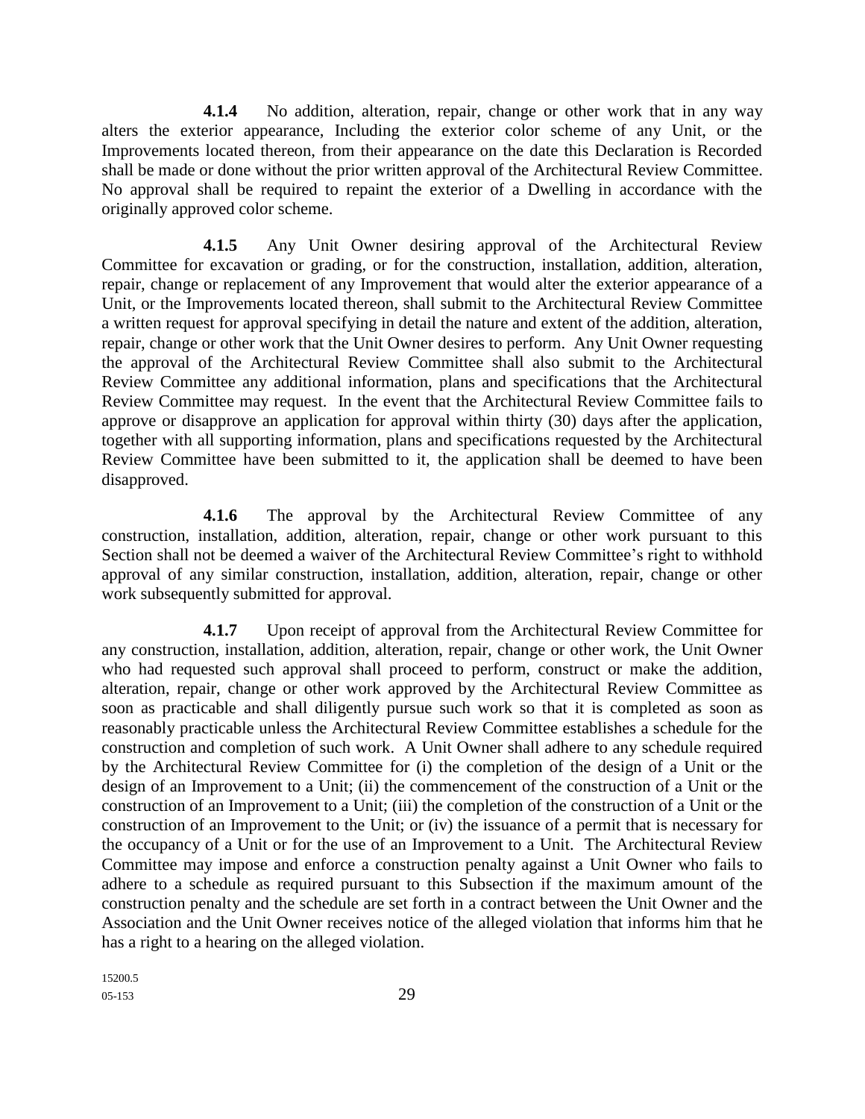**4.1.4** No addition, alteration, repair, change or other work that in any way alters the exterior appearance, Including the exterior color scheme of any Unit, or the Improvements located thereon, from their appearance on the date this Declaration is Recorded shall be made or done without the prior written approval of the Architectural Review Committee. No approval shall be required to repaint the exterior of a Dwelling in accordance with the originally approved color scheme.

**4.1.5** Any Unit Owner desiring approval of the Architectural Review Committee for excavation or grading, or for the construction, installation, addition, alteration, repair, change or replacement of any Improvement that would alter the exterior appearance of a Unit, or the Improvements located thereon, shall submit to the Architectural Review Committee a written request for approval specifying in detail the nature and extent of the addition, alteration, repair, change or other work that the Unit Owner desires to perform. Any Unit Owner requesting the approval of the Architectural Review Committee shall also submit to the Architectural Review Committee any additional information, plans and specifications that the Architectural Review Committee may request. In the event that the Architectural Review Committee fails to approve or disapprove an application for approval within thirty (30) days after the application, together with all supporting information, plans and specifications requested by the Architectural Review Committee have been submitted to it, the application shall be deemed to have been disapproved.

**4.1.6** The approval by the Architectural Review Committee of any construction, installation, addition, alteration, repair, change or other work pursuant to this Section shall not be deemed a waiver of the Architectural Review Committee's right to withhold approval of any similar construction, installation, addition, alteration, repair, change or other work subsequently submitted for approval.

**4.1.7** Upon receipt of approval from the Architectural Review Committee for any construction, installation, addition, alteration, repair, change or other work, the Unit Owner who had requested such approval shall proceed to perform, construct or make the addition, alteration, repair, change or other work approved by the Architectural Review Committee as soon as practicable and shall diligently pursue such work so that it is completed as soon as reasonably practicable unless the Architectural Review Committee establishes a schedule for the construction and completion of such work. A Unit Owner shall adhere to any schedule required by the Architectural Review Committee for (i) the completion of the design of a Unit or the design of an Improvement to a Unit; (ii) the commencement of the construction of a Unit or the construction of an Improvement to a Unit; (iii) the completion of the construction of a Unit or the construction of an Improvement to the Unit; or (iv) the issuance of a permit that is necessary for the occupancy of a Unit or for the use of an Improvement to a Unit. The Architectural Review Committee may impose and enforce a construction penalty against a Unit Owner who fails to adhere to a schedule as required pursuant to this Subsection if the maximum amount of the construction penalty and the schedule are set forth in a contract between the Unit Owner and the Association and the Unit Owner receives notice of the alleged violation that informs him that he has a right to a hearing on the alleged violation.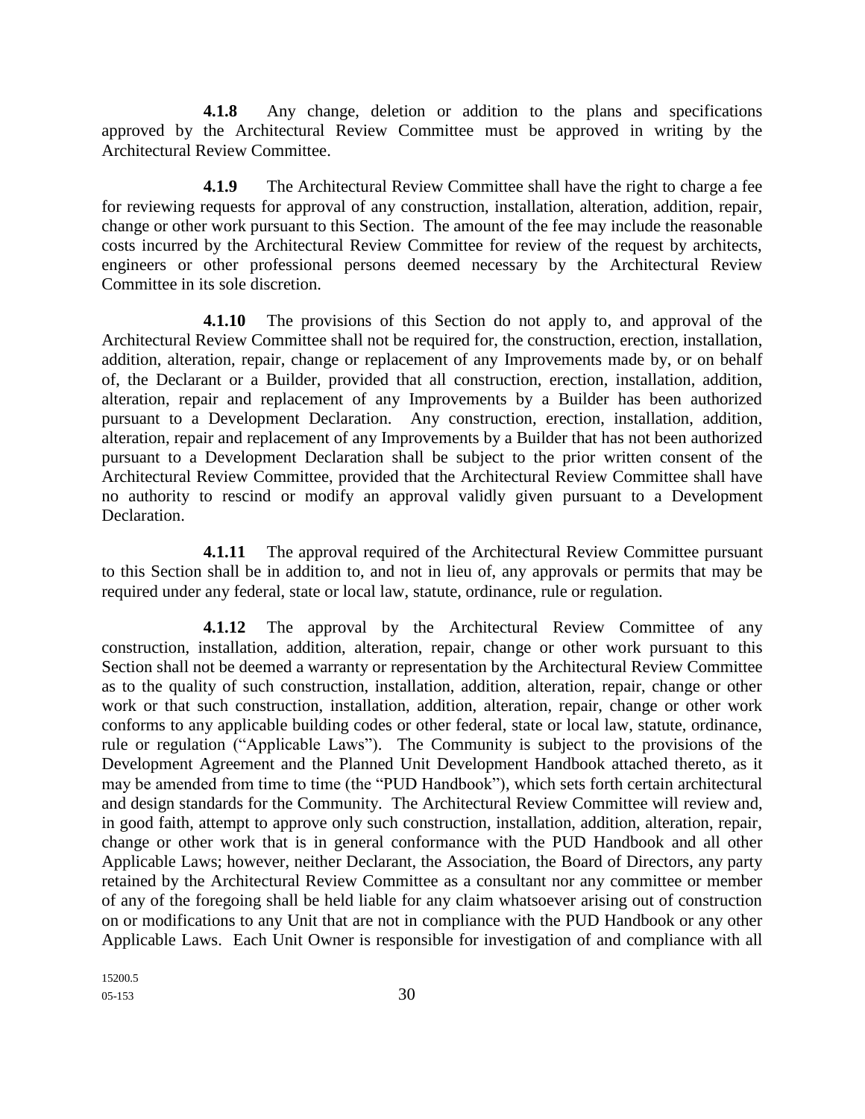**4.1.8** Any change, deletion or addition to the plans and specifications approved by the Architectural Review Committee must be approved in writing by the Architectural Review Committee.

**4.1.9** The Architectural Review Committee shall have the right to charge a fee for reviewing requests for approval of any construction, installation, alteration, addition, repair, change or other work pursuant to this Section. The amount of the fee may include the reasonable costs incurred by the Architectural Review Committee for review of the request by architects, engineers or other professional persons deemed necessary by the Architectural Review Committee in its sole discretion.

**4.1.10** The provisions of this Section do not apply to, and approval of the Architectural Review Committee shall not be required for, the construction, erection, installation, addition, alteration, repair, change or replacement of any Improvements made by, or on behalf of, the Declarant or a Builder, provided that all construction, erection, installation, addition, alteration, repair and replacement of any Improvements by a Builder has been authorized pursuant to a Development Declaration. Any construction, erection, installation, addition, alteration, repair and replacement of any Improvements by a Builder that has not been authorized pursuant to a Development Declaration shall be subject to the prior written consent of the Architectural Review Committee, provided that the Architectural Review Committee shall have no authority to rescind or modify an approval validly given pursuant to a Development Declaration.

**4.1.11** The approval required of the Architectural Review Committee pursuant to this Section shall be in addition to, and not in lieu of, any approvals or permits that may be required under any federal, state or local law, statute, ordinance, rule or regulation.

**4.1.12** The approval by the Architectural Review Committee of any construction, installation, addition, alteration, repair, change or other work pursuant to this Section shall not be deemed a warranty or representation by the Architectural Review Committee as to the quality of such construction, installation, addition, alteration, repair, change or other work or that such construction, installation, addition, alteration, repair, change or other work conforms to any applicable building codes or other federal, state or local law, statute, ordinance, rule or regulation ("Applicable Laws"). The Community is subject to the provisions of the Development Agreement and the Planned Unit Development Handbook attached thereto, as it may be amended from time to time (the "PUD Handbook"), which sets forth certain architectural and design standards for the Community. The Architectural Review Committee will review and, in good faith, attempt to approve only such construction, installation, addition, alteration, repair, change or other work that is in general conformance with the PUD Handbook and all other Applicable Laws; however, neither Declarant, the Association, the Board of Directors, any party retained by the Architectural Review Committee as a consultant nor any committee or member of any of the foregoing shall be held liable for any claim whatsoever arising out of construction on or modifications to any Unit that are not in compliance with the PUD Handbook or any other Applicable Laws. Each Unit Owner is responsible for investigation of and compliance with all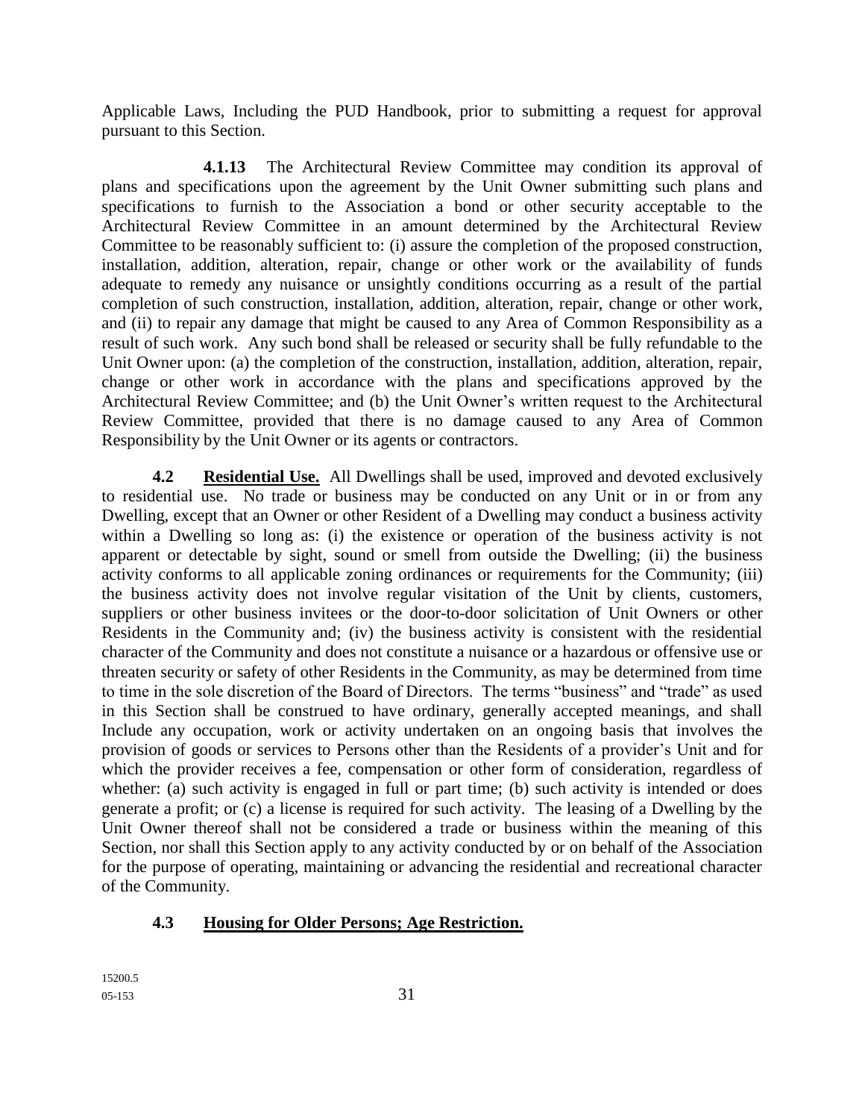Applicable Laws, Including the PUD Handbook, prior to submitting a request for approval pursuant to this Section.

**4.1.13** The Architectural Review Committee may condition its approval of plans and specifications upon the agreement by the Unit Owner submitting such plans and specifications to furnish to the Association a bond or other security acceptable to the Architectural Review Committee in an amount determined by the Architectural Review Committee to be reasonably sufficient to: (i) assure the completion of the proposed construction, installation, addition, alteration, repair, change or other work or the availability of funds adequate to remedy any nuisance or unsightly conditions occurring as a result of the partial completion of such construction, installation, addition, alteration, repair, change or other work, and (ii) to repair any damage that might be caused to any Area of Common Responsibility as a result of such work. Any such bond shall be released or security shall be fully refundable to the Unit Owner upon: (a) the completion of the construction, installation, addition, alteration, repair, change or other work in accordance with the plans and specifications approved by the Architectural Review Committee; and (b) the Unit Owner's written request to the Architectural Review Committee, provided that there is no damage caused to any Area of Common Responsibility by the Unit Owner or its agents or contractors.

**4.2 Residential Use.** All Dwellings shall be used, improved and devoted exclusively to residential use. No trade or business may be conducted on any Unit or in or from any Dwelling, except that an Owner or other Resident of a Dwelling may conduct a business activity within a Dwelling so long as: (i) the existence or operation of the business activity is not apparent or detectable by sight, sound or smell from outside the Dwelling; (ii) the business activity conforms to all applicable zoning ordinances or requirements for the Community; (iii) the business activity does not involve regular visitation of the Unit by clients, customers, suppliers or other business invitees or the door-to-door solicitation of Unit Owners or other Residents in the Community and; (iv) the business activity is consistent with the residential character of the Community and does not constitute a nuisance or a hazardous or offensive use or threaten security or safety of other Residents in the Community, as may be determined from time to time in the sole discretion of the Board of Directors. The terms "business" and "trade" as used in this Section shall be construed to have ordinary, generally accepted meanings, and shall Include any occupation, work or activity undertaken on an ongoing basis that involves the provision of goods or services to Persons other than the Residents of a provider's Unit and for which the provider receives a fee, compensation or other form of consideration, regardless of whether: (a) such activity is engaged in full or part time; (b) such activity is intended or does generate a profit; or (c) a license is required for such activity. The leasing of a Dwelling by the Unit Owner thereof shall not be considered a trade or business within the meaning of this Section, nor shall this Section apply to any activity conducted by or on behalf of the Association for the purpose of operating, maintaining or advancing the residential and recreational character of the Community.

# **4.3 Housing for Older Persons; Age Restriction.**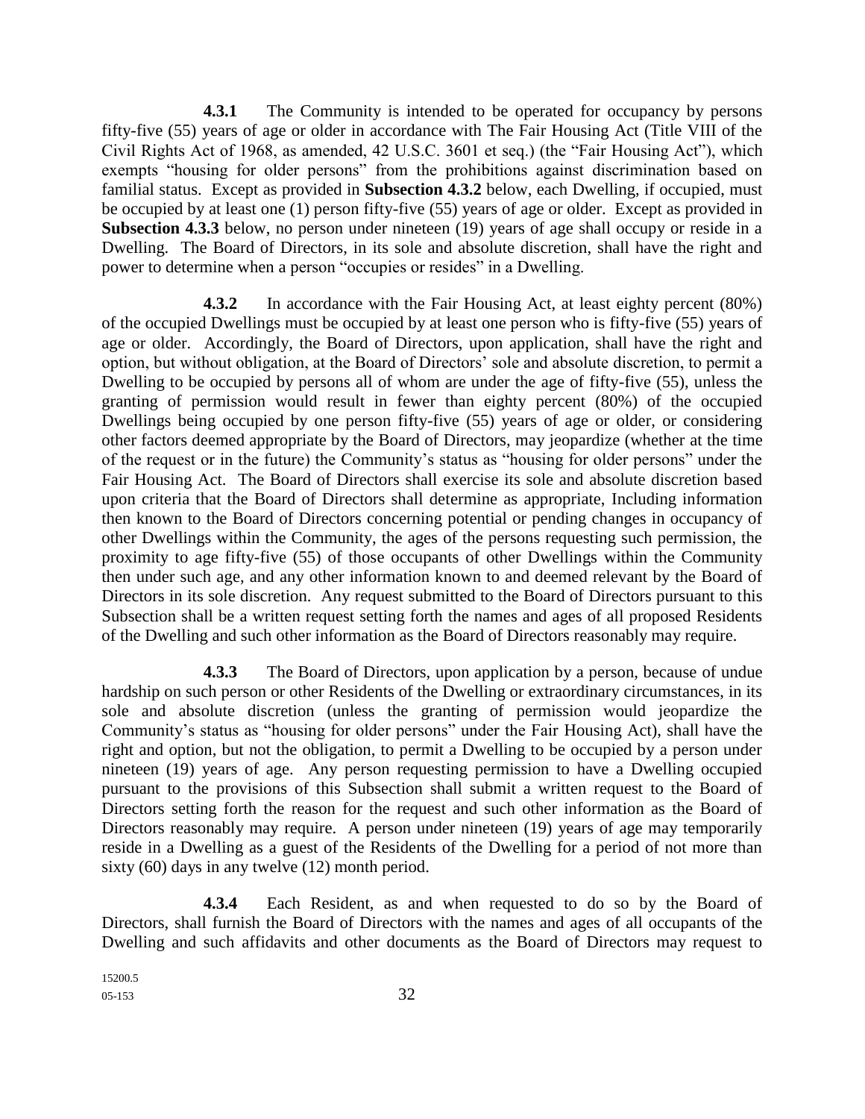**4.3.1** The Community is intended to be operated for occupancy by persons fifty-five (55) years of age or older in accordance with The Fair Housing Act (Title VIII of the Civil Rights Act of 1968, as amended, 42 U.S.C. 3601 et seq.) (the "Fair Housing Act"), which exempts "housing for older persons" from the prohibitions against discrimination based on familial status. Except as provided in **Subsection 4.3.2** below, each Dwelling, if occupied, must be occupied by at least one (1) person fifty-five (55) years of age or older. Except as provided in **Subsection 4.3.3** below, no person under nineteen (19) years of age shall occupy or reside in a Dwelling. The Board of Directors, in its sole and absolute discretion, shall have the right and power to determine when a person "occupies or resides" in a Dwelling.

**4.3.2** In accordance with the Fair Housing Act, at least eighty percent (80%) of the occupied Dwellings must be occupied by at least one person who is fifty-five (55) years of age or older. Accordingly, the Board of Directors, upon application, shall have the right and option, but without obligation, at the Board of Directors' sole and absolute discretion, to permit a Dwelling to be occupied by persons all of whom are under the age of fifty-five (55), unless the granting of permission would result in fewer than eighty percent (80%) of the occupied Dwellings being occupied by one person fifty-five (55) years of age or older, or considering other factors deemed appropriate by the Board of Directors, may jeopardize (whether at the time of the request or in the future) the Community's status as "housing for older persons" under the Fair Housing Act. The Board of Directors shall exercise its sole and absolute discretion based upon criteria that the Board of Directors shall determine as appropriate, Including information then known to the Board of Directors concerning potential or pending changes in occupancy of other Dwellings within the Community, the ages of the persons requesting such permission, the proximity to age fifty-five (55) of those occupants of other Dwellings within the Community then under such age, and any other information known to and deemed relevant by the Board of Directors in its sole discretion. Any request submitted to the Board of Directors pursuant to this Subsection shall be a written request setting forth the names and ages of all proposed Residents of the Dwelling and such other information as the Board of Directors reasonably may require.

**4.3.3** The Board of Directors, upon application by a person, because of undue hardship on such person or other Residents of the Dwelling or extraordinary circumstances, in its sole and absolute discretion (unless the granting of permission would jeopardize the Community's status as "housing for older persons" under the Fair Housing Act), shall have the right and option, but not the obligation, to permit a Dwelling to be occupied by a person under nineteen (19) years of age. Any person requesting permission to have a Dwelling occupied pursuant to the provisions of this Subsection shall submit a written request to the Board of Directors setting forth the reason for the request and such other information as the Board of Directors reasonably may require. A person under nineteen (19) years of age may temporarily reside in a Dwelling as a guest of the Residents of the Dwelling for a period of not more than sixty (60) days in any twelve (12) month period.

**4.3.4** Each Resident, as and when requested to do so by the Board of Directors, shall furnish the Board of Directors with the names and ages of all occupants of the Dwelling and such affidavits and other documents as the Board of Directors may request to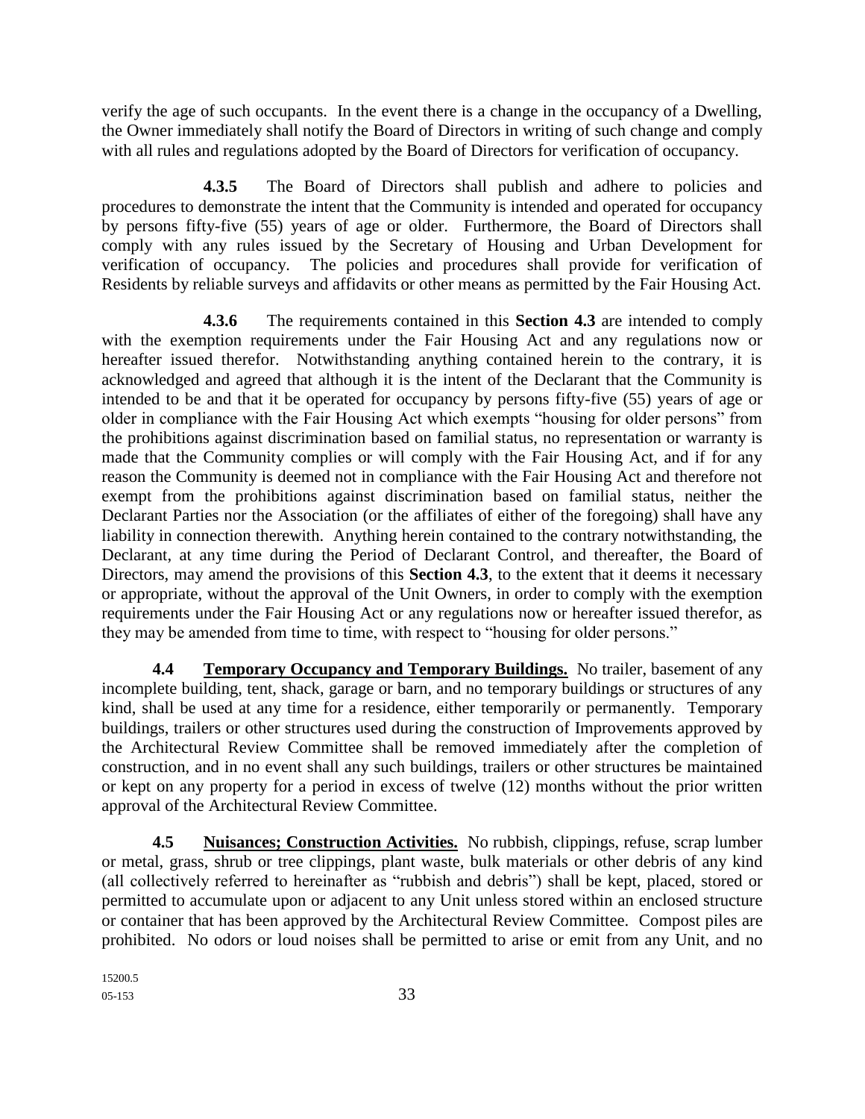verify the age of such occupants. In the event there is a change in the occupancy of a Dwelling, the Owner immediately shall notify the Board of Directors in writing of such change and comply with all rules and regulations adopted by the Board of Directors for verification of occupancy.

**4.3.5** The Board of Directors shall publish and adhere to policies and procedures to demonstrate the intent that the Community is intended and operated for occupancy by persons fifty-five (55) years of age or older. Furthermore, the Board of Directors shall comply with any rules issued by the Secretary of Housing and Urban Development for verification of occupancy. The policies and procedures shall provide for verification of Residents by reliable surveys and affidavits or other means as permitted by the Fair Housing Act.

**4.3.6** The requirements contained in this **Section 4.3** are intended to comply with the exemption requirements under the Fair Housing Act and any regulations now or hereafter issued therefor. Notwithstanding anything contained herein to the contrary, it is acknowledged and agreed that although it is the intent of the Declarant that the Community is intended to be and that it be operated for occupancy by persons fifty-five (55) years of age or older in compliance with the Fair Housing Act which exempts "housing for older persons" from the prohibitions against discrimination based on familial status, no representation or warranty is made that the Community complies or will comply with the Fair Housing Act, and if for any reason the Community is deemed not in compliance with the Fair Housing Act and therefore not exempt from the prohibitions against discrimination based on familial status, neither the Declarant Parties nor the Association (or the affiliates of either of the foregoing) shall have any liability in connection therewith. Anything herein contained to the contrary notwithstanding, the Declarant, at any time during the Period of Declarant Control, and thereafter, the Board of Directors, may amend the provisions of this **Section 4.3**, to the extent that it deems it necessary or appropriate, without the approval of the Unit Owners, in order to comply with the exemption requirements under the Fair Housing Act or any regulations now or hereafter issued therefor, as they may be amended from time to time, with respect to "housing for older persons."

**4.4 Temporary Occupancy and Temporary Buildings.** No trailer, basement of any incomplete building, tent, shack, garage or barn, and no temporary buildings or structures of any kind, shall be used at any time for a residence, either temporarily or permanently. Temporary buildings, trailers or other structures used during the construction of Improvements approved by the Architectural Review Committee shall be removed immediately after the completion of construction, and in no event shall any such buildings, trailers or other structures be maintained or kept on any property for a period in excess of twelve (12) months without the prior written approval of the Architectural Review Committee.

**4.5 Nuisances; Construction Activities.** No rubbish, clippings, refuse, scrap lumber or metal, grass, shrub or tree clippings, plant waste, bulk materials or other debris of any kind (all collectively referred to hereinafter as "rubbish and debris") shall be kept, placed, stored or permitted to accumulate upon or adjacent to any Unit unless stored within an enclosed structure or container that has been approved by the Architectural Review Committee. Compost piles are prohibited. No odors or loud noises shall be permitted to arise or emit from any Unit, and no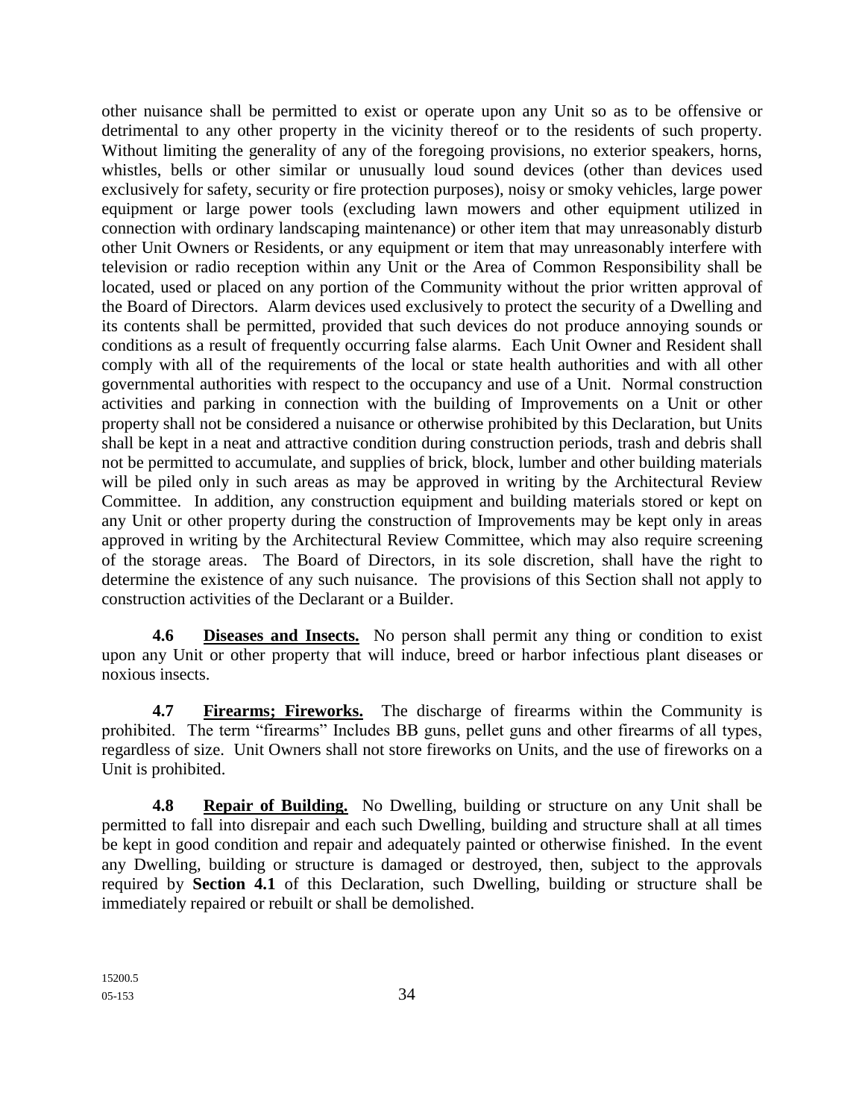other nuisance shall be permitted to exist or operate upon any Unit so as to be offensive or detrimental to any other property in the vicinity thereof or to the residents of such property. Without limiting the generality of any of the foregoing provisions, no exterior speakers, horns, whistles, bells or other similar or unusually loud sound devices (other than devices used exclusively for safety, security or fire protection purposes), noisy or smoky vehicles, large power equipment or large power tools (excluding lawn mowers and other equipment utilized in connection with ordinary landscaping maintenance) or other item that may unreasonably disturb other Unit Owners or Residents, or any equipment or item that may unreasonably interfere with television or radio reception within any Unit or the Area of Common Responsibility shall be located, used or placed on any portion of the Community without the prior written approval of the Board of Directors. Alarm devices used exclusively to protect the security of a Dwelling and its contents shall be permitted, provided that such devices do not produce annoying sounds or conditions as a result of frequently occurring false alarms. Each Unit Owner and Resident shall comply with all of the requirements of the local or state health authorities and with all other governmental authorities with respect to the occupancy and use of a Unit. Normal construction activities and parking in connection with the building of Improvements on a Unit or other property shall not be considered a nuisance or otherwise prohibited by this Declaration, but Units shall be kept in a neat and attractive condition during construction periods, trash and debris shall not be permitted to accumulate, and supplies of brick, block, lumber and other building materials will be piled only in such areas as may be approved in writing by the Architectural Review Committee. In addition, any construction equipment and building materials stored or kept on any Unit or other property during the construction of Improvements may be kept only in areas approved in writing by the Architectural Review Committee, which may also require screening of the storage areas. The Board of Directors, in its sole discretion, shall have the right to determine the existence of any such nuisance. The provisions of this Section shall not apply to construction activities of the Declarant or a Builder.

**4.6 Diseases and Insects.** No person shall permit any thing or condition to exist upon any Unit or other property that will induce, breed or harbor infectious plant diseases or noxious insects.

**4.7 Firearms; Fireworks.** The discharge of firearms within the Community is prohibited. The term "firearms" Includes BB guns, pellet guns and other firearms of all types, regardless of size. Unit Owners shall not store fireworks on Units, and the use of fireworks on a Unit is prohibited.

**4.8 Repair of Building.** No Dwelling, building or structure on any Unit shall be permitted to fall into disrepair and each such Dwelling, building and structure shall at all times be kept in good condition and repair and adequately painted or otherwise finished. In the event any Dwelling, building or structure is damaged or destroyed, then, subject to the approvals required by **Section 4.1** of this Declaration, such Dwelling, building or structure shall be immediately repaired or rebuilt or shall be demolished.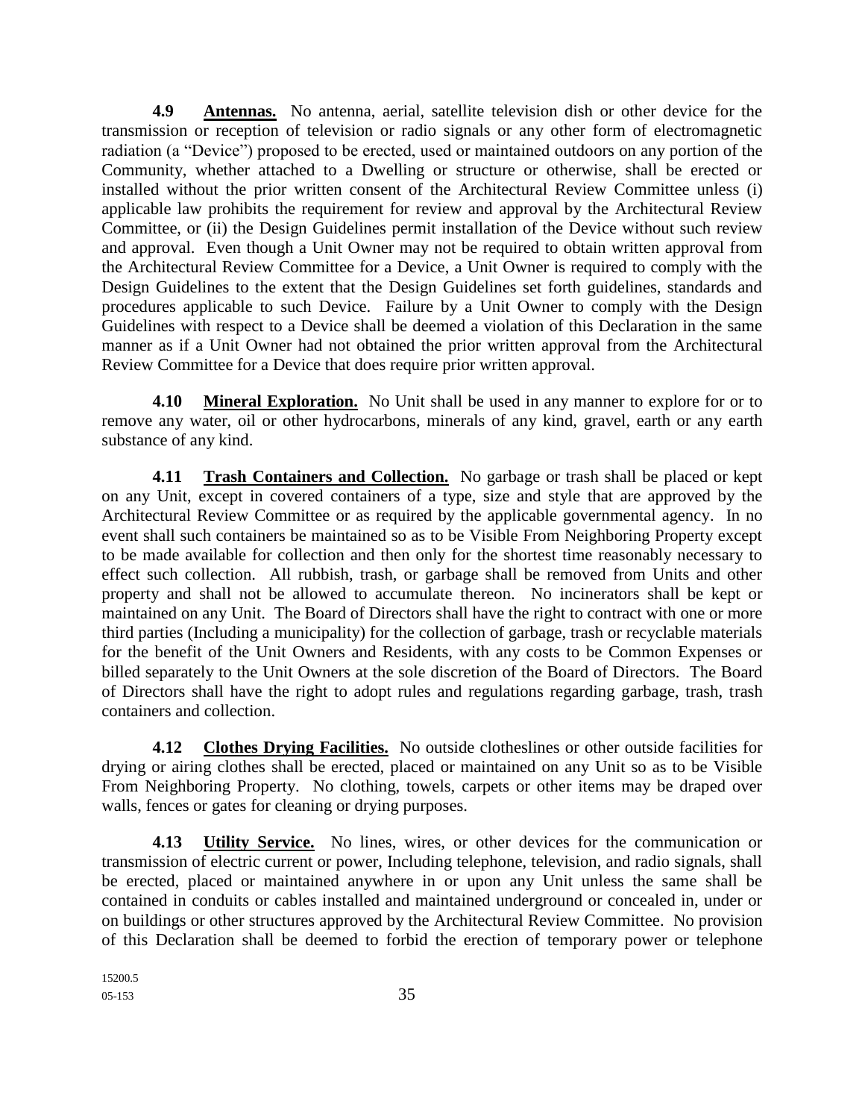**4.9 Antennas.** No antenna, aerial, satellite television dish or other device for the transmission or reception of television or radio signals or any other form of electromagnetic radiation (a "Device") proposed to be erected, used or maintained outdoors on any portion of the Community, whether attached to a Dwelling or structure or otherwise, shall be erected or installed without the prior written consent of the Architectural Review Committee unless (i) applicable law prohibits the requirement for review and approval by the Architectural Review Committee, or (ii) the Design Guidelines permit installation of the Device without such review and approval. Even though a Unit Owner may not be required to obtain written approval from the Architectural Review Committee for a Device, a Unit Owner is required to comply with the Design Guidelines to the extent that the Design Guidelines set forth guidelines, standards and procedures applicable to such Device. Failure by a Unit Owner to comply with the Design Guidelines with respect to a Device shall be deemed a violation of this Declaration in the same manner as if a Unit Owner had not obtained the prior written approval from the Architectural Review Committee for a Device that does require prior written approval.

**4.10 Mineral Exploration.** No Unit shall be used in any manner to explore for or to remove any water, oil or other hydrocarbons, minerals of any kind, gravel, earth or any earth substance of any kind.

**4.11 Trash Containers and Collection.** No garbage or trash shall be placed or kept on any Unit, except in covered containers of a type, size and style that are approved by the Architectural Review Committee or as required by the applicable governmental agency. In no event shall such containers be maintained so as to be Visible From Neighboring Property except to be made available for collection and then only for the shortest time reasonably necessary to effect such collection. All rubbish, trash, or garbage shall be removed from Units and other property and shall not be allowed to accumulate thereon. No incinerators shall be kept or maintained on any Unit. The Board of Directors shall have the right to contract with one or more third parties (Including a municipality) for the collection of garbage, trash or recyclable materials for the benefit of the Unit Owners and Residents, with any costs to be Common Expenses or billed separately to the Unit Owners at the sole discretion of the Board of Directors. The Board of Directors shall have the right to adopt rules and regulations regarding garbage, trash, trash containers and collection.

**4.12 Clothes Drying Facilities.** No outside clotheslines or other outside facilities for drying or airing clothes shall be erected, placed or maintained on any Unit so as to be Visible From Neighboring Property. No clothing, towels, carpets or other items may be draped over walls, fences or gates for cleaning or drying purposes.

**4.13 Utility Service.** No lines, wires, or other devices for the communication or transmission of electric current or power, Including telephone, television, and radio signals, shall be erected, placed or maintained anywhere in or upon any Unit unless the same shall be contained in conduits or cables installed and maintained underground or concealed in, under or on buildings or other structures approved by the Architectural Review Committee. No provision of this Declaration shall be deemed to forbid the erection of temporary power or telephone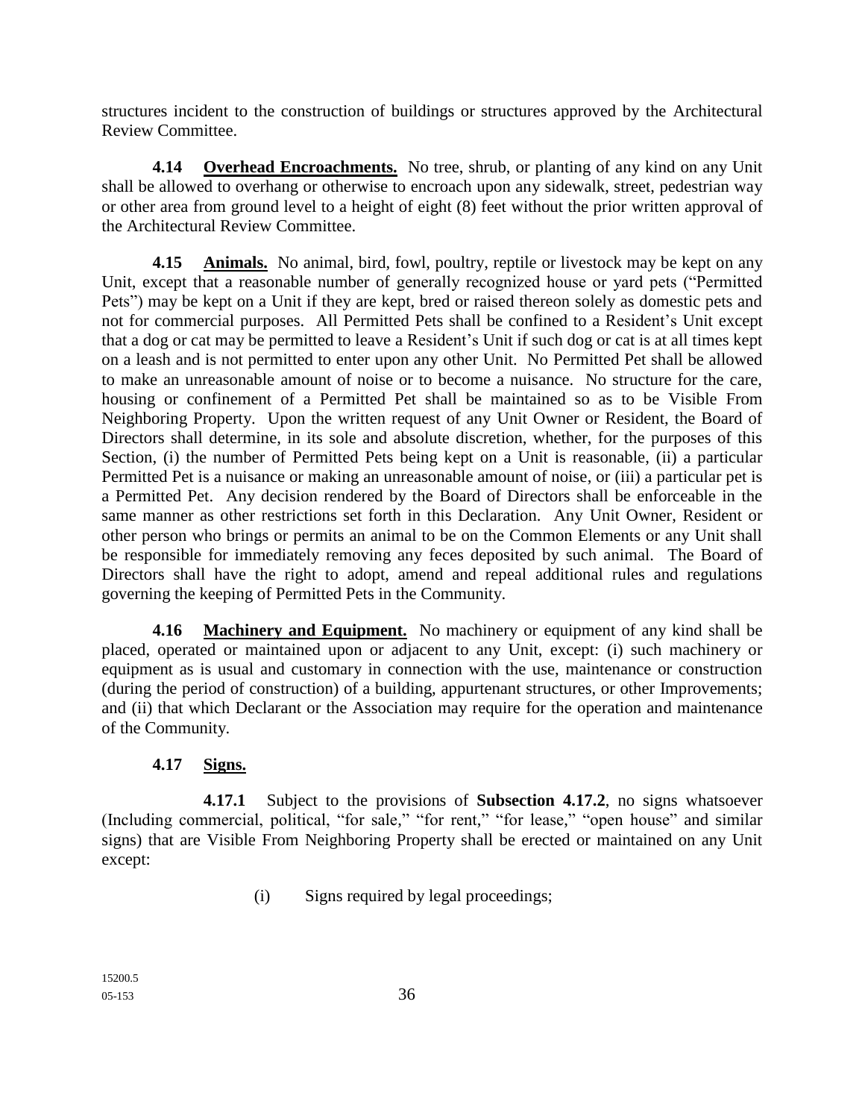structures incident to the construction of buildings or structures approved by the Architectural Review Committee.

**4.14 Overhead Encroachments.** No tree, shrub, or planting of any kind on any Unit shall be allowed to overhang or otherwise to encroach upon any sidewalk, street, pedestrian way or other area from ground level to a height of eight (8) feet without the prior written approval of the Architectural Review Committee.

**4.15 Animals.** No animal, bird, fowl, poultry, reptile or livestock may be kept on any Unit, except that a reasonable number of generally recognized house or yard pets ("Permitted Pets") may be kept on a Unit if they are kept, bred or raised thereon solely as domestic pets and not for commercial purposes. All Permitted Pets shall be confined to a Resident's Unit except that a dog or cat may be permitted to leave a Resident's Unit if such dog or cat is at all times kept on a leash and is not permitted to enter upon any other Unit. No Permitted Pet shall be allowed to make an unreasonable amount of noise or to become a nuisance. No structure for the care, housing or confinement of a Permitted Pet shall be maintained so as to be Visible From Neighboring Property. Upon the written request of any Unit Owner or Resident, the Board of Directors shall determine, in its sole and absolute discretion, whether, for the purposes of this Section, (i) the number of Permitted Pets being kept on a Unit is reasonable, (ii) a particular Permitted Pet is a nuisance or making an unreasonable amount of noise, or (iii) a particular pet is a Permitted Pet. Any decision rendered by the Board of Directors shall be enforceable in the same manner as other restrictions set forth in this Declaration. Any Unit Owner, Resident or other person who brings or permits an animal to be on the Common Elements or any Unit shall be responsible for immediately removing any feces deposited by such animal. The Board of Directors shall have the right to adopt, amend and repeal additional rules and regulations governing the keeping of Permitted Pets in the Community.

**4.16 Machinery and Equipment.** No machinery or equipment of any kind shall be placed, operated or maintained upon or adjacent to any Unit, except: (i) such machinery or equipment as is usual and customary in connection with the use, maintenance or construction (during the period of construction) of a building, appurtenant structures, or other Improvements; and (ii) that which Declarant or the Association may require for the operation and maintenance of the Community.

### **4.17 Signs.**

**4.17.1** Subject to the provisions of **Subsection 4.17.2**, no signs whatsoever (Including commercial, political, "for sale," "for rent," "for lease," "open house" and similar signs) that are Visible From Neighboring Property shall be erected or maintained on any Unit except:

(i) Signs required by legal proceedings;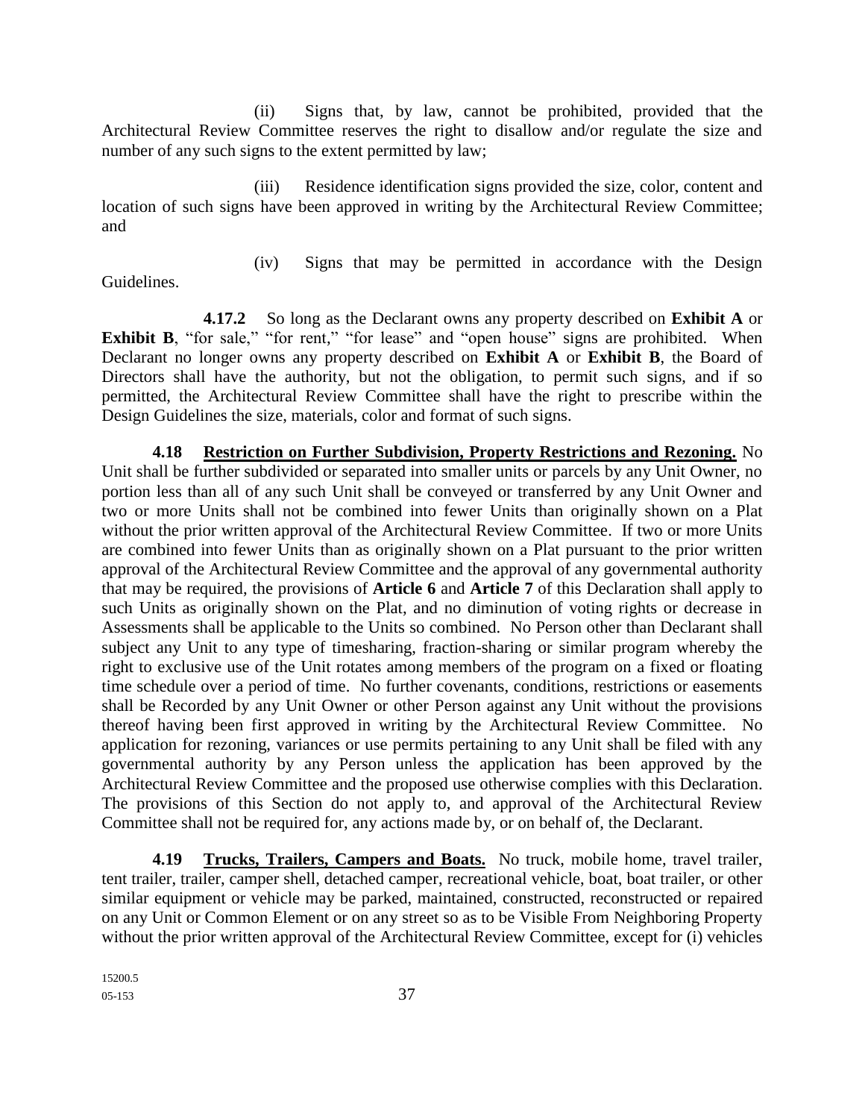(ii) Signs that, by law, cannot be prohibited, provided that the Architectural Review Committee reserves the right to disallow and/or regulate the size and number of any such signs to the extent permitted by law;

(iii) Residence identification signs provided the size, color, content and location of such signs have been approved in writing by the Architectural Review Committee; and

Guidelines.

(iv) Signs that may be permitted in accordance with the Design

**4.17.2** So long as the Declarant owns any property described on **Exhibit A** or **Exhibit B**, "for sale," "for rent," "for lease" and "open house" signs are prohibited. When Declarant no longer owns any property described on **Exhibit A** or **Exhibit B**, the Board of Directors shall have the authority, but not the obligation, to permit such signs, and if so permitted, the Architectural Review Committee shall have the right to prescribe within the Design Guidelines the size, materials, color and format of such signs.

**4.18 Restriction on Further Subdivision, Property Restrictions and Rezoning.** No Unit shall be further subdivided or separated into smaller units or parcels by any Unit Owner, no portion less than all of any such Unit shall be conveyed or transferred by any Unit Owner and two or more Units shall not be combined into fewer Units than originally shown on a Plat without the prior written approval of the Architectural Review Committee. If two or more Units are combined into fewer Units than as originally shown on a Plat pursuant to the prior written approval of the Architectural Review Committee and the approval of any governmental authority that may be required, the provisions of **Article 6** and **Article 7** of this Declaration shall apply to such Units as originally shown on the Plat, and no diminution of voting rights or decrease in Assessments shall be applicable to the Units so combined. No Person other than Declarant shall subject any Unit to any type of timesharing, fraction-sharing or similar program whereby the right to exclusive use of the Unit rotates among members of the program on a fixed or floating time schedule over a period of time. No further covenants, conditions, restrictions or easements shall be Recorded by any Unit Owner or other Person against any Unit without the provisions thereof having been first approved in writing by the Architectural Review Committee. No application for rezoning, variances or use permits pertaining to any Unit shall be filed with any governmental authority by any Person unless the application has been approved by the Architectural Review Committee and the proposed use otherwise complies with this Declaration. The provisions of this Section do not apply to, and approval of the Architectural Review Committee shall not be required for, any actions made by, or on behalf of, the Declarant.

**4.19 Trucks, Trailers, Campers and Boats.** No truck, mobile home, travel trailer, tent trailer, trailer, camper shell, detached camper, recreational vehicle, boat, boat trailer, or other similar equipment or vehicle may be parked, maintained, constructed, reconstructed or repaired on any Unit or Common Element or on any street so as to be Visible From Neighboring Property without the prior written approval of the Architectural Review Committee, except for (i) vehicles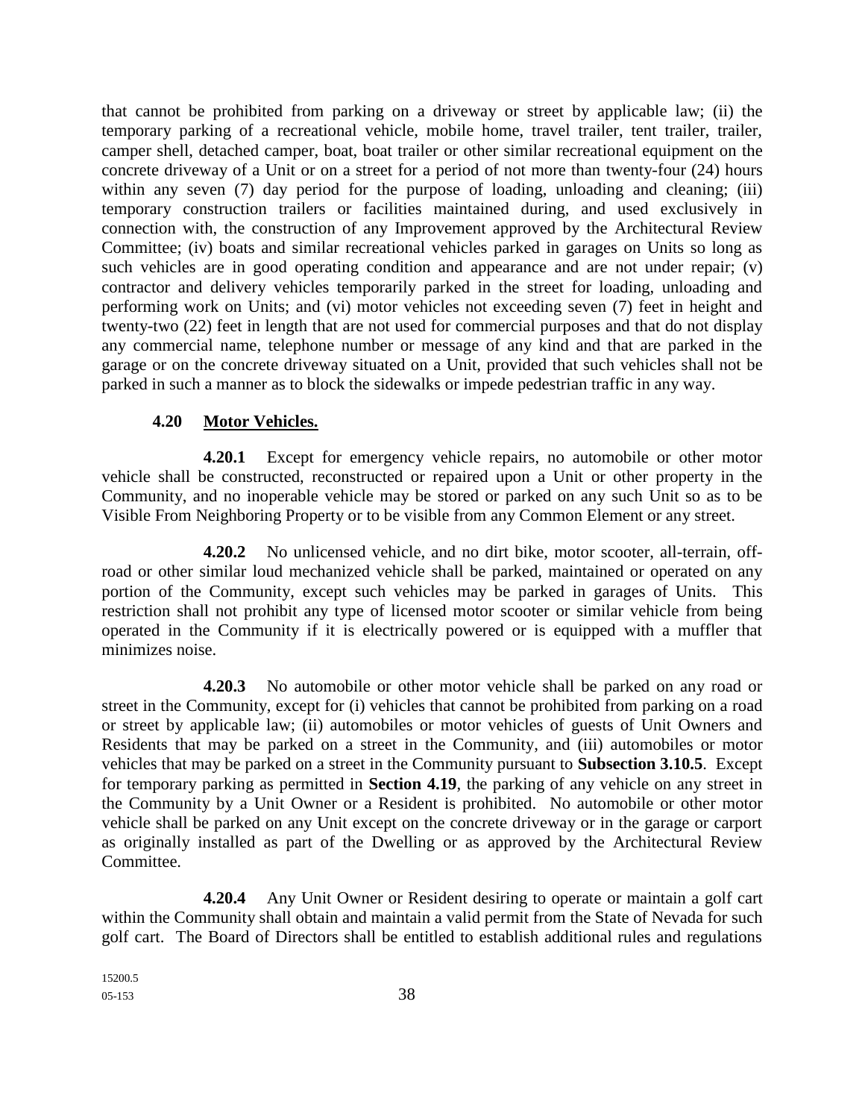that cannot be prohibited from parking on a driveway or street by applicable law; (ii) the temporary parking of a recreational vehicle, mobile home, travel trailer, tent trailer, trailer, camper shell, detached camper, boat, boat trailer or other similar recreational equipment on the concrete driveway of a Unit or on a street for a period of not more than twenty-four (24) hours within any seven (7) day period for the purpose of loading, unloading and cleaning; (iii) temporary construction trailers or facilities maintained during, and used exclusively in connection with, the construction of any Improvement approved by the Architectural Review Committee; (iv) boats and similar recreational vehicles parked in garages on Units so long as such vehicles are in good operating condition and appearance and are not under repair; (v) contractor and delivery vehicles temporarily parked in the street for loading, unloading and performing work on Units; and (vi) motor vehicles not exceeding seven (7) feet in height and twenty-two (22) feet in length that are not used for commercial purposes and that do not display any commercial name, telephone number or message of any kind and that are parked in the garage or on the concrete driveway situated on a Unit, provided that such vehicles shall not be parked in such a manner as to block the sidewalks or impede pedestrian traffic in any way.

### **4.20 Motor Vehicles.**

**4.20.1** Except for emergency vehicle repairs, no automobile or other motor vehicle shall be constructed, reconstructed or repaired upon a Unit or other property in the Community, and no inoperable vehicle may be stored or parked on any such Unit so as to be Visible From Neighboring Property or to be visible from any Common Element or any street.

**4.20.2** No unlicensed vehicle, and no dirt bike, motor scooter, all-terrain, offroad or other similar loud mechanized vehicle shall be parked, maintained or operated on any portion of the Community, except such vehicles may be parked in garages of Units. This restriction shall not prohibit any type of licensed motor scooter or similar vehicle from being operated in the Community if it is electrically powered or is equipped with a muffler that minimizes noise.

**4.20.3** No automobile or other motor vehicle shall be parked on any road or street in the Community, except for (i) vehicles that cannot be prohibited from parking on a road or street by applicable law; (ii) automobiles or motor vehicles of guests of Unit Owners and Residents that may be parked on a street in the Community, and (iii) automobiles or motor vehicles that may be parked on a street in the Community pursuant to **Subsection 3.10.5**. Except for temporary parking as permitted in **Section 4.19**, the parking of any vehicle on any street in the Community by a Unit Owner or a Resident is prohibited. No automobile or other motor vehicle shall be parked on any Unit except on the concrete driveway or in the garage or carport as originally installed as part of the Dwelling or as approved by the Architectural Review Committee.

**4.20.4** Any Unit Owner or Resident desiring to operate or maintain a golf cart within the Community shall obtain and maintain a valid permit from the State of Nevada for such golf cart. The Board of Directors shall be entitled to establish additional rules and regulations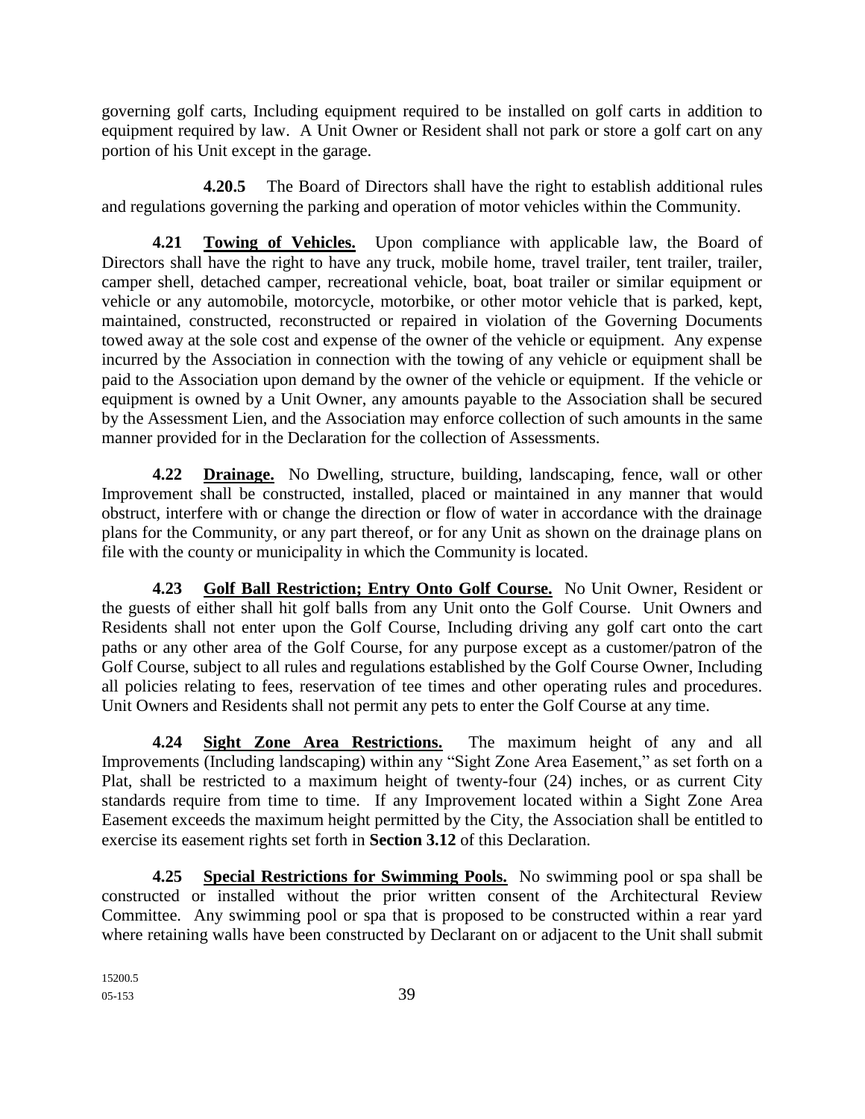governing golf carts, Including equipment required to be installed on golf carts in addition to equipment required by law. A Unit Owner or Resident shall not park or store a golf cart on any portion of his Unit except in the garage.

**4.20.5** The Board of Directors shall have the right to establish additional rules and regulations governing the parking and operation of motor vehicles within the Community.

**4.21 Towing of Vehicles.** Upon compliance with applicable law, the Board of Directors shall have the right to have any truck, mobile home, travel trailer, tent trailer, trailer, camper shell, detached camper, recreational vehicle, boat, boat trailer or similar equipment or vehicle or any automobile, motorcycle, motorbike, or other motor vehicle that is parked, kept, maintained, constructed, reconstructed or repaired in violation of the Governing Documents towed away at the sole cost and expense of the owner of the vehicle or equipment. Any expense incurred by the Association in connection with the towing of any vehicle or equipment shall be paid to the Association upon demand by the owner of the vehicle or equipment. If the vehicle or equipment is owned by a Unit Owner, any amounts payable to the Association shall be secured by the Assessment Lien, and the Association may enforce collection of such amounts in the same manner provided for in the Declaration for the collection of Assessments.

**4.22 Drainage.** No Dwelling, structure, building, landscaping, fence, wall or other Improvement shall be constructed, installed, placed or maintained in any manner that would obstruct, interfere with or change the direction or flow of water in accordance with the drainage plans for the Community, or any part thereof, or for any Unit as shown on the drainage plans on file with the county or municipality in which the Community is located.

**4.23 Golf Ball Restriction; Entry Onto Golf Course.** No Unit Owner, Resident or the guests of either shall hit golf balls from any Unit onto the Golf Course. Unit Owners and Residents shall not enter upon the Golf Course, Including driving any golf cart onto the cart paths or any other area of the Golf Course, for any purpose except as a customer/patron of the Golf Course, subject to all rules and regulations established by the Golf Course Owner, Including all policies relating to fees, reservation of tee times and other operating rules and procedures. Unit Owners and Residents shall not permit any pets to enter the Golf Course at any time.

**4.24 Sight Zone Area Restrictions.** The maximum height of any and all Improvements (Including landscaping) within any "Sight Zone Area Easement," as set forth on a Plat, shall be restricted to a maximum height of twenty-four (24) inches, or as current City standards require from time to time. If any Improvement located within a Sight Zone Area Easement exceeds the maximum height permitted by the City, the Association shall be entitled to exercise its easement rights set forth in **Section 3.12** of this Declaration.

**4.25 Special Restrictions for Swimming Pools.** No swimming pool or spa shall be constructed or installed without the prior written consent of the Architectural Review Committee. Any swimming pool or spa that is proposed to be constructed within a rear yard where retaining walls have been constructed by Declarant on or adjacent to the Unit shall submit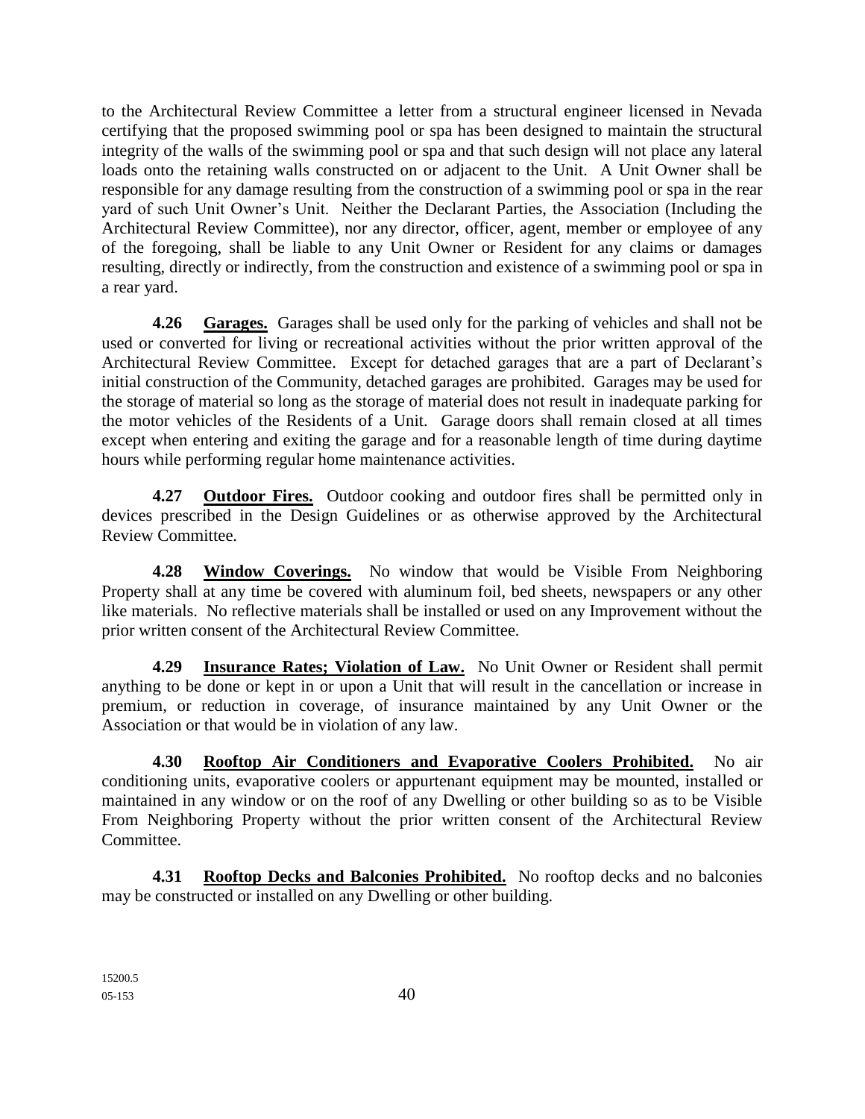to the Architectural Review Committee a letter from a structural engineer licensed in Nevada certifying that the proposed swimming pool or spa has been designed to maintain the structural integrity of the walls of the swimming pool or spa and that such design will not place any lateral loads onto the retaining walls constructed on or adjacent to the Unit. A Unit Owner shall be responsible for any damage resulting from the construction of a swimming pool or spa in the rear yard of such Unit Owner's Unit. Neither the Declarant Parties, the Association (Including the Architectural Review Committee), nor any director, officer, agent, member or employee of any of the foregoing, shall be liable to any Unit Owner or Resident for any claims or damages resulting, directly or indirectly, from the construction and existence of a swimming pool or spa in a rear yard.

**4.26 Garages.** Garages shall be used only for the parking of vehicles and shall not be used or converted for living or recreational activities without the prior written approval of the Architectural Review Committee. Except for detached garages that are a part of Declarant's initial construction of the Community, detached garages are prohibited. Garages may be used for the storage of material so long as the storage of material does not result in inadequate parking for the motor vehicles of the Residents of a Unit. Garage doors shall remain closed at all times except when entering and exiting the garage and for a reasonable length of time during daytime hours while performing regular home maintenance activities.

**4.27 Outdoor Fires.** Outdoor cooking and outdoor fires shall be permitted only in devices prescribed in the Design Guidelines or as otherwise approved by the Architectural Review Committee.

**4.28 Window Coverings.** No window that would be Visible From Neighboring Property shall at any time be covered with aluminum foil, bed sheets, newspapers or any other like materials. No reflective materials shall be installed or used on any Improvement without the prior written consent of the Architectural Review Committee.

**4.29 Insurance Rates; Violation of Law.** No Unit Owner or Resident shall permit anything to be done or kept in or upon a Unit that will result in the cancellation or increase in premium, or reduction in coverage, of insurance maintained by any Unit Owner or the Association or that would be in violation of any law.

**4.30 Rooftop Air Conditioners and Evaporative Coolers Prohibited.** No air conditioning units, evaporative coolers or appurtenant equipment may be mounted, installed or maintained in any window or on the roof of any Dwelling or other building so as to be Visible From Neighboring Property without the prior written consent of the Architectural Review Committee.

**4.31 Rooftop Decks and Balconies Prohibited.** No rooftop decks and no balconies may be constructed or installed on any Dwelling or other building.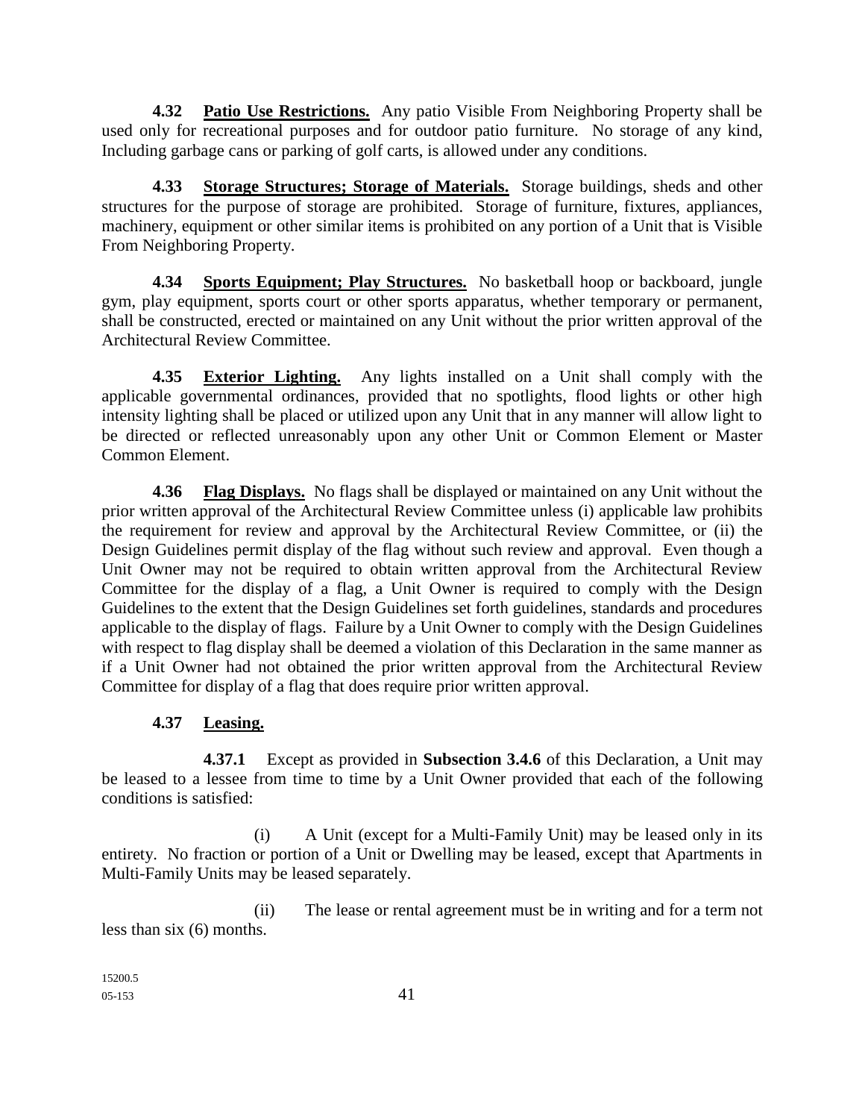**4.32 Patio Use Restrictions.** Any patio Visible From Neighboring Property shall be used only for recreational purposes and for outdoor patio furniture. No storage of any kind, Including garbage cans or parking of golf carts, is allowed under any conditions.

**4.33 Storage Structures; Storage of Materials.** Storage buildings, sheds and other structures for the purpose of storage are prohibited. Storage of furniture, fixtures, appliances, machinery, equipment or other similar items is prohibited on any portion of a Unit that is Visible From Neighboring Property.

**4.34 Sports Equipment; Play Structures.** No basketball hoop or backboard, jungle gym, play equipment, sports court or other sports apparatus, whether temporary or permanent, shall be constructed, erected or maintained on any Unit without the prior written approval of the Architectural Review Committee.

**4.35 Exterior Lighting.** Any lights installed on a Unit shall comply with the applicable governmental ordinances, provided that no spotlights, flood lights or other high intensity lighting shall be placed or utilized upon any Unit that in any manner will allow light to be directed or reflected unreasonably upon any other Unit or Common Element or Master Common Element.

**4.36 Flag Displays.** No flags shall be displayed or maintained on any Unit without the prior written approval of the Architectural Review Committee unless (i) applicable law prohibits the requirement for review and approval by the Architectural Review Committee, or (ii) the Design Guidelines permit display of the flag without such review and approval. Even though a Unit Owner may not be required to obtain written approval from the Architectural Review Committee for the display of a flag, a Unit Owner is required to comply with the Design Guidelines to the extent that the Design Guidelines set forth guidelines, standards and procedures applicable to the display of flags. Failure by a Unit Owner to comply with the Design Guidelines with respect to flag display shall be deemed a violation of this Declaration in the same manner as if a Unit Owner had not obtained the prior written approval from the Architectural Review Committee for display of a flag that does require prior written approval.

## **4.37 Leasing.**

**4.37.1** Except as provided in **Subsection 3.4.6** of this Declaration, a Unit may be leased to a lessee from time to time by a Unit Owner provided that each of the following conditions is satisfied:

(i) A Unit (except for a Multi-Family Unit) may be leased only in its entirety. No fraction or portion of a Unit or Dwelling may be leased, except that Apartments in Multi-Family Units may be leased separately.

(ii) The lease or rental agreement must be in writing and for a term not less than six (6) months.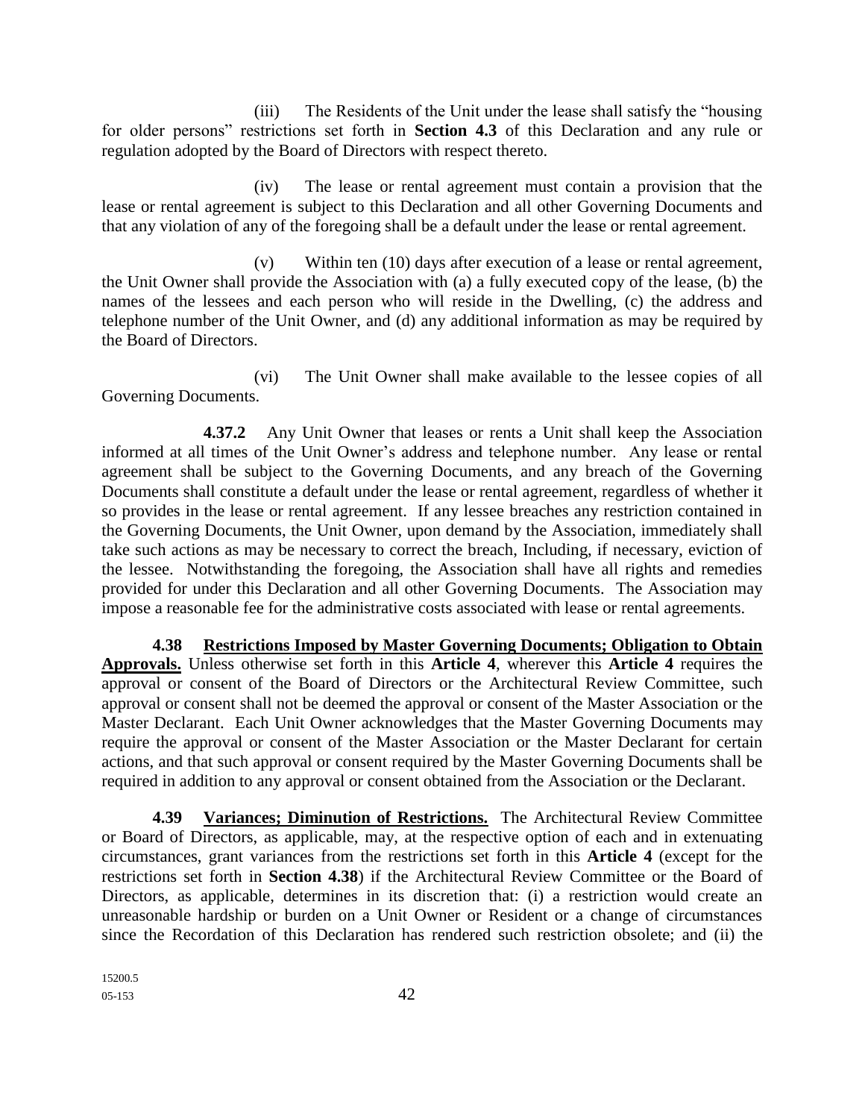(iii) The Residents of the Unit under the lease shall satisfy the "housing for older persons" restrictions set forth in **Section 4.3** of this Declaration and any rule or regulation adopted by the Board of Directors with respect thereto.

(iv) The lease or rental agreement must contain a provision that the lease or rental agreement is subject to this Declaration and all other Governing Documents and that any violation of any of the foregoing shall be a default under the lease or rental agreement.

(v) Within ten (10) days after execution of a lease or rental agreement, the Unit Owner shall provide the Association with (a) a fully executed copy of the lease, (b) the names of the lessees and each person who will reside in the Dwelling, (c) the address and telephone number of the Unit Owner, and (d) any additional information as may be required by the Board of Directors.

(vi) The Unit Owner shall make available to the lessee copies of all Governing Documents.

**4.37.2** Any Unit Owner that leases or rents a Unit shall keep the Association informed at all times of the Unit Owner's address and telephone number. Any lease or rental agreement shall be subject to the Governing Documents, and any breach of the Governing Documents shall constitute a default under the lease or rental agreement, regardless of whether it so provides in the lease or rental agreement. If any lessee breaches any restriction contained in the Governing Documents, the Unit Owner, upon demand by the Association, immediately shall take such actions as may be necessary to correct the breach, Including, if necessary, eviction of the lessee. Notwithstanding the foregoing, the Association shall have all rights and remedies provided for under this Declaration and all other Governing Documents. The Association may impose a reasonable fee for the administrative costs associated with lease or rental agreements.

**4.38 Restrictions Imposed by Master Governing Documents; Obligation to Obtain Approvals.** Unless otherwise set forth in this **Article 4**, wherever this **Article 4** requires the approval or consent of the Board of Directors or the Architectural Review Committee, such approval or consent shall not be deemed the approval or consent of the Master Association or the Master Declarant. Each Unit Owner acknowledges that the Master Governing Documents may require the approval or consent of the Master Association or the Master Declarant for certain actions, and that such approval or consent required by the Master Governing Documents shall be required in addition to any approval or consent obtained from the Association or the Declarant.

**4.39 Variances; Diminution of Restrictions.** The Architectural Review Committee or Board of Directors, as applicable, may, at the respective option of each and in extenuating circumstances, grant variances from the restrictions set forth in this **Article 4** (except for the restrictions set forth in **Section 4.38**) if the Architectural Review Committee or the Board of Directors, as applicable, determines in its discretion that: (i) a restriction would create an unreasonable hardship or burden on a Unit Owner or Resident or a change of circumstances since the Recordation of this Declaration has rendered such restriction obsolete; and (ii) the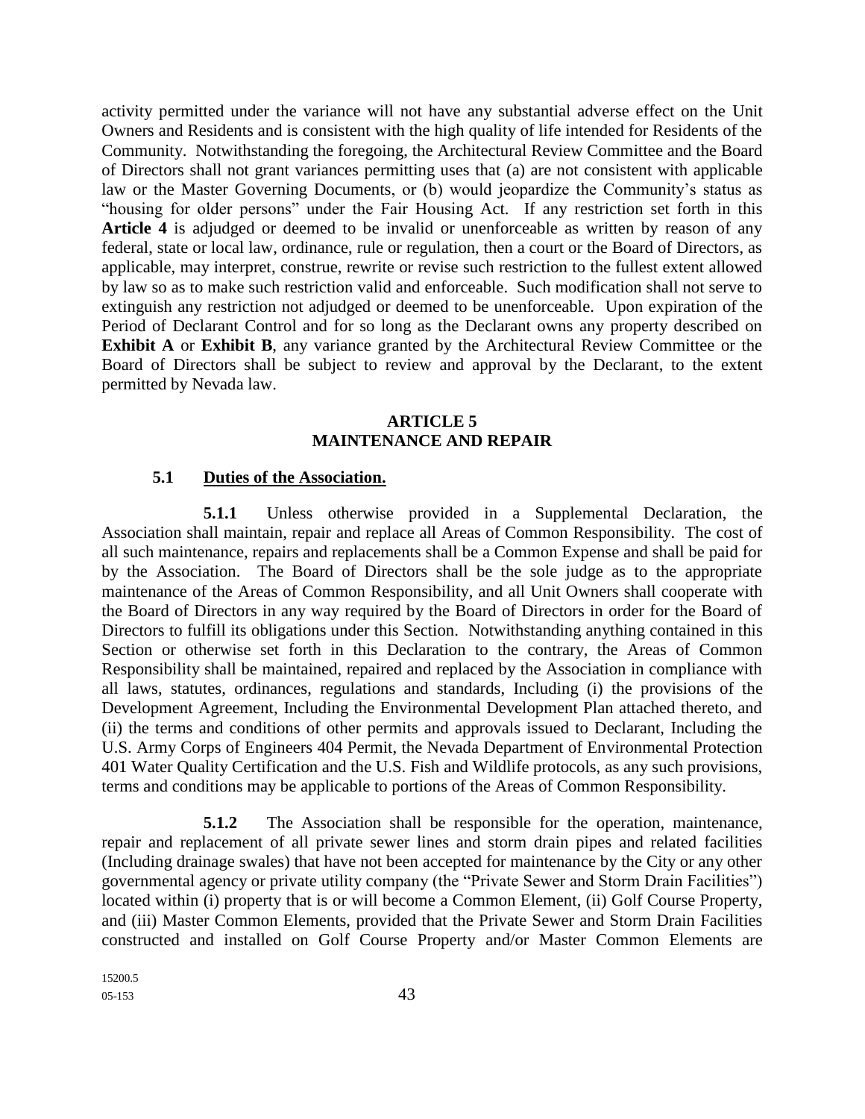activity permitted under the variance will not have any substantial adverse effect on the Unit Owners and Residents and is consistent with the high quality of life intended for Residents of the Community. Notwithstanding the foregoing, the Architectural Review Committee and the Board of Directors shall not grant variances permitting uses that (a) are not consistent with applicable law or the Master Governing Documents, or (b) would jeopardize the Community's status as "housing for older persons" under the Fair Housing Act. If any restriction set forth in this **Article 4** is adjudged or deemed to be invalid or unenforceable as written by reason of any federal, state or local law, ordinance, rule or regulation, then a court or the Board of Directors, as applicable, may interpret, construe, rewrite or revise such restriction to the fullest extent allowed by law so as to make such restriction valid and enforceable. Such modification shall not serve to extinguish any restriction not adjudged or deemed to be unenforceable. Upon expiration of the Period of Declarant Control and for so long as the Declarant owns any property described on **Exhibit A** or **Exhibit B**, any variance granted by the Architectural Review Committee or the Board of Directors shall be subject to review and approval by the Declarant, to the extent permitted by Nevada law.

#### **ARTICLE 5 MAINTENANCE AND REPAIR**

#### **5.1 Duties of the Association.**

**5.1.1** Unless otherwise provided in a Supplemental Declaration, the Association shall maintain, repair and replace all Areas of Common Responsibility. The cost of all such maintenance, repairs and replacements shall be a Common Expense and shall be paid for by the Association. The Board of Directors shall be the sole judge as to the appropriate maintenance of the Areas of Common Responsibility, and all Unit Owners shall cooperate with the Board of Directors in any way required by the Board of Directors in order for the Board of Directors to fulfill its obligations under this Section. Notwithstanding anything contained in this Section or otherwise set forth in this Declaration to the contrary, the Areas of Common Responsibility shall be maintained, repaired and replaced by the Association in compliance with all laws, statutes, ordinances, regulations and standards, Including (i) the provisions of the Development Agreement, Including the Environmental Development Plan attached thereto, and (ii) the terms and conditions of other permits and approvals issued to Declarant, Including the U.S. Army Corps of Engineers 404 Permit, the Nevada Department of Environmental Protection 401 Water Quality Certification and the U.S. Fish and Wildlife protocols, as any such provisions, terms and conditions may be applicable to portions of the Areas of Common Responsibility.

**5.1.2** The Association shall be responsible for the operation, maintenance, repair and replacement of all private sewer lines and storm drain pipes and related facilities (Including drainage swales) that have not been accepted for maintenance by the City or any other governmental agency or private utility company (the "Private Sewer and Storm Drain Facilities") located within (i) property that is or will become a Common Element, (ii) Golf Course Property, and (iii) Master Common Elements, provided that the Private Sewer and Storm Drain Facilities constructed and installed on Golf Course Property and/or Master Common Elements are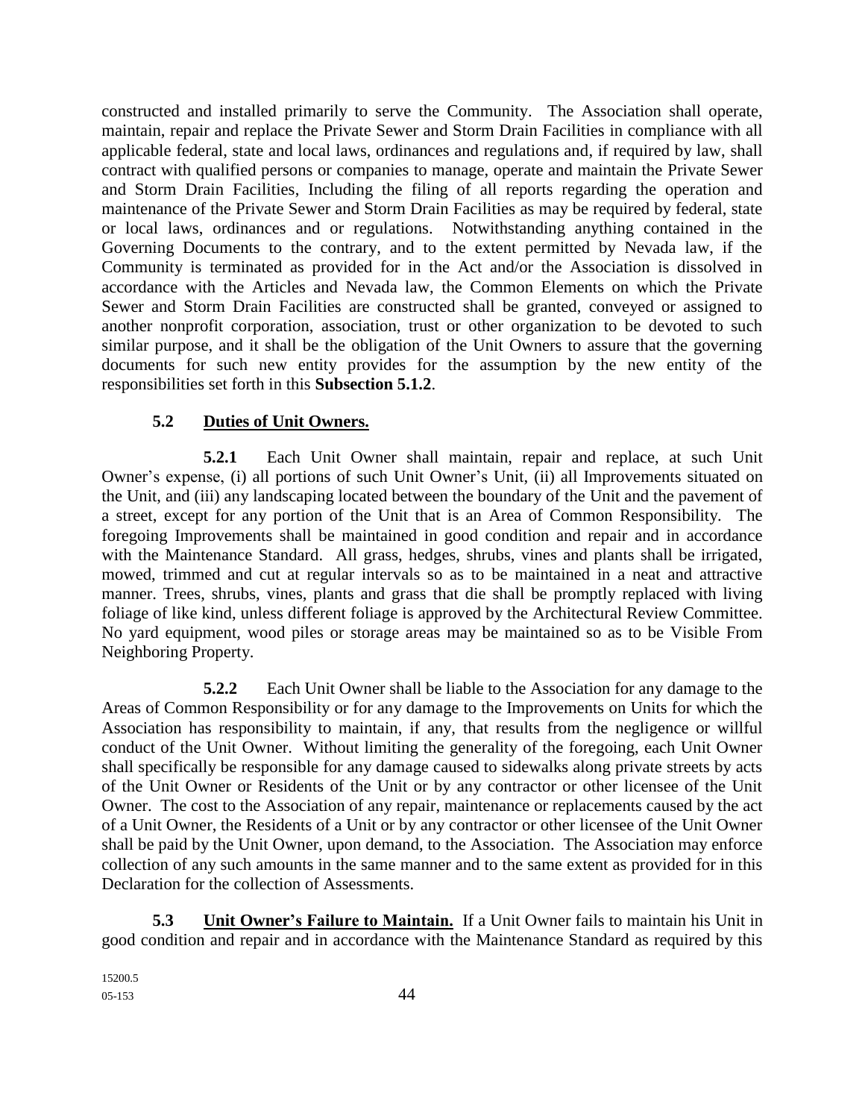constructed and installed primarily to serve the Community. The Association shall operate, maintain, repair and replace the Private Sewer and Storm Drain Facilities in compliance with all applicable federal, state and local laws, ordinances and regulations and, if required by law, shall contract with qualified persons or companies to manage, operate and maintain the Private Sewer and Storm Drain Facilities, Including the filing of all reports regarding the operation and maintenance of the Private Sewer and Storm Drain Facilities as may be required by federal, state or local laws, ordinances and or regulations. Notwithstanding anything contained in the Governing Documents to the contrary, and to the extent permitted by Nevada law, if the Community is terminated as provided for in the Act and/or the Association is dissolved in accordance with the Articles and Nevada law, the Common Elements on which the Private Sewer and Storm Drain Facilities are constructed shall be granted, conveyed or assigned to another nonprofit corporation, association, trust or other organization to be devoted to such similar purpose, and it shall be the obligation of the Unit Owners to assure that the governing documents for such new entity provides for the assumption by the new entity of the responsibilities set forth in this **Subsection 5.1.2**.

## **5.2 Duties of Unit Owners.**

**5.2.1** Each Unit Owner shall maintain, repair and replace, at such Unit Owner's expense, (i) all portions of such Unit Owner's Unit, (ii) all Improvements situated on the Unit, and (iii) any landscaping located between the boundary of the Unit and the pavement of a street, except for any portion of the Unit that is an Area of Common Responsibility. The foregoing Improvements shall be maintained in good condition and repair and in accordance with the Maintenance Standard. All grass, hedges, shrubs, vines and plants shall be irrigated, mowed, trimmed and cut at regular intervals so as to be maintained in a neat and attractive manner. Trees, shrubs, vines, plants and grass that die shall be promptly replaced with living foliage of like kind, unless different foliage is approved by the Architectural Review Committee. No yard equipment, wood piles or storage areas may be maintained so as to be Visible From Neighboring Property.

**5.2.2** Each Unit Owner shall be liable to the Association for any damage to the Areas of Common Responsibility or for any damage to the Improvements on Units for which the Association has responsibility to maintain, if any, that results from the negligence or willful conduct of the Unit Owner. Without limiting the generality of the foregoing, each Unit Owner shall specifically be responsible for any damage caused to sidewalks along private streets by acts of the Unit Owner or Residents of the Unit or by any contractor or other licensee of the Unit Owner. The cost to the Association of any repair, maintenance or replacements caused by the act of a Unit Owner, the Residents of a Unit or by any contractor or other licensee of the Unit Owner shall be paid by the Unit Owner, upon demand, to the Association. The Association may enforce collection of any such amounts in the same manner and to the same extent as provided for in this Declaration for the collection of Assessments.

**5.3 Unit Owner's Failure to Maintain.** If a Unit Owner fails to maintain his Unit in good condition and repair and in accordance with the Maintenance Standard as required by this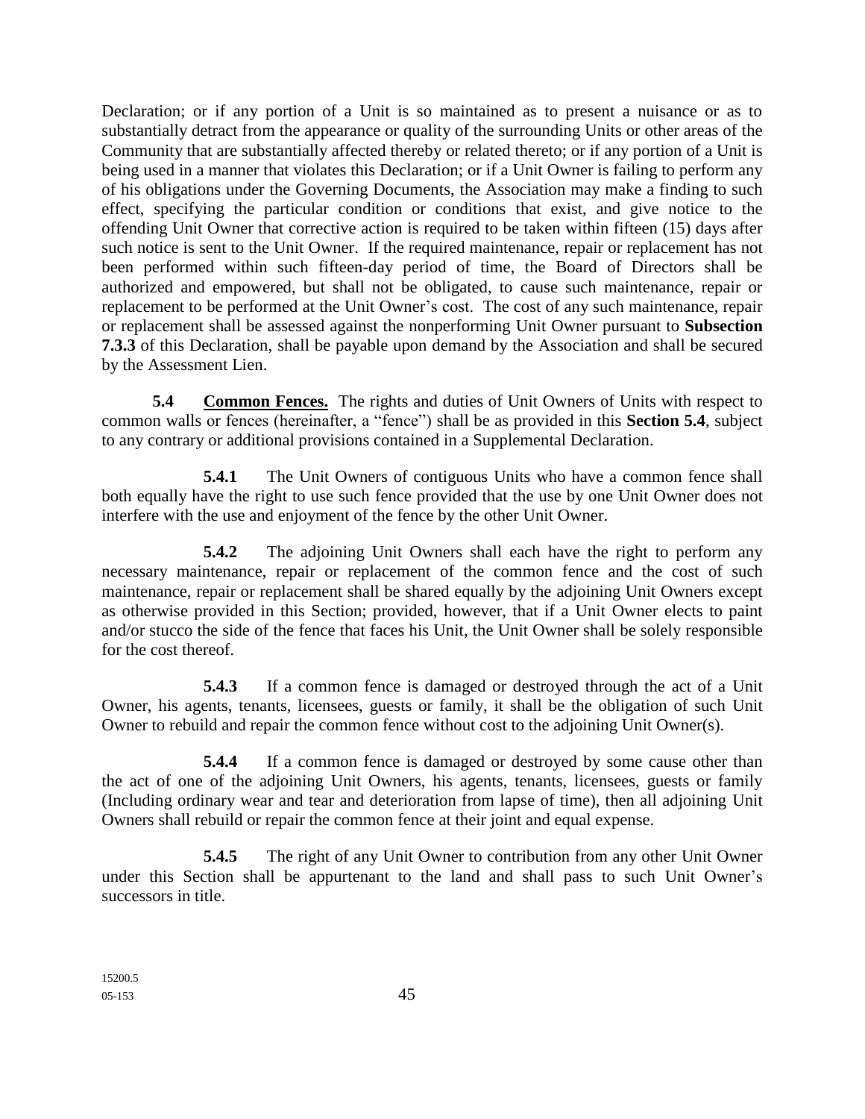Declaration; or if any portion of a Unit is so maintained as to present a nuisance or as to substantially detract from the appearance or quality of the surrounding Units or other areas of the Community that are substantially affected thereby or related thereto; or if any portion of a Unit is being used in a manner that violates this Declaration; or if a Unit Owner is failing to perform any of his obligations under the Governing Documents, the Association may make a finding to such effect, specifying the particular condition or conditions that exist, and give notice to the offending Unit Owner that corrective action is required to be taken within fifteen (15) days after such notice is sent to the Unit Owner. If the required maintenance, repair or replacement has not been performed within such fifteen-day period of time, the Board of Directors shall be authorized and empowered, but shall not be obligated, to cause such maintenance, repair or replacement to be performed at the Unit Owner's cost. The cost of any such maintenance, repair or replacement shall be assessed against the nonperforming Unit Owner pursuant to **Subsection 7.3.3** of this Declaration, shall be payable upon demand by the Association and shall be secured by the Assessment Lien.

**5.4 Common Fences.** The rights and duties of Unit Owners of Units with respect to common walls or fences (hereinafter, a "fence") shall be as provided in this **Section 5.4**, subject to any contrary or additional provisions contained in a Supplemental Declaration.

**5.4.1** The Unit Owners of contiguous Units who have a common fence shall both equally have the right to use such fence provided that the use by one Unit Owner does not interfere with the use and enjoyment of the fence by the other Unit Owner.

**5.4.2** The adjoining Unit Owners shall each have the right to perform any necessary maintenance, repair or replacement of the common fence and the cost of such maintenance, repair or replacement shall be shared equally by the adjoining Unit Owners except as otherwise provided in this Section; provided, however, that if a Unit Owner elects to paint and/or stucco the side of the fence that faces his Unit, the Unit Owner shall be solely responsible for the cost thereof.

**5.4.3** If a common fence is damaged or destroyed through the act of a Unit Owner, his agents, tenants, licensees, guests or family, it shall be the obligation of such Unit Owner to rebuild and repair the common fence without cost to the adjoining Unit Owner(s).

**5.4.4** If a common fence is damaged or destroyed by some cause other than the act of one of the adjoining Unit Owners, his agents, tenants, licensees, guests or family (Including ordinary wear and tear and deterioration from lapse of time), then all adjoining Unit Owners shall rebuild or repair the common fence at their joint and equal expense.

**5.4.5** The right of any Unit Owner to contribution from any other Unit Owner under this Section shall be appurtenant to the land and shall pass to such Unit Owner's successors in title.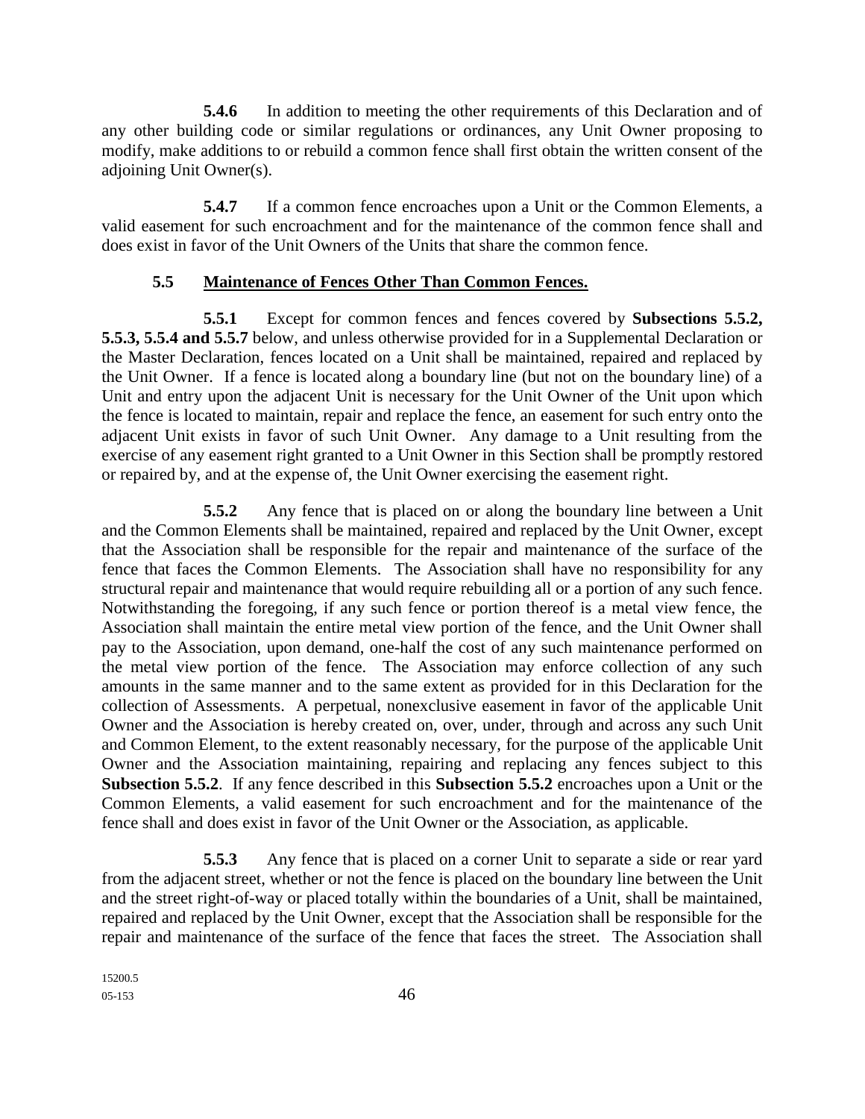**5.4.6** In addition to meeting the other requirements of this Declaration and of any other building code or similar regulations or ordinances, any Unit Owner proposing to modify, make additions to or rebuild a common fence shall first obtain the written consent of the adjoining Unit Owner(s).

**5.4.7** If a common fence encroaches upon a Unit or the Common Elements, a valid easement for such encroachment and for the maintenance of the common fence shall and does exist in favor of the Unit Owners of the Units that share the common fence.

#### **5.5 Maintenance of Fences Other Than Common Fences.**

**5.5.1** Except for common fences and fences covered by **Subsections 5.5.2, 5.5.3, 5.5.4 and 5.5.7** below, and unless otherwise provided for in a Supplemental Declaration or the Master Declaration, fences located on a Unit shall be maintained, repaired and replaced by the Unit Owner. If a fence is located along a boundary line (but not on the boundary line) of a Unit and entry upon the adjacent Unit is necessary for the Unit Owner of the Unit upon which the fence is located to maintain, repair and replace the fence, an easement for such entry onto the adjacent Unit exists in favor of such Unit Owner. Any damage to a Unit resulting from the exercise of any easement right granted to a Unit Owner in this Section shall be promptly restored or repaired by, and at the expense of, the Unit Owner exercising the easement right.

**5.5.2** Any fence that is placed on or along the boundary line between a Unit and the Common Elements shall be maintained, repaired and replaced by the Unit Owner, except that the Association shall be responsible for the repair and maintenance of the surface of the fence that faces the Common Elements. The Association shall have no responsibility for any structural repair and maintenance that would require rebuilding all or a portion of any such fence. Notwithstanding the foregoing, if any such fence or portion thereof is a metal view fence, the Association shall maintain the entire metal view portion of the fence, and the Unit Owner shall pay to the Association, upon demand, one-half the cost of any such maintenance performed on the metal view portion of the fence. The Association may enforce collection of any such amounts in the same manner and to the same extent as provided for in this Declaration for the collection of Assessments. A perpetual, nonexclusive easement in favor of the applicable Unit Owner and the Association is hereby created on, over, under, through and across any such Unit and Common Element, to the extent reasonably necessary, for the purpose of the applicable Unit Owner and the Association maintaining, repairing and replacing any fences subject to this **Subsection 5.5.2**. If any fence described in this **Subsection 5.5.2** encroaches upon a Unit or the Common Elements, a valid easement for such encroachment and for the maintenance of the fence shall and does exist in favor of the Unit Owner or the Association, as applicable.

**5.5.3** Any fence that is placed on a corner Unit to separate a side or rear yard from the adjacent street, whether or not the fence is placed on the boundary line between the Unit and the street right-of-way or placed totally within the boundaries of a Unit, shall be maintained, repaired and replaced by the Unit Owner, except that the Association shall be responsible for the repair and maintenance of the surface of the fence that faces the street. The Association shall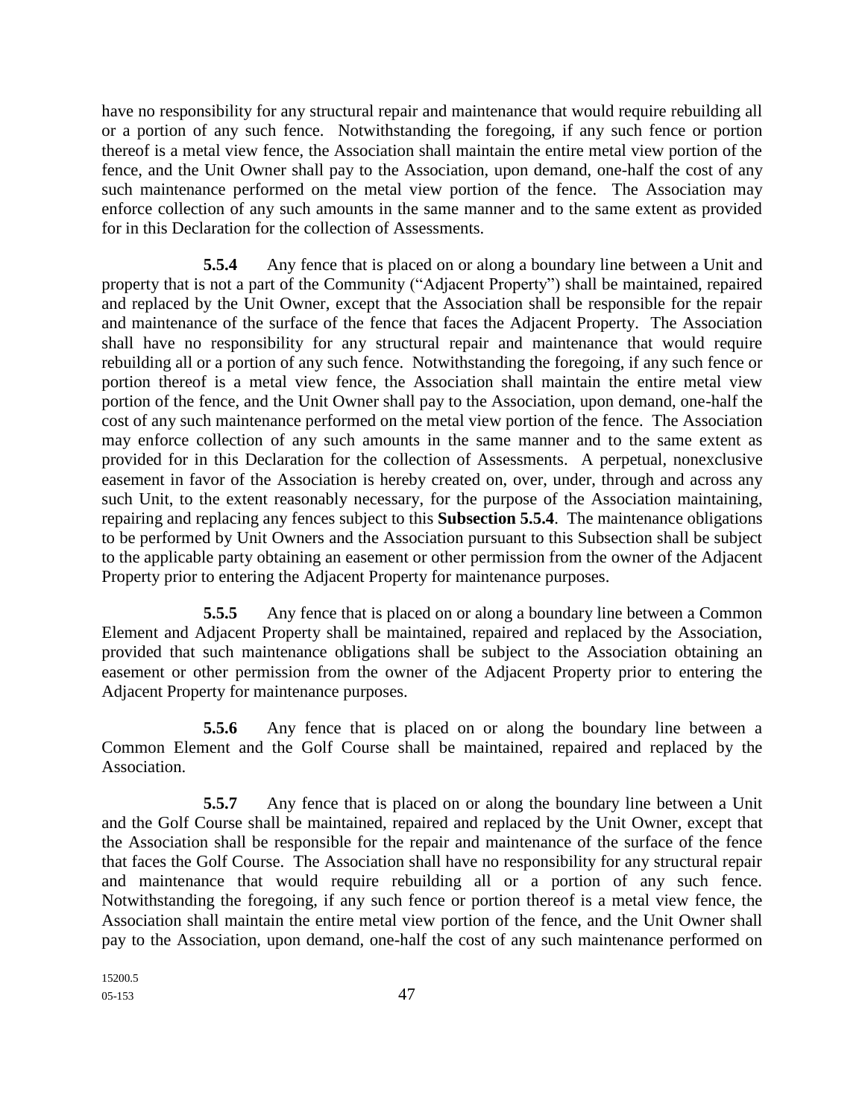have no responsibility for any structural repair and maintenance that would require rebuilding all or a portion of any such fence. Notwithstanding the foregoing, if any such fence or portion thereof is a metal view fence, the Association shall maintain the entire metal view portion of the fence, and the Unit Owner shall pay to the Association, upon demand, one-half the cost of any such maintenance performed on the metal view portion of the fence. The Association may enforce collection of any such amounts in the same manner and to the same extent as provided for in this Declaration for the collection of Assessments.

**5.5.4** Any fence that is placed on or along a boundary line between a Unit and property that is not a part of the Community ("Adjacent Property") shall be maintained, repaired and replaced by the Unit Owner, except that the Association shall be responsible for the repair and maintenance of the surface of the fence that faces the Adjacent Property. The Association shall have no responsibility for any structural repair and maintenance that would require rebuilding all or a portion of any such fence. Notwithstanding the foregoing, if any such fence or portion thereof is a metal view fence, the Association shall maintain the entire metal view portion of the fence, and the Unit Owner shall pay to the Association, upon demand, one-half the cost of any such maintenance performed on the metal view portion of the fence. The Association may enforce collection of any such amounts in the same manner and to the same extent as provided for in this Declaration for the collection of Assessments. A perpetual, nonexclusive easement in favor of the Association is hereby created on, over, under, through and across any such Unit, to the extent reasonably necessary, for the purpose of the Association maintaining, repairing and replacing any fences subject to this **Subsection 5.5.4**.The maintenance obligations to be performed by Unit Owners and the Association pursuant to this Subsection shall be subject to the applicable party obtaining an easement or other permission from the owner of the Adjacent Property prior to entering the Adjacent Property for maintenance purposes.

**5.5.5** Any fence that is placed on or along a boundary line between a Common Element and Adjacent Property shall be maintained, repaired and replaced by the Association, provided that such maintenance obligations shall be subject to the Association obtaining an easement or other permission from the owner of the Adjacent Property prior to entering the Adjacent Property for maintenance purposes.

**5.5.6** Any fence that is placed on or along the boundary line between a Common Element and the Golf Course shall be maintained, repaired and replaced by the Association.

**5.5.7** Any fence that is placed on or along the boundary line between a Unit and the Golf Course shall be maintained, repaired and replaced by the Unit Owner, except that the Association shall be responsible for the repair and maintenance of the surface of the fence that faces the Golf Course. The Association shall have no responsibility for any structural repair and maintenance that would require rebuilding all or a portion of any such fence. Notwithstanding the foregoing, if any such fence or portion thereof is a metal view fence, the Association shall maintain the entire metal view portion of the fence, and the Unit Owner shall pay to the Association, upon demand, one-half the cost of any such maintenance performed on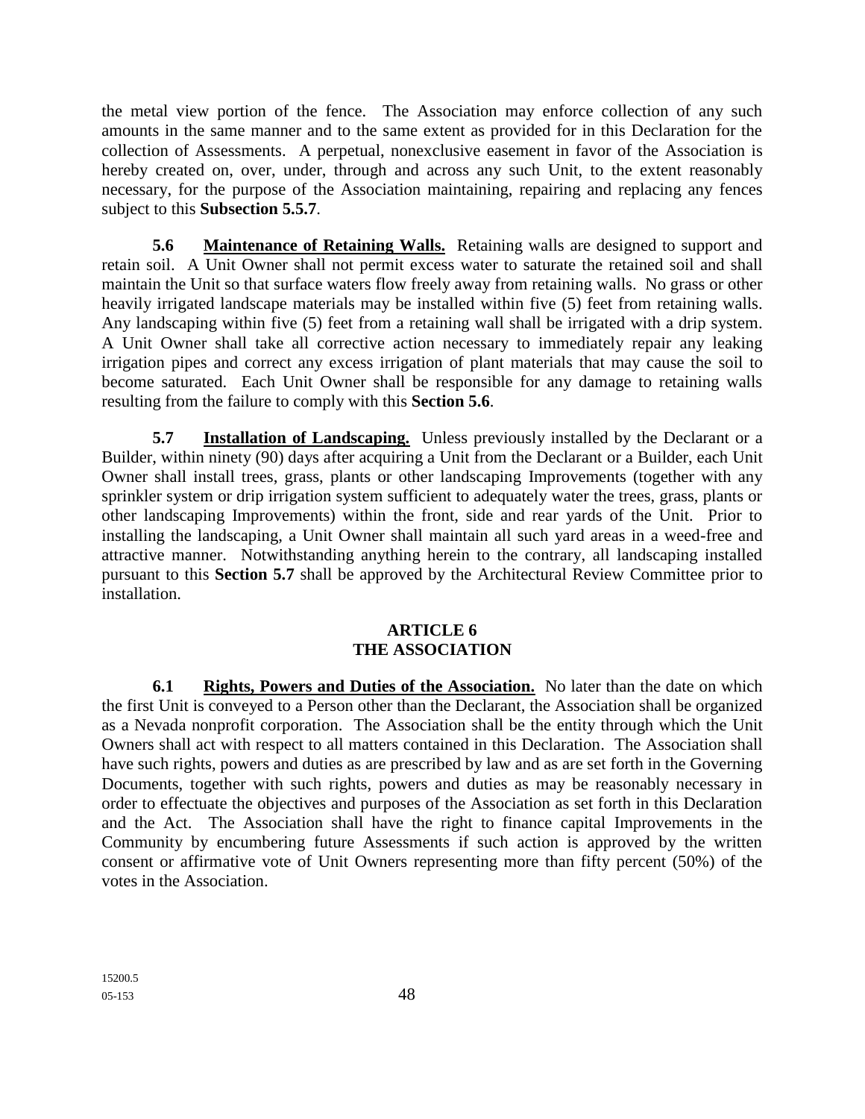the metal view portion of the fence. The Association may enforce collection of any such amounts in the same manner and to the same extent as provided for in this Declaration for the collection of Assessments. A perpetual, nonexclusive easement in favor of the Association is hereby created on, over, under, through and across any such Unit, to the extent reasonably necessary, for the purpose of the Association maintaining, repairing and replacing any fences subject to this **Subsection 5.5.7**.

**5.6 Maintenance of Retaining Walls.** Retaining walls are designed to support and retain soil. A Unit Owner shall not permit excess water to saturate the retained soil and shall maintain the Unit so that surface waters flow freely away from retaining walls. No grass or other heavily irrigated landscape materials may be installed within five (5) feet from retaining walls. Any landscaping within five (5) feet from a retaining wall shall be irrigated with a drip system. A Unit Owner shall take all corrective action necessary to immediately repair any leaking irrigation pipes and correct any excess irrigation of plant materials that may cause the soil to become saturated. Each Unit Owner shall be responsible for any damage to retaining walls resulting from the failure to comply with this **Section 5.6**.

**5.7 Installation of Landscaping.** Unless previously installed by the Declarant or a Builder, within ninety (90) days after acquiring a Unit from the Declarant or a Builder, each Unit Owner shall install trees, grass, plants or other landscaping Improvements (together with any sprinkler system or drip irrigation system sufficient to adequately water the trees, grass, plants or other landscaping Improvements) within the front, side and rear yards of the Unit. Prior to installing the landscaping, a Unit Owner shall maintain all such yard areas in a weed-free and attractive manner. Notwithstanding anything herein to the contrary, all landscaping installed pursuant to this **Section 5.7** shall be approved by the Architectural Review Committee prior to installation.

### **ARTICLE 6 THE ASSOCIATION**

**6.1 Rights, Powers and Duties of the Association.** No later than the date on which the first Unit is conveyed to a Person other than the Declarant, the Association shall be organized as a Nevada nonprofit corporation. The Association shall be the entity through which the Unit Owners shall act with respect to all matters contained in this Declaration. The Association shall have such rights, powers and duties as are prescribed by law and as are set forth in the Governing Documents, together with such rights, powers and duties as may be reasonably necessary in order to effectuate the objectives and purposes of the Association as set forth in this Declaration and the Act. The Association shall have the right to finance capital Improvements in the Community by encumbering future Assessments if such action is approved by the written consent or affirmative vote of Unit Owners representing more than fifty percent (50%) of the votes in the Association.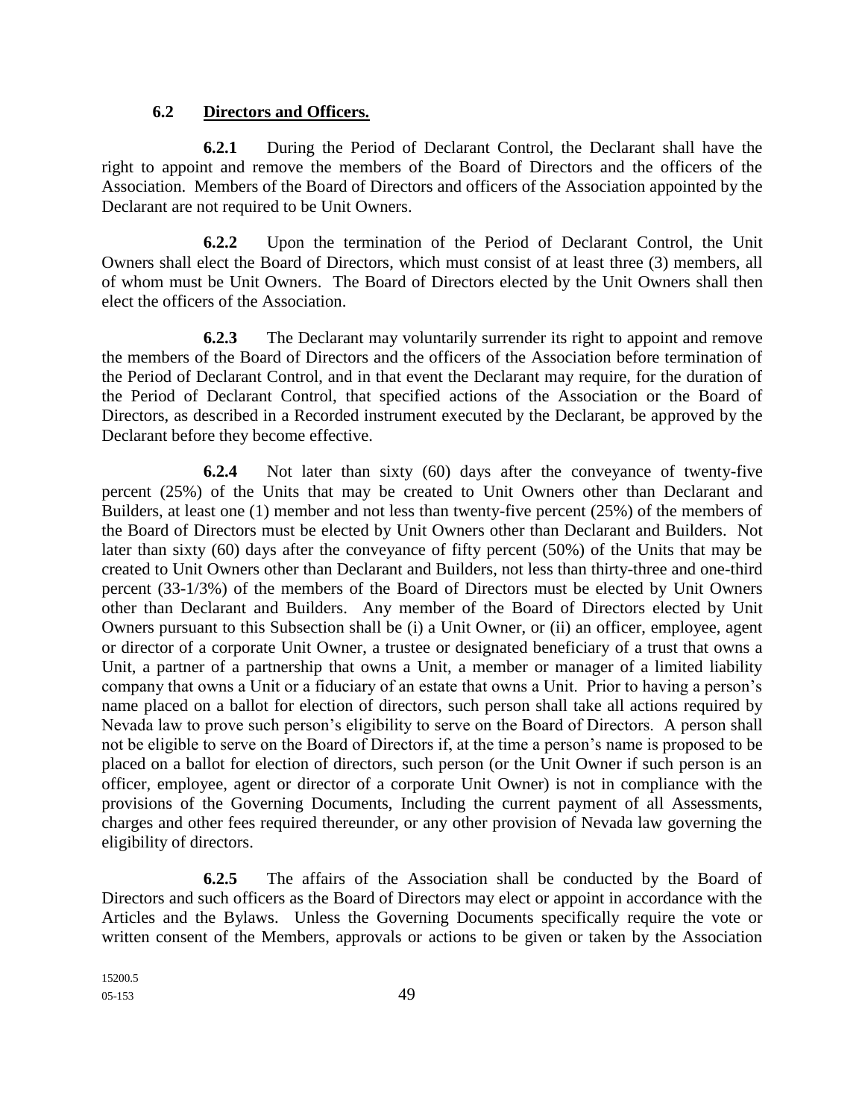#### **6.2 Directors and Officers.**

**6.2.1** During the Period of Declarant Control, the Declarant shall have the right to appoint and remove the members of the Board of Directors and the officers of the Association. Members of the Board of Directors and officers of the Association appointed by the Declarant are not required to be Unit Owners.

**6.2.2** Upon the termination of the Period of Declarant Control, the Unit Owners shall elect the Board of Directors, which must consist of at least three (3) members, all of whom must be Unit Owners. The Board of Directors elected by the Unit Owners shall then elect the officers of the Association.

**6.2.3** The Declarant may voluntarily surrender its right to appoint and remove the members of the Board of Directors and the officers of the Association before termination of the Period of Declarant Control, and in that event the Declarant may require, for the duration of the Period of Declarant Control, that specified actions of the Association or the Board of Directors, as described in a Recorded instrument executed by the Declarant, be approved by the Declarant before they become effective.

**6.2.4** Not later than sixty (60) days after the conveyance of twenty-five percent (25%) of the Units that may be created to Unit Owners other than Declarant and Builders, at least one (1) member and not less than twenty-five percent (25%) of the members of the Board of Directors must be elected by Unit Owners other than Declarant and Builders. Not later than sixty (60) days after the conveyance of fifty percent (50%) of the Units that may be created to Unit Owners other than Declarant and Builders, not less than thirty-three and one-third percent (33-1/3%) of the members of the Board of Directors must be elected by Unit Owners other than Declarant and Builders. Any member of the Board of Directors elected by Unit Owners pursuant to this Subsection shall be (i) a Unit Owner, or (ii) an officer, employee, agent or director of a corporate Unit Owner, a trustee or designated beneficiary of a trust that owns a Unit, a partner of a partnership that owns a Unit, a member or manager of a limited liability company that owns a Unit or a fiduciary of an estate that owns a Unit. Prior to having a person's name placed on a ballot for election of directors, such person shall take all actions required by Nevada law to prove such person's eligibility to serve on the Board of Directors. A person shall not be eligible to serve on the Board of Directors if, at the time a person's name is proposed to be placed on a ballot for election of directors, such person (or the Unit Owner if such person is an officer, employee, agent or director of a corporate Unit Owner) is not in compliance with the provisions of the Governing Documents, Including the current payment of all Assessments, charges and other fees required thereunder, or any other provision of Nevada law governing the eligibility of directors.

**6.2.5** The affairs of the Association shall be conducted by the Board of Directors and such officers as the Board of Directors may elect or appoint in accordance with the Articles and the Bylaws. Unless the Governing Documents specifically require the vote or written consent of the Members, approvals or actions to be given or taken by the Association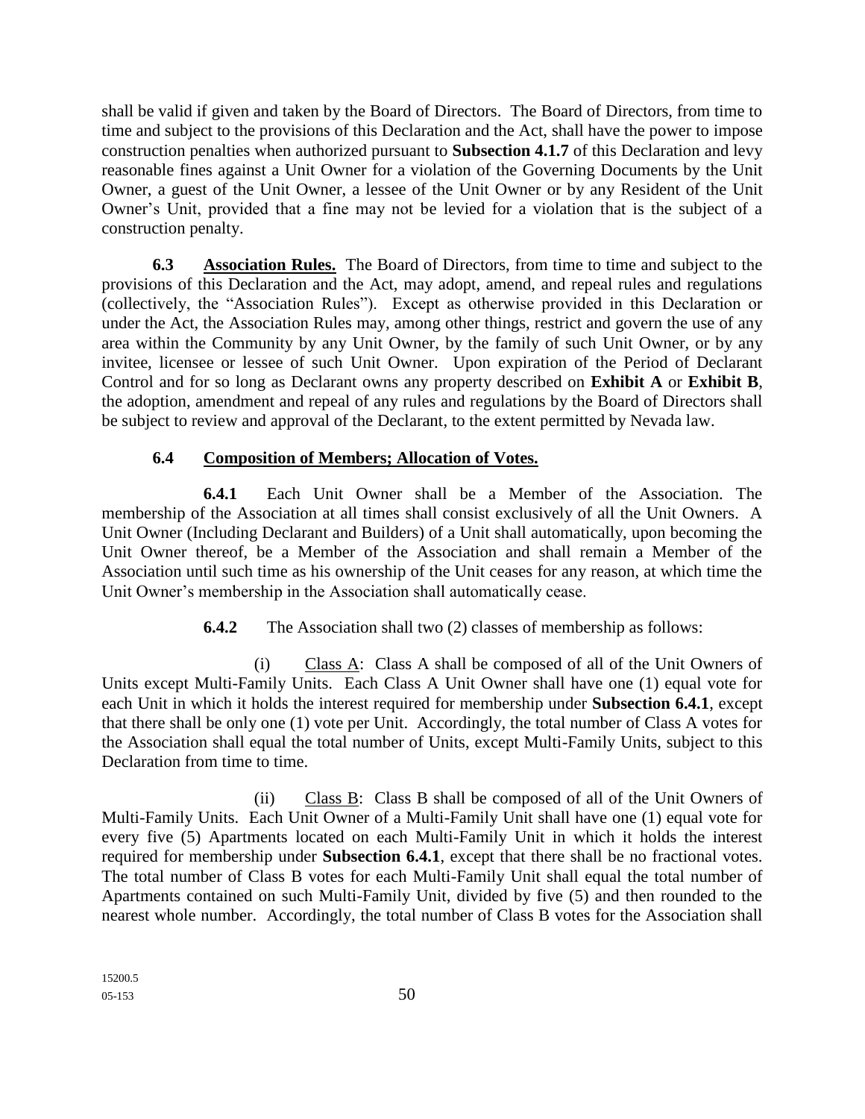shall be valid if given and taken by the Board of Directors. The Board of Directors, from time to time and subject to the provisions of this Declaration and the Act, shall have the power to impose construction penalties when authorized pursuant to **Subsection 4.1.7** of this Declaration and levy reasonable fines against a Unit Owner for a violation of the Governing Documents by the Unit Owner, a guest of the Unit Owner, a lessee of the Unit Owner or by any Resident of the Unit Owner's Unit, provided that a fine may not be levied for a violation that is the subject of a construction penalty.

**6.3 Association Rules.** The Board of Directors, from time to time and subject to the provisions of this Declaration and the Act, may adopt, amend, and repeal rules and regulations (collectively, the "Association Rules"). Except as otherwise provided in this Declaration or under the Act, the Association Rules may, among other things, restrict and govern the use of any area within the Community by any Unit Owner, by the family of such Unit Owner, or by any invitee, licensee or lessee of such Unit Owner. Upon expiration of the Period of Declarant Control and for so long as Declarant owns any property described on **Exhibit A** or **Exhibit B**, the adoption, amendment and repeal of any rules and regulations by the Board of Directors shall be subject to review and approval of the Declarant, to the extent permitted by Nevada law.

# **6.4 Composition of Members; Allocation of Votes.**

**6.4.1** Each Unit Owner shall be a Member of the Association. The membership of the Association at all times shall consist exclusively of all the Unit Owners. A Unit Owner (Including Declarant and Builders) of a Unit shall automatically, upon becoming the Unit Owner thereof, be a Member of the Association and shall remain a Member of the Association until such time as his ownership of the Unit ceases for any reason, at which time the Unit Owner's membership in the Association shall automatically cease.

# **6.4.2** The Association shall two (2) classes of membership as follows:

(i) Class A: Class A shall be composed of all of the Unit Owners of Units except Multi-Family Units. Each Class A Unit Owner shall have one (1) equal vote for each Unit in which it holds the interest required for membership under **Subsection 6.4.1**, except that there shall be only one (1) vote per Unit. Accordingly, the total number of Class A votes for the Association shall equal the total number of Units, except Multi-Family Units, subject to this Declaration from time to time.

(ii) Class B: Class B shall be composed of all of the Unit Owners of Multi-Family Units. Each Unit Owner of a Multi-Family Unit shall have one (1) equal vote for every five (5) Apartments located on each Multi-Family Unit in which it holds the interest required for membership under **Subsection 6.4.1**, except that there shall be no fractional votes. The total number of Class B votes for each Multi-Family Unit shall equal the total number of Apartments contained on such Multi-Family Unit, divided by five (5) and then rounded to the nearest whole number. Accordingly, the total number of Class B votes for the Association shall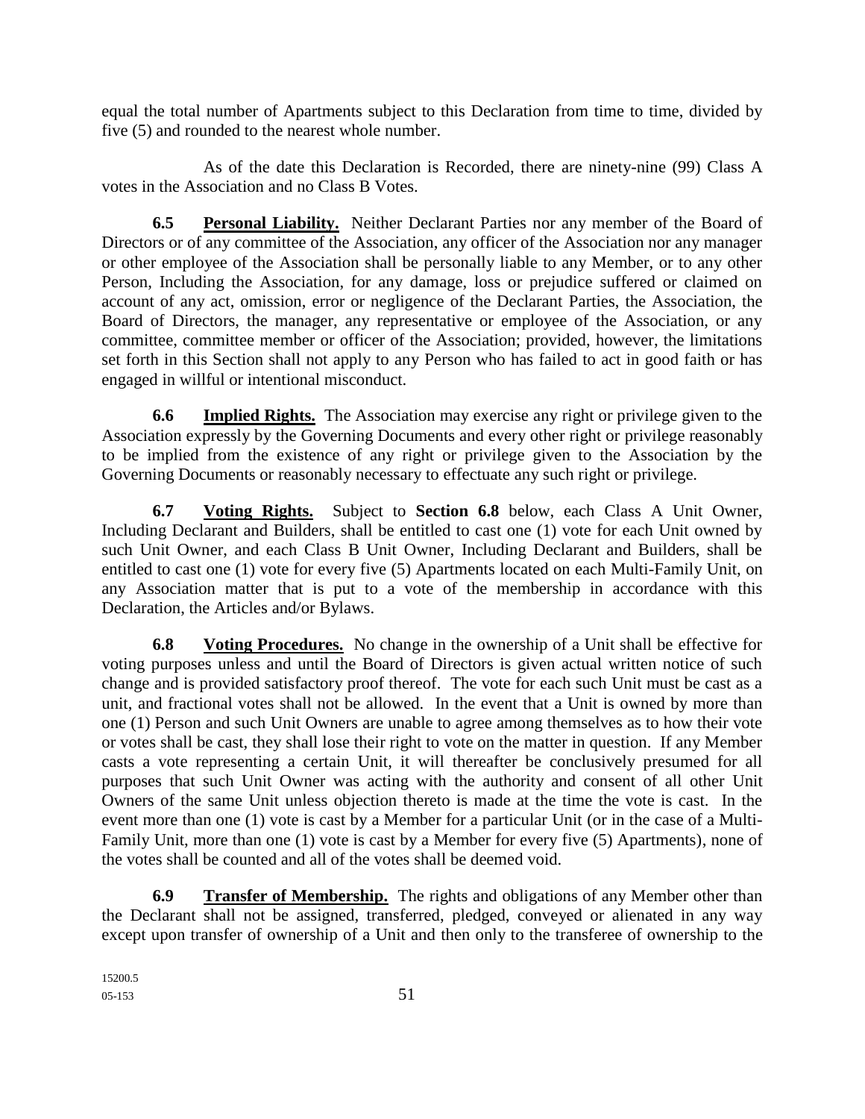equal the total number of Apartments subject to this Declaration from time to time, divided by five (5) and rounded to the nearest whole number.

As of the date this Declaration is Recorded, there are ninety-nine (99) Class A votes in the Association and no Class B Votes.

**6.5 Personal Liability.** Neither Declarant Parties nor any member of the Board of Directors or of any committee of the Association, any officer of the Association nor any manager or other employee of the Association shall be personally liable to any Member, or to any other Person, Including the Association, for any damage, loss or prejudice suffered or claimed on account of any act, omission, error or negligence of the Declarant Parties, the Association, the Board of Directors, the manager, any representative or employee of the Association, or any committee, committee member or officer of the Association; provided, however, the limitations set forth in this Section shall not apply to any Person who has failed to act in good faith or has engaged in willful or intentional misconduct.

**6.6 Implied Rights.** The Association may exercise any right or privilege given to the Association expressly by the Governing Documents and every other right or privilege reasonably to be implied from the existence of any right or privilege given to the Association by the Governing Documents or reasonably necessary to effectuate any such right or privilege.

**6.7 Voting Rights.** Subject to **Section 6.8** below, each Class A Unit Owner, Including Declarant and Builders, shall be entitled to cast one (1) vote for each Unit owned by such Unit Owner, and each Class B Unit Owner, Including Declarant and Builders, shall be entitled to cast one (1) vote for every five (5) Apartments located on each Multi-Family Unit, on any Association matter that is put to a vote of the membership in accordance with this Declaration, the Articles and/or Bylaws.

**6.8 Voting Procedures.** No change in the ownership of a Unit shall be effective for voting purposes unless and until the Board of Directors is given actual written notice of such change and is provided satisfactory proof thereof. The vote for each such Unit must be cast as a unit, and fractional votes shall not be allowed. In the event that a Unit is owned by more than one (1) Person and such Unit Owners are unable to agree among themselves as to how their vote or votes shall be cast, they shall lose their right to vote on the matter in question. If any Member casts a vote representing a certain Unit, it will thereafter be conclusively presumed for all purposes that such Unit Owner was acting with the authority and consent of all other Unit Owners of the same Unit unless objection thereto is made at the time the vote is cast. In the event more than one (1) vote is cast by a Member for a particular Unit (or in the case of a Multi-Family Unit, more than one (1) vote is cast by a Member for every five (5) Apartments), none of the votes shall be counted and all of the votes shall be deemed void.

**6.9 Transfer of Membership.** The rights and obligations of any Member other than the Declarant shall not be assigned, transferred, pledged, conveyed or alienated in any way except upon transfer of ownership of a Unit and then only to the transferee of ownership to the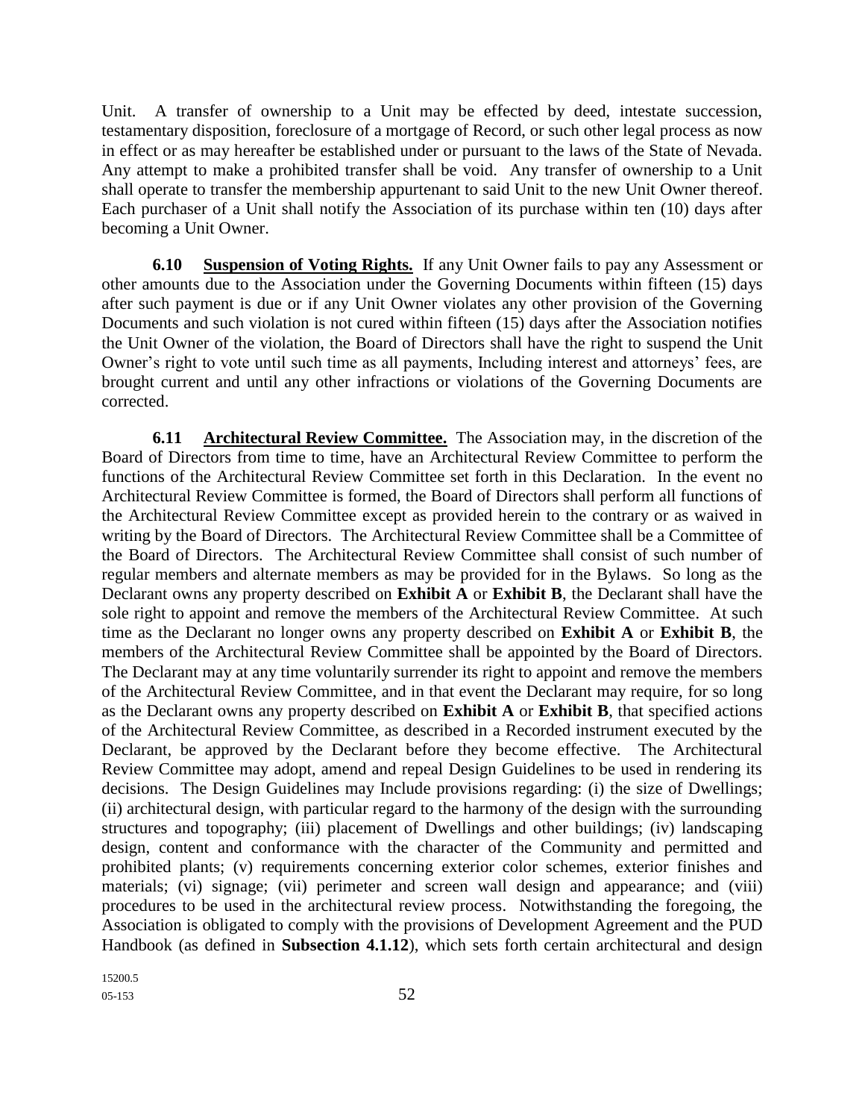Unit. A transfer of ownership to a Unit may be effected by deed, intestate succession, testamentary disposition, foreclosure of a mortgage of Record, or such other legal process as now in effect or as may hereafter be established under or pursuant to the laws of the State of Nevada. Any attempt to make a prohibited transfer shall be void. Any transfer of ownership to a Unit shall operate to transfer the membership appurtenant to said Unit to the new Unit Owner thereof. Each purchaser of a Unit shall notify the Association of its purchase within ten (10) days after becoming a Unit Owner.

**6.10 Suspension of Voting Rights.** If any Unit Owner fails to pay any Assessment or other amounts due to the Association under the Governing Documents within fifteen (15) days after such payment is due or if any Unit Owner violates any other provision of the Governing Documents and such violation is not cured within fifteen (15) days after the Association notifies the Unit Owner of the violation, the Board of Directors shall have the right to suspend the Unit Owner's right to vote until such time as all payments, Including interest and attorneys' fees, are brought current and until any other infractions or violations of the Governing Documents are corrected.

**6.11 Architectural Review Committee.** The Association may, in the discretion of the Board of Directors from time to time, have an Architectural Review Committee to perform the functions of the Architectural Review Committee set forth in this Declaration. In the event no Architectural Review Committee is formed, the Board of Directors shall perform all functions of the Architectural Review Committee except as provided herein to the contrary or as waived in writing by the Board of Directors. The Architectural Review Committee shall be a Committee of the Board of Directors. The Architectural Review Committee shall consist of such number of regular members and alternate members as may be provided for in the Bylaws. So long as the Declarant owns any property described on **Exhibit A** or **Exhibit B**, the Declarant shall have the sole right to appoint and remove the members of the Architectural Review Committee. At such time as the Declarant no longer owns any property described on **Exhibit A** or **Exhibit B**, the members of the Architectural Review Committee shall be appointed by the Board of Directors. The Declarant may at any time voluntarily surrender its right to appoint and remove the members of the Architectural Review Committee, and in that event the Declarant may require, for so long as the Declarant owns any property described on **Exhibit A** or **Exhibit B**, that specified actions of the Architectural Review Committee, as described in a Recorded instrument executed by the Declarant, be approved by the Declarant before they become effective. The Architectural Review Committee may adopt, amend and repeal Design Guidelines to be used in rendering its decisions. The Design Guidelines may Include provisions regarding: (i) the size of Dwellings; (ii) architectural design, with particular regard to the harmony of the design with the surrounding structures and topography; (iii) placement of Dwellings and other buildings; (iv) landscaping design, content and conformance with the character of the Community and permitted and prohibited plants; (v) requirements concerning exterior color schemes, exterior finishes and materials; (vi) signage; (vii) perimeter and screen wall design and appearance; and (viii) procedures to be used in the architectural review process. Notwithstanding the foregoing, the Association is obligated to comply with the provisions of Development Agreement and the PUD Handbook (as defined in **Subsection 4.1.12**), which sets forth certain architectural and design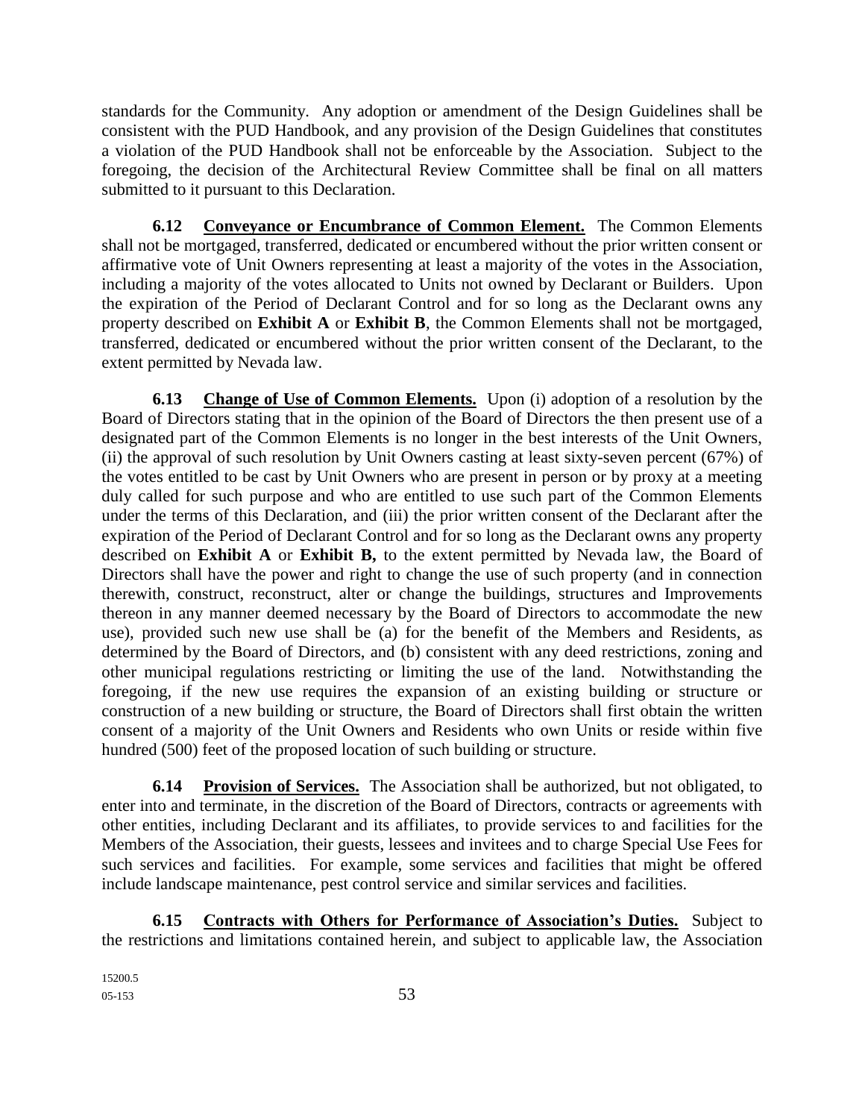standards for the Community. Any adoption or amendment of the Design Guidelines shall be consistent with the PUD Handbook, and any provision of the Design Guidelines that constitutes a violation of the PUD Handbook shall not be enforceable by the Association. Subject to the foregoing, the decision of the Architectural Review Committee shall be final on all matters submitted to it pursuant to this Declaration.

**6.12 Conveyance or Encumbrance of Common Element.** The Common Elements shall not be mortgaged, transferred, dedicated or encumbered without the prior written consent or affirmative vote of Unit Owners representing at least a majority of the votes in the Association, including a majority of the votes allocated to Units not owned by Declarant or Builders. Upon the expiration of the Period of Declarant Control and for so long as the Declarant owns any property described on **Exhibit A** or **Exhibit B**, the Common Elements shall not be mortgaged, transferred, dedicated or encumbered without the prior written consent of the Declarant, to the extent permitted by Nevada law.

**6.13 Change of Use of Common Elements.** Upon (i) adoption of a resolution by the Board of Directors stating that in the opinion of the Board of Directors the then present use of a designated part of the Common Elements is no longer in the best interests of the Unit Owners, (ii) the approval of such resolution by Unit Owners casting at least sixty-seven percent (67%) of the votes entitled to be cast by Unit Owners who are present in person or by proxy at a meeting duly called for such purpose and who are entitled to use such part of the Common Elements under the terms of this Declaration, and (iii) the prior written consent of the Declarant after the expiration of the Period of Declarant Control and for so long as the Declarant owns any property described on **Exhibit A** or **Exhibit B,** to the extent permitted by Nevada law, the Board of Directors shall have the power and right to change the use of such property (and in connection therewith, construct, reconstruct, alter or change the buildings, structures and Improvements thereon in any manner deemed necessary by the Board of Directors to accommodate the new use), provided such new use shall be (a) for the benefit of the Members and Residents, as determined by the Board of Directors, and (b) consistent with any deed restrictions, zoning and other municipal regulations restricting or limiting the use of the land. Notwithstanding the foregoing, if the new use requires the expansion of an existing building or structure or construction of a new building or structure, the Board of Directors shall first obtain the written consent of a majority of the Unit Owners and Residents who own Units or reside within five hundred (500) feet of the proposed location of such building or structure.

**6.14 Provision of Services.** The Association shall be authorized, but not obligated, to enter into and terminate, in the discretion of the Board of Directors, contracts or agreements with other entities, including Declarant and its affiliates, to provide services to and facilities for the Members of the Association, their guests, lessees and invitees and to charge Special Use Fees for such services and facilities. For example, some services and facilities that might be offered include landscape maintenance, pest control service and similar services and facilities.

**6.15 Contracts with Others for Performance of Association's Duties.** Subject to the restrictions and limitations contained herein, and subject to applicable law, the Association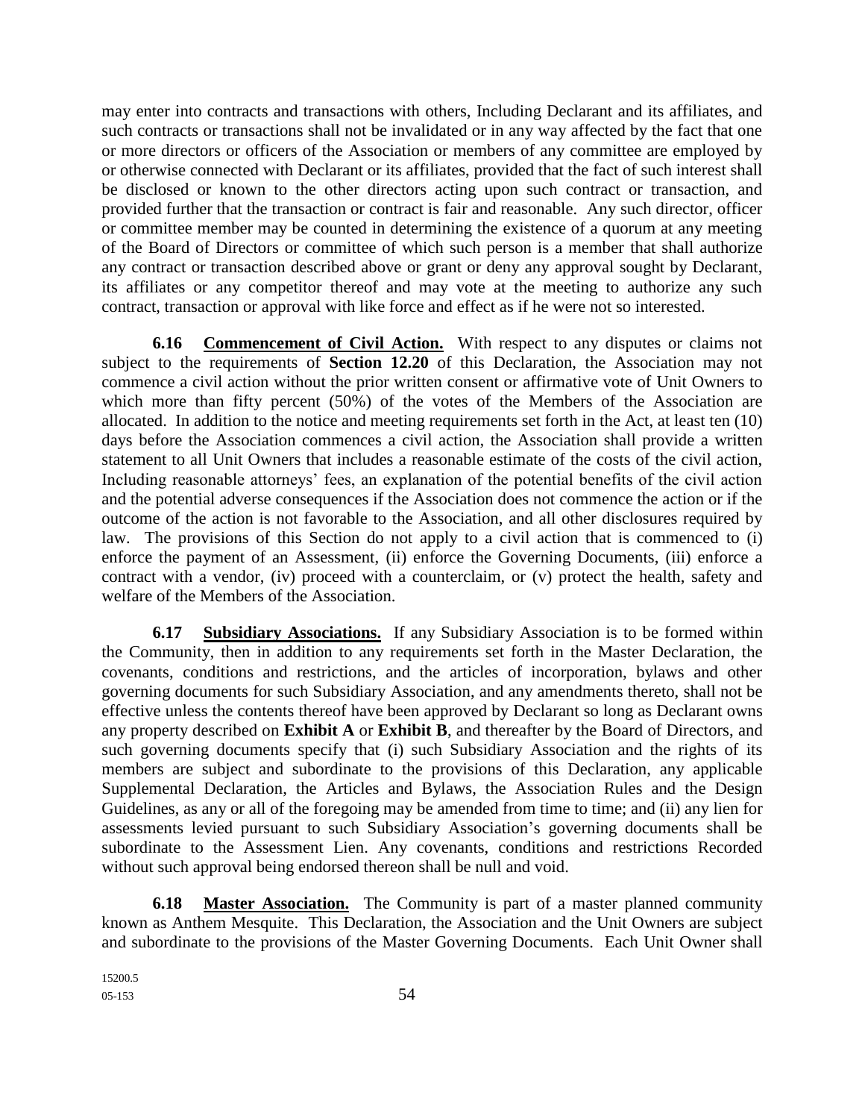may enter into contracts and transactions with others, Including Declarant and its affiliates, and such contracts or transactions shall not be invalidated or in any way affected by the fact that one or more directors or officers of the Association or members of any committee are employed by or otherwise connected with Declarant or its affiliates, provided that the fact of such interest shall be disclosed or known to the other directors acting upon such contract or transaction, and provided further that the transaction or contract is fair and reasonable. Any such director, officer or committee member may be counted in determining the existence of a quorum at any meeting of the Board of Directors or committee of which such person is a member that shall authorize any contract or transaction described above or grant or deny any approval sought by Declarant, its affiliates or any competitor thereof and may vote at the meeting to authorize any such contract, transaction or approval with like force and effect as if he were not so interested.

**6.16 Commencement of Civil Action.** With respect to any disputes or claims not subject to the requirements of **Section 12.20** of this Declaration, the Association may not commence a civil action without the prior written consent or affirmative vote of Unit Owners to which more than fifty percent (50%) of the votes of the Members of the Association are allocated. In addition to the notice and meeting requirements set forth in the Act, at least ten (10) days before the Association commences a civil action, the Association shall provide a written statement to all Unit Owners that includes a reasonable estimate of the costs of the civil action, Including reasonable attorneys' fees, an explanation of the potential benefits of the civil action and the potential adverse consequences if the Association does not commence the action or if the outcome of the action is not favorable to the Association, and all other disclosures required by law. The provisions of this Section do not apply to a civil action that is commenced to (i) enforce the payment of an Assessment, (ii) enforce the Governing Documents, (iii) enforce a contract with a vendor, (iv) proceed with a counterclaim, or (v) protect the health, safety and welfare of the Members of the Association.

**6.17 Subsidiary Associations.** If any Subsidiary Association is to be formed within the Community, then in addition to any requirements set forth in the Master Declaration, the covenants, conditions and restrictions, and the articles of incorporation, bylaws and other governing documents for such Subsidiary Association, and any amendments thereto, shall not be effective unless the contents thereof have been approved by Declarant so long as Declarant owns any property described on **Exhibit A** or **Exhibit B**, and thereafter by the Board of Directors, and such governing documents specify that (i) such Subsidiary Association and the rights of its members are subject and subordinate to the provisions of this Declaration, any applicable Supplemental Declaration, the Articles and Bylaws, the Association Rules and the Design Guidelines, as any or all of the foregoing may be amended from time to time; and (ii) any lien for assessments levied pursuant to such Subsidiary Association's governing documents shall be subordinate to the Assessment Lien. Any covenants, conditions and restrictions Recorded without such approval being endorsed thereon shall be null and void.

**6.18 Master Association.** The Community is part of a master planned community known as Anthem Mesquite. This Declaration, the Association and the Unit Owners are subject and subordinate to the provisions of the Master Governing Documents. Each Unit Owner shall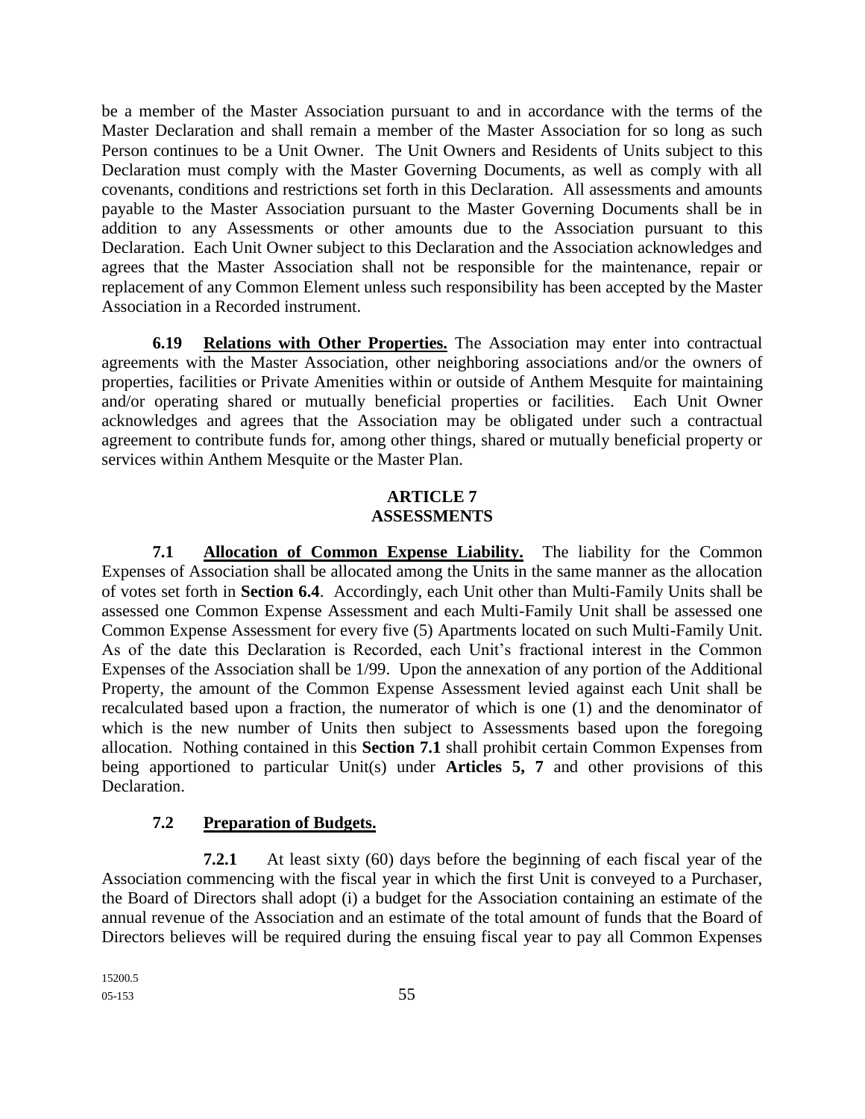be a member of the Master Association pursuant to and in accordance with the terms of the Master Declaration and shall remain a member of the Master Association for so long as such Person continues to be a Unit Owner. The Unit Owners and Residents of Units subject to this Declaration must comply with the Master Governing Documents, as well as comply with all covenants, conditions and restrictions set forth in this Declaration. All assessments and amounts payable to the Master Association pursuant to the Master Governing Documents shall be in addition to any Assessments or other amounts due to the Association pursuant to this Declaration. Each Unit Owner subject to this Declaration and the Association acknowledges and agrees that the Master Association shall not be responsible for the maintenance, repair or replacement of any Common Element unless such responsibility has been accepted by the Master Association in a Recorded instrument.

**6.19 Relations with Other Properties.** The Association may enter into contractual agreements with the Master Association, other neighboring associations and/or the owners of properties, facilities or Private Amenities within or outside of Anthem Mesquite for maintaining and/or operating shared or mutually beneficial properties or facilities. Each Unit Owner acknowledges and agrees that the Association may be obligated under such a contractual agreement to contribute funds for, among other things, shared or mutually beneficial property or services within Anthem Mesquite or the Master Plan.

#### **ARTICLE 7 ASSESSMENTS**

**7.1 Allocation of Common Expense Liability.** The liability for the Common Expenses of Association shall be allocated among the Units in the same manner as the allocation of votes set forth in **Section 6.4**. Accordingly, each Unit other than Multi-Family Units shall be assessed one Common Expense Assessment and each Multi-Family Unit shall be assessed one Common Expense Assessment for every five (5) Apartments located on such Multi-Family Unit. As of the date this Declaration is Recorded, each Unit's fractional interest in the Common Expenses of the Association shall be 1/99. Upon the annexation of any portion of the Additional Property, the amount of the Common Expense Assessment levied against each Unit shall be recalculated based upon a fraction, the numerator of which is one (1) and the denominator of which is the new number of Units then subject to Assessments based upon the foregoing allocation. Nothing contained in this **Section 7.1** shall prohibit certain Common Expenses from being apportioned to particular Unit(s) under **Articles 5, 7** and other provisions of this Declaration.

## **7.2 Preparation of Budgets.**

**7.2.1** At least sixty (60) days before the beginning of each fiscal year of the Association commencing with the fiscal year in which the first Unit is conveyed to a Purchaser, the Board of Directors shall adopt (i) a budget for the Association containing an estimate of the annual revenue of the Association and an estimate of the total amount of funds that the Board of Directors believes will be required during the ensuing fiscal year to pay all Common Expenses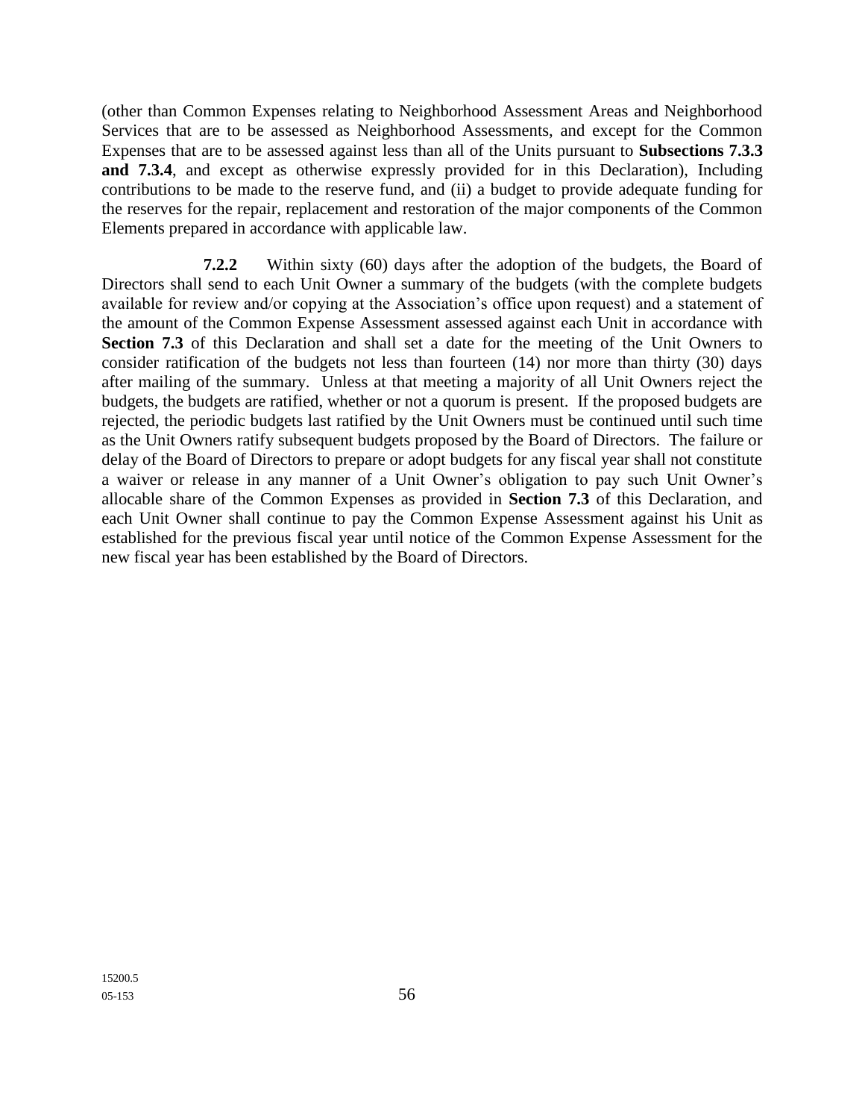(other than Common Expenses relating to Neighborhood Assessment Areas and Neighborhood Services that are to be assessed as Neighborhood Assessments, and except for the Common Expenses that are to be assessed against less than all of the Units pursuant to **Subsections 7.3.3 and 7.3.4**, and except as otherwise expressly provided for in this Declaration), Including contributions to be made to the reserve fund, and (ii) a budget to provide adequate funding for the reserves for the repair, replacement and restoration of the major components of the Common Elements prepared in accordance with applicable law.

**7.2.2** Within sixty (60) days after the adoption of the budgets, the Board of Directors shall send to each Unit Owner a summary of the budgets (with the complete budgets available for review and/or copying at the Association's office upon request) and a statement of the amount of the Common Expense Assessment assessed against each Unit in accordance with Section 7.3 of this Declaration and shall set a date for the meeting of the Unit Owners to consider ratification of the budgets not less than fourteen (14) nor more than thirty (30) days after mailing of the summary. Unless at that meeting a majority of all Unit Owners reject the budgets, the budgets are ratified, whether or not a quorum is present. If the proposed budgets are rejected, the periodic budgets last ratified by the Unit Owners must be continued until such time as the Unit Owners ratify subsequent budgets proposed by the Board of Directors. The failure or delay of the Board of Directors to prepare or adopt budgets for any fiscal year shall not constitute a waiver or release in any manner of a Unit Owner's obligation to pay such Unit Owner's allocable share of the Common Expenses as provided in **Section 7.3** of this Declaration, and each Unit Owner shall continue to pay the Common Expense Assessment against his Unit as established for the previous fiscal year until notice of the Common Expense Assessment for the new fiscal year has been established by the Board of Directors.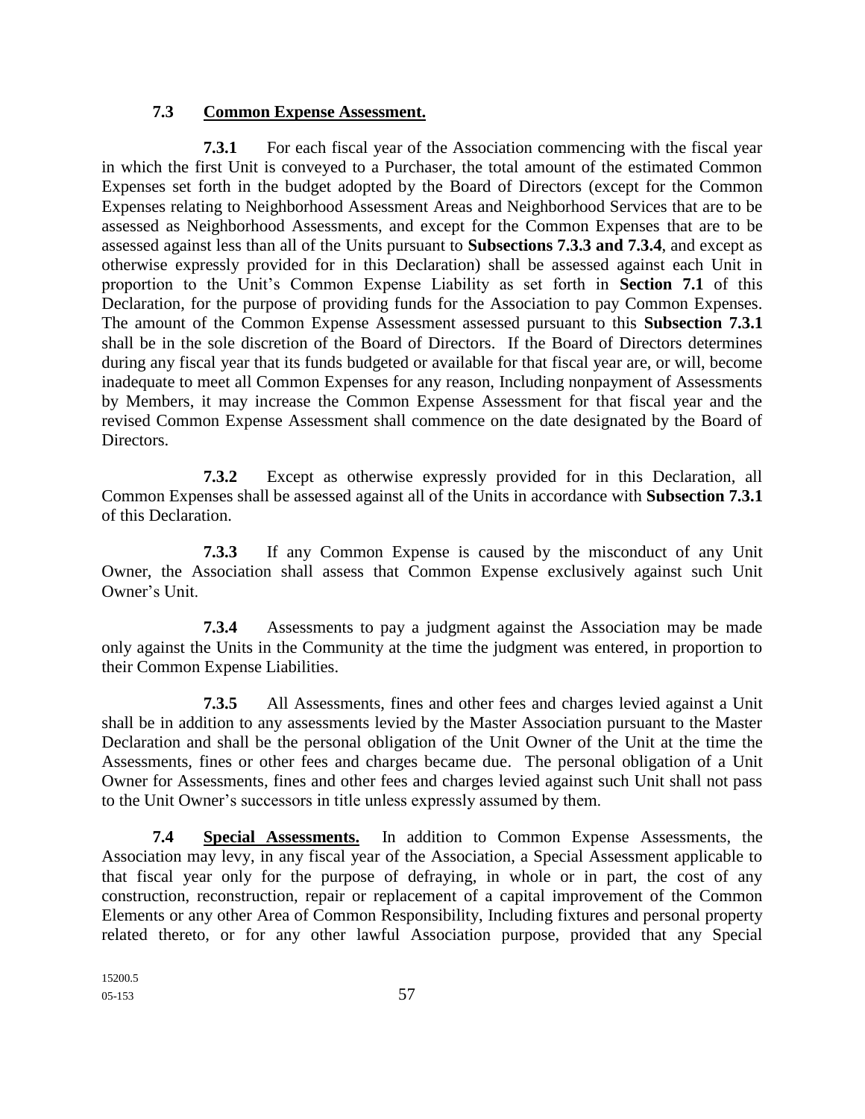### **7.3 Common Expense Assessment.**

**7.3.1** For each fiscal year of the Association commencing with the fiscal year in which the first Unit is conveyed to a Purchaser, the total amount of the estimated Common Expenses set forth in the budget adopted by the Board of Directors (except for the Common Expenses relating to Neighborhood Assessment Areas and Neighborhood Services that are to be assessed as Neighborhood Assessments, and except for the Common Expenses that are to be assessed against less than all of the Units pursuant to **Subsections 7.3.3 and 7.3.4**, and except as otherwise expressly provided for in this Declaration) shall be assessed against each Unit in proportion to the Unit's Common Expense Liability as set forth in **Section 7.1** of this Declaration, for the purpose of providing funds for the Association to pay Common Expenses. The amount of the Common Expense Assessment assessed pursuant to this **Subsection 7.3.1** shall be in the sole discretion of the Board of Directors. If the Board of Directors determines during any fiscal year that its funds budgeted or available for that fiscal year are, or will, become inadequate to meet all Common Expenses for any reason, Including nonpayment of Assessments by Members, it may increase the Common Expense Assessment for that fiscal year and the revised Common Expense Assessment shall commence on the date designated by the Board of Directors.

**7.3.2** Except as otherwise expressly provided for in this Declaration, all Common Expenses shall be assessed against all of the Units in accordance with **Subsection 7.3.1** of this Declaration.

**7.3.3** If any Common Expense is caused by the misconduct of any Unit Owner, the Association shall assess that Common Expense exclusively against such Unit Owner's Unit.

**7.3.4** Assessments to pay a judgment against the Association may be made only against the Units in the Community at the time the judgment was entered, in proportion to their Common Expense Liabilities.

**7.3.5** All Assessments, fines and other fees and charges levied against a Unit shall be in addition to any assessments levied by the Master Association pursuant to the Master Declaration and shall be the personal obligation of the Unit Owner of the Unit at the time the Assessments, fines or other fees and charges became due. The personal obligation of a Unit Owner for Assessments, fines and other fees and charges levied against such Unit shall not pass to the Unit Owner's successors in title unless expressly assumed by them.

**7.4 Special Assessments.** In addition to Common Expense Assessments, the Association may levy, in any fiscal year of the Association, a Special Assessment applicable to that fiscal year only for the purpose of defraying, in whole or in part, the cost of any construction, reconstruction, repair or replacement of a capital improvement of the Common Elements or any other Area of Common Responsibility, Including fixtures and personal property related thereto, or for any other lawful Association purpose, provided that any Special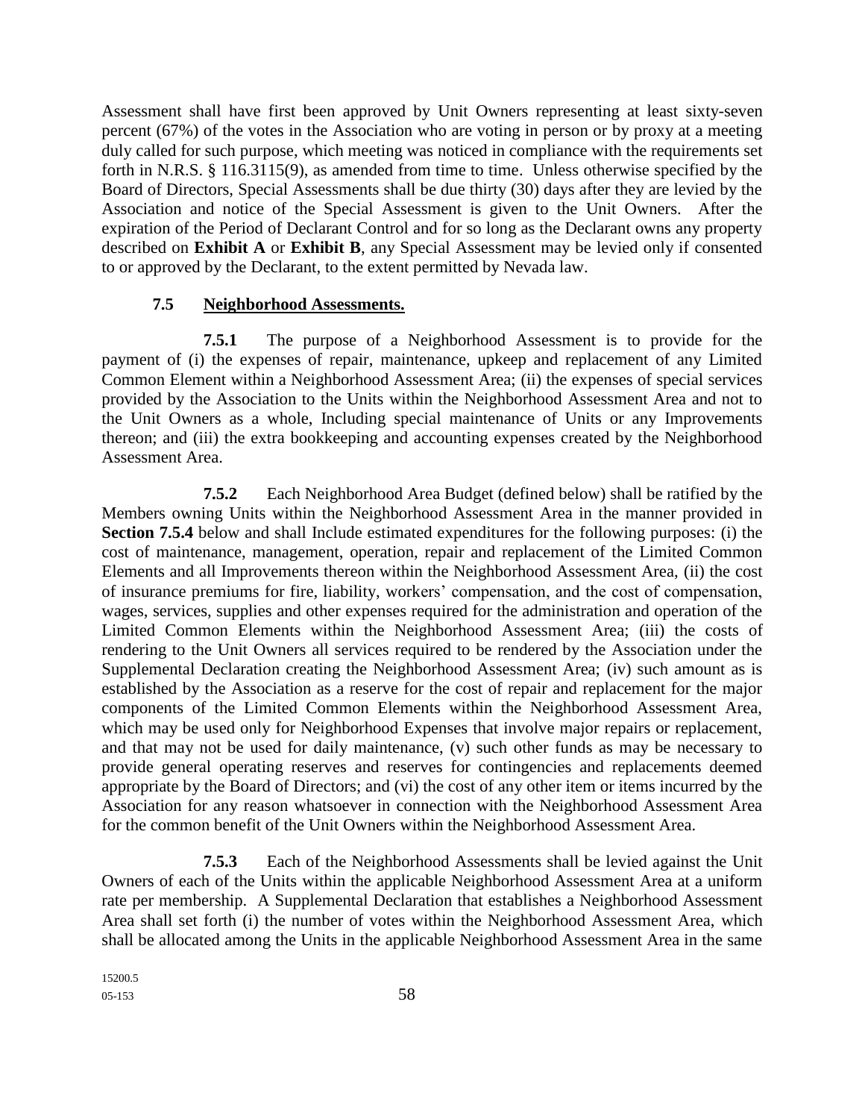Assessment shall have first been approved by Unit Owners representing at least sixty-seven percent (67%) of the votes in the Association who are voting in person or by proxy at a meeting duly called for such purpose, which meeting was noticed in compliance with the requirements set forth in N.R.S. § 116.3115(9), as amended from time to time. Unless otherwise specified by the Board of Directors, Special Assessments shall be due thirty (30) days after they are levied by the Association and notice of the Special Assessment is given to the Unit Owners. After the expiration of the Period of Declarant Control and for so long as the Declarant owns any property described on **Exhibit A** or **Exhibit B**, any Special Assessment may be levied only if consented to or approved by the Declarant, to the extent permitted by Nevada law.

### **7.5 Neighborhood Assessments.**

**7.5.1** The purpose of a Neighborhood Assessment is to provide for the payment of (i) the expenses of repair, maintenance, upkeep and replacement of any Limited Common Element within a Neighborhood Assessment Area; (ii) the expenses of special services provided by the Association to the Units within the Neighborhood Assessment Area and not to the Unit Owners as a whole, Including special maintenance of Units or any Improvements thereon; and (iii) the extra bookkeeping and accounting expenses created by the Neighborhood Assessment Area.

**7.5.2** Each Neighborhood Area Budget (defined below) shall be ratified by the Members owning Units within the Neighborhood Assessment Area in the manner provided in **Section 7.5.4** below and shall Include estimated expenditures for the following purposes: (i) the cost of maintenance, management, operation, repair and replacement of the Limited Common Elements and all Improvements thereon within the Neighborhood Assessment Area, (ii) the cost of insurance premiums for fire, liability, workers' compensation, and the cost of compensation, wages, services, supplies and other expenses required for the administration and operation of the Limited Common Elements within the Neighborhood Assessment Area; (iii) the costs of rendering to the Unit Owners all services required to be rendered by the Association under the Supplemental Declaration creating the Neighborhood Assessment Area; (iv) such amount as is established by the Association as a reserve for the cost of repair and replacement for the major components of the Limited Common Elements within the Neighborhood Assessment Area, which may be used only for Neighborhood Expenses that involve major repairs or replacement, and that may not be used for daily maintenance, (v) such other funds as may be necessary to provide general operating reserves and reserves for contingencies and replacements deemed appropriate by the Board of Directors; and (vi) the cost of any other item or items incurred by the Association for any reason whatsoever in connection with the Neighborhood Assessment Area for the common benefit of the Unit Owners within the Neighborhood Assessment Area.

**7.5.3** Each of the Neighborhood Assessments shall be levied against the Unit Owners of each of the Units within the applicable Neighborhood Assessment Area at a uniform rate per membership. A Supplemental Declaration that establishes a Neighborhood Assessment Area shall set forth (i) the number of votes within the Neighborhood Assessment Area, which shall be allocated among the Units in the applicable Neighborhood Assessment Area in the same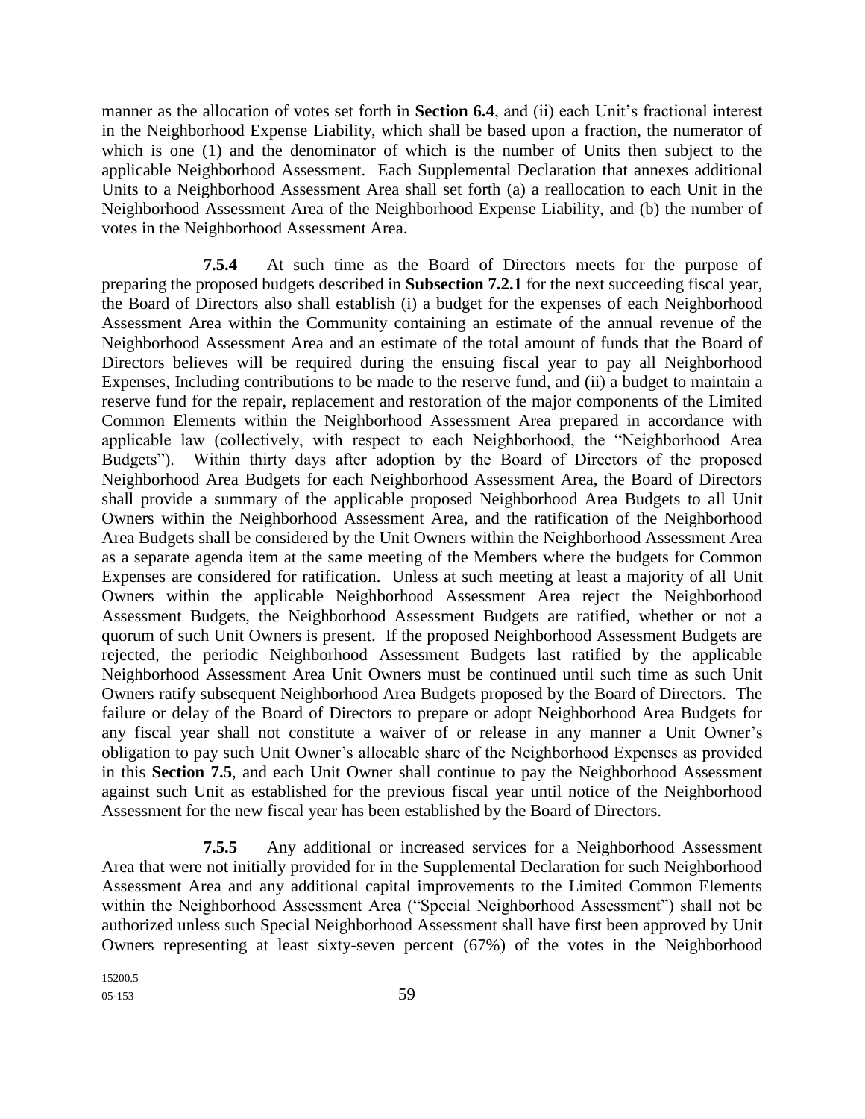manner as the allocation of votes set forth in **Section 6.4**, and (ii) each Unit's fractional interest in the Neighborhood Expense Liability, which shall be based upon a fraction, the numerator of which is one (1) and the denominator of which is the number of Units then subject to the applicable Neighborhood Assessment. Each Supplemental Declaration that annexes additional Units to a Neighborhood Assessment Area shall set forth (a) a reallocation to each Unit in the Neighborhood Assessment Area of the Neighborhood Expense Liability, and (b) the number of votes in the Neighborhood Assessment Area.

**7.5.4** At such time as the Board of Directors meets for the purpose of preparing the proposed budgets described in **Subsection 7.2.1** for the next succeeding fiscal year, the Board of Directors also shall establish (i) a budget for the expenses of each Neighborhood Assessment Area within the Community containing an estimate of the annual revenue of the Neighborhood Assessment Area and an estimate of the total amount of funds that the Board of Directors believes will be required during the ensuing fiscal year to pay all Neighborhood Expenses, Including contributions to be made to the reserve fund, and (ii) a budget to maintain a reserve fund for the repair, replacement and restoration of the major components of the Limited Common Elements within the Neighborhood Assessment Area prepared in accordance with applicable law (collectively, with respect to each Neighborhood, the "Neighborhood Area Budgets"). Within thirty days after adoption by the Board of Directors of the proposed Neighborhood Area Budgets for each Neighborhood Assessment Area, the Board of Directors shall provide a summary of the applicable proposed Neighborhood Area Budgets to all Unit Owners within the Neighborhood Assessment Area, and the ratification of the Neighborhood Area Budgets shall be considered by the Unit Owners within the Neighborhood Assessment Area as a separate agenda item at the same meeting of the Members where the budgets for Common Expenses are considered for ratification. Unless at such meeting at least a majority of all Unit Owners within the applicable Neighborhood Assessment Area reject the Neighborhood Assessment Budgets, the Neighborhood Assessment Budgets are ratified, whether or not a quorum of such Unit Owners is present. If the proposed Neighborhood Assessment Budgets are rejected, the periodic Neighborhood Assessment Budgets last ratified by the applicable Neighborhood Assessment Area Unit Owners must be continued until such time as such Unit Owners ratify subsequent Neighborhood Area Budgets proposed by the Board of Directors. The failure or delay of the Board of Directors to prepare or adopt Neighborhood Area Budgets for any fiscal year shall not constitute a waiver of or release in any manner a Unit Owner's obligation to pay such Unit Owner's allocable share of the Neighborhood Expenses as provided in this **Section 7.5**, and each Unit Owner shall continue to pay the Neighborhood Assessment against such Unit as established for the previous fiscal year until notice of the Neighborhood Assessment for the new fiscal year has been established by the Board of Directors.

**7.5.5** Any additional or increased services for a Neighborhood Assessment Area that were not initially provided for in the Supplemental Declaration for such Neighborhood Assessment Area and any additional capital improvements to the Limited Common Elements within the Neighborhood Assessment Area ("Special Neighborhood Assessment") shall not be authorized unless such Special Neighborhood Assessment shall have first been approved by Unit Owners representing at least sixty-seven percent (67%) of the votes in the Neighborhood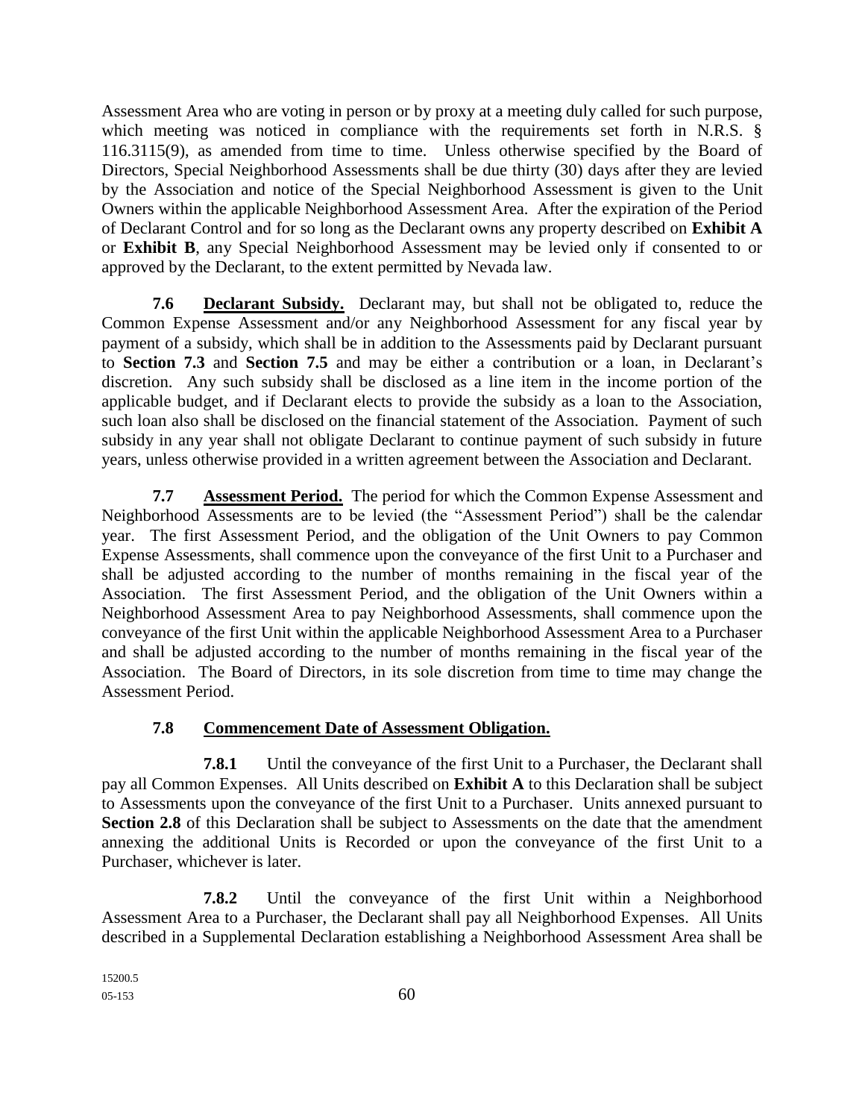Assessment Area who are voting in person or by proxy at a meeting duly called for such purpose, which meeting was noticed in compliance with the requirements set forth in N.R.S. § 116.3115(9), as amended from time to time. Unless otherwise specified by the Board of Directors, Special Neighborhood Assessments shall be due thirty (30) days after they are levied by the Association and notice of the Special Neighborhood Assessment is given to the Unit Owners within the applicable Neighborhood Assessment Area. After the expiration of the Period of Declarant Control and for so long as the Declarant owns any property described on **Exhibit A** or **Exhibit B**, any Special Neighborhood Assessment may be levied only if consented to or approved by the Declarant, to the extent permitted by Nevada law.

**7.6 Declarant Subsidy.** Declarant may, but shall not be obligated to, reduce the Common Expense Assessment and/or any Neighborhood Assessment for any fiscal year by payment of a subsidy, which shall be in addition to the Assessments paid by Declarant pursuant to **Section 7.3** and **Section 7.5** and may be either a contribution or a loan, in Declarant's discretion. Any such subsidy shall be disclosed as a line item in the income portion of the applicable budget, and if Declarant elects to provide the subsidy as a loan to the Association, such loan also shall be disclosed on the financial statement of the Association. Payment of such subsidy in any year shall not obligate Declarant to continue payment of such subsidy in future years, unless otherwise provided in a written agreement between the Association and Declarant.

**7.7 Assessment Period.** The period for which the Common Expense Assessment and Neighborhood Assessments are to be levied (the "Assessment Period") shall be the calendar year. The first Assessment Period, and the obligation of the Unit Owners to pay Common Expense Assessments, shall commence upon the conveyance of the first Unit to a Purchaser and shall be adjusted according to the number of months remaining in the fiscal year of the Association. The first Assessment Period, and the obligation of the Unit Owners within a Neighborhood Assessment Area to pay Neighborhood Assessments, shall commence upon the conveyance of the first Unit within the applicable Neighborhood Assessment Area to a Purchaser and shall be adjusted according to the number of months remaining in the fiscal year of the Association. The Board of Directors, in its sole discretion from time to time may change the Assessment Period.

# **7.8 Commencement Date of Assessment Obligation.**

**7.8.1** Until the conveyance of the first Unit to a Purchaser, the Declarant shall pay all Common Expenses. All Units described on **Exhibit A** to this Declaration shall be subject to Assessments upon the conveyance of the first Unit to a Purchaser. Units annexed pursuant to **Section 2.8** of this Declaration shall be subject to Assessments on the date that the amendment annexing the additional Units is Recorded or upon the conveyance of the first Unit to a Purchaser, whichever is later.

**7.8.2** Until the conveyance of the first Unit within a Neighborhood Assessment Area to a Purchaser, the Declarant shall pay all Neighborhood Expenses. All Units described in a Supplemental Declaration establishing a Neighborhood Assessment Area shall be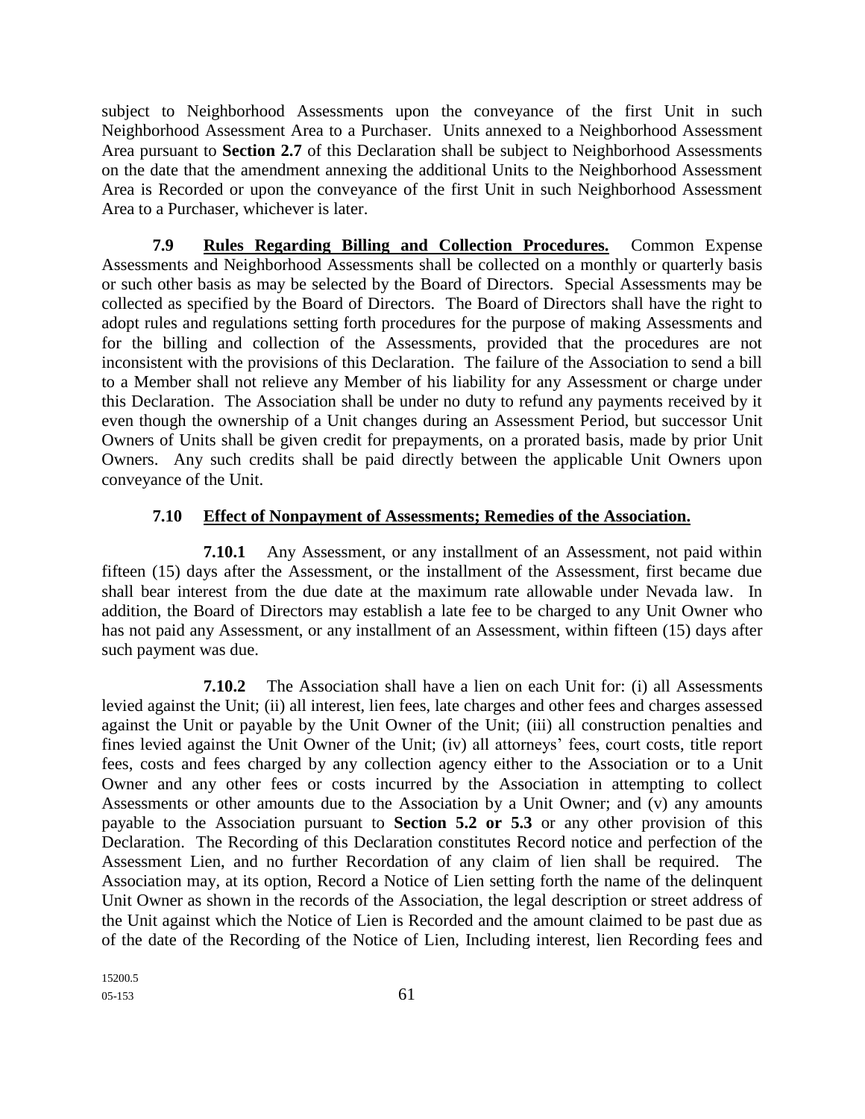subject to Neighborhood Assessments upon the conveyance of the first Unit in such Neighborhood Assessment Area to a Purchaser. Units annexed to a Neighborhood Assessment Area pursuant to **Section 2.7** of this Declaration shall be subject to Neighborhood Assessments on the date that the amendment annexing the additional Units to the Neighborhood Assessment Area is Recorded or upon the conveyance of the first Unit in such Neighborhood Assessment Area to a Purchaser, whichever is later.

**7.9 Rules Regarding Billing and Collection Procedures.** Common Expense Assessments and Neighborhood Assessments shall be collected on a monthly or quarterly basis or such other basis as may be selected by the Board of Directors. Special Assessments may be collected as specified by the Board of Directors. The Board of Directors shall have the right to adopt rules and regulations setting forth procedures for the purpose of making Assessments and for the billing and collection of the Assessments, provided that the procedures are not inconsistent with the provisions of this Declaration. The failure of the Association to send a bill to a Member shall not relieve any Member of his liability for any Assessment or charge under this Declaration. The Association shall be under no duty to refund any payments received by it even though the ownership of a Unit changes during an Assessment Period, but successor Unit Owners of Units shall be given credit for prepayments, on a prorated basis, made by prior Unit Owners. Any such credits shall be paid directly between the applicable Unit Owners upon conveyance of the Unit.

### **7.10 Effect of Nonpayment of Assessments; Remedies of the Association.**

**7.10.1** Any Assessment, or any installment of an Assessment, not paid within fifteen (15) days after the Assessment, or the installment of the Assessment, first became due shall bear interest from the due date at the maximum rate allowable under Nevada law. In addition, the Board of Directors may establish a late fee to be charged to any Unit Owner who has not paid any Assessment, or any installment of an Assessment, within fifteen (15) days after such payment was due.

**7.10.2** The Association shall have a lien on each Unit for: (i) all Assessments levied against the Unit; (ii) all interest, lien fees, late charges and other fees and charges assessed against the Unit or payable by the Unit Owner of the Unit; (iii) all construction penalties and fines levied against the Unit Owner of the Unit; (iv) all attorneys' fees, court costs, title report fees, costs and fees charged by any collection agency either to the Association or to a Unit Owner and any other fees or costs incurred by the Association in attempting to collect Assessments or other amounts due to the Association by a Unit Owner; and (v) any amounts payable to the Association pursuant to **Section 5.2 or 5.3** or any other provision of this Declaration. The Recording of this Declaration constitutes Record notice and perfection of the Assessment Lien, and no further Recordation of any claim of lien shall be required. The Association may, at its option, Record a Notice of Lien setting forth the name of the delinquent Unit Owner as shown in the records of the Association, the legal description or street address of the Unit against which the Notice of Lien is Recorded and the amount claimed to be past due as of the date of the Recording of the Notice of Lien, Including interest, lien Recording fees and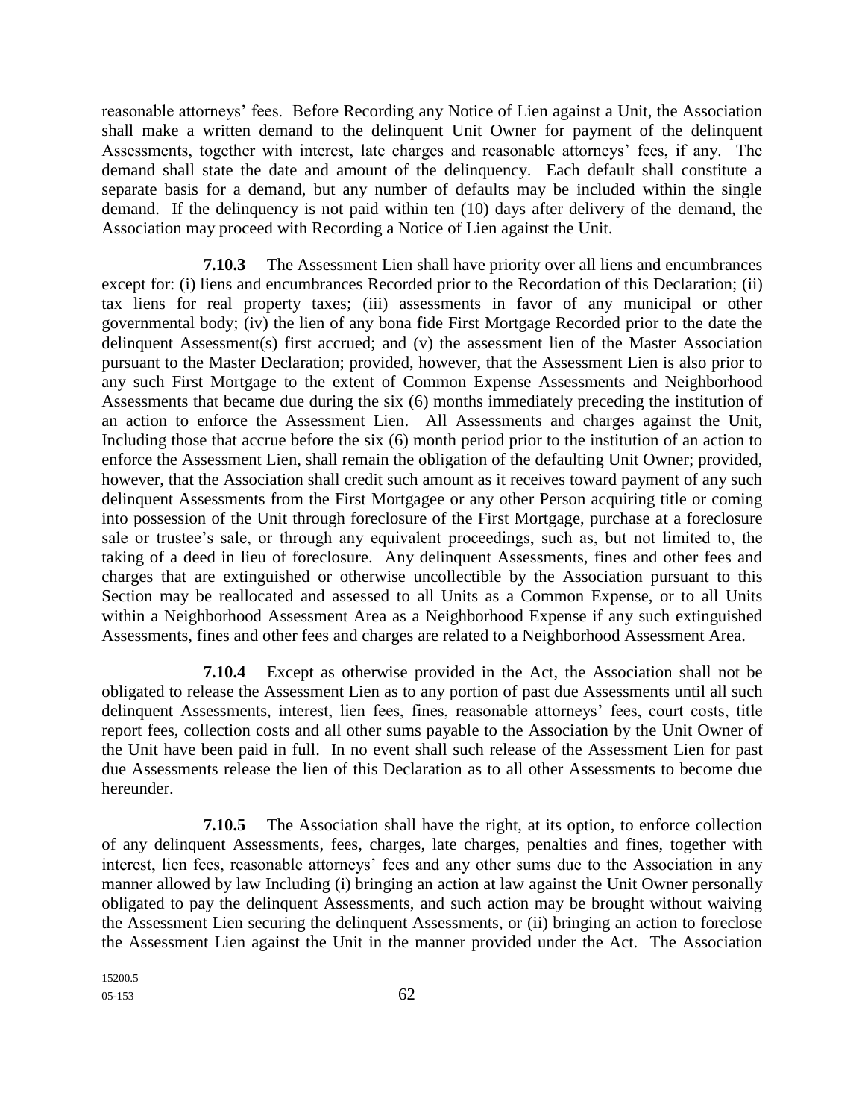reasonable attorneys' fees. Before Recording any Notice of Lien against a Unit, the Association shall make a written demand to the delinquent Unit Owner for payment of the delinquent Assessments, together with interest, late charges and reasonable attorneys' fees, if any. The demand shall state the date and amount of the delinquency. Each default shall constitute a separate basis for a demand, but any number of defaults may be included within the single demand. If the delinquency is not paid within ten (10) days after delivery of the demand, the Association may proceed with Recording a Notice of Lien against the Unit.

**7.10.3** The Assessment Lien shall have priority over all liens and encumbrances except for: (i) liens and encumbrances Recorded prior to the Recordation of this Declaration; (ii) tax liens for real property taxes; (iii) assessments in favor of any municipal or other governmental body; (iv) the lien of any bona fide First Mortgage Recorded prior to the date the delinquent Assessment(s) first accrued; and (v) the assessment lien of the Master Association pursuant to the Master Declaration; provided, however, that the Assessment Lien is also prior to any such First Mortgage to the extent of Common Expense Assessments and Neighborhood Assessments that became due during the six (6) months immediately preceding the institution of an action to enforce the Assessment Lien. All Assessments and charges against the Unit, Including those that accrue before the six (6) month period prior to the institution of an action to enforce the Assessment Lien, shall remain the obligation of the defaulting Unit Owner; provided, however, that the Association shall credit such amount as it receives toward payment of any such delinquent Assessments from the First Mortgagee or any other Person acquiring title or coming into possession of the Unit through foreclosure of the First Mortgage, purchase at a foreclosure sale or trustee's sale, or through any equivalent proceedings, such as, but not limited to, the taking of a deed in lieu of foreclosure. Any delinquent Assessments, fines and other fees and charges that are extinguished or otherwise uncollectible by the Association pursuant to this Section may be reallocated and assessed to all Units as a Common Expense, or to all Units within a Neighborhood Assessment Area as a Neighborhood Expense if any such extinguished Assessments, fines and other fees and charges are related to a Neighborhood Assessment Area.

**7.10.4** Except as otherwise provided in the Act, the Association shall not be obligated to release the Assessment Lien as to any portion of past due Assessments until all such delinquent Assessments, interest, lien fees, fines, reasonable attorneys' fees, court costs, title report fees, collection costs and all other sums payable to the Association by the Unit Owner of the Unit have been paid in full. In no event shall such release of the Assessment Lien for past due Assessments release the lien of this Declaration as to all other Assessments to become due hereunder.

**7.10.5** The Association shall have the right, at its option, to enforce collection of any delinquent Assessments, fees, charges, late charges, penalties and fines, together with interest, lien fees, reasonable attorneys' fees and any other sums due to the Association in any manner allowed by law Including (i) bringing an action at law against the Unit Owner personally obligated to pay the delinquent Assessments, and such action may be brought without waiving the Assessment Lien securing the delinquent Assessments, or (ii) bringing an action to foreclose the Assessment Lien against the Unit in the manner provided under the Act. The Association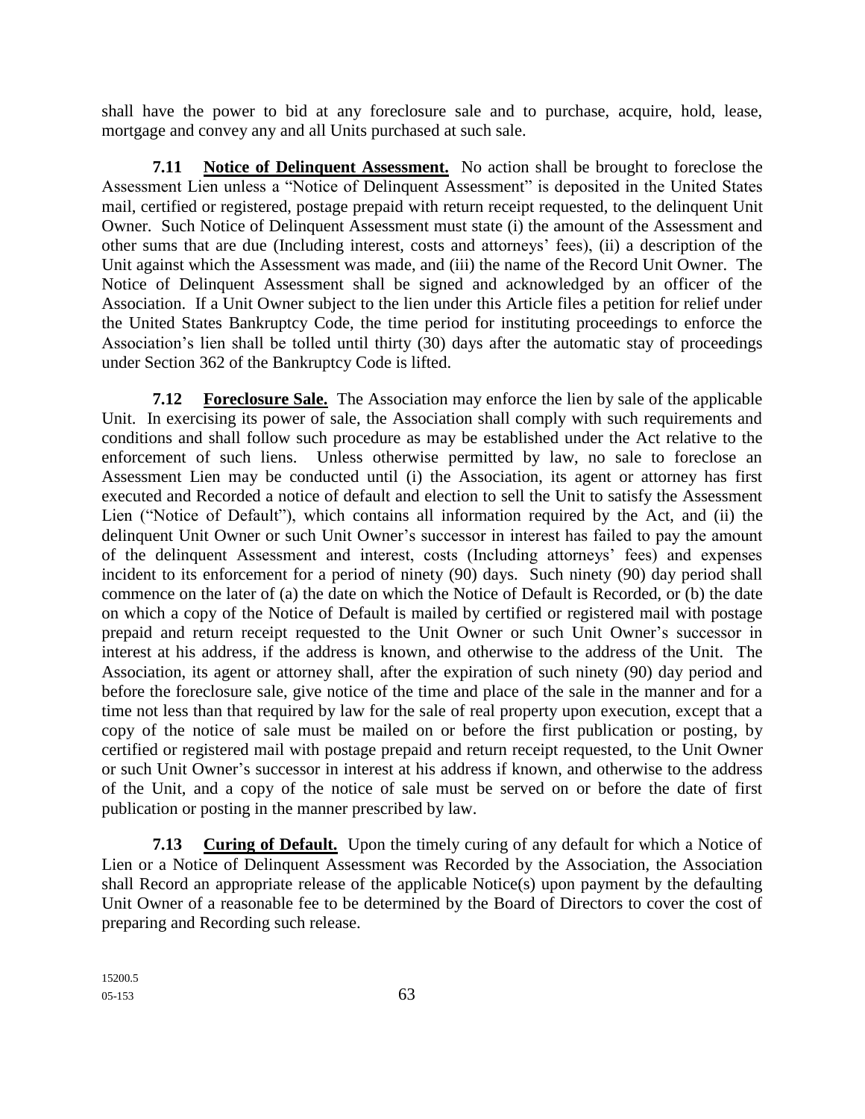shall have the power to bid at any foreclosure sale and to purchase, acquire, hold, lease, mortgage and convey any and all Units purchased at such sale.

**7.11 Notice of Delinquent Assessment.** No action shall be brought to foreclose the Assessment Lien unless a "Notice of Delinquent Assessment" is deposited in the United States mail, certified or registered, postage prepaid with return receipt requested, to the delinquent Unit Owner. Such Notice of Delinquent Assessment must state (i) the amount of the Assessment and other sums that are due (Including interest, costs and attorneys' fees), (ii) a description of the Unit against which the Assessment was made, and (iii) the name of the Record Unit Owner. The Notice of Delinquent Assessment shall be signed and acknowledged by an officer of the Association. If a Unit Owner subject to the lien under this Article files a petition for relief under the United States Bankruptcy Code, the time period for instituting proceedings to enforce the Association's lien shall be tolled until thirty (30) days after the automatic stay of proceedings under Section 362 of the Bankruptcy Code is lifted.

**7.12 Foreclosure Sale.** The Association may enforce the lien by sale of the applicable Unit. In exercising its power of sale, the Association shall comply with such requirements and conditions and shall follow such procedure as may be established under the Act relative to the enforcement of such liens. Unless otherwise permitted by law, no sale to foreclose an Assessment Lien may be conducted until (i) the Association, its agent or attorney has first executed and Recorded a notice of default and election to sell the Unit to satisfy the Assessment Lien ("Notice of Default"), which contains all information required by the Act, and (ii) the delinquent Unit Owner or such Unit Owner's successor in interest has failed to pay the amount of the delinquent Assessment and interest, costs (Including attorneys' fees) and expenses incident to its enforcement for a period of ninety (90) days. Such ninety (90) day period shall commence on the later of (a) the date on which the Notice of Default is Recorded, or (b) the date on which a copy of the Notice of Default is mailed by certified or registered mail with postage prepaid and return receipt requested to the Unit Owner or such Unit Owner's successor in interest at his address, if the address is known, and otherwise to the address of the Unit. The Association, its agent or attorney shall, after the expiration of such ninety (90) day period and before the foreclosure sale, give notice of the time and place of the sale in the manner and for a time not less than that required by law for the sale of real property upon execution, except that a copy of the notice of sale must be mailed on or before the first publication or posting, by certified or registered mail with postage prepaid and return receipt requested, to the Unit Owner or such Unit Owner's successor in interest at his address if known, and otherwise to the address of the Unit, and a copy of the notice of sale must be served on or before the date of first publication or posting in the manner prescribed by law.

**7.13 Curing of Default.** Upon the timely curing of any default for which a Notice of Lien or a Notice of Delinquent Assessment was Recorded by the Association, the Association shall Record an appropriate release of the applicable Notice(s) upon payment by the defaulting Unit Owner of a reasonable fee to be determined by the Board of Directors to cover the cost of preparing and Recording such release.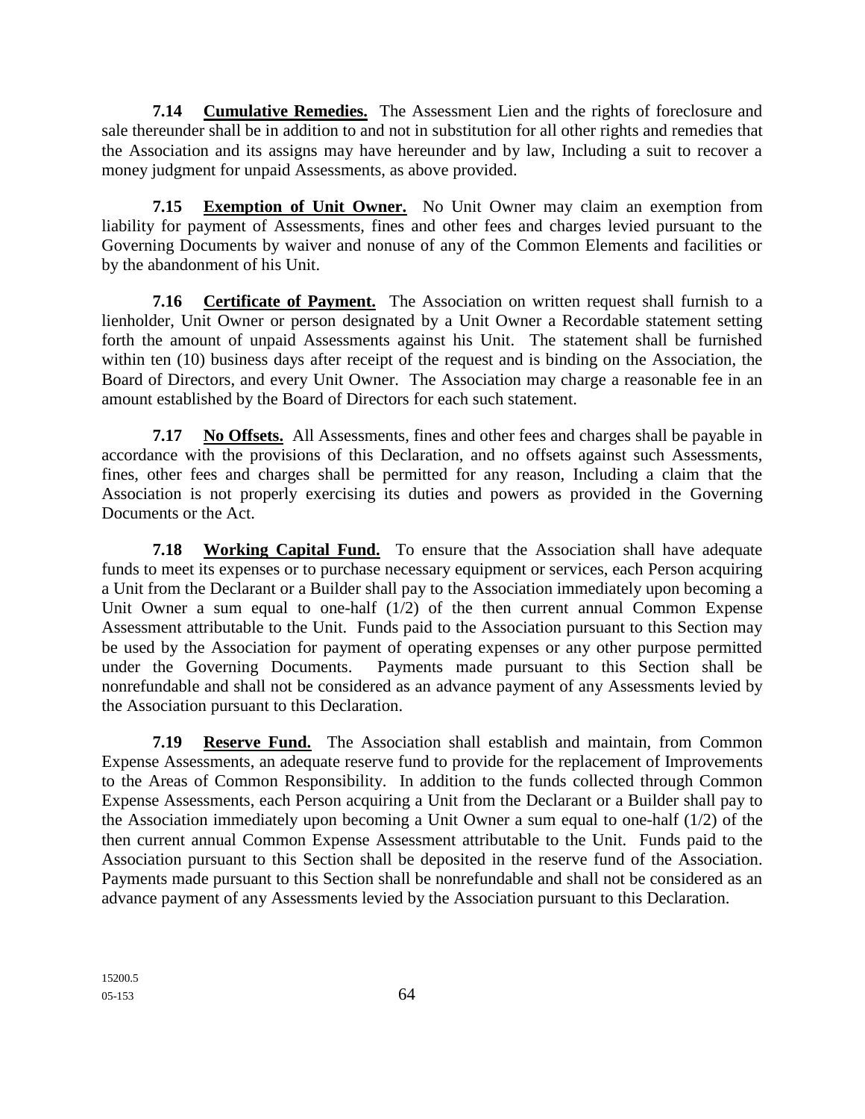**7.14 Cumulative Remedies.** The Assessment Lien and the rights of foreclosure and sale thereunder shall be in addition to and not in substitution for all other rights and remedies that the Association and its assigns may have hereunder and by law, Including a suit to recover a money judgment for unpaid Assessments, as above provided.

**7.15 Exemption of Unit Owner.** No Unit Owner may claim an exemption from liability for payment of Assessments, fines and other fees and charges levied pursuant to the Governing Documents by waiver and nonuse of any of the Common Elements and facilities or by the abandonment of his Unit.

**7.16 Certificate of Payment.** The Association on written request shall furnish to a lienholder, Unit Owner or person designated by a Unit Owner a Recordable statement setting forth the amount of unpaid Assessments against his Unit. The statement shall be furnished within ten (10) business days after receipt of the request and is binding on the Association, the Board of Directors, and every Unit Owner. The Association may charge a reasonable fee in an amount established by the Board of Directors for each such statement.

**7.17 No Offsets.** All Assessments, fines and other fees and charges shall be payable in accordance with the provisions of this Declaration, and no offsets against such Assessments, fines, other fees and charges shall be permitted for any reason, Including a claim that the Association is not properly exercising its duties and powers as provided in the Governing Documents or the Act.

**7.18 Working Capital Fund.** To ensure that the Association shall have adequate funds to meet its expenses or to purchase necessary equipment or services, each Person acquiring a Unit from the Declarant or a Builder shall pay to the Association immediately upon becoming a Unit Owner a sum equal to one-half  $(1/2)$  of the then current annual Common Expense Assessment attributable to the Unit. Funds paid to the Association pursuant to this Section may be used by the Association for payment of operating expenses or any other purpose permitted under the Governing Documents. Payments made pursuant to this Section shall be nonrefundable and shall not be considered as an advance payment of any Assessments levied by the Association pursuant to this Declaration.

**7.19 Reserve Fund.** The Association shall establish and maintain, from Common Expense Assessments, an adequate reserve fund to provide for the replacement of Improvements to the Areas of Common Responsibility. In addition to the funds collected through Common Expense Assessments, each Person acquiring a Unit from the Declarant or a Builder shall pay to the Association immediately upon becoming a Unit Owner a sum equal to one-half (1/2) of the then current annual Common Expense Assessment attributable to the Unit. Funds paid to the Association pursuant to this Section shall be deposited in the reserve fund of the Association. Payments made pursuant to this Section shall be nonrefundable and shall not be considered as an advance payment of any Assessments levied by the Association pursuant to this Declaration.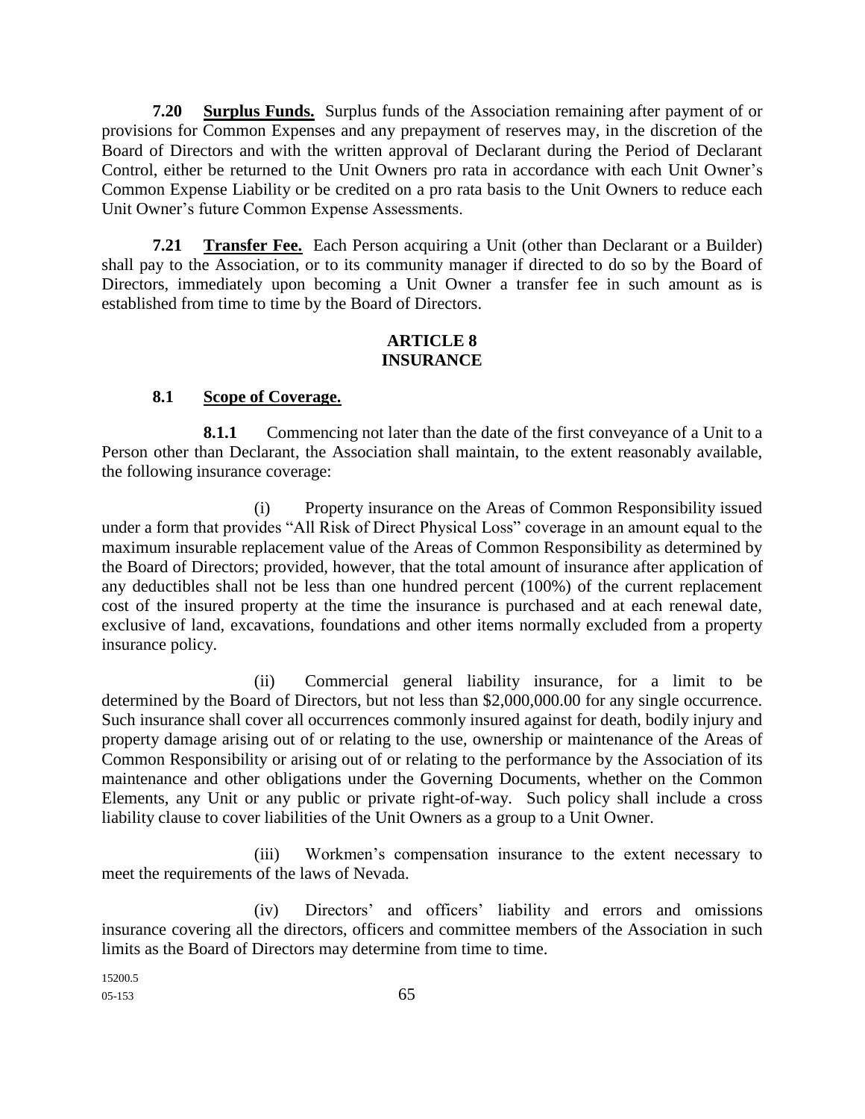**7.20 Surplus Funds.** Surplus funds of the Association remaining after payment of or provisions for Common Expenses and any prepayment of reserves may, in the discretion of the Board of Directors and with the written approval of Declarant during the Period of Declarant Control, either be returned to the Unit Owners pro rata in accordance with each Unit Owner's Common Expense Liability or be credited on a pro rata basis to the Unit Owners to reduce each Unit Owner's future Common Expense Assessments.

**7.21 Transfer Fee.** Each Person acquiring a Unit (other than Declarant or a Builder) shall pay to the Association, or to its community manager if directed to do so by the Board of Directors, immediately upon becoming a Unit Owner a transfer fee in such amount as is established from time to time by the Board of Directors.

#### **ARTICLE 8 INSURANCE**

### **8.1 Scope of Coverage.**

**8.1.1** Commencing not later than the date of the first conveyance of a Unit to a Person other than Declarant, the Association shall maintain, to the extent reasonably available, the following insurance coverage:

(i) Property insurance on the Areas of Common Responsibility issued under a form that provides "All Risk of Direct Physical Loss" coverage in an amount equal to the maximum insurable replacement value of the Areas of Common Responsibility as determined by the Board of Directors; provided, however, that the total amount of insurance after application of any deductibles shall not be less than one hundred percent (100%) of the current replacement cost of the insured property at the time the insurance is purchased and at each renewal date, exclusive of land, excavations, foundations and other items normally excluded from a property insurance policy.

(ii) Commercial general liability insurance, for a limit to be determined by the Board of Directors, but not less than \$2,000,000.00 for any single occurrence. Such insurance shall cover all occurrences commonly insured against for death, bodily injury and property damage arising out of or relating to the use, ownership or maintenance of the Areas of Common Responsibility or arising out of or relating to the performance by the Association of its maintenance and other obligations under the Governing Documents, whether on the Common Elements, any Unit or any public or private right-of-way. Such policy shall include a cross liability clause to cover liabilities of the Unit Owners as a group to a Unit Owner.

(iii) Workmen's compensation insurance to the extent necessary to meet the requirements of the laws of Nevada.

(iv) Directors' and officers' liability and errors and omissions insurance covering all the directors, officers and committee members of the Association in such limits as the Board of Directors may determine from time to time.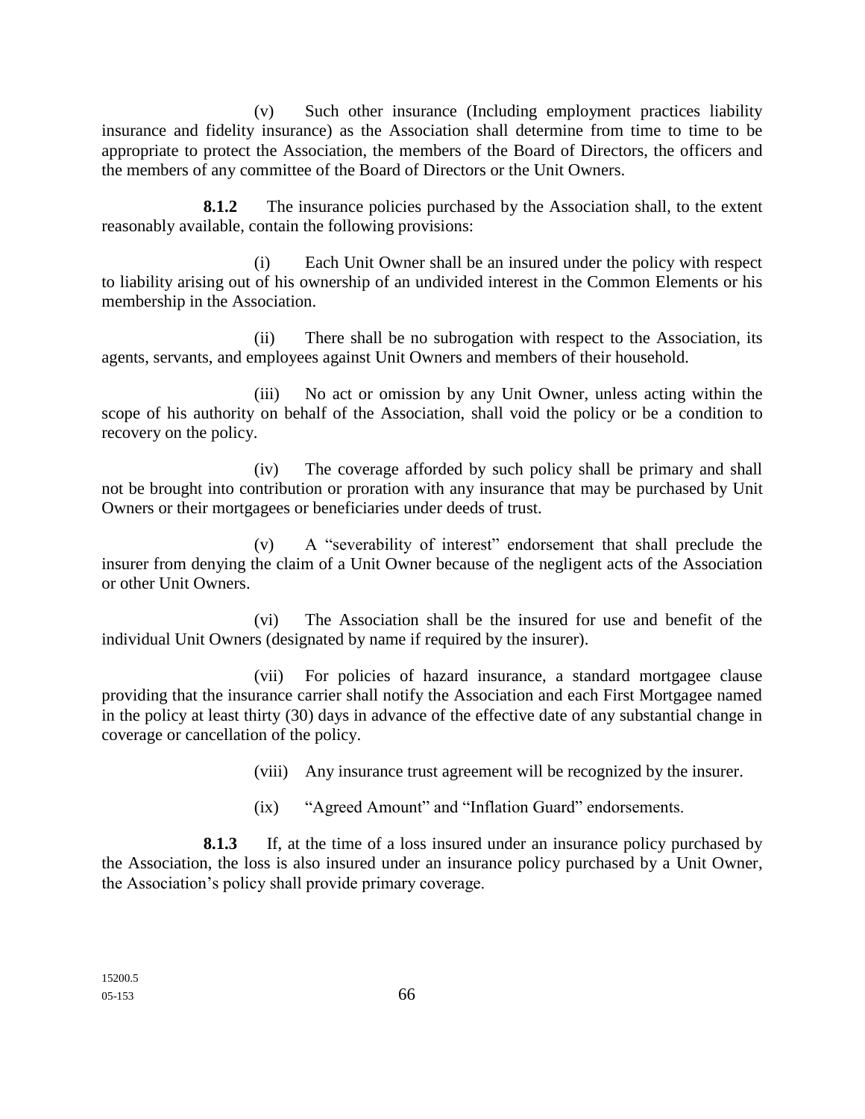(v) Such other insurance (Including employment practices liability insurance and fidelity insurance) as the Association shall determine from time to time to be appropriate to protect the Association, the members of the Board of Directors, the officers and the members of any committee of the Board of Directors or the Unit Owners.

**8.1.2** The insurance policies purchased by the Association shall, to the extent reasonably available, contain the following provisions:

(i) Each Unit Owner shall be an insured under the policy with respect to liability arising out of his ownership of an undivided interest in the Common Elements or his membership in the Association.

(ii) There shall be no subrogation with respect to the Association, its agents, servants, and employees against Unit Owners and members of their household.

(iii) No act or omission by any Unit Owner, unless acting within the scope of his authority on behalf of the Association, shall void the policy or be a condition to recovery on the policy.

(iv) The coverage afforded by such policy shall be primary and shall not be brought into contribution or proration with any insurance that may be purchased by Unit Owners or their mortgagees or beneficiaries under deeds of trust.

(v) A "severability of interest" endorsement that shall preclude the insurer from denying the claim of a Unit Owner because of the negligent acts of the Association or other Unit Owners.

(vi) The Association shall be the insured for use and benefit of the individual Unit Owners (designated by name if required by the insurer).

(vii) For policies of hazard insurance, a standard mortgagee clause providing that the insurance carrier shall notify the Association and each First Mortgagee named in the policy at least thirty (30) days in advance of the effective date of any substantial change in coverage or cancellation of the policy.

(viii) Any insurance trust agreement will be recognized by the insurer.

(ix) "Agreed Amount" and "Inflation Guard" endorsements.

**8.1.3** If, at the time of a loss insured under an insurance policy purchased by the Association, the loss is also insured under an insurance policy purchased by a Unit Owner, the Association's policy shall provide primary coverage.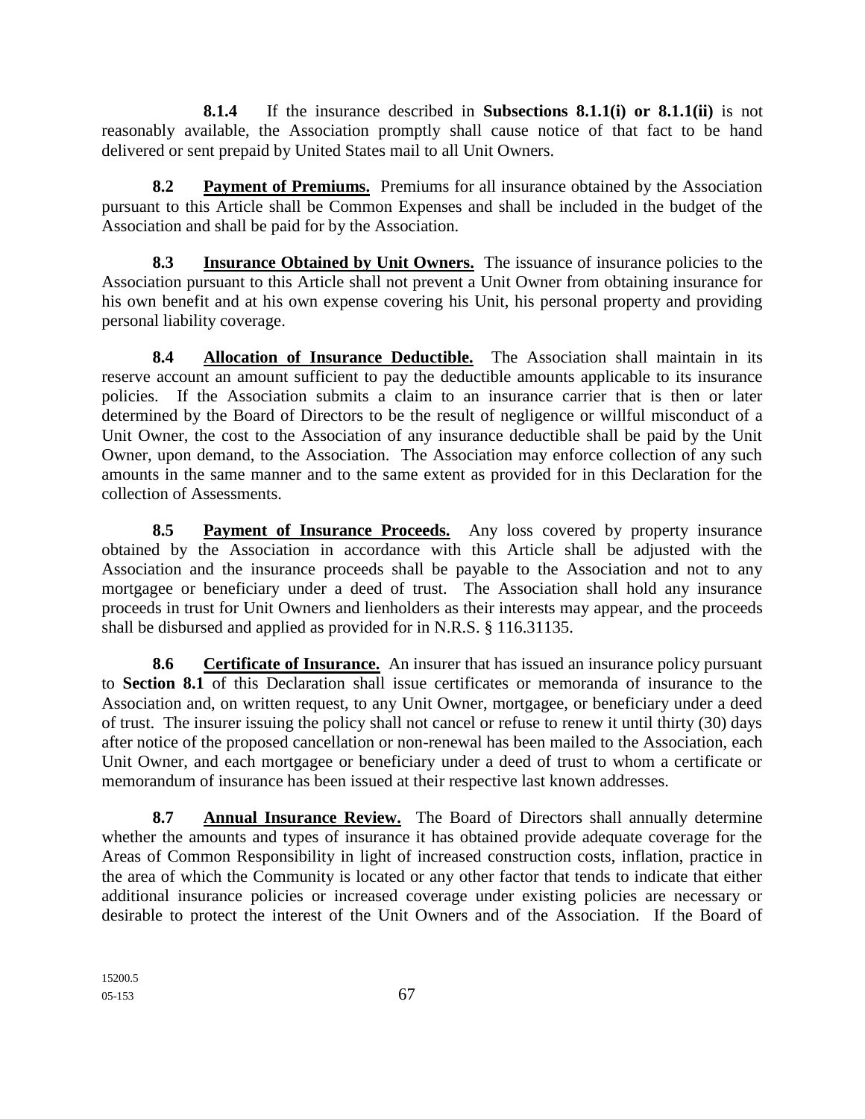**8.1.4** If the insurance described in **Subsections 8.1.1(i) or 8.1.1(ii)** is not reasonably available, the Association promptly shall cause notice of that fact to be hand delivered or sent prepaid by United States mail to all Unit Owners.

**8.2 Payment of Premiums.** Premiums for all insurance obtained by the Association pursuant to this Article shall be Common Expenses and shall be included in the budget of the Association and shall be paid for by the Association.

**8.3 Insurance Obtained by Unit Owners.** The issuance of insurance policies to the Association pursuant to this Article shall not prevent a Unit Owner from obtaining insurance for his own benefit and at his own expense covering his Unit, his personal property and providing personal liability coverage.

**8.4 Allocation of Insurance Deductible.** The Association shall maintain in its reserve account an amount sufficient to pay the deductible amounts applicable to its insurance policies. If the Association submits a claim to an insurance carrier that is then or later determined by the Board of Directors to be the result of negligence or willful misconduct of a Unit Owner, the cost to the Association of any insurance deductible shall be paid by the Unit Owner, upon demand, to the Association. The Association may enforce collection of any such amounts in the same manner and to the same extent as provided for in this Declaration for the collection of Assessments.

**8.5 Payment of Insurance Proceeds.** Any loss covered by property insurance obtained by the Association in accordance with this Article shall be adjusted with the Association and the insurance proceeds shall be payable to the Association and not to any mortgagee or beneficiary under a deed of trust. The Association shall hold any insurance proceeds in trust for Unit Owners and lienholders as their interests may appear, and the proceeds shall be disbursed and applied as provided for in N.R.S. § 116.31135.

**8.6 Certificate of Insurance.** An insurer that has issued an insurance policy pursuant to **Section 8.1** of this Declaration shall issue certificates or memoranda of insurance to the Association and, on written request, to any Unit Owner, mortgagee, or beneficiary under a deed of trust. The insurer issuing the policy shall not cancel or refuse to renew it until thirty (30) days after notice of the proposed cancellation or non-renewal has been mailed to the Association, each Unit Owner, and each mortgagee or beneficiary under a deed of trust to whom a certificate or memorandum of insurance has been issued at their respective last known addresses.

**8.7 Annual Insurance Review.** The Board of Directors shall annually determine whether the amounts and types of insurance it has obtained provide adequate coverage for the Areas of Common Responsibility in light of increased construction costs, inflation, practice in the area of which the Community is located or any other factor that tends to indicate that either additional insurance policies or increased coverage under existing policies are necessary or desirable to protect the interest of the Unit Owners and of the Association. If the Board of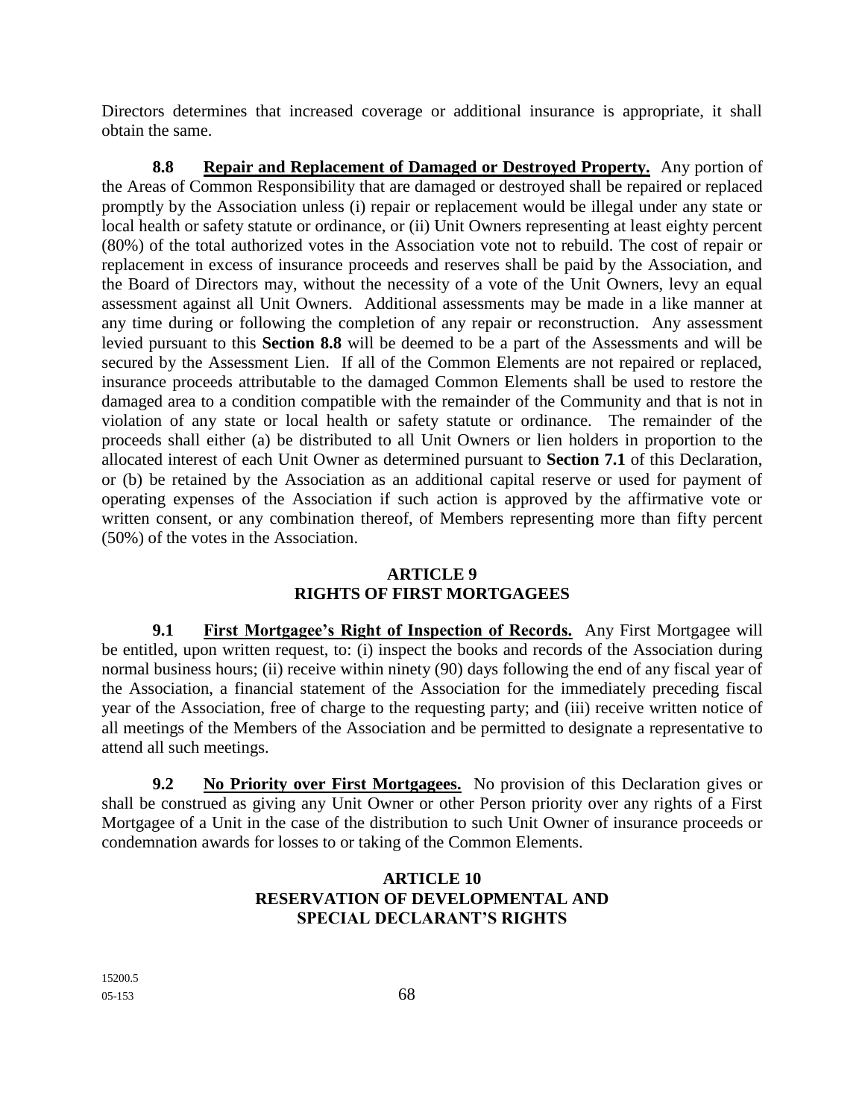Directors determines that increased coverage or additional insurance is appropriate, it shall obtain the same.

**8.8 Repair and Replacement of Damaged or Destroyed Property.** Any portion of the Areas of Common Responsibility that are damaged or destroyed shall be repaired or replaced promptly by the Association unless (i) repair or replacement would be illegal under any state or local health or safety statute or ordinance, or (ii) Unit Owners representing at least eighty percent (80%) of the total authorized votes in the Association vote not to rebuild. The cost of repair or replacement in excess of insurance proceeds and reserves shall be paid by the Association, and the Board of Directors may, without the necessity of a vote of the Unit Owners, levy an equal assessment against all Unit Owners. Additional assessments may be made in a like manner at any time during or following the completion of any repair or reconstruction. Any assessment levied pursuant to this **Section 8.8** will be deemed to be a part of the Assessments and will be secured by the Assessment Lien. If all of the Common Elements are not repaired or replaced, insurance proceeds attributable to the damaged Common Elements shall be used to restore the damaged area to a condition compatible with the remainder of the Community and that is not in violation of any state or local health or safety statute or ordinance. The remainder of the proceeds shall either (a) be distributed to all Unit Owners or lien holders in proportion to the allocated interest of each Unit Owner as determined pursuant to **Section 7.1** of this Declaration, or (b) be retained by the Association as an additional capital reserve or used for payment of operating expenses of the Association if such action is approved by the affirmative vote or written consent, or any combination thereof, of Members representing more than fifty percent (50%) of the votes in the Association.

## **ARTICLE 9 RIGHTS OF FIRST MORTGAGEES**

**9.1 First Mortgagee's Right of Inspection of Records.** Any First Mortgagee will be entitled, upon written request, to: (i) inspect the books and records of the Association during normal business hours; (ii) receive within ninety (90) days following the end of any fiscal year of the Association, a financial statement of the Association for the immediately preceding fiscal year of the Association, free of charge to the requesting party; and (iii) receive written notice of all meetings of the Members of the Association and be permitted to designate a representative to attend all such meetings.

**9.2 No Priority over First Mortgagees.** No provision of this Declaration gives or shall be construed as giving any Unit Owner or other Person priority over any rights of a First Mortgagee of a Unit in the case of the distribution to such Unit Owner of insurance proceeds or condemnation awards for losses to or taking of the Common Elements.

## **ARTICLE 10 RESERVATION OF DEVELOPMENTAL AND SPECIAL DECLARANT'S RIGHTS**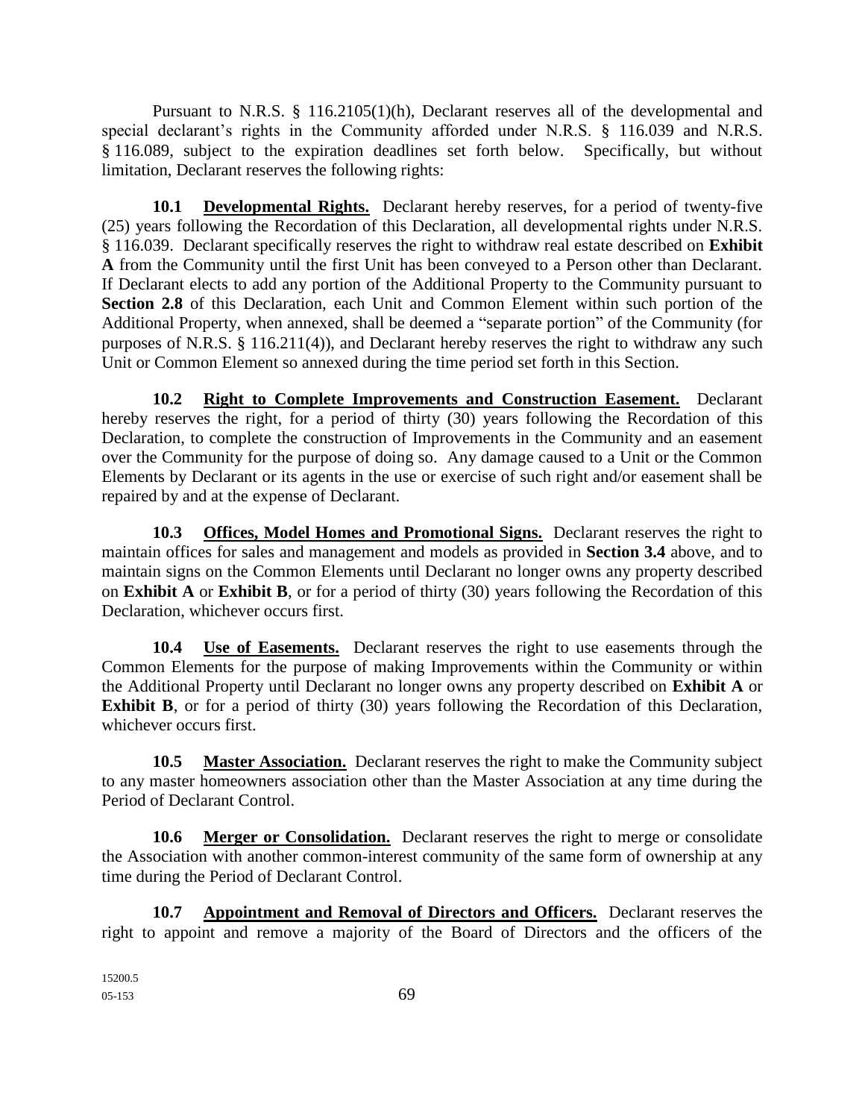Pursuant to N.R.S. § 116.2105(1)(h), Declarant reserves all of the developmental and special declarant's rights in the Community afforded under N.R.S. § 116.039 and N.R.S. § 116.089, subject to the expiration deadlines set forth below. Specifically, but without limitation, Declarant reserves the following rights:

**10.1 Developmental Rights.** Declarant hereby reserves, for a period of twenty-five (25) years following the Recordation of this Declaration, all developmental rights under N.R.S. § 116.039. Declarant specifically reserves the right to withdraw real estate described on **Exhibit A** from the Community until the first Unit has been conveyed to a Person other than Declarant. If Declarant elects to add any portion of the Additional Property to the Community pursuant to **Section 2.8** of this Declaration, each Unit and Common Element within such portion of the Additional Property, when annexed, shall be deemed a "separate portion" of the Community (for purposes of N.R.S. § 116.211(4)), and Declarant hereby reserves the right to withdraw any such Unit or Common Element so annexed during the time period set forth in this Section.

**10.2 Right to Complete Improvements and Construction Easement.** Declarant hereby reserves the right, for a period of thirty (30) years following the Recordation of this Declaration, to complete the construction of Improvements in the Community and an easement over the Community for the purpose of doing so. Any damage caused to a Unit or the Common Elements by Declarant or its agents in the use or exercise of such right and/or easement shall be repaired by and at the expense of Declarant.

**10.3 Offices, Model Homes and Promotional Signs.** Declarant reserves the right to maintain offices for sales and management and models as provided in **Section 3.4** above, and to maintain signs on the Common Elements until Declarant no longer owns any property described on **Exhibit A** or **Exhibit B**, or for a period of thirty (30) years following the Recordation of this Declaration, whichever occurs first.

**10.4 Use of Easements.** Declarant reserves the right to use easements through the Common Elements for the purpose of making Improvements within the Community or within the Additional Property until Declarant no longer owns any property described on **Exhibit A** or **Exhibit B**, or for a period of thirty (30) years following the Recordation of this Declaration, whichever occurs first.

**10.5 Master Association.** Declarant reserves the right to make the Community subject to any master homeowners association other than the Master Association at any time during the Period of Declarant Control.

**10.6 Merger or Consolidation.** Declarant reserves the right to merge or consolidate the Association with another common-interest community of the same form of ownership at any time during the Period of Declarant Control.

**10.7 Appointment and Removal of Directors and Officers.** Declarant reserves the right to appoint and remove a majority of the Board of Directors and the officers of the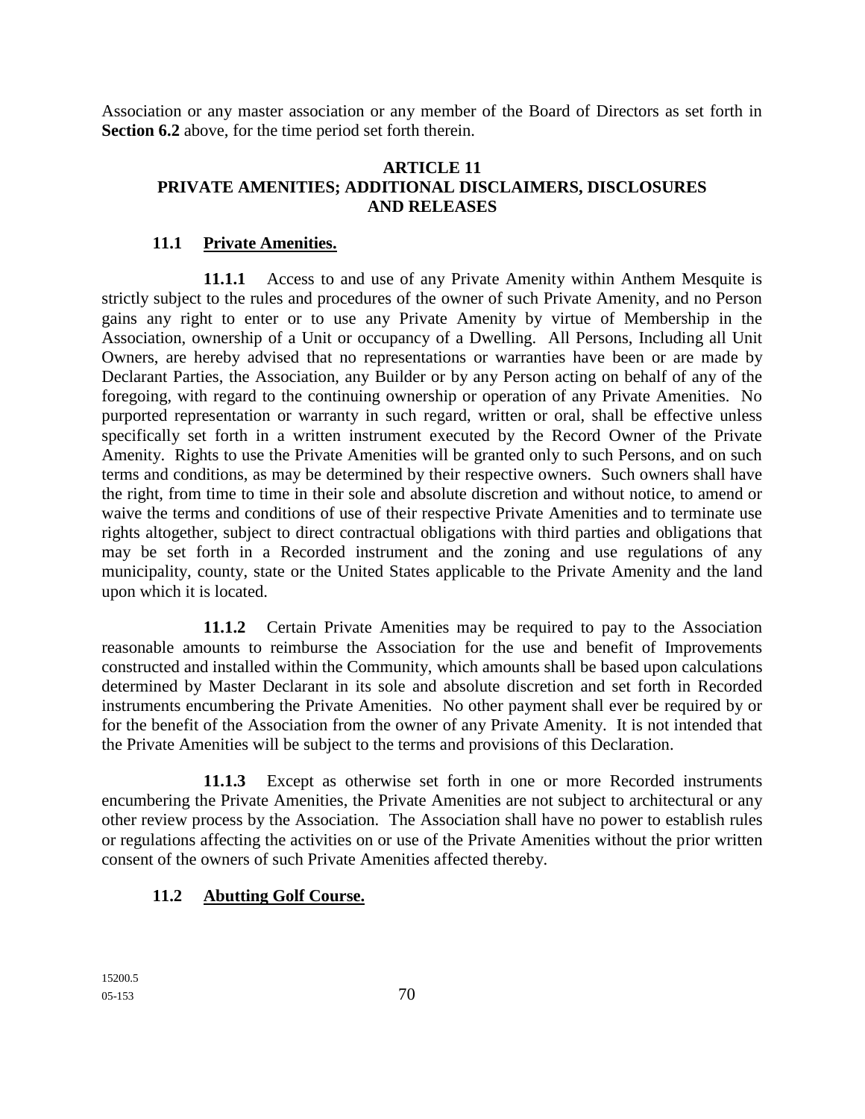Association or any master association or any member of the Board of Directors as set forth in **Section 6.2** above, for the time period set forth therein.

### **ARTICLE 11 PRIVATE AMENITIES; ADDITIONAL DISCLAIMERS, DISCLOSURES AND RELEASES**

### **11.1 Private Amenities.**

**11.1.1** Access to and use of any Private Amenity within Anthem Mesquite is strictly subject to the rules and procedures of the owner of such Private Amenity, and no Person gains any right to enter or to use any Private Amenity by virtue of Membership in the Association, ownership of a Unit or occupancy of a Dwelling. All Persons, Including all Unit Owners, are hereby advised that no representations or warranties have been or are made by Declarant Parties, the Association, any Builder or by any Person acting on behalf of any of the foregoing, with regard to the continuing ownership or operation of any Private Amenities. No purported representation or warranty in such regard, written or oral, shall be effective unless specifically set forth in a written instrument executed by the Record Owner of the Private Amenity. Rights to use the Private Amenities will be granted only to such Persons, and on such terms and conditions, as may be determined by their respective owners. Such owners shall have the right, from time to time in their sole and absolute discretion and without notice, to amend or waive the terms and conditions of use of their respective Private Amenities and to terminate use rights altogether, subject to direct contractual obligations with third parties and obligations that may be set forth in a Recorded instrument and the zoning and use regulations of any municipality, county, state or the United States applicable to the Private Amenity and the land upon which it is located.

**11.1.2** Certain Private Amenities may be required to pay to the Association reasonable amounts to reimburse the Association for the use and benefit of Improvements constructed and installed within the Community, which amounts shall be based upon calculations determined by Master Declarant in its sole and absolute discretion and set forth in Recorded instruments encumbering the Private Amenities. No other payment shall ever be required by or for the benefit of the Association from the owner of any Private Amenity. It is not intended that the Private Amenities will be subject to the terms and provisions of this Declaration.

**11.1.3** Except as otherwise set forth in one or more Recorded instruments encumbering the Private Amenities, the Private Amenities are not subject to architectural or any other review process by the Association. The Association shall have no power to establish rules or regulations affecting the activities on or use of the Private Amenities without the prior written consent of the owners of such Private Amenities affected thereby.

## **11.2 Abutting Golf Course.**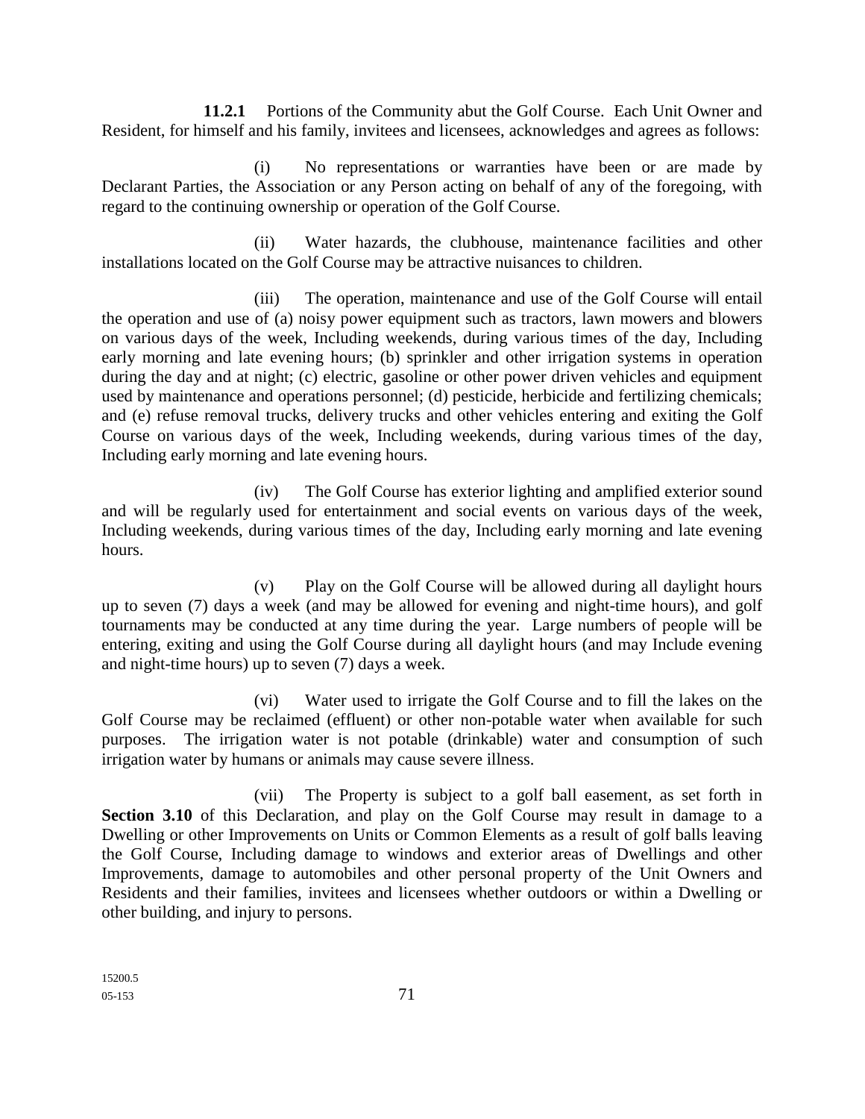**11.2.1** Portions of the Community abut the Golf Course. Each Unit Owner and Resident, for himself and his family, invitees and licensees, acknowledges and agrees as follows:

(i) No representations or warranties have been or are made by Declarant Parties, the Association or any Person acting on behalf of any of the foregoing, with regard to the continuing ownership or operation of the Golf Course.

(ii) Water hazards, the clubhouse, maintenance facilities and other installations located on the Golf Course may be attractive nuisances to children.

(iii) The operation, maintenance and use of the Golf Course will entail the operation and use of (a) noisy power equipment such as tractors, lawn mowers and blowers on various days of the week, Including weekends, during various times of the day, Including early morning and late evening hours; (b) sprinkler and other irrigation systems in operation during the day and at night; (c) electric, gasoline or other power driven vehicles and equipment used by maintenance and operations personnel; (d) pesticide, herbicide and fertilizing chemicals; and (e) refuse removal trucks, delivery trucks and other vehicles entering and exiting the Golf Course on various days of the week, Including weekends, during various times of the day, Including early morning and late evening hours.

(iv) The Golf Course has exterior lighting and amplified exterior sound and will be regularly used for entertainment and social events on various days of the week, Including weekends, during various times of the day, Including early morning and late evening hours.

(v) Play on the Golf Course will be allowed during all daylight hours up to seven (7) days a week (and may be allowed for evening and night-time hours), and golf tournaments may be conducted at any time during the year. Large numbers of people will be entering, exiting and using the Golf Course during all daylight hours (and may Include evening and night-time hours) up to seven (7) days a week.

(vi) Water used to irrigate the Golf Course and to fill the lakes on the Golf Course may be reclaimed (effluent) or other non-potable water when available for such purposes. The irrigation water is not potable (drinkable) water and consumption of such irrigation water by humans or animals may cause severe illness.

(vii) The Property is subject to a golf ball easement, as set forth in Section 3.10 of this Declaration, and play on the Golf Course may result in damage to a Dwelling or other Improvements on Units or Common Elements as a result of golf balls leaving the Golf Course, Including damage to windows and exterior areas of Dwellings and other Improvements, damage to automobiles and other personal property of the Unit Owners and Residents and their families, invitees and licensees whether outdoors or within a Dwelling or other building, and injury to persons.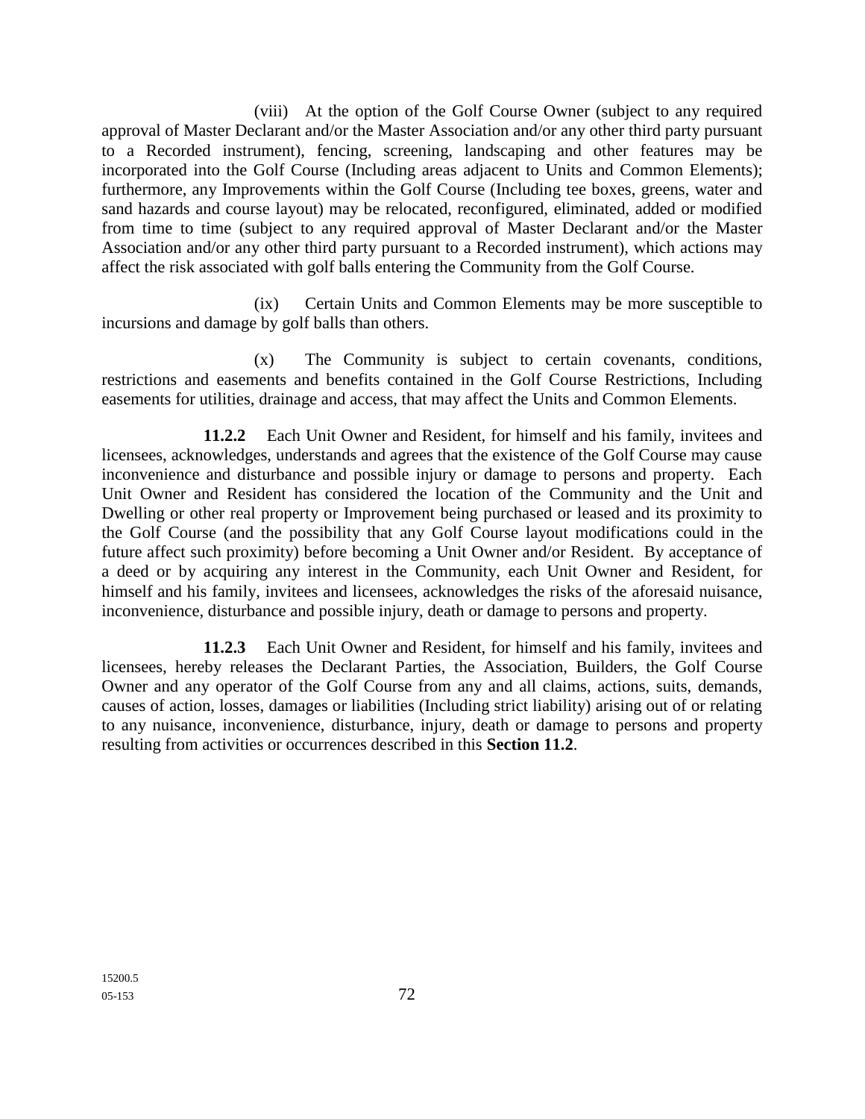(viii) At the option of the Golf Course Owner (subject to any required approval of Master Declarant and/or the Master Association and/or any other third party pursuant to a Recorded instrument), fencing, screening, landscaping and other features may be incorporated into the Golf Course (Including areas adjacent to Units and Common Elements); furthermore, any Improvements within the Golf Course (Including tee boxes, greens, water and sand hazards and course layout) may be relocated, reconfigured, eliminated, added or modified from time to time (subject to any required approval of Master Declarant and/or the Master Association and/or any other third party pursuant to a Recorded instrument), which actions may affect the risk associated with golf balls entering the Community from the Golf Course.

(ix) Certain Units and Common Elements may be more susceptible to incursions and damage by golf balls than others.

(x) The Community is subject to certain covenants, conditions, restrictions and easements and benefits contained in the Golf Course Restrictions, Including easements for utilities, drainage and access, that may affect the Units and Common Elements.

**11.2.2** Each Unit Owner and Resident, for himself and his family, invitees and licensees, acknowledges, understands and agrees that the existence of the Golf Course may cause inconvenience and disturbance and possible injury or damage to persons and property. Each Unit Owner and Resident has considered the location of the Community and the Unit and Dwelling or other real property or Improvement being purchased or leased and its proximity to the Golf Course (and the possibility that any Golf Course layout modifications could in the future affect such proximity) before becoming a Unit Owner and/or Resident. By acceptance of a deed or by acquiring any interest in the Community, each Unit Owner and Resident, for himself and his family, invitees and licensees, acknowledges the risks of the aforesaid nuisance, inconvenience, disturbance and possible injury, death or damage to persons and property.

**11.2.3** Each Unit Owner and Resident, for himself and his family, invitees and licensees, hereby releases the Declarant Parties, the Association, Builders, the Golf Course Owner and any operator of the Golf Course from any and all claims, actions, suits, demands, causes of action, losses, damages or liabilities (Including strict liability) arising out of or relating to any nuisance, inconvenience, disturbance, injury, death or damage to persons and property resulting from activities or occurrences described in this **Section 11.2**.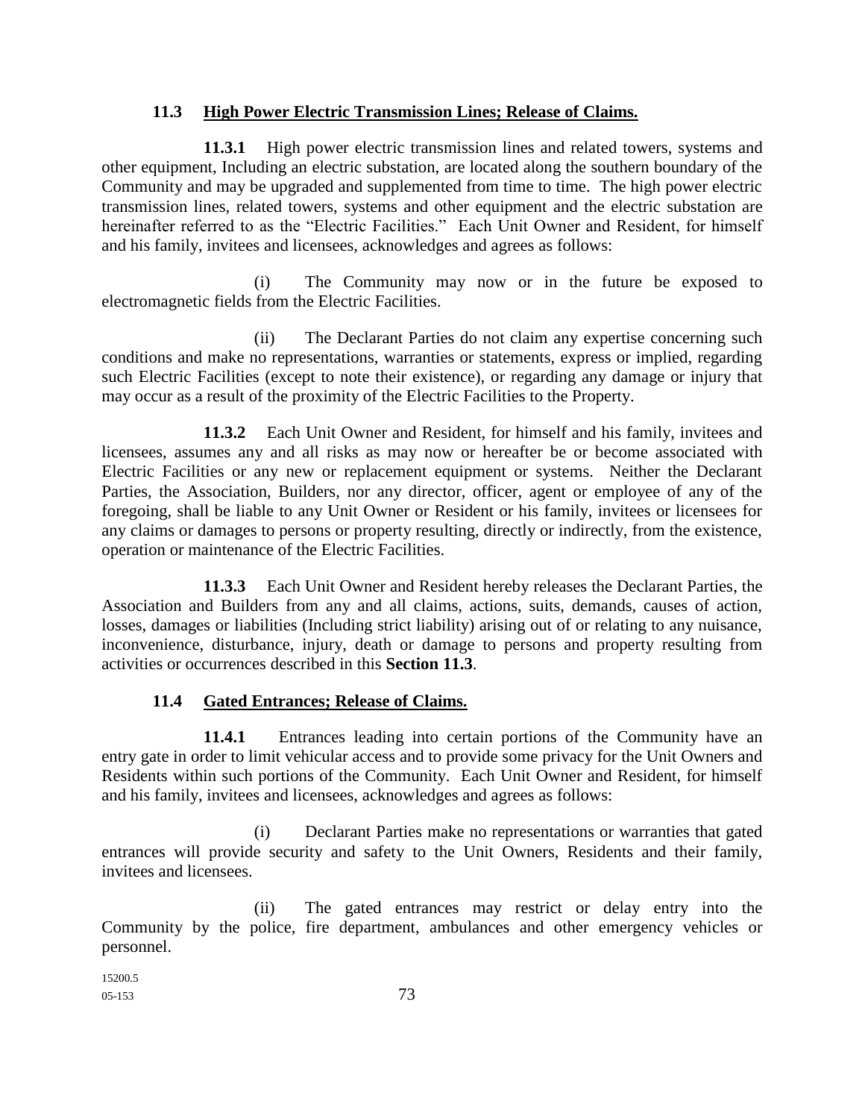### **11.3 High Power Electric Transmission Lines; Release of Claims.**

**11.3.1** High power electric transmission lines and related towers, systems and other equipment, Including an electric substation, are located along the southern boundary of the Community and may be upgraded and supplemented from time to time. The high power electric transmission lines, related towers, systems and other equipment and the electric substation are hereinafter referred to as the "Electric Facilities." Each Unit Owner and Resident, for himself and his family, invitees and licensees, acknowledges and agrees as follows:

(i) The Community may now or in the future be exposed to electromagnetic fields from the Electric Facilities.

(ii) The Declarant Parties do not claim any expertise concerning such conditions and make no representations, warranties or statements, express or implied, regarding such Electric Facilities (except to note their existence), or regarding any damage or injury that may occur as a result of the proximity of the Electric Facilities to the Property.

**11.3.2** Each Unit Owner and Resident, for himself and his family, invitees and licensees, assumes any and all risks as may now or hereafter be or become associated with Electric Facilities or any new or replacement equipment or systems. Neither the Declarant Parties, the Association, Builders, nor any director, officer, agent or employee of any of the foregoing, shall be liable to any Unit Owner or Resident or his family, invitees or licensees for any claims or damages to persons or property resulting, directly or indirectly, from the existence, operation or maintenance of the Electric Facilities.

**11.3.3** Each Unit Owner and Resident hereby releases the Declarant Parties, the Association and Builders from any and all claims, actions, suits, demands, causes of action, losses, damages or liabilities (Including strict liability) arising out of or relating to any nuisance, inconvenience, disturbance, injury, death or damage to persons and property resulting from activities or occurrences described in this **Section 11.3**.

# **11.4 Gated Entrances; Release of Claims.**

**11.4.1** Entrances leading into certain portions of the Community have an entry gate in order to limit vehicular access and to provide some privacy for the Unit Owners and Residents within such portions of the Community. Each Unit Owner and Resident, for himself and his family, invitees and licensees, acknowledges and agrees as follows:

(i) Declarant Parties make no representations or warranties that gated entrances will provide security and safety to the Unit Owners, Residents and their family, invitees and licensees.

(ii) The gated entrances may restrict or delay entry into the Community by the police, fire department, ambulances and other emergency vehicles or personnel.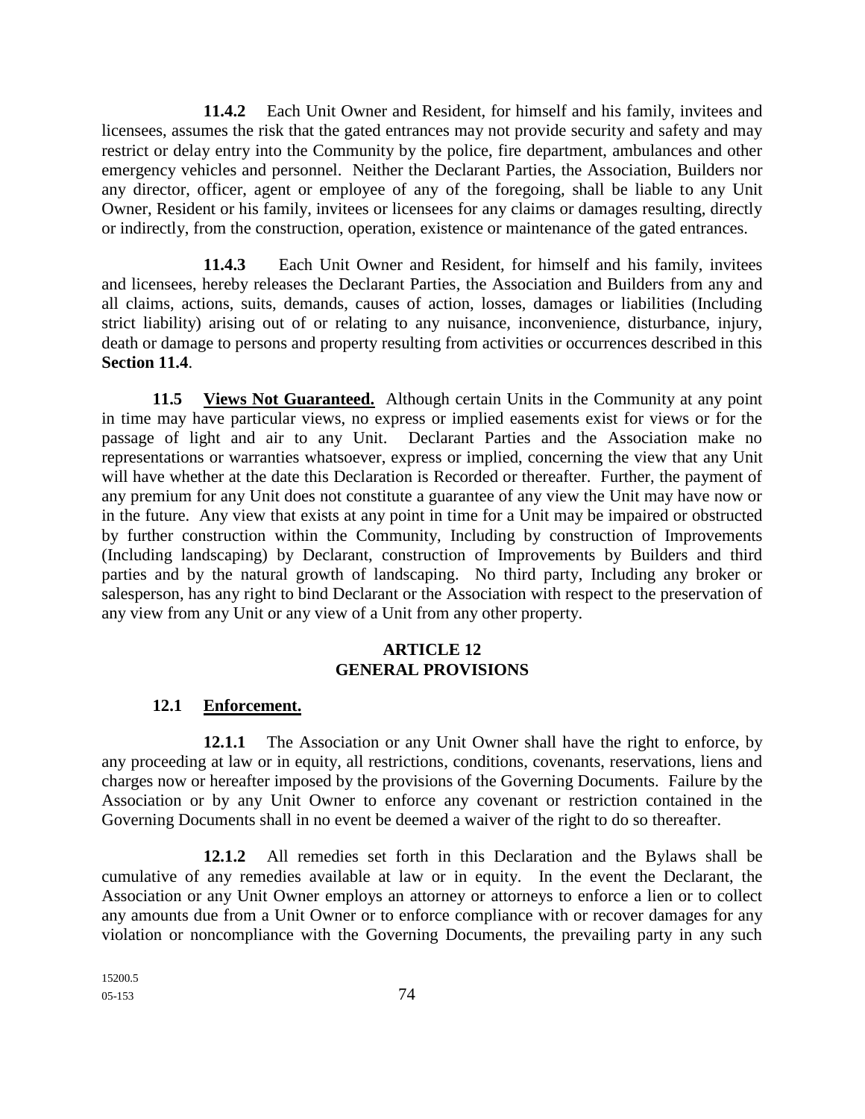**11.4.2** Each Unit Owner and Resident, for himself and his family, invitees and licensees, assumes the risk that the gated entrances may not provide security and safety and may restrict or delay entry into the Community by the police, fire department, ambulances and other emergency vehicles and personnel. Neither the Declarant Parties, the Association, Builders nor any director, officer, agent or employee of any of the foregoing, shall be liable to any Unit Owner, Resident or his family, invitees or licensees for any claims or damages resulting, directly or indirectly, from the construction, operation, existence or maintenance of the gated entrances.

**11.4.3** Each Unit Owner and Resident, for himself and his family, invitees and licensees, hereby releases the Declarant Parties, the Association and Builders from any and all claims, actions, suits, demands, causes of action, losses, damages or liabilities (Including strict liability) arising out of or relating to any nuisance, inconvenience, disturbance, injury, death or damage to persons and property resulting from activities or occurrences described in this **Section 11.4**.

**11.5 Views Not Guaranteed.** Although certain Units in the Community at any point in time may have particular views, no express or implied easements exist for views or for the passage of light and air to any Unit. Declarant Parties and the Association make no representations or warranties whatsoever, express or implied, concerning the view that any Unit will have whether at the date this Declaration is Recorded or thereafter. Further, the payment of any premium for any Unit does not constitute a guarantee of any view the Unit may have now or in the future. Any view that exists at any point in time for a Unit may be impaired or obstructed by further construction within the Community, Including by construction of Improvements (Including landscaping) by Declarant, construction of Improvements by Builders and third parties and by the natural growth of landscaping. No third party, Including any broker or salesperson, has any right to bind Declarant or the Association with respect to the preservation of any view from any Unit or any view of a Unit from any other property.

## **ARTICLE 12 GENERAL PROVISIONS**

# **12.1 Enforcement.**

**12.1.1** The Association or any Unit Owner shall have the right to enforce, by any proceeding at law or in equity, all restrictions, conditions, covenants, reservations, liens and charges now or hereafter imposed by the provisions of the Governing Documents. Failure by the Association or by any Unit Owner to enforce any covenant or restriction contained in the Governing Documents shall in no event be deemed a waiver of the right to do so thereafter.

**12.1.2** All remedies set forth in this Declaration and the Bylaws shall be cumulative of any remedies available at law or in equity. In the event the Declarant, the Association or any Unit Owner employs an attorney or attorneys to enforce a lien or to collect any amounts due from a Unit Owner or to enforce compliance with or recover damages for any violation or noncompliance with the Governing Documents, the prevailing party in any such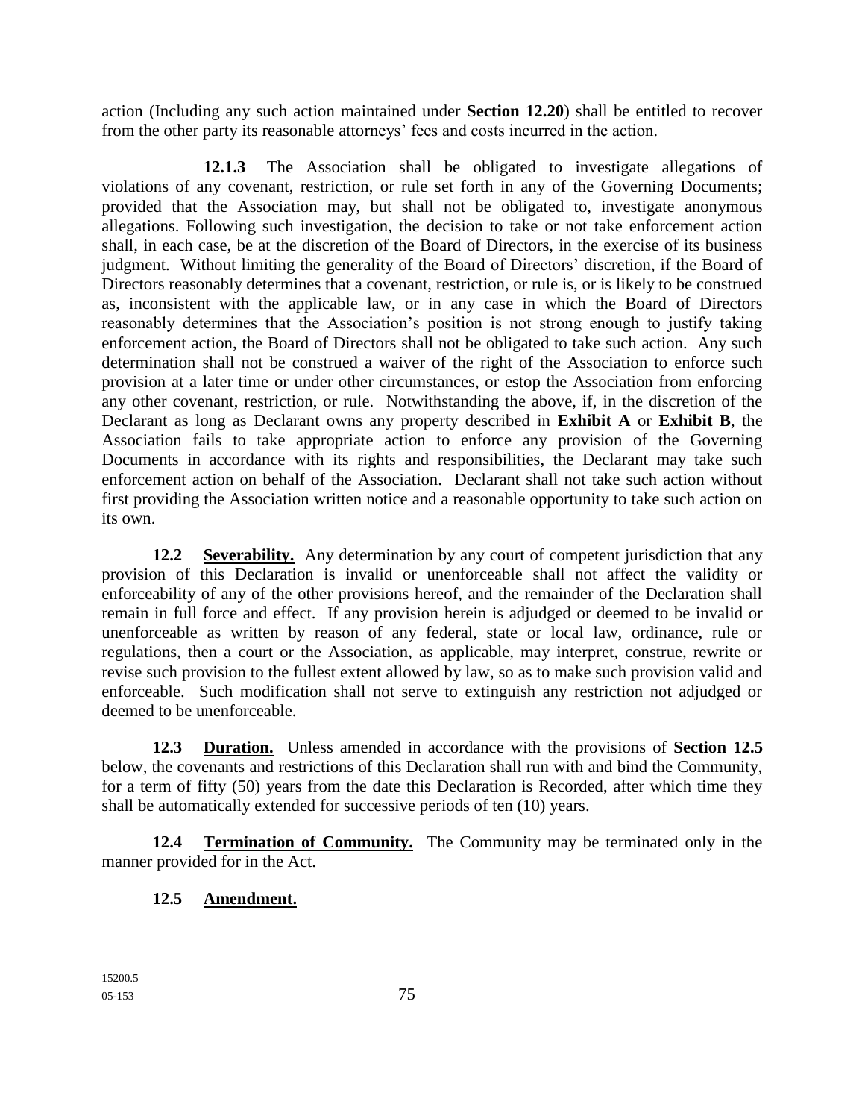action (Including any such action maintained under **Section 12.20**) shall be entitled to recover from the other party its reasonable attorneys' fees and costs incurred in the action.

**12.1.3** The Association shall be obligated to investigate allegations of violations of any covenant, restriction, or rule set forth in any of the Governing Documents; provided that the Association may, but shall not be obligated to, investigate anonymous allegations. Following such investigation, the decision to take or not take enforcement action shall, in each case, be at the discretion of the Board of Directors, in the exercise of its business judgment. Without limiting the generality of the Board of Directors' discretion, if the Board of Directors reasonably determines that a covenant, restriction, or rule is, or is likely to be construed as, inconsistent with the applicable law, or in any case in which the Board of Directors reasonably determines that the Association's position is not strong enough to justify taking enforcement action, the Board of Directors shall not be obligated to take such action. Any such determination shall not be construed a waiver of the right of the Association to enforce such provision at a later time or under other circumstances, or estop the Association from enforcing any other covenant, restriction, or rule. Notwithstanding the above, if, in the discretion of the Declarant as long as Declarant owns any property described in **Exhibit A** or **Exhibit B**, the Association fails to take appropriate action to enforce any provision of the Governing Documents in accordance with its rights and responsibilities, the Declarant may take such enforcement action on behalf of the Association. Declarant shall not take such action without first providing the Association written notice and a reasonable opportunity to take such action on its own.

**12.2 Severability.** Any determination by any court of competent jurisdiction that any provision of this Declaration is invalid or unenforceable shall not affect the validity or enforceability of any of the other provisions hereof, and the remainder of the Declaration shall remain in full force and effect. If any provision herein is adjudged or deemed to be invalid or unenforceable as written by reason of any federal, state or local law, ordinance, rule or regulations, then a court or the Association, as applicable, may interpret, construe, rewrite or revise such provision to the fullest extent allowed by law, so as to make such provision valid and enforceable. Such modification shall not serve to extinguish any restriction not adjudged or deemed to be unenforceable.

**12.3 Duration.** Unless amended in accordance with the provisions of **Section 12.5** below, the covenants and restrictions of this Declaration shall run with and bind the Community, for a term of fifty (50) years from the date this Declaration is Recorded, after which time they shall be automatically extended for successive periods of ten (10) years.

**12.4 Termination of Community.** The Community may be terminated only in the manner provided for in the Act.

# **12.5 Amendment.**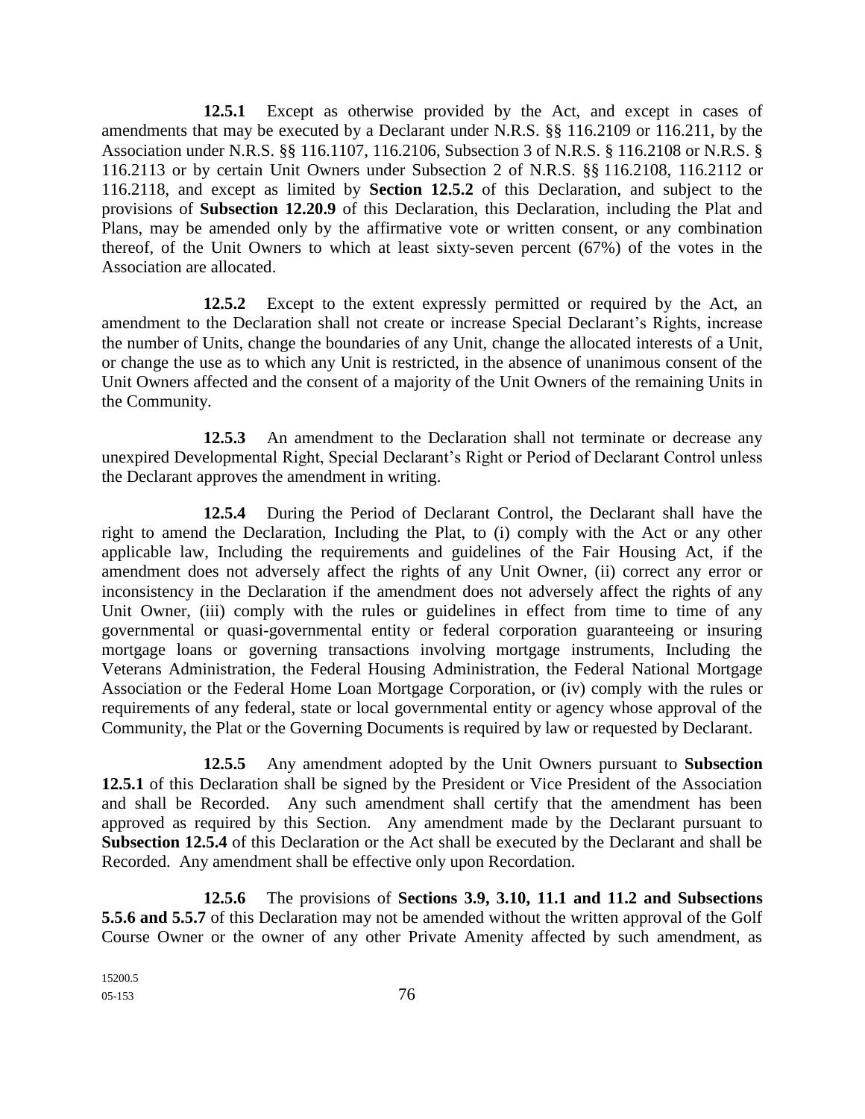**12.5.1** Except as otherwise provided by the Act, and except in cases of amendments that may be executed by a Declarant under N.R.S. §§ 116.2109 or 116.211, by the Association under N.R.S. §§ 116.1107, 116.2106, Subsection 3 of N.R.S. § 116.2108 or N.R.S. § 116.2113 or by certain Unit Owners under Subsection 2 of N.R.S. §§ 116.2108, 116.2112 or 116.2118, and except as limited by **Section 12.5.2** of this Declaration, and subject to the provisions of **Subsection 12.20.9** of this Declaration, this Declaration, including the Plat and Plans, may be amended only by the affirmative vote or written consent, or any combination thereof, of the Unit Owners to which at least sixty-seven percent (67%) of the votes in the Association are allocated.

**12.5.2** Except to the extent expressly permitted or required by the Act, an amendment to the Declaration shall not create or increase Special Declarant's Rights, increase the number of Units, change the boundaries of any Unit, change the allocated interests of a Unit, or change the use as to which any Unit is restricted, in the absence of unanimous consent of the Unit Owners affected and the consent of a majority of the Unit Owners of the remaining Units in the Community.

**12.5.3** An amendment to the Declaration shall not terminate or decrease any unexpired Developmental Right, Special Declarant's Right or Period of Declarant Control unless the Declarant approves the amendment in writing.

**12.5.4** During the Period of Declarant Control, the Declarant shall have the right to amend the Declaration, Including the Plat, to (i) comply with the Act or any other applicable law, Including the requirements and guidelines of the Fair Housing Act, if the amendment does not adversely affect the rights of any Unit Owner, (ii) correct any error or inconsistency in the Declaration if the amendment does not adversely affect the rights of any Unit Owner, (iii) comply with the rules or guidelines in effect from time to time of any governmental or quasi-governmental entity or federal corporation guaranteeing or insuring mortgage loans or governing transactions involving mortgage instruments, Including the Veterans Administration, the Federal Housing Administration, the Federal National Mortgage Association or the Federal Home Loan Mortgage Corporation, or (iv) comply with the rules or requirements of any federal, state or local governmental entity or agency whose approval of the Community, the Plat or the Governing Documents is required by law or requested by Declarant.

**12.5.5** Any amendment adopted by the Unit Owners pursuant to **Subsection 12.5.1** of this Declaration shall be signed by the President or Vice President of the Association and shall be Recorded. Any such amendment shall certify that the amendment has been approved as required by this Section. Any amendment made by the Declarant pursuant to **Subsection 12.5.4** of this Declaration or the Act shall be executed by the Declarant and shall be Recorded. Any amendment shall be effective only upon Recordation.

**12.5.6** The provisions of **Sections 3.9, 3.10, 11.1 and 11.2 and Subsections 5.5.6 and 5.5.7** of this Declaration may not be amended without the written approval of the Golf Course Owner or the owner of any other Private Amenity affected by such amendment, as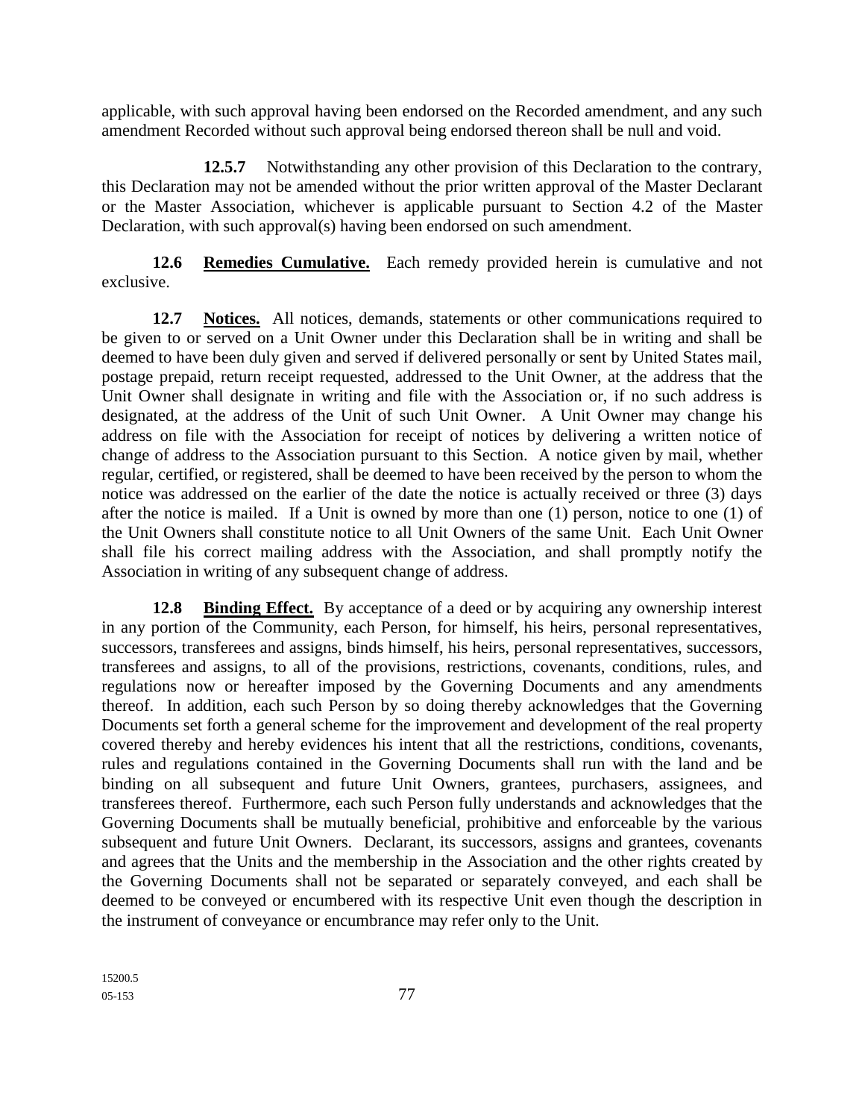applicable, with such approval having been endorsed on the Recorded amendment, and any such amendment Recorded without such approval being endorsed thereon shall be null and void.

**12.5.7** Notwithstanding any other provision of this Declaration to the contrary, this Declaration may not be amended without the prior written approval of the Master Declarant or the Master Association, whichever is applicable pursuant to Section 4.2 of the Master Declaration, with such approval(s) having been endorsed on such amendment.

**12.6 Remedies Cumulative.** Each remedy provided herein is cumulative and not exclusive.

**12.7 Notices.** All notices, demands, statements or other communications required to be given to or served on a Unit Owner under this Declaration shall be in writing and shall be deemed to have been duly given and served if delivered personally or sent by United States mail, postage prepaid, return receipt requested, addressed to the Unit Owner, at the address that the Unit Owner shall designate in writing and file with the Association or, if no such address is designated, at the address of the Unit of such Unit Owner. A Unit Owner may change his address on file with the Association for receipt of notices by delivering a written notice of change of address to the Association pursuant to this Section. A notice given by mail, whether regular, certified, or registered, shall be deemed to have been received by the person to whom the notice was addressed on the earlier of the date the notice is actually received or three (3) days after the notice is mailed. If a Unit is owned by more than one (1) person, notice to one (1) of the Unit Owners shall constitute notice to all Unit Owners of the same Unit. Each Unit Owner shall file his correct mailing address with the Association, and shall promptly notify the Association in writing of any subsequent change of address.

**12.8 Binding Effect.** By acceptance of a deed or by acquiring any ownership interest in any portion of the Community, each Person, for himself, his heirs, personal representatives, successors, transferees and assigns, binds himself, his heirs, personal representatives, successors, transferees and assigns, to all of the provisions, restrictions, covenants, conditions, rules, and regulations now or hereafter imposed by the Governing Documents and any amendments thereof. In addition, each such Person by so doing thereby acknowledges that the Governing Documents set forth a general scheme for the improvement and development of the real property covered thereby and hereby evidences his intent that all the restrictions, conditions, covenants, rules and regulations contained in the Governing Documents shall run with the land and be binding on all subsequent and future Unit Owners, grantees, purchasers, assignees, and transferees thereof. Furthermore, each such Person fully understands and acknowledges that the Governing Documents shall be mutually beneficial, prohibitive and enforceable by the various subsequent and future Unit Owners. Declarant, its successors, assigns and grantees, covenants and agrees that the Units and the membership in the Association and the other rights created by the Governing Documents shall not be separated or separately conveyed, and each shall be deemed to be conveyed or encumbered with its respective Unit even though the description in the instrument of conveyance or encumbrance may refer only to the Unit.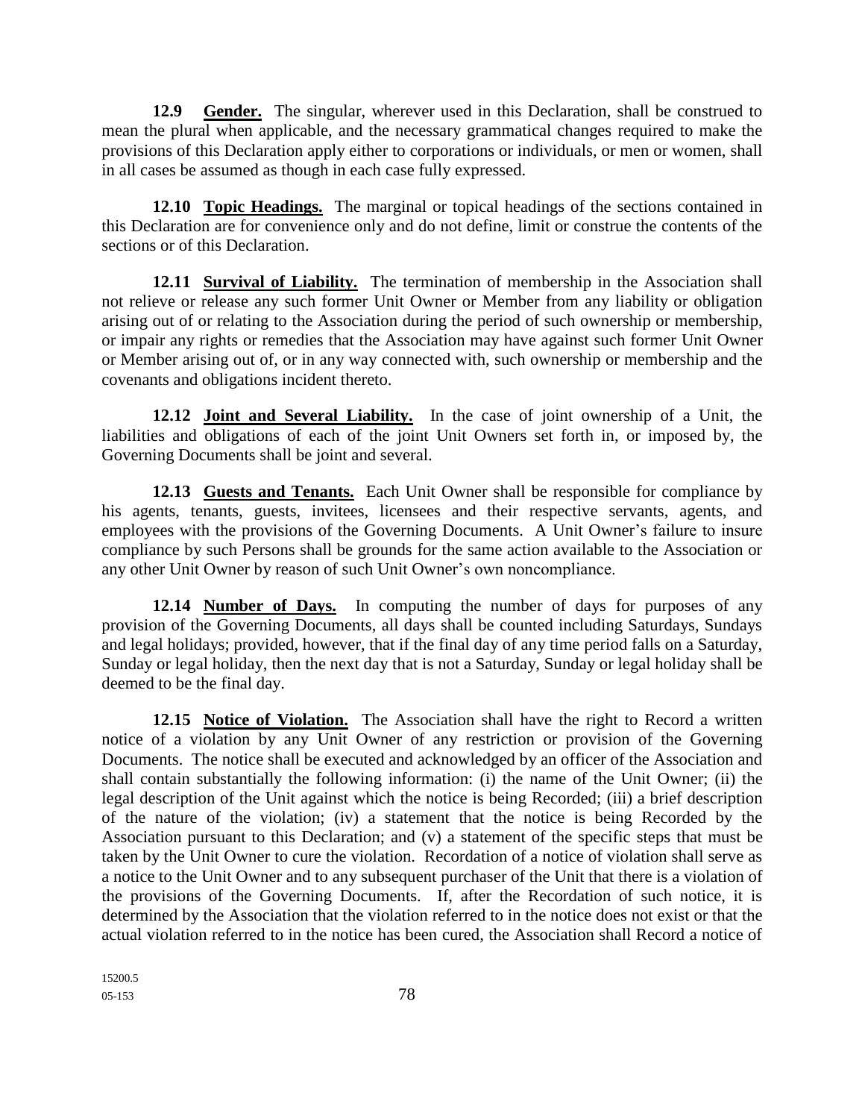**12.9 Gender.** The singular, wherever used in this Declaration, shall be construed to mean the plural when applicable, and the necessary grammatical changes required to make the provisions of this Declaration apply either to corporations or individuals, or men or women, shall in all cases be assumed as though in each case fully expressed.

**12.10 Topic Headings.** The marginal or topical headings of the sections contained in this Declaration are for convenience only and do not define, limit or construe the contents of the sections or of this Declaration.

**12.11 Survival of Liability.** The termination of membership in the Association shall not relieve or release any such former Unit Owner or Member from any liability or obligation arising out of or relating to the Association during the period of such ownership or membership, or impair any rights or remedies that the Association may have against such former Unit Owner or Member arising out of, or in any way connected with, such ownership or membership and the covenants and obligations incident thereto.

**12.12 Joint and Several Liability.** In the case of joint ownership of a Unit, the liabilities and obligations of each of the joint Unit Owners set forth in, or imposed by, the Governing Documents shall be joint and several.

**12.13 Guests and Tenants.** Each Unit Owner shall be responsible for compliance by his agents, tenants, guests, invitees, licensees and their respective servants, agents, and employees with the provisions of the Governing Documents. A Unit Owner's failure to insure compliance by such Persons shall be grounds for the same action available to the Association or any other Unit Owner by reason of such Unit Owner's own noncompliance.

**12.14 Number of Days.** In computing the number of days for purposes of any provision of the Governing Documents, all days shall be counted including Saturdays, Sundays and legal holidays; provided, however, that if the final day of any time period falls on a Saturday, Sunday or legal holiday, then the next day that is not a Saturday, Sunday or legal holiday shall be deemed to be the final day.

**12.15 Notice of Violation.** The Association shall have the right to Record a written notice of a violation by any Unit Owner of any restriction or provision of the Governing Documents. The notice shall be executed and acknowledged by an officer of the Association and shall contain substantially the following information: (i) the name of the Unit Owner; (ii) the legal description of the Unit against which the notice is being Recorded; (iii) a brief description of the nature of the violation; (iv) a statement that the notice is being Recorded by the Association pursuant to this Declaration; and (v) a statement of the specific steps that must be taken by the Unit Owner to cure the violation. Recordation of a notice of violation shall serve as a notice to the Unit Owner and to any subsequent purchaser of the Unit that there is a violation of the provisions of the Governing Documents. If, after the Recordation of such notice, it is determined by the Association that the violation referred to in the notice does not exist or that the actual violation referred to in the notice has been cured, the Association shall Record a notice of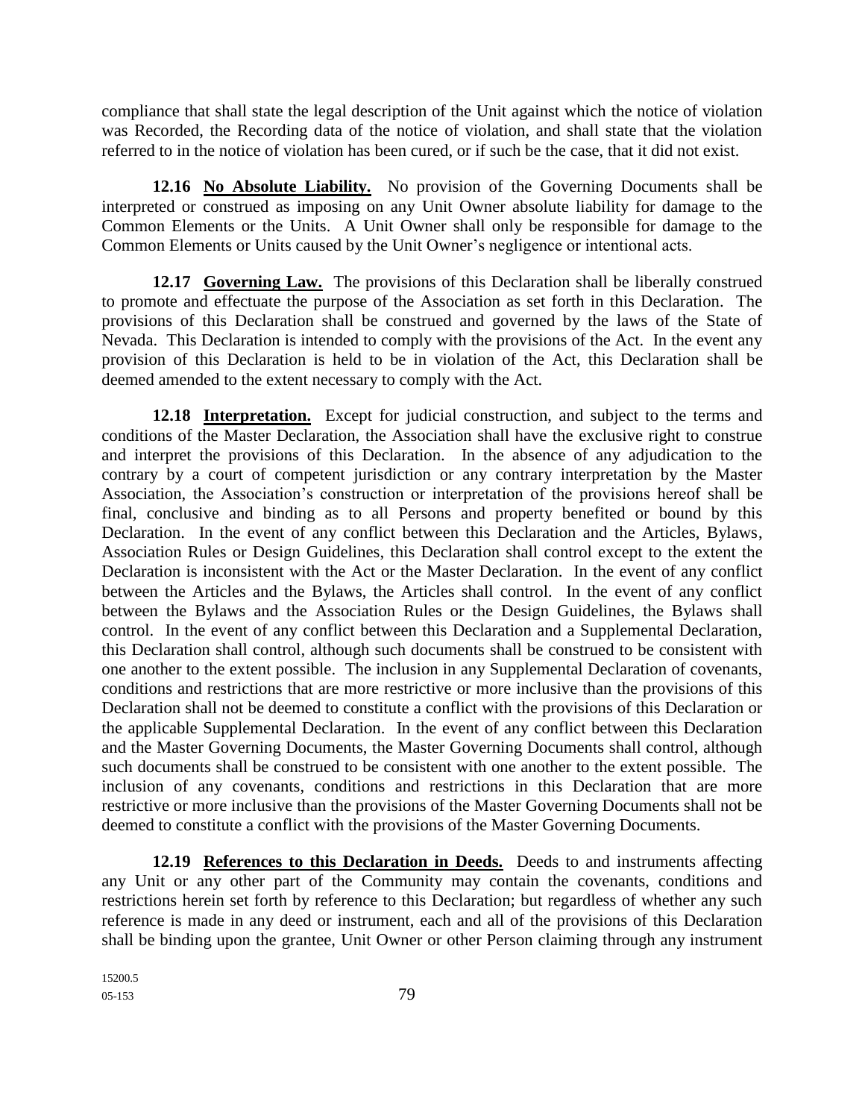compliance that shall state the legal description of the Unit against which the notice of violation was Recorded, the Recording data of the notice of violation, and shall state that the violation referred to in the notice of violation has been cured, or if such be the case, that it did not exist.

**12.16 No Absolute Liability.** No provision of the Governing Documents shall be interpreted or construed as imposing on any Unit Owner absolute liability for damage to the Common Elements or the Units. A Unit Owner shall only be responsible for damage to the Common Elements or Units caused by the Unit Owner's negligence or intentional acts.

12.17 **Governing Law.** The provisions of this Declaration shall be liberally construed to promote and effectuate the purpose of the Association as set forth in this Declaration. The provisions of this Declaration shall be construed and governed by the laws of the State of Nevada. This Declaration is intended to comply with the provisions of the Act. In the event any provision of this Declaration is held to be in violation of the Act, this Declaration shall be deemed amended to the extent necessary to comply with the Act.

**12.18 Interpretation.** Except for judicial construction, and subject to the terms and conditions of the Master Declaration, the Association shall have the exclusive right to construe and interpret the provisions of this Declaration. In the absence of any adjudication to the contrary by a court of competent jurisdiction or any contrary interpretation by the Master Association, the Association's construction or interpretation of the provisions hereof shall be final, conclusive and binding as to all Persons and property benefited or bound by this Declaration. In the event of any conflict between this Declaration and the Articles, Bylaws, Association Rules or Design Guidelines, this Declaration shall control except to the extent the Declaration is inconsistent with the Act or the Master Declaration. In the event of any conflict between the Articles and the Bylaws, the Articles shall control. In the event of any conflict between the Bylaws and the Association Rules or the Design Guidelines, the Bylaws shall control. In the event of any conflict between this Declaration and a Supplemental Declaration, this Declaration shall control, although such documents shall be construed to be consistent with one another to the extent possible. The inclusion in any Supplemental Declaration of covenants, conditions and restrictions that are more restrictive or more inclusive than the provisions of this Declaration shall not be deemed to constitute a conflict with the provisions of this Declaration or the applicable Supplemental Declaration. In the event of any conflict between this Declaration and the Master Governing Documents, the Master Governing Documents shall control, although such documents shall be construed to be consistent with one another to the extent possible. The inclusion of any covenants, conditions and restrictions in this Declaration that are more restrictive or more inclusive than the provisions of the Master Governing Documents shall not be deemed to constitute a conflict with the provisions of the Master Governing Documents.

**12.19 References to this Declaration in Deeds.** Deeds to and instruments affecting any Unit or any other part of the Community may contain the covenants, conditions and restrictions herein set forth by reference to this Declaration; but regardless of whether any such reference is made in any deed or instrument, each and all of the provisions of this Declaration shall be binding upon the grantee, Unit Owner or other Person claiming through any instrument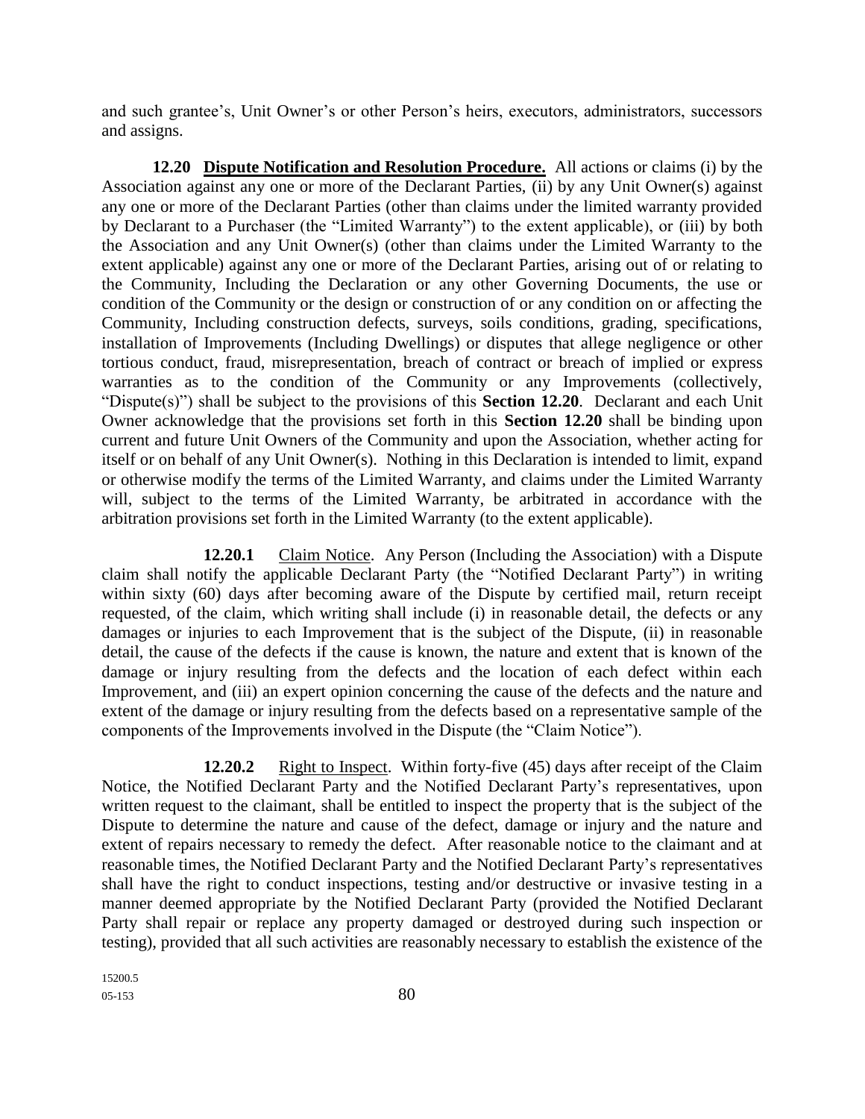and such grantee's, Unit Owner's or other Person's heirs, executors, administrators, successors and assigns.

**12.20 Dispute Notification and Resolution Procedure.** All actions or claims (i) by the Association against any one or more of the Declarant Parties, (ii) by any Unit Owner(s) against any one or more of the Declarant Parties (other than claims under the limited warranty provided by Declarant to a Purchaser (the "Limited Warranty") to the extent applicable), or (iii) by both the Association and any Unit Owner(s) (other than claims under the Limited Warranty to the extent applicable) against any one or more of the Declarant Parties, arising out of or relating to the Community, Including the Declaration or any other Governing Documents, the use or condition of the Community or the design or construction of or any condition on or affecting the Community, Including construction defects, surveys, soils conditions, grading, specifications, installation of Improvements (Including Dwellings) or disputes that allege negligence or other tortious conduct, fraud, misrepresentation, breach of contract or breach of implied or express warranties as to the condition of the Community or any Improvements (collectively, "Dispute(s)") shall be subject to the provisions of this **Section 12.20**. Declarant and each Unit Owner acknowledge that the provisions set forth in this **Section 12.20** shall be binding upon current and future Unit Owners of the Community and upon the Association, whether acting for itself or on behalf of any Unit Owner(s). Nothing in this Declaration is intended to limit, expand or otherwise modify the terms of the Limited Warranty, and claims under the Limited Warranty will, subject to the terms of the Limited Warranty, be arbitrated in accordance with the arbitration provisions set forth in the Limited Warranty (to the extent applicable).

**12.20.1** Claim Notice. Any Person (Including the Association) with a Dispute claim shall notify the applicable Declarant Party (the "Notified Declarant Party") in writing within sixty (60) days after becoming aware of the Dispute by certified mail, return receipt requested, of the claim, which writing shall include (i) in reasonable detail, the defects or any damages or injuries to each Improvement that is the subject of the Dispute, (ii) in reasonable detail, the cause of the defects if the cause is known, the nature and extent that is known of the damage or injury resulting from the defects and the location of each defect within each Improvement, and (iii) an expert opinion concerning the cause of the defects and the nature and extent of the damage or injury resulting from the defects based on a representative sample of the components of the Improvements involved in the Dispute (the "Claim Notice").

**12.20.2** Right to Inspect. Within forty-five (45) days after receipt of the Claim Notice, the Notified Declarant Party and the Notified Declarant Party's representatives, upon written request to the claimant, shall be entitled to inspect the property that is the subject of the Dispute to determine the nature and cause of the defect, damage or injury and the nature and extent of repairs necessary to remedy the defect. After reasonable notice to the claimant and at reasonable times, the Notified Declarant Party and the Notified Declarant Party's representatives shall have the right to conduct inspections, testing and/or destructive or invasive testing in a manner deemed appropriate by the Notified Declarant Party (provided the Notified Declarant Party shall repair or replace any property damaged or destroyed during such inspection or testing), provided that all such activities are reasonably necessary to establish the existence of the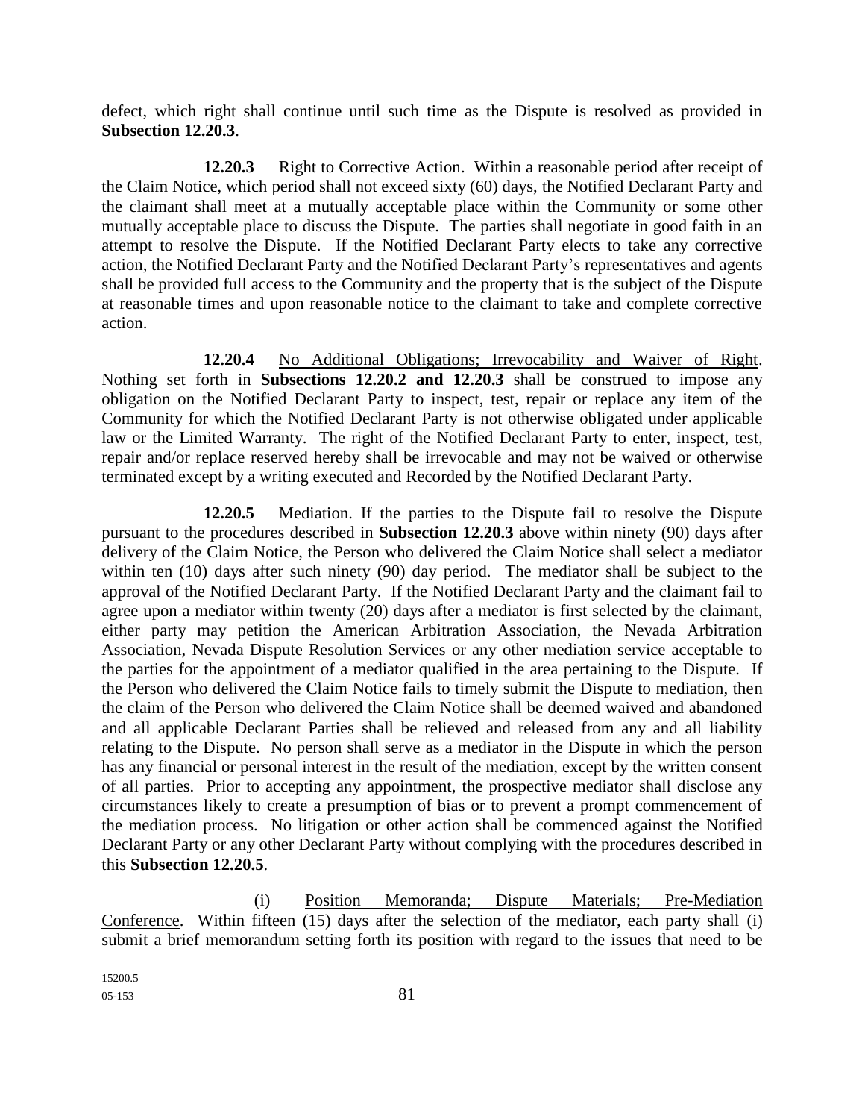defect, which right shall continue until such time as the Dispute is resolved as provided in **Subsection 12.20.3**.

**12.20.3** Right to Corrective Action. Within a reasonable period after receipt of the Claim Notice, which period shall not exceed sixty (60) days, the Notified Declarant Party and the claimant shall meet at a mutually acceptable place within the Community or some other mutually acceptable place to discuss the Dispute. The parties shall negotiate in good faith in an attempt to resolve the Dispute. If the Notified Declarant Party elects to take any corrective action, the Notified Declarant Party and the Notified Declarant Party's representatives and agents shall be provided full access to the Community and the property that is the subject of the Dispute at reasonable times and upon reasonable notice to the claimant to take and complete corrective action.

**12.20.4** No Additional Obligations; Irrevocability and Waiver of Right. Nothing set forth in **Subsections 12.20.2 and 12.20.3** shall be construed to impose any obligation on the Notified Declarant Party to inspect, test, repair or replace any item of the Community for which the Notified Declarant Party is not otherwise obligated under applicable law or the Limited Warranty. The right of the Notified Declarant Party to enter, inspect, test, repair and/or replace reserved hereby shall be irrevocable and may not be waived or otherwise terminated except by a writing executed and Recorded by the Notified Declarant Party.

**12.20.5** Mediation. If the parties to the Dispute fail to resolve the Dispute pursuant to the procedures described in **Subsection 12.20.3** above within ninety (90) days after delivery of the Claim Notice, the Person who delivered the Claim Notice shall select a mediator within ten (10) days after such ninety (90) day period. The mediator shall be subject to the approval of the Notified Declarant Party. If the Notified Declarant Party and the claimant fail to agree upon a mediator within twenty (20) days after a mediator is first selected by the claimant, either party may petition the American Arbitration Association, the Nevada Arbitration Association, Nevada Dispute Resolution Services or any other mediation service acceptable to the parties for the appointment of a mediator qualified in the area pertaining to the Dispute. If the Person who delivered the Claim Notice fails to timely submit the Dispute to mediation, then the claim of the Person who delivered the Claim Notice shall be deemed waived and abandoned and all applicable Declarant Parties shall be relieved and released from any and all liability relating to the Dispute. No person shall serve as a mediator in the Dispute in which the person has any financial or personal interest in the result of the mediation, except by the written consent of all parties. Prior to accepting any appointment, the prospective mediator shall disclose any circumstances likely to create a presumption of bias or to prevent a prompt commencement of the mediation process. No litigation or other action shall be commenced against the Notified Declarant Party or any other Declarant Party without complying with the procedures described in this **Subsection 12.20.5**.

(i) Position Memoranda; Dispute Materials; Pre-Mediation Conference. Within fifteen (15) days after the selection of the mediator, each party shall (i) submit a brief memorandum setting forth its position with regard to the issues that need to be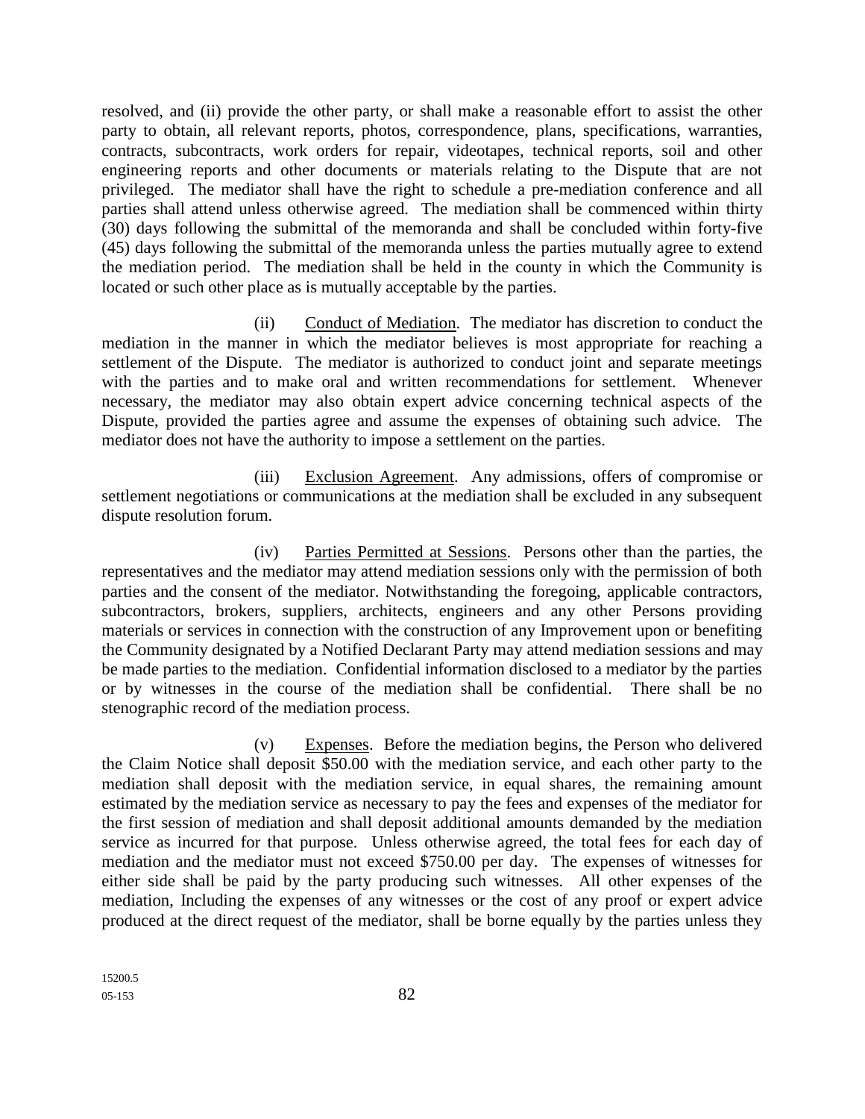resolved, and (ii) provide the other party, or shall make a reasonable effort to assist the other party to obtain, all relevant reports, photos, correspondence, plans, specifications, warranties, contracts, subcontracts, work orders for repair, videotapes, technical reports, soil and other engineering reports and other documents or materials relating to the Dispute that are not privileged. The mediator shall have the right to schedule a pre-mediation conference and all parties shall attend unless otherwise agreed. The mediation shall be commenced within thirty (30) days following the submittal of the memoranda and shall be concluded within forty-five (45) days following the submittal of the memoranda unless the parties mutually agree to extend the mediation period. The mediation shall be held in the county in which the Community is located or such other place as is mutually acceptable by the parties.

(ii) Conduct of Mediation. The mediator has discretion to conduct the mediation in the manner in which the mediator believes is most appropriate for reaching a settlement of the Dispute. The mediator is authorized to conduct joint and separate meetings with the parties and to make oral and written recommendations for settlement. Whenever necessary, the mediator may also obtain expert advice concerning technical aspects of the Dispute, provided the parties agree and assume the expenses of obtaining such advice. The mediator does not have the authority to impose a settlement on the parties.

(iii) Exclusion Agreement. Any admissions, offers of compromise or settlement negotiations or communications at the mediation shall be excluded in any subsequent dispute resolution forum.

(iv) Parties Permitted at Sessions. Persons other than the parties, the representatives and the mediator may attend mediation sessions only with the permission of both parties and the consent of the mediator. Notwithstanding the foregoing, applicable contractors, subcontractors, brokers, suppliers, architects, engineers and any other Persons providing materials or services in connection with the construction of any Improvement upon or benefiting the Community designated by a Notified Declarant Party may attend mediation sessions and may be made parties to the mediation. Confidential information disclosed to a mediator by the parties or by witnesses in the course of the mediation shall be confidential. There shall be no stenographic record of the mediation process.

(v) Expenses. Before the mediation begins, the Person who delivered the Claim Notice shall deposit \$50.00 with the mediation service, and each other party to the mediation shall deposit with the mediation service, in equal shares, the remaining amount estimated by the mediation service as necessary to pay the fees and expenses of the mediator for the first session of mediation and shall deposit additional amounts demanded by the mediation service as incurred for that purpose. Unless otherwise agreed, the total fees for each day of mediation and the mediator must not exceed \$750.00 per day. The expenses of witnesses for either side shall be paid by the party producing such witnesses. All other expenses of the mediation, Including the expenses of any witnesses or the cost of any proof or expert advice produced at the direct request of the mediator, shall be borne equally by the parties unless they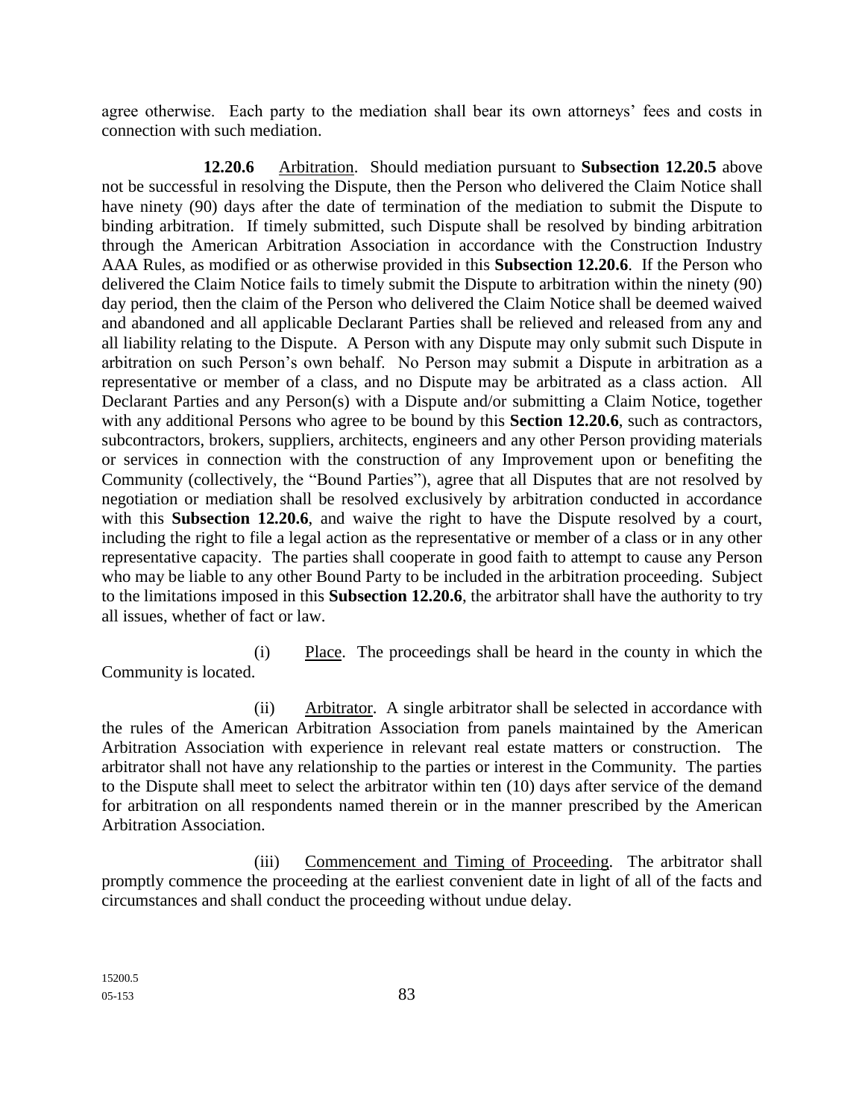agree otherwise. Each party to the mediation shall bear its own attorneys' fees and costs in connection with such mediation.

**12.20.6** Arbitration. Should mediation pursuant to **Subsection 12.20.5** above not be successful in resolving the Dispute, then the Person who delivered the Claim Notice shall have ninety (90) days after the date of termination of the mediation to submit the Dispute to binding arbitration. If timely submitted, such Dispute shall be resolved by binding arbitration through the American Arbitration Association in accordance with the Construction Industry AAA Rules, as modified or as otherwise provided in this **Subsection 12.20.6**. If the Person who delivered the Claim Notice fails to timely submit the Dispute to arbitration within the ninety (90) day period, then the claim of the Person who delivered the Claim Notice shall be deemed waived and abandoned and all applicable Declarant Parties shall be relieved and released from any and all liability relating to the Dispute. A Person with any Dispute may only submit such Dispute in arbitration on such Person's own behalf. No Person may submit a Dispute in arbitration as a representative or member of a class, and no Dispute may be arbitrated as a class action. All Declarant Parties and any Person(s) with a Dispute and/or submitting a Claim Notice, together with any additional Persons who agree to be bound by this **Section 12.20.6**, such as contractors, subcontractors, brokers, suppliers, architects, engineers and any other Person providing materials or services in connection with the construction of any Improvement upon or benefiting the Community (collectively, the "Bound Parties"), agree that all Disputes that are not resolved by negotiation or mediation shall be resolved exclusively by arbitration conducted in accordance with this **Subsection 12.20.6**, and waive the right to have the Dispute resolved by a court, including the right to file a legal action as the representative or member of a class or in any other representative capacity. The parties shall cooperate in good faith to attempt to cause any Person who may be liable to any other Bound Party to be included in the arbitration proceeding. Subject to the limitations imposed in this **Subsection 12.20.6**, the arbitrator shall have the authority to try all issues, whether of fact or law.

(i) Place. The proceedings shall be heard in the county in which the Community is located.

(ii) Arbitrator. A single arbitrator shall be selected in accordance with the rules of the American Arbitration Association from panels maintained by the American Arbitration Association with experience in relevant real estate matters or construction. The arbitrator shall not have any relationship to the parties or interest in the Community. The parties to the Dispute shall meet to select the arbitrator within ten (10) days after service of the demand for arbitration on all respondents named therein or in the manner prescribed by the American Arbitration Association.

(iii) Commencement and Timing of Proceeding. The arbitrator shall promptly commence the proceeding at the earliest convenient date in light of all of the facts and circumstances and shall conduct the proceeding without undue delay.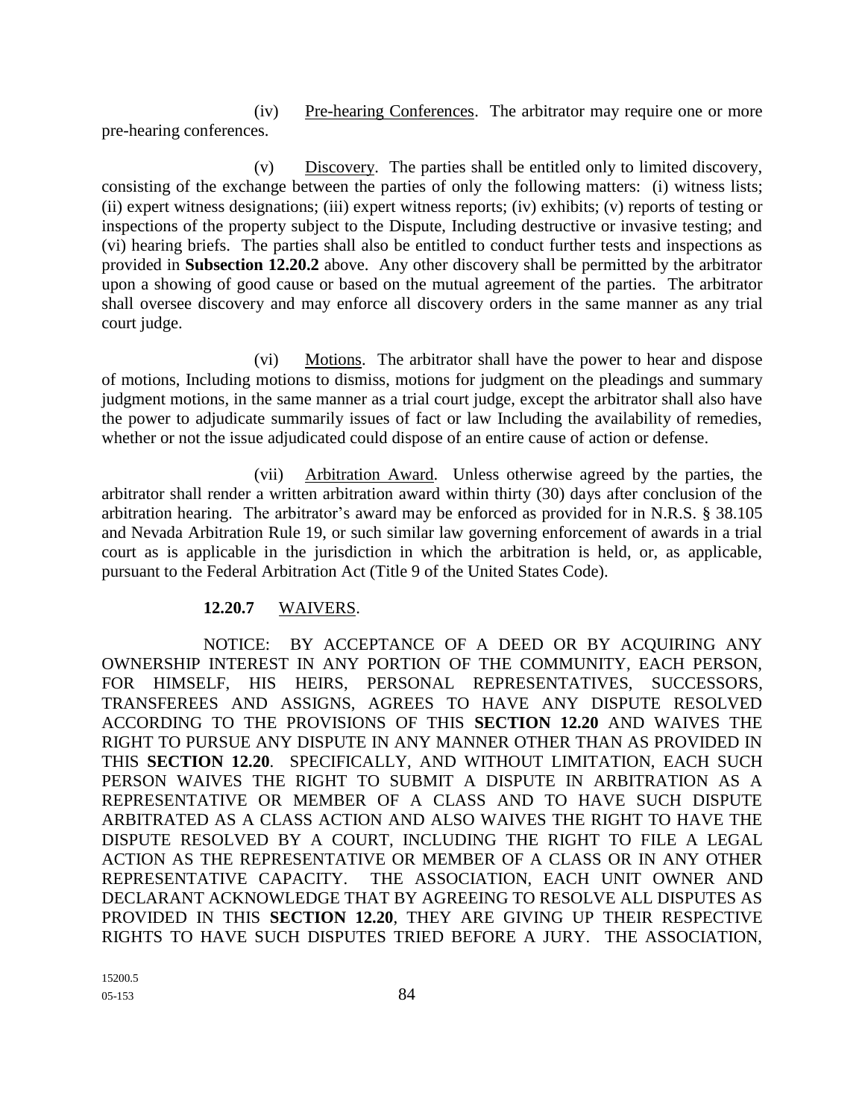(iv) Pre-hearing Conferences. The arbitrator may require one or more pre-hearing conferences.

(v) Discovery. The parties shall be entitled only to limited discovery, consisting of the exchange between the parties of only the following matters: (i) witness lists; (ii) expert witness designations; (iii) expert witness reports; (iv) exhibits; (v) reports of testing or inspections of the property subject to the Dispute, Including destructive or invasive testing; and (vi) hearing briefs. The parties shall also be entitled to conduct further tests and inspections as provided in **Subsection 12.20.2** above. Any other discovery shall be permitted by the arbitrator upon a showing of good cause or based on the mutual agreement of the parties. The arbitrator shall oversee discovery and may enforce all discovery orders in the same manner as any trial court judge.

(vi) Motions. The arbitrator shall have the power to hear and dispose of motions, Including motions to dismiss, motions for judgment on the pleadings and summary judgment motions, in the same manner as a trial court judge, except the arbitrator shall also have the power to adjudicate summarily issues of fact or law Including the availability of remedies, whether or not the issue adjudicated could dispose of an entire cause of action or defense.

(vii) Arbitration Award. Unless otherwise agreed by the parties, the arbitrator shall render a written arbitration award within thirty (30) days after conclusion of the arbitration hearing. The arbitrator's award may be enforced as provided for in N.R.S. § 38.105 and Nevada Arbitration Rule 19, or such similar law governing enforcement of awards in a trial court as is applicable in the jurisdiction in which the arbitration is held, or, as applicable, pursuant to the Federal Arbitration Act (Title 9 of the United States Code).

#### **12.20.7** WAIVERS.

NOTICE: BY ACCEPTANCE OF A DEED OR BY ACQUIRING ANY OWNERSHIP INTEREST IN ANY PORTION OF THE COMMUNITY, EACH PERSON, FOR HIMSELF, HIS HEIRS, PERSONAL REPRESENTATIVES, SUCCESSORS, TRANSFEREES AND ASSIGNS, AGREES TO HAVE ANY DISPUTE RESOLVED ACCORDING TO THE PROVISIONS OF THIS **SECTION 12.20** AND WAIVES THE RIGHT TO PURSUE ANY DISPUTE IN ANY MANNER OTHER THAN AS PROVIDED IN THIS **SECTION 12.20**. SPECIFICALLY, AND WITHOUT LIMITATION, EACH SUCH PERSON WAIVES THE RIGHT TO SUBMIT A DISPUTE IN ARBITRATION AS A REPRESENTATIVE OR MEMBER OF A CLASS AND TO HAVE SUCH DISPUTE ARBITRATED AS A CLASS ACTION AND ALSO WAIVES THE RIGHT TO HAVE THE DISPUTE RESOLVED BY A COURT, INCLUDING THE RIGHT TO FILE A LEGAL ACTION AS THE REPRESENTATIVE OR MEMBER OF A CLASS OR IN ANY OTHER REPRESENTATIVE CAPACITY. THE ASSOCIATION, EACH UNIT OWNER AND DECLARANT ACKNOWLEDGE THAT BY AGREEING TO RESOLVE ALL DISPUTES AS PROVIDED IN THIS **SECTION 12.20**, THEY ARE GIVING UP THEIR RESPECTIVE RIGHTS TO HAVE SUCH DISPUTES TRIED BEFORE A JURY. THE ASSOCIATION,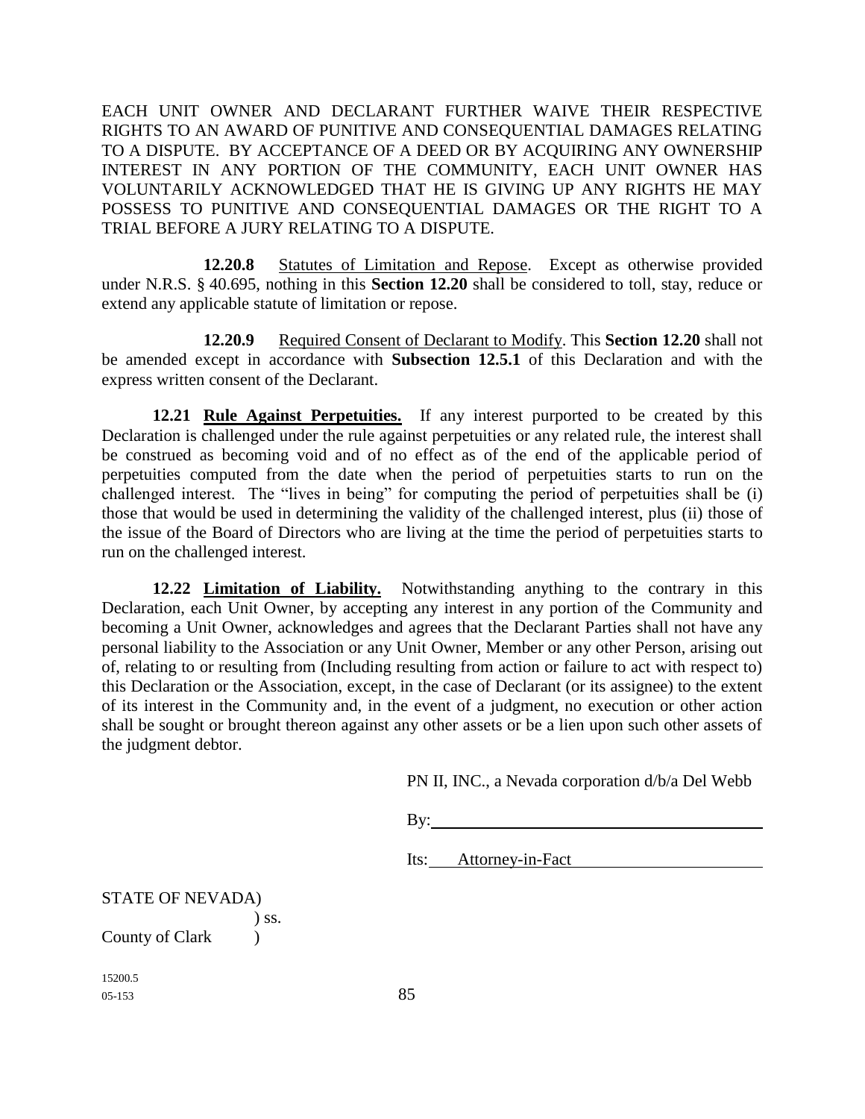EACH UNIT OWNER AND DECLARANT FURTHER WAIVE THEIR RESPECTIVE RIGHTS TO AN AWARD OF PUNITIVE AND CONSEQUENTIAL DAMAGES RELATING TO A DISPUTE. BY ACCEPTANCE OF A DEED OR BY ACQUIRING ANY OWNERSHIP INTEREST IN ANY PORTION OF THE COMMUNITY, EACH UNIT OWNER HAS VOLUNTARILY ACKNOWLEDGED THAT HE IS GIVING UP ANY RIGHTS HE MAY POSSESS TO PUNITIVE AND CONSEQUENTIAL DAMAGES OR THE RIGHT TO A TRIAL BEFORE A JURY RELATING TO A DISPUTE.

**12.20.8** Statutes of Limitation and Repose. Except as otherwise provided under N.R.S. § 40.695, nothing in this **Section 12.20** shall be considered to toll, stay, reduce or extend any applicable statute of limitation or repose.

**12.20.9** Required Consent of Declarant to Modify. This **Section 12.20** shall not be amended except in accordance with **Subsection 12.5.1** of this Declaration and with the express written consent of the Declarant.

**12.21 Rule Against Perpetuities.** If any interest purported to be created by this Declaration is challenged under the rule against perpetuities or any related rule, the interest shall be construed as becoming void and of no effect as of the end of the applicable period of perpetuities computed from the date when the period of perpetuities starts to run on the challenged interest. The "lives in being" for computing the period of perpetuities shall be (i) those that would be used in determining the validity of the challenged interest, plus (ii) those of the issue of the Board of Directors who are living at the time the period of perpetuities starts to run on the challenged interest.

**12.22 Limitation of Liability.** Notwithstanding anything to the contrary in this Declaration, each Unit Owner, by accepting any interest in any portion of the Community and becoming a Unit Owner, acknowledges and agrees that the Declarant Parties shall not have any personal liability to the Association or any Unit Owner, Member or any other Person, arising out of, relating to or resulting from (Including resulting from action or failure to act with respect to) this Declaration or the Association, except, in the case of Declarant (or its assignee) to the extent of its interest in the Community and, in the event of a judgment, no execution or other action shall be sought or brought thereon against any other assets or be a lien upon such other assets of the judgment debtor.

PN II, INC., a Nevada corporation d/b/a Del Webb

By:

Its: Attorney-in-Fact

STATE OF NEVADA) ) ss. County of Clark )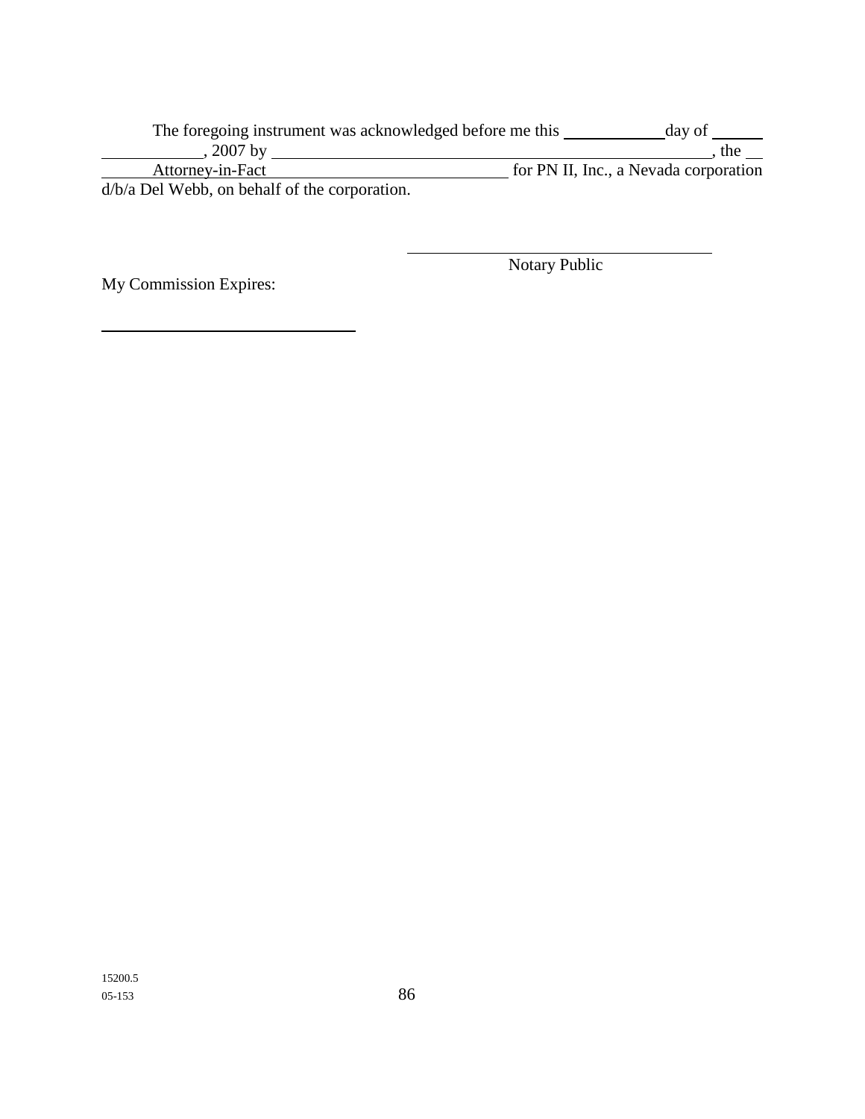The foregoing instrument was acknowledged before me this \_\_\_\_\_\_\_\_\_\_\_\_\_ day of \_\_\_\_\_\_\_ , 2007 by **quality**  $\frac{1}{2}$  the set of the set of the set of the set of the set of the set of the set of the set of the set of the set of the set of the set of the set of the set of the set of the set of the set of the s Attorney-in-Fact **for PN II, Inc., a Nevada corporation** d/b/a Del Webb, on behalf of the corporation.

My Commission Expires:

Notary Public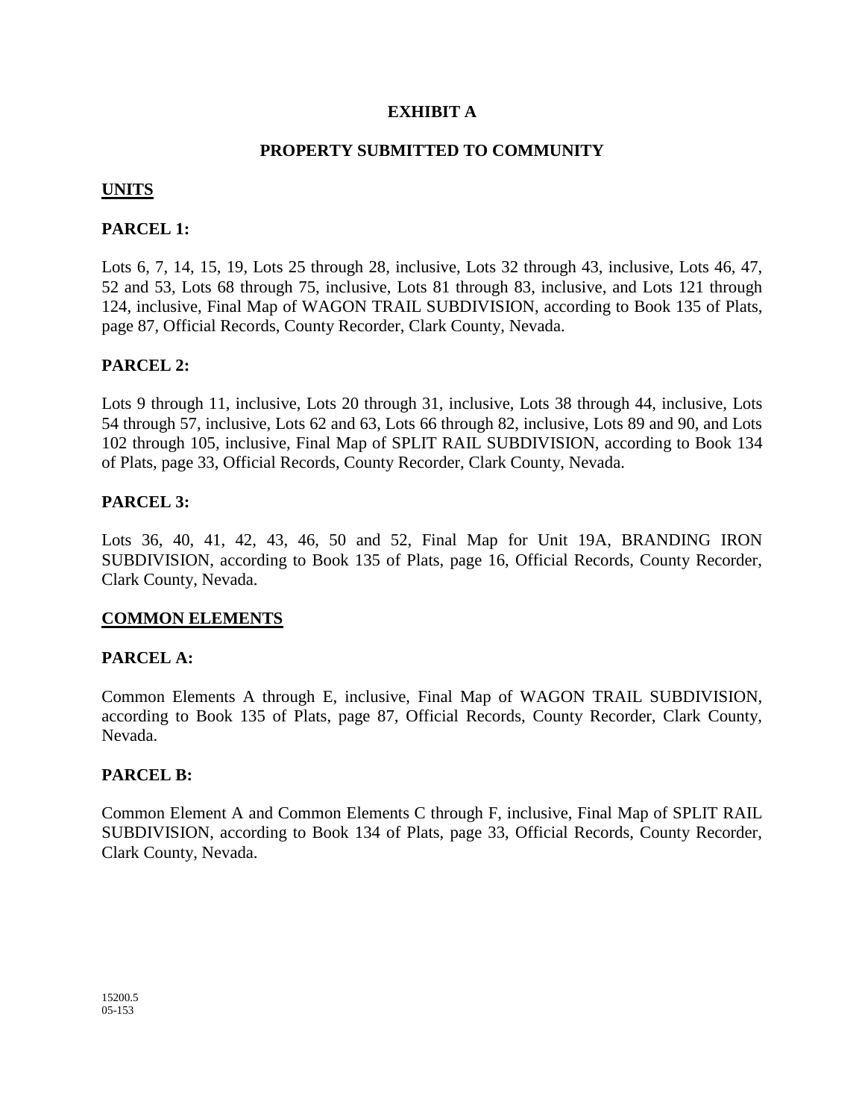# **EXHIBIT A**

# **PROPERTY SUBMITTED TO COMMUNITY**

# **UNITS**

## **PARCEL 1:**

Lots 6, 7, 14, 15, 19, Lots 25 through 28, inclusive, Lots 32 through 43, inclusive, Lots 46, 47, 52 and 53, Lots 68 through 75, inclusive, Lots 81 through 83, inclusive, and Lots 121 through 124, inclusive, Final Map of WAGON TRAIL SUBDIVISION, according to Book 135 of Plats, page 87, Official Records, County Recorder, Clark County, Nevada.

## **PARCEL 2:**

Lots 9 through 11, inclusive, Lots 20 through 31, inclusive, Lots 38 through 44, inclusive, Lots 54 through 57, inclusive, Lots 62 and 63, Lots 66 through 82, inclusive, Lots 89 and 90, and Lots 102 through 105, inclusive, Final Map of SPLIT RAIL SUBDIVISION, according to Book 134 of Plats, page 33, Official Records, County Recorder, Clark County, Nevada.

#### **PARCEL 3:**

Lots 36, 40, 41, 42, 43, 46, 50 and 52, Final Map for Unit 19A, BRANDING IRON SUBDIVISION, according to Book 135 of Plats, page 16, Official Records, County Recorder, Clark County, Nevada.

#### **COMMON ELEMENTS**

#### **PARCEL A:**

Common Elements A through E, inclusive, Final Map of WAGON TRAIL SUBDIVISION, according to Book 135 of Plats, page 87, Official Records, County Recorder, Clark County, Nevada.

#### **PARCEL B:**

Common Element A and Common Elements C through F, inclusive, Final Map of SPLIT RAIL SUBDIVISION, according to Book 134 of Plats, page 33, Official Records, County Recorder, Clark County, Nevada.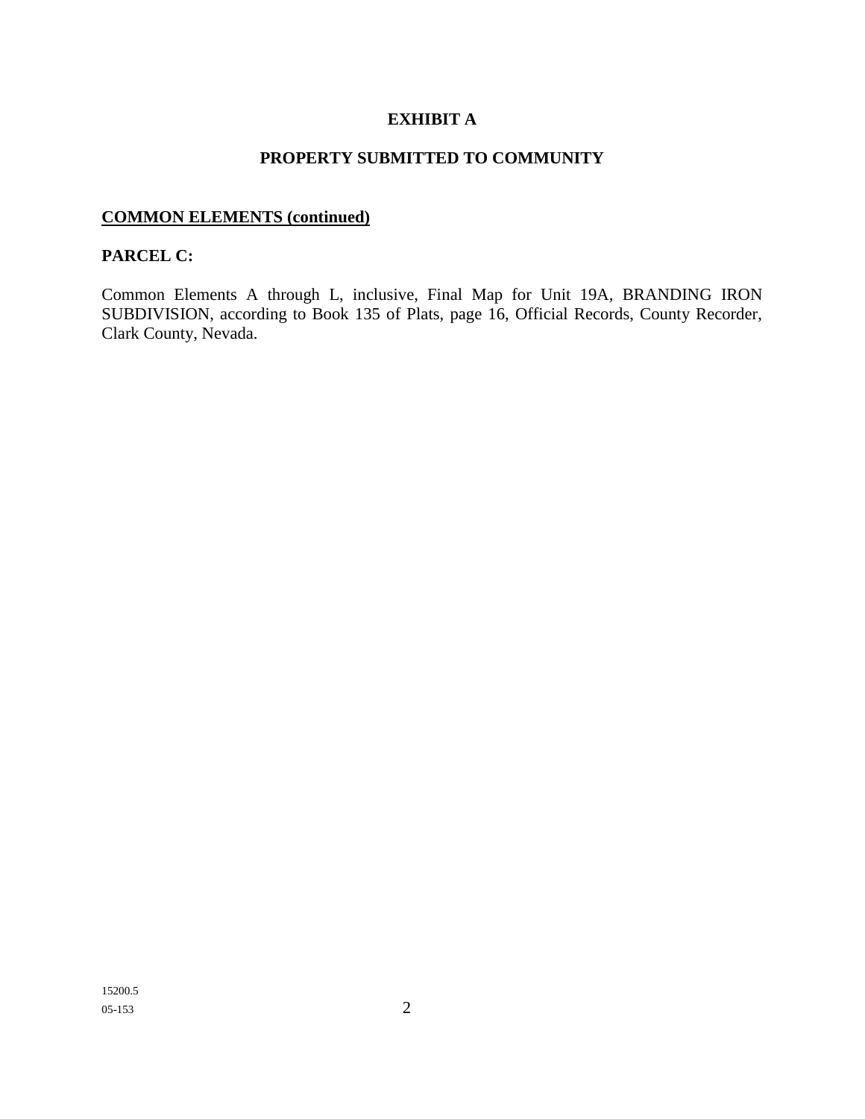# **EXHIBIT A**

# **PROPERTY SUBMITTED TO COMMUNITY**

# **COMMON ELEMENTS (continued)**

### **PARCEL C:**

Common Elements A through L, inclusive, Final Map for Unit 19A, BRANDING IRON SUBDIVISION, according to Book 135 of Plats, page 16, Official Records, County Recorder, Clark County, Nevada.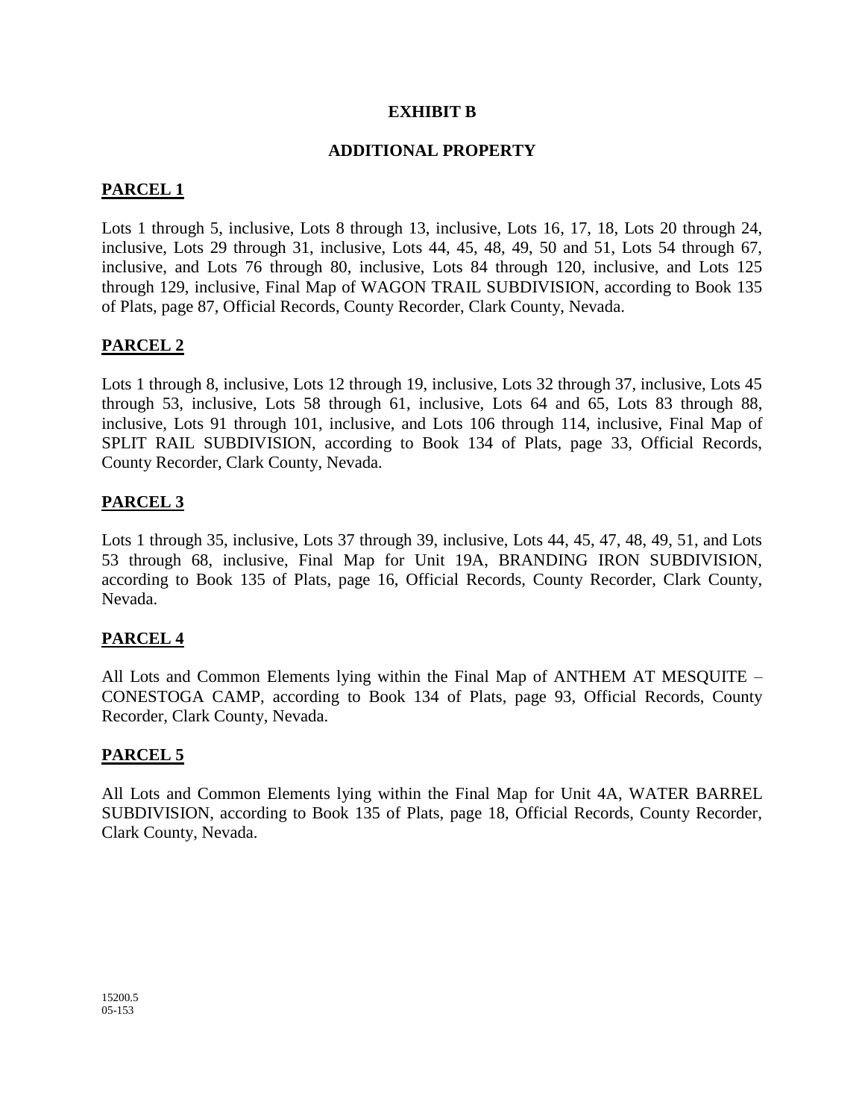#### **EXHIBIT B**

## **ADDITIONAL PROPERTY**

# **PARCEL 1**

Lots 1 through 5, inclusive, Lots 8 through 13, inclusive, Lots 16, 17, 18, Lots 20 through 24, inclusive, Lots 29 through 31, inclusive, Lots 44, 45, 48, 49, 50 and 51, Lots 54 through 67, inclusive, and Lots 76 through 80, inclusive, Lots 84 through 120, inclusive, and Lots 125 through 129, inclusive, Final Map of WAGON TRAIL SUBDIVISION, according to Book 135 of Plats, page 87, Official Records, County Recorder, Clark County, Nevada.

## **PARCEL 2**

Lots 1 through 8, inclusive, Lots 12 through 19, inclusive, Lots 32 through 37, inclusive, Lots 45 through 53, inclusive, Lots 58 through 61, inclusive, Lots 64 and 65, Lots 83 through 88, inclusive, Lots 91 through 101, inclusive, and Lots 106 through 114, inclusive, Final Map of SPLIT RAIL SUBDIVISION, according to Book 134 of Plats, page 33, Official Records, County Recorder, Clark County, Nevada.

#### **PARCEL 3**

Lots 1 through 35, inclusive, Lots 37 through 39, inclusive, Lots 44, 45, 47, 48, 49, 51, and Lots 53 through 68, inclusive, Final Map for Unit 19A, BRANDING IRON SUBDIVISION, according to Book 135 of Plats, page 16, Official Records, County Recorder, Clark County, Nevada.

#### **PARCEL 4**

All Lots and Common Elements lying within the Final Map of ANTHEM AT MESQUITE – CONESTOGA CAMP, according to Book 134 of Plats, page 93, Official Records, County Recorder, Clark County, Nevada.

#### **PARCEL 5**

All Lots and Common Elements lying within the Final Map for Unit 4A, WATER BARREL SUBDIVISION, according to Book 135 of Plats, page 18, Official Records, County Recorder, Clark County, Nevada.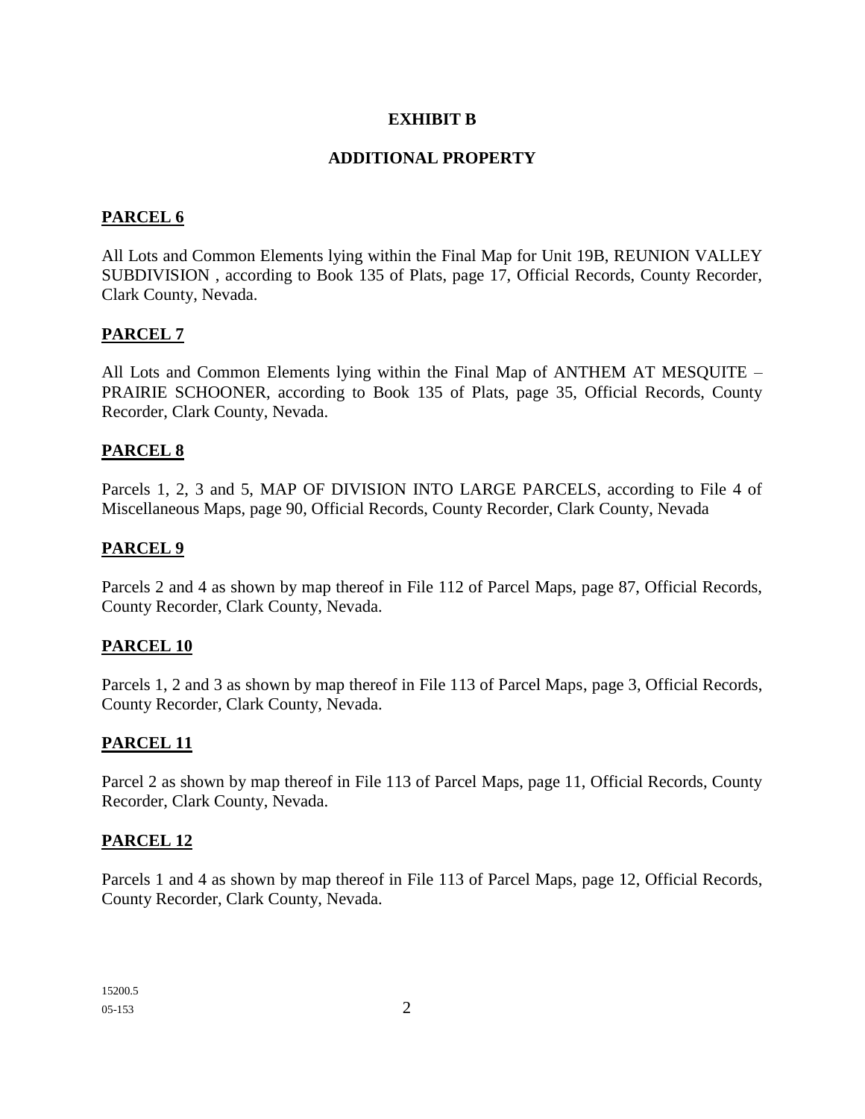# **EXHIBIT B**

# **ADDITIONAL PROPERTY**

## **PARCEL 6**

All Lots and Common Elements lying within the Final Map for Unit 19B, REUNION VALLEY SUBDIVISION , according to Book 135 of Plats, page 17, Official Records, County Recorder, Clark County, Nevada.

## **PARCEL 7**

All Lots and Common Elements lying within the Final Map of ANTHEM AT MESQUITE – PRAIRIE SCHOONER, according to Book 135 of Plats, page 35, Official Records, County Recorder, Clark County, Nevada.

#### **PARCEL 8**

Parcels 1, 2, 3 and 5, MAP OF DIVISION INTO LARGE PARCELS, according to File 4 of Miscellaneous Maps, page 90, Official Records, County Recorder, Clark County, Nevada

#### **PARCEL 9**

Parcels 2 and 4 as shown by map thereof in File 112 of Parcel Maps, page 87, Official Records, County Recorder, Clark County, Nevada.

#### **PARCEL 10**

Parcels 1, 2 and 3 as shown by map thereof in File 113 of Parcel Maps, page 3, Official Records, County Recorder, Clark County, Nevada.

#### **PARCEL 11**

Parcel 2 as shown by map thereof in File 113 of Parcel Maps, page 11, Official Records, County Recorder, Clark County, Nevada.

#### **PARCEL 12**

Parcels 1 and 4 as shown by map thereof in File 113 of Parcel Maps, page 12, Official Records, County Recorder, Clark County, Nevada.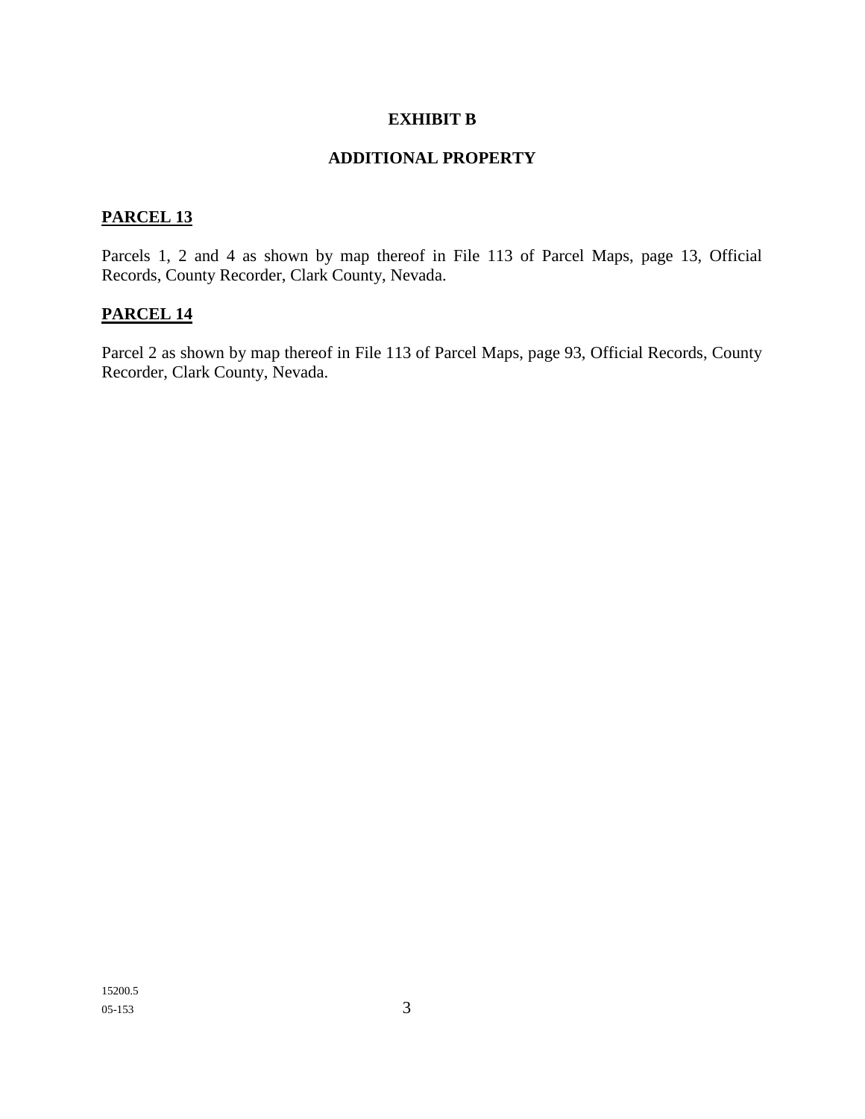#### **EXHIBIT B**

# **ADDITIONAL PROPERTY**

## **PARCEL 13**

Parcels 1, 2 and 4 as shown by map thereof in File 113 of Parcel Maps, page 13, Official Records, County Recorder, Clark County, Nevada.

# **PARCEL 14**

Parcel 2 as shown by map thereof in File 113 of Parcel Maps, page 93, Official Records, County Recorder, Clark County, Nevada.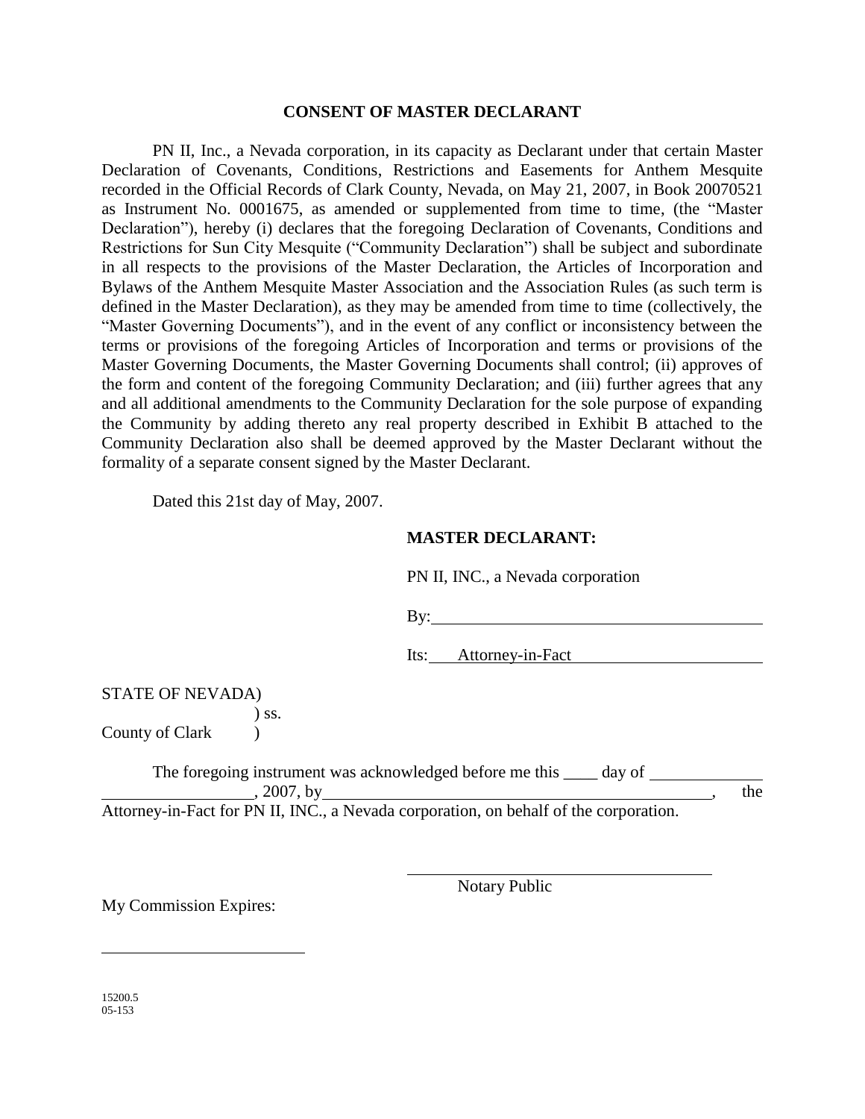#### **CONSENT OF MASTER DECLARANT**

PN II, Inc., a Nevada corporation, in its capacity as Declarant under that certain Master Declaration of Covenants, Conditions, Restrictions and Easements for Anthem Mesquite recorded in the Official Records of Clark County, Nevada, on May 21, 2007, in Book 20070521 as Instrument No. 0001675, as amended or supplemented from time to time, (the "Master Declaration"), hereby (i) declares that the foregoing Declaration of Covenants, Conditions and Restrictions for Sun City Mesquite ("Community Declaration") shall be subject and subordinate in all respects to the provisions of the Master Declaration, the Articles of Incorporation and Bylaws of the Anthem Mesquite Master Association and the Association Rules (as such term is defined in the Master Declaration), as they may be amended from time to time (collectively, the "Master Governing Documents"), and in the event of any conflict or inconsistency between the terms or provisions of the foregoing Articles of Incorporation and terms or provisions of the Master Governing Documents, the Master Governing Documents shall control; (ii) approves of the form and content of the foregoing Community Declaration; and (iii) further agrees that any and all additional amendments to the Community Declaration for the sole purpose of expanding the Community by adding thereto any real property described in Exhibit B attached to the Community Declaration also shall be deemed approved by the Master Declarant without the formality of a separate consent signed by the Master Declarant.

Dated this 21st day of May, 2007.

#### **MASTER DECLARANT:**

|  |  |  | PN II, INC., a Nevada corporation |
|--|--|--|-----------------------------------|
|--|--|--|-----------------------------------|

By:

Its: Attorney-in-Fact

STATE OF NEVADA) ) ss.

County of Clark (1)

The foregoing instrument was acknowledged before me this <u>equal</u> day of  $, 2007,$  by the

Attorney-in-Fact for PN II, INC., a Nevada corporation, on behalf of the corporation.

My Commission Expires:

Notary Public

15200.5 05-153